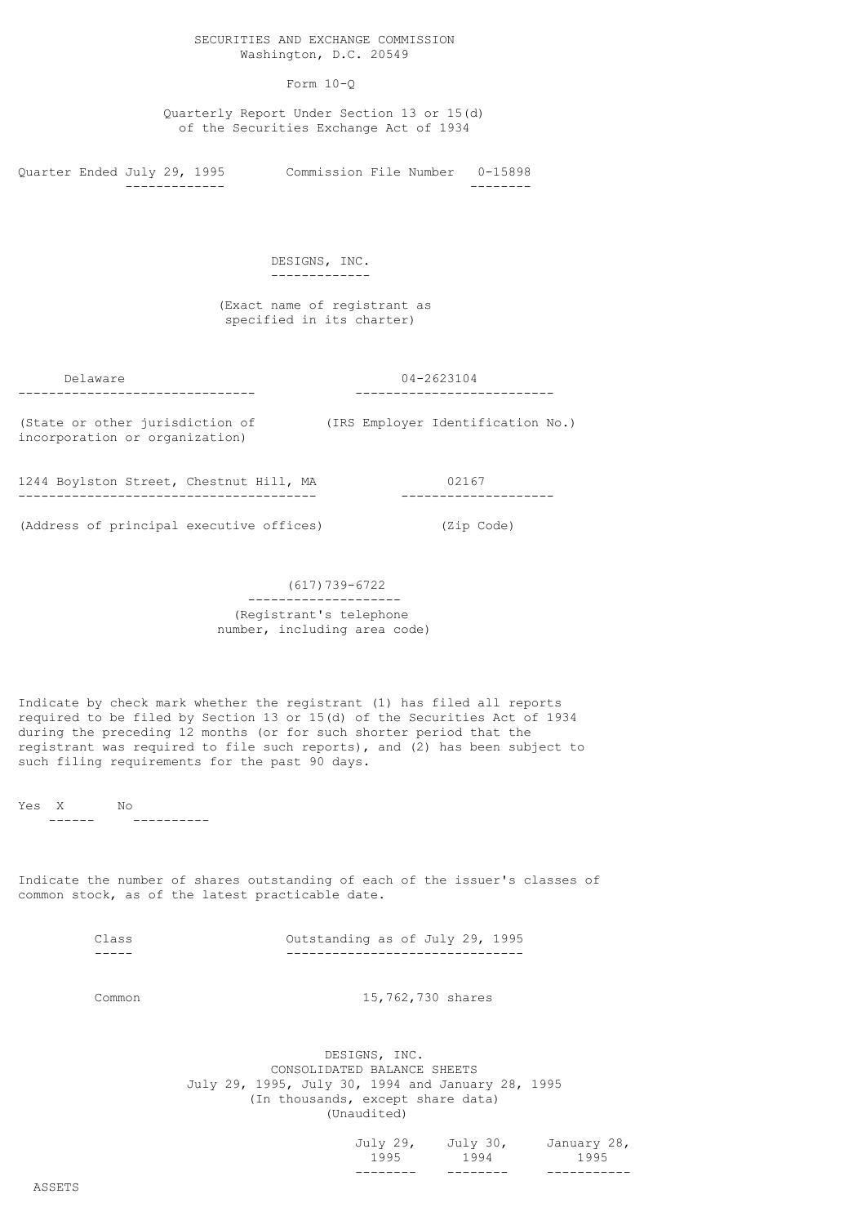# Form 10-Q

 Quarterly Report Under Section 13 or 15(d) of the Securities Exchange Act of 1934

Quarter Ended July 29, 1995 Commission File Number 0-15898 ------------- --------

#### DESIGNS, INC. -------------

#### (Exact name of registrant as specified in its charter)

------------------------------- --------------------------

# Delaware 04-2623104

incorporation or organization)

(State or other jurisdiction of (IRS Employer Identification No.)

1244 Boylston Street, Chestnut Hill, MA 02167 --------------------------------------- --------------------

(Address of principal executive offices) (Zip Code)

# (617)739-6722

# -------------------- (Registrant's telephone number, including area code)

Indicate by check mark whether the registrant (1) has filed all reports required to be filed by Section 13 or 15(d) of the Securities Act of 1934 during the preceding 12 months (or for such shorter period that the registrant was required to file such reports), and (2) has been subject to such filing requirements for the past 90 days.

Yes X No

------ ----------

Indicate the number of shares outstanding of each of the issuer's classes of common stock, as of the latest practicable date.

|  | Outstanding as of July 29, 1995 |  |  |  |
|--|---------------------------------|--|--|--|

Common 15,762,730 shares

 DESIGNS, INC. CONSOLIDATED BALANCE SHEETS July 29, 1995, July 30, 1994 and January 28, 1995 (In thousands, except share data) (Unaudited)

| ________ | _ _ _ _ _ _ _ _ |                               |
|----------|-----------------|-------------------------------|
| 1995     | 1994            | 1995                          |
|          |                 | July 29, July 30, January 28, |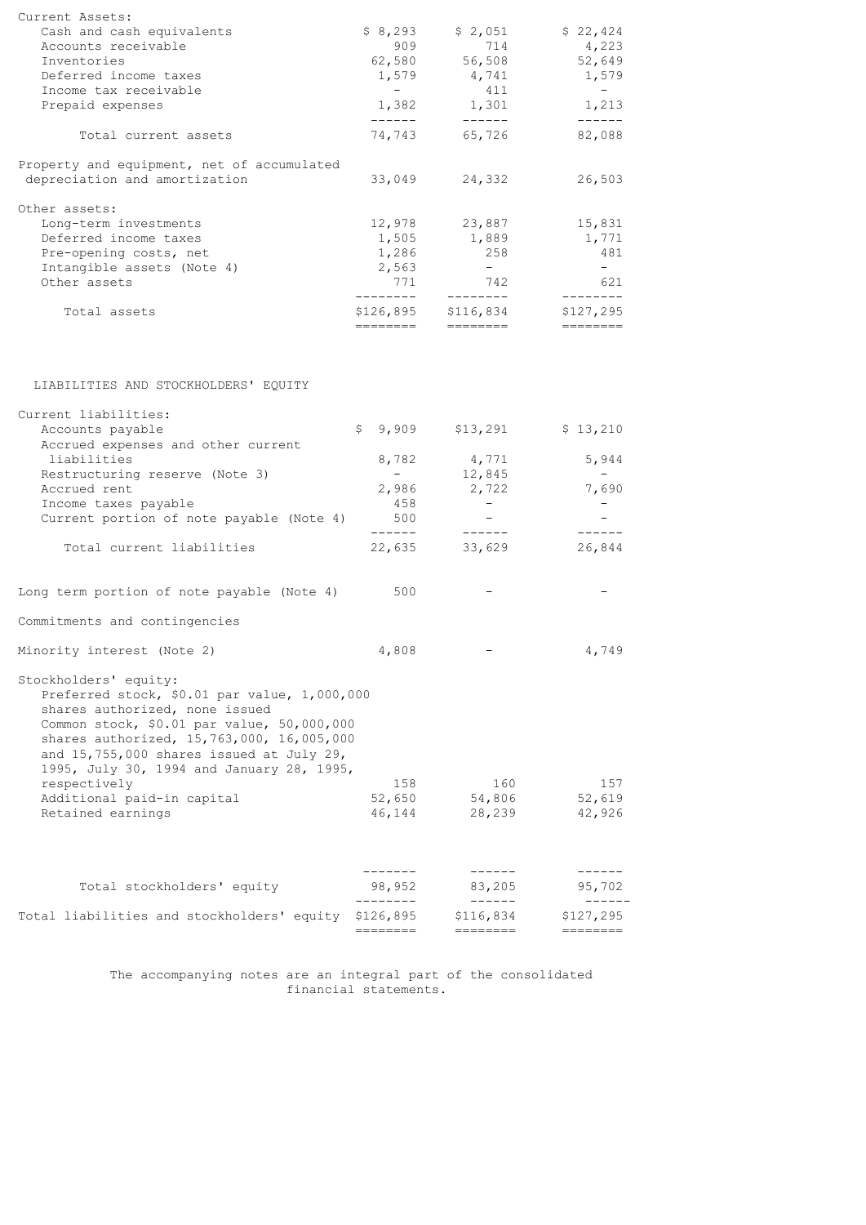| Current Assets:                                                                                                                                                                                                                                                                             |                       |                            |                       |
|---------------------------------------------------------------------------------------------------------------------------------------------------------------------------------------------------------------------------------------------------------------------------------------------|-----------------------|----------------------------|-----------------------|
| Cash and cash equivalents                                                                                                                                                                                                                                                                   | \$8,293               | \$2,051                    | \$22,424              |
| Accounts receivable                                                                                                                                                                                                                                                                         | 909                   | 714                        | 4,223                 |
| Inventories                                                                                                                                                                                                                                                                                 | 62,580                | 56,508                     | 52,649                |
| Deferred income taxes                                                                                                                                                                                                                                                                       | 1,579                 | 4,741<br>411               | 1,579                 |
| Income tax receivable<br>Prepaid expenses                                                                                                                                                                                                                                                   | $\sim$<br>1,382       | 1,301                      | $\sim$ $-$<br>1,213   |
|                                                                                                                                                                                                                                                                                             | ------                | ------                     | $- - - - - -$         |
| Total current assets                                                                                                                                                                                                                                                                        | 74,743                | 65,726                     | 82,088                |
| Property and equipment, net of accumulated                                                                                                                                                                                                                                                  |                       |                            |                       |
| depreciation and amortization                                                                                                                                                                                                                                                               | 33,049                | 24,332                     | 26,503                |
| Other assets:                                                                                                                                                                                                                                                                               |                       |                            |                       |
| Long-term investments                                                                                                                                                                                                                                                                       | 12,978                | 23,887                     | 15,831                |
| Deferred income taxes                                                                                                                                                                                                                                                                       | 1,505                 | 1,889                      | 1,771                 |
| Pre-opening costs, net                                                                                                                                                                                                                                                                      | 1,286                 | 258                        | 481                   |
| Intangible assets (Note 4)                                                                                                                                                                                                                                                                  | 2,563                 | $\sim$ $-$                 | $-$                   |
| Other assets                                                                                                                                                                                                                                                                                | 771                   | 742                        | 621                   |
|                                                                                                                                                                                                                                                                                             | ---------             | ---------                  | ---------             |
| Total assets                                                                                                                                                                                                                                                                                | \$126,895<br>======== | \$116,834<br>========      | \$127,295<br>======== |
|                                                                                                                                                                                                                                                                                             |                       |                            |                       |
|                                                                                                                                                                                                                                                                                             |                       |                            |                       |
| LIABILITIES AND STOCKHOLDERS' EQUITY                                                                                                                                                                                                                                                        |                       |                            |                       |
| Current liabilities:                                                                                                                                                                                                                                                                        |                       |                            |                       |
| Accounts payable                                                                                                                                                                                                                                                                            | \$9,909               | \$13,291                   | \$13,210              |
| Accrued expenses and other current                                                                                                                                                                                                                                                          |                       |                            |                       |
| liabilities                                                                                                                                                                                                                                                                                 | 8,782                 | 4,771                      | 5,944                 |
| Restructuring reserve (Note 3)                                                                                                                                                                                                                                                              | $\sim$                | 12,845                     | $ \,$                 |
| Accrued rent                                                                                                                                                                                                                                                                                | 2,986                 | 2,722                      | 7,690                 |
| Income taxes payable                                                                                                                                                                                                                                                                        | 458                   | $\sim$                     | $-$                   |
| Current portion of note payable (Note 4)                                                                                                                                                                                                                                                    | 500<br>------         | $-$<br>$- - - - - -$       | $- - - - - -$         |
| Total current liabilities                                                                                                                                                                                                                                                                   | 22,635                | 33,629                     | 26,844                |
| Long term portion of note payable (Note 4)                                                                                                                                                                                                                                                  | 500                   |                            |                       |
|                                                                                                                                                                                                                                                                                             |                       |                            |                       |
| Commitments and contingencies                                                                                                                                                                                                                                                               |                       |                            |                       |
| Minority interest (Note 2)                                                                                                                                                                                                                                                                  | 4,808                 |                            | 4,749                 |
| Stockholders' equity:<br>Preferred stock, \$0.01 par value, 1,000,000<br>shares authorized, none issued<br>Common stock, \$0.01 par value, 50,000,000<br>shares authorized, 15,763,000, 16,005,000<br>and 15,755,000 shares issued at July 29,<br>1995, July 30, 1994 and January 28, 1995, |                       |                            |                       |
| respectively                                                                                                                                                                                                                                                                                | 158                   | 160                        | 157                   |
| Additional paid-in capital                                                                                                                                                                                                                                                                  | 52,650                | 54,806                     | 52,619                |
| Retained earnings                                                                                                                                                                                                                                                                           | 46,144                | 28,239                     | 42,926                |
|                                                                                                                                                                                                                                                                                             |                       |                            |                       |
| Total stockholders' equity                                                                                                                                                                                                                                                                  | 98,952                | 83,205                     | 95,702                |
| Total liabilities and stockholders' equity \$126,895                                                                                                                                                                                                                                        | ---------             | $- - - - - -$<br>\$116,834 | \$127, 295            |
|                                                                                                                                                                                                                                                                                             | ========              | ========                   | ========              |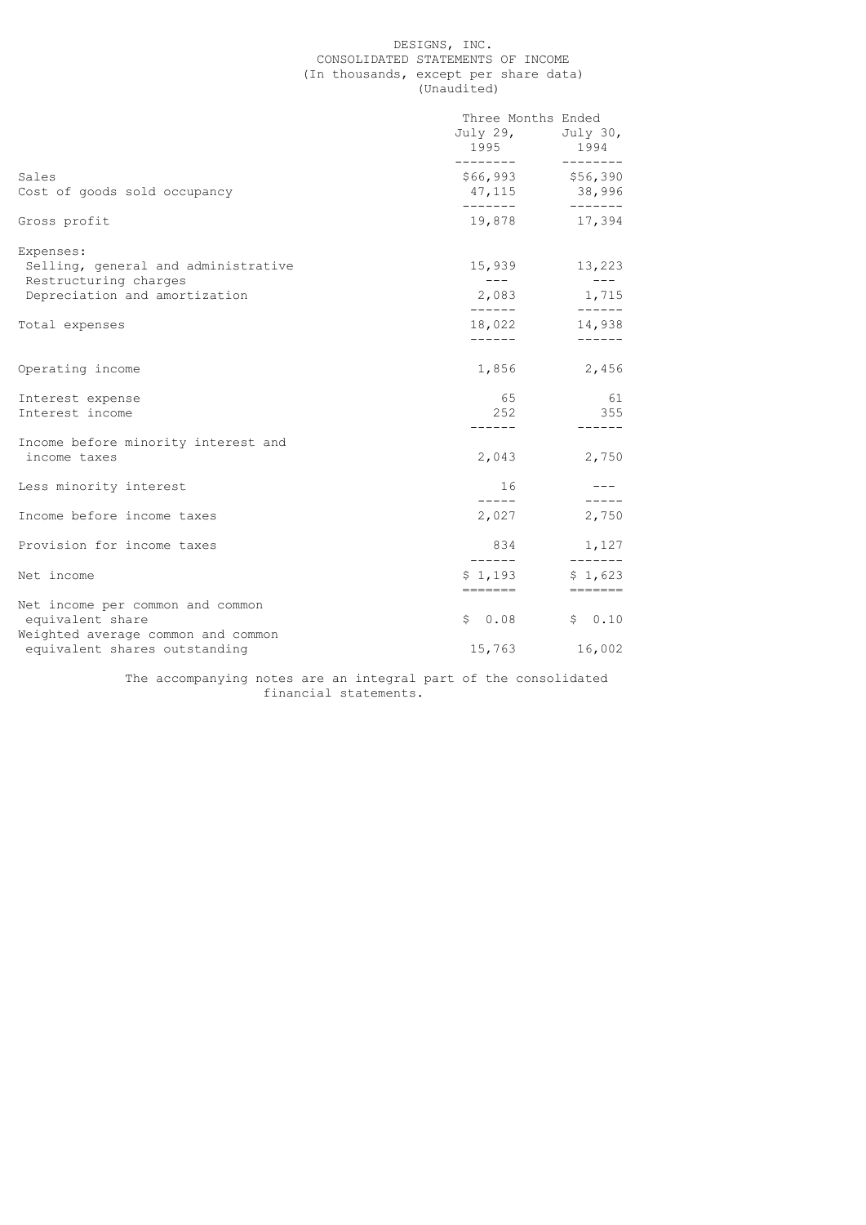# DESIGNS, INC. CONSOLIDATED STATEMENTS OF INCOME (In thousands, except per share data) (Unaudited)

|                                                                                                            | Three Months Ended<br>1995<br>________ | July 29, July 30,<br>1994<br>$- - - - - - - -$                                     |
|------------------------------------------------------------------------------------------------------------|----------------------------------------|------------------------------------------------------------------------------------|
| Sales<br>Cost of goods sold occupancy                                                                      | 47,115<br>_______                      | \$66,993 \$56,390<br>38,996<br>$- - - - - - -$                                     |
| Gross profit                                                                                               |                                        | 19,878 17,394                                                                      |
| Expenses:<br>Selling, general and administrative<br>Restructuring charges<br>Depreciation and amortization | $---$<br>2,083                         | 15,939 13,223<br>$---$<br>1,715                                                    |
| Total expenses                                                                                             | -------<br>------                      | 18,022 14,938<br>$- - - - - -$                                                     |
| Operating income                                                                                           |                                        | 1,856 2,456                                                                        |
| Interest expense<br>Interest income                                                                        | 65<br>252                              | 61<br>355                                                                          |
| Income before minority interest and<br>income taxes                                                        | ------<br>2,043                        | $- - - - - -$<br>2,750                                                             |
| Less minority interest                                                                                     | 16                                     | $- - - - -$                                                                        |
| Income before income taxes                                                                                 | 2,027                                  | 2,750                                                                              |
| Provision for income taxes                                                                                 | 834<br>-------                         | 1,127<br>$- - - - - - -$                                                           |
| Net income                                                                                                 | \$1,193<br>-------                     | \$1,623<br>$\qquad \qquad \equiv \equiv \equiv \equiv \equiv \equiv \equiv \equiv$ |
| Net income per common and common<br>equivalent share<br>Weighted average common and common                 | \$0.08                                 | \$0.10                                                                             |
| equivalent shares outstanding                                                                              | 15,763                                 | 16,002                                                                             |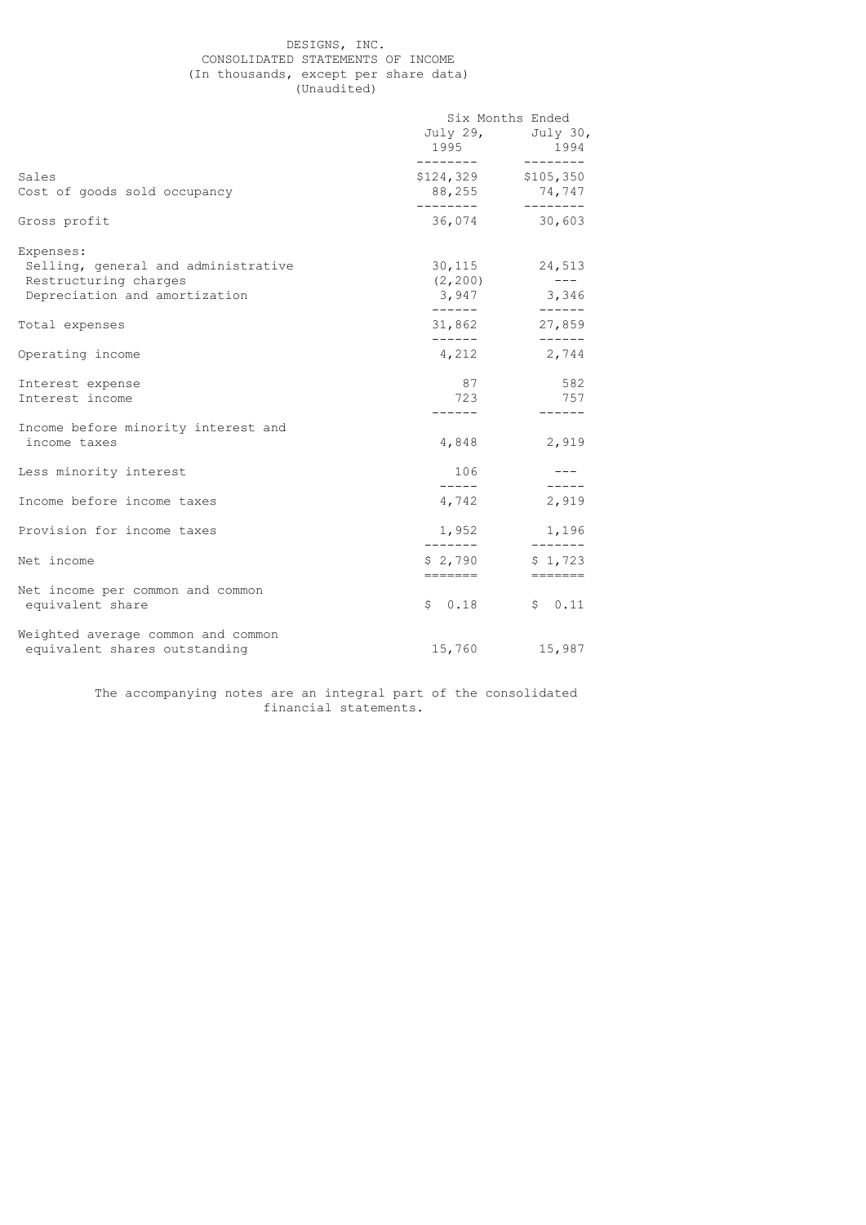# DESIGNS, INC. CONSOLIDATED STATEMENTS OF INCOME (In thousands, except per share data) (Unaudited)

|                                                                                                            | Six Months Ended                      |                                           |
|------------------------------------------------------------------------------------------------------------|---------------------------------------|-------------------------------------------|
|                                                                                                            | 1995<br>---------                     | July 29, July 30,<br>1994<br>---------    |
| Sales<br>Cost of goods sold occupancy                                                                      | \$124,329 \$105,350<br>88,255         | 74,747                                    |
| Gross profit                                                                                               | ---------                             | ---------<br>36,074 30,603                |
| Expenses:<br>Selling, general and administrative<br>Restructuring charges<br>Depreciation and amortization | 30,115<br>(2, 200)<br>3,947<br>------ | 24,513<br>$---$<br>3,346<br>$- - - - - -$ |
| Total expenses                                                                                             | 31,862                                | 27,859                                    |
| Operating income                                                                                           | -------<br>4,212                      | $- - - - - -$<br>2,744                    |
| Interest expense<br>Interest income                                                                        | 87<br>723<br>-------                  | 582<br>757<br>-------                     |
| Income before minority interest and<br>income taxes                                                        | 4,848                                 | 2,919                                     |
| Less minority interest                                                                                     | 106<br>$\frac{1}{2}$                  |                                           |
| Income before income taxes                                                                                 | 4,742                                 | $- - - - - -$<br>2,919                    |
| Provision for income taxes                                                                                 | 1,952<br>--------                     | 1,196<br>$- - - - - - -$                  |
| Net income                                                                                                 | \$2,790<br>=======                    | \$1,723                                   |
| Net income per common and common<br>equivalent share                                                       | \$0.18                                | \$0.11                                    |
| Weighted average common and common<br>equivalent shares outstanding                                        | 15,760                                | 15,987                                    |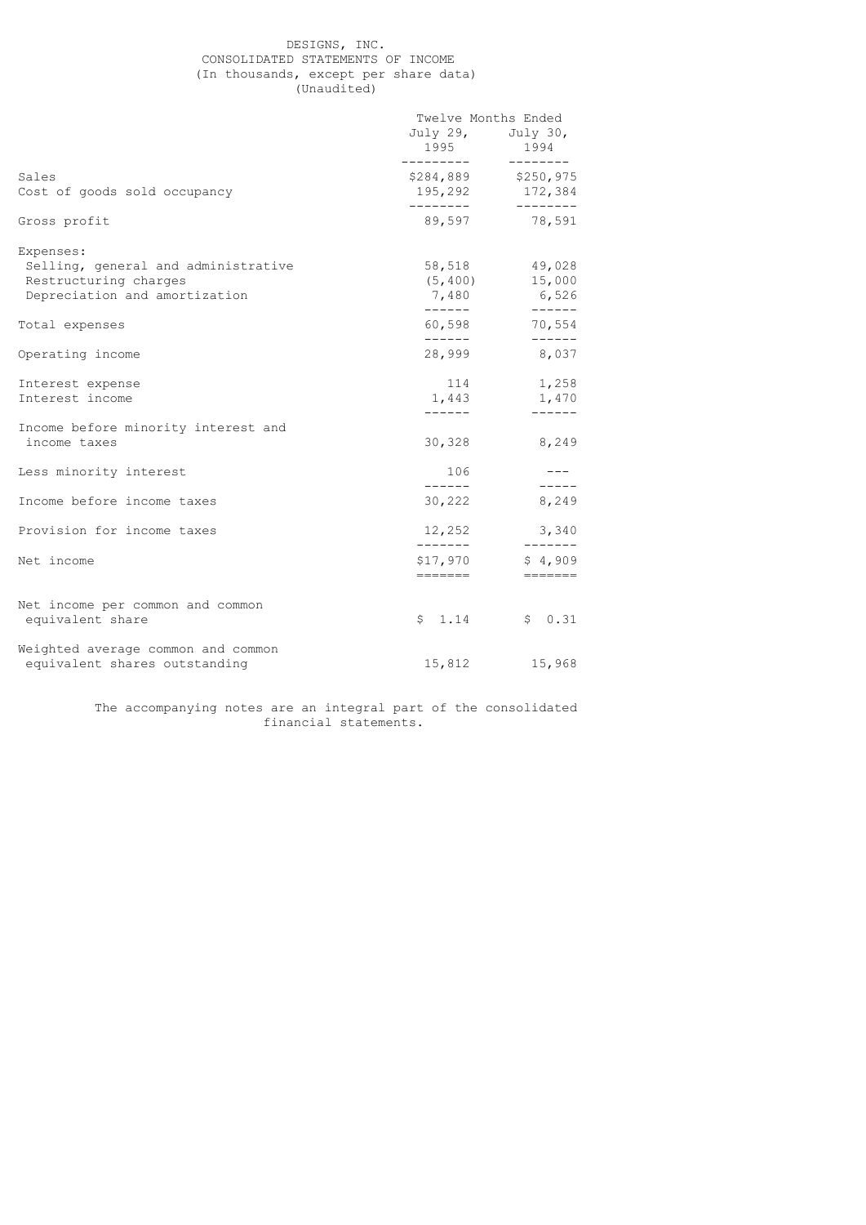# DESIGNS, INC. CONSOLIDATED STATEMENTS OF INCOME (In thousands, except per share data) (Unaudited)

|                                                                                                            | Twelve Months Ended            |                                                                                                          |
|------------------------------------------------------------------------------------------------------------|--------------------------------|----------------------------------------------------------------------------------------------------------|
|                                                                                                            | 1995<br>__________             | July 29, July 30,<br>1994                                                                                |
| Sales<br>Cost of goods sold occupancy                                                                      |                                | ---------<br>\$284,889 \$250,975<br>195,292 172,384                                                      |
|                                                                                                            |                                | $- - - - - - - -$                                                                                        |
| Gross profit                                                                                               |                                | 89,597 78,591                                                                                            |
| Expenses:<br>Selling, general and administrative<br>Restructuring charges<br>Depreciation and amortization | (5, 400)<br>———————————        | 58,518 49,028<br>15,000<br>7,480 6,526                                                                   |
| Total expenses                                                                                             | 60,598                         | 70,554                                                                                                   |
| Operating income                                                                                           | 28,999                         | $- - - - - -$<br>8,037                                                                                   |
| Interest expense<br>Interest income                                                                        | 114<br>-------                 | 1,258<br>1,443 1,470<br>$- - - - - -$                                                                    |
| Income before minority interest and<br>income taxes                                                        | 30,328                         | 8,249                                                                                                    |
| Less minority interest                                                                                     | 106<br>$- - - - - -$           | $---$                                                                                                    |
| Income before income taxes                                                                                 | 30,222                         | 8,249                                                                                                    |
| Provision for income taxes                                                                                 | 12,252                         | 3,340                                                                                                    |
| Net income                                                                                                 | -------<br>\$17,970<br>======= | ———————<br>\$4,909<br>$\qquad \qquad \doteq\qquad \qquad \doteq\qquad \qquad \doteq\qquad \qquad \qquad$ |
| Net income per common and common<br>equivalent share                                                       | 1.14<br>\$                     | \$0.31                                                                                                   |
| Weighted average common and common<br>equivalent shares outstanding                                        | 15,812                         | 15,968                                                                                                   |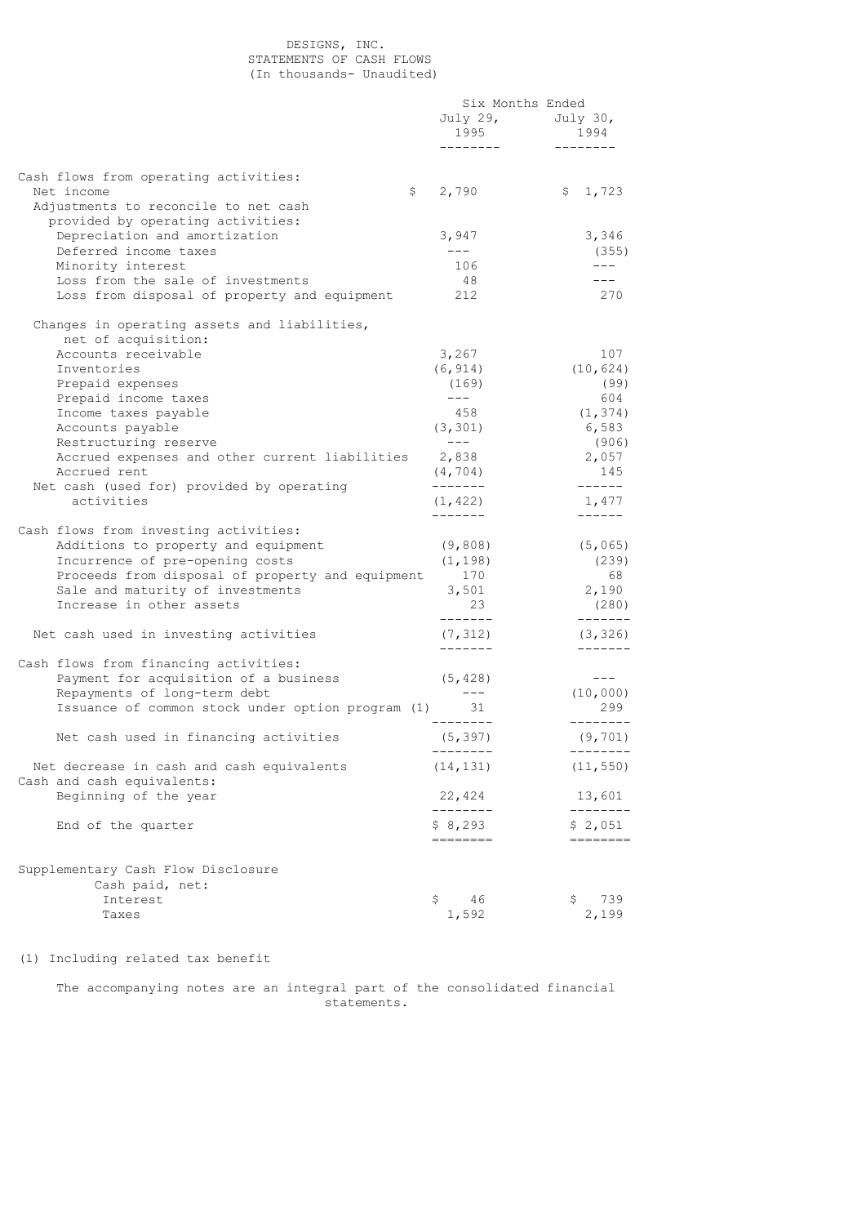# DESIGNS, INC. STATEMENTS OF CASH FLOWS (In thousands- Unaudited)

|                                                                                   | Six Months Ended     |                           |
|-----------------------------------------------------------------------------------|----------------------|---------------------------|
|                                                                                   | 1995                 | July 29, July 30,<br>1994 |
|                                                                                   | --------             | ---------                 |
| Cash flows from operating activities:                                             |                      |                           |
| Net income<br>\$                                                                  | 2,790                | \$1,723                   |
| Adjustments to reconcile to net cash<br>provided by operating activities:         |                      |                           |
| Depreciation and amortization                                                     | 3,947                | 3,346                     |
| Deferred income taxes                                                             | $---$                | (355)                     |
| Minority interest                                                                 | 106                  | $---$                     |
| Loss from the sale of investments<br>Loss from disposal of property and equipment | 48<br>212            | $- - -$<br>270            |
| Changes in operating assets and liabilities,<br>net of acquisition:               |                      |                           |
| Accounts receivable                                                               | 3,267                | 107                       |
| Inventories                                                                       | (6, 914)             | (10, 624)                 |
| Prepaid expenses                                                                  | (169)                | (99)                      |
| Prepaid income taxes                                                              | $\qquad - - -$       | 604                       |
| Income taxes payable                                                              | 458                  | (1, 374)                  |
| Accounts payable                                                                  | (3, 301)             | 6,583                     |
| Restructuring reserve                                                             | $---$                | (906)                     |
| Accrued expenses and other current liabilities<br>Accrued rent                    | 2,838                | 2,057                     |
| Net cash (used for) provided by operating                                         | (4, 704)<br>-------  | 145<br>$- - - - - -$      |
| activities                                                                        | (1, 422)             | 1,477                     |
| Cash flows from investing activities:                                             |                      |                           |
| Additions to property and equipment                                               | (9,808)              | (5,065)                   |
| Incurrence of pre-opening costs                                                   | (1, 198)             | (239)                     |
| Proceeds from disposal of property and equipment                                  | 170                  | 68                        |
| Sale and maturity of investments                                                  | 3,501                | 2,190                     |
| Increase in other assets                                                          | 23                   | (280)                     |
| Net cash used in investing activities                                             | -------<br>(7, 312)  | -------<br>(3, 326)       |
|                                                                                   | --------             | --------                  |
| Cash flows from financing activities:                                             |                      |                           |
| Payment for acquisition of a business<br>Repayments of long-term debt             | (5, 428)<br>$---$    | $---$                     |
| Issuance of common stock under option program (1) 31                              |                      | (10,000)<br>299           |
|                                                                                   |                      |                           |
| Net cash used in financing activities                                             | (5, 397)<br>-------- | (9, 701)<br>--------      |
| Net decrease in cash and cash equivalents                                         | (14, 131)            | (11, 550)                 |
| Cash and cash equivalents:                                                        |                      |                           |
| Beginning of the year                                                             | 22,424<br>--------   | 13,601<br>--------        |
| End of the quarter                                                                | \$8,293              | \$2,051                   |
|                                                                                   | ========             | ========                  |
| Supplementary Cash Flow Disclosure                                                |                      |                           |
| Cash paid, net:                                                                   |                      |                           |
| Interest                                                                          | \$<br>46             | 739<br>\$                 |
| Taxes                                                                             | 1,592                | 2,199                     |

(1) Including related tax benefit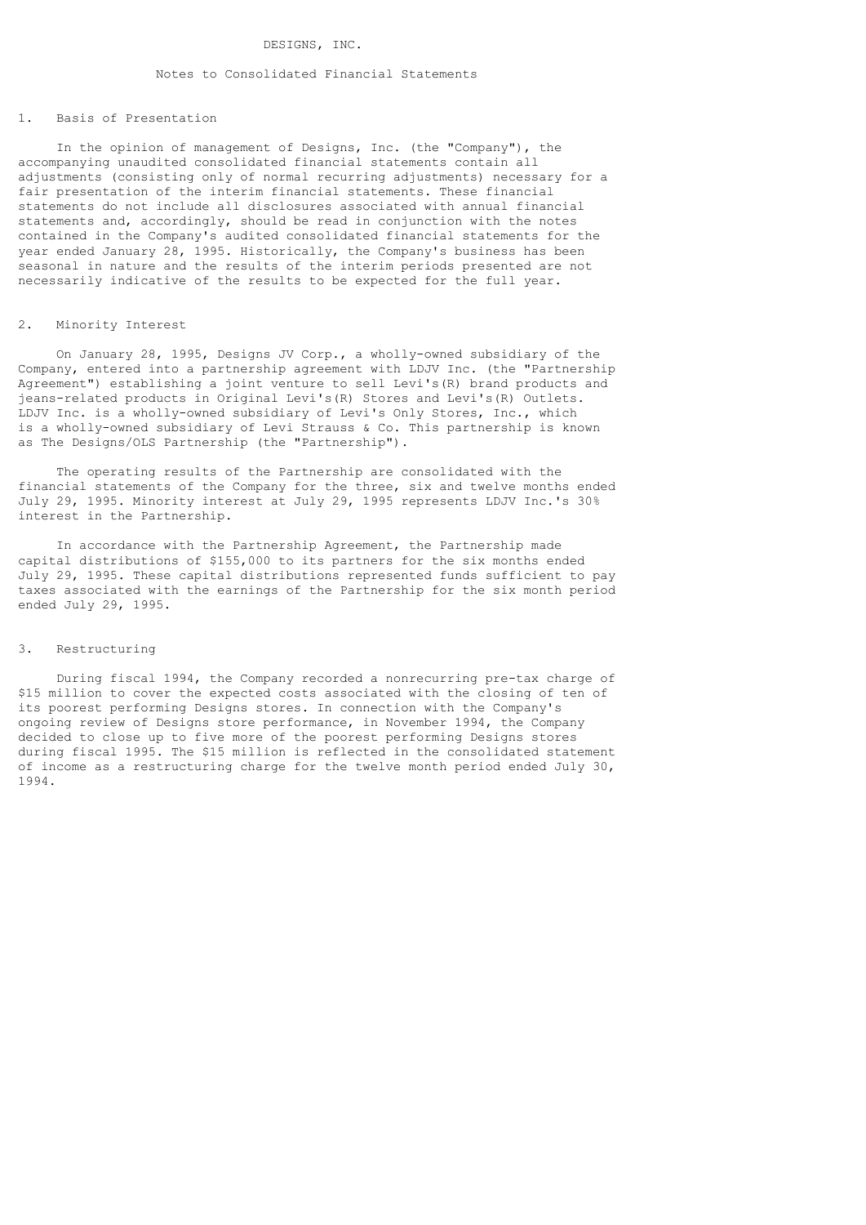#### DESIGNS, INC.

# Notes to Consolidated Financial Statements

# 1. Basis of Presentation

 In the opinion of management of Designs, Inc. (the "Company"), the accompanying unaudited consolidated financial statements contain all adjustments (consisting only of normal recurring adjustments) necessary for a fair presentation of the interim financial statements. These financial statements do not include all disclosures associated with annual financial statements and, accordingly, should be read in conjunction with the notes contained in the Company's audited consolidated financial statements for the year ended January 28, 1995. Historically, the Company's business has been seasonal in nature and the results of the interim periods presented are not necessarily indicative of the results to be expected for the full year.

# 2. Minority Interest

 On January 28, 1995, Designs JV Corp., a wholly-owned subsidiary of the Company, entered into a partnership agreement with LDJV Inc. (the "Partnership Agreement") establishing a joint venture to sell Levi's(R) brand products and jeans-related products in Original Levi's(R) Stores and Levi's(R) Outlets. LDJV Inc. is a wholly-owned subsidiary of Levi's Only Stores, Inc., which is a wholly-owned subsidiary of Levi Strauss & Co. This partnership is known as The Designs/OLS Partnership (the "Partnership").

 The operating results of the Partnership are consolidated with the financial statements of the Company for the three, six and twelve months ended July 29, 1995. Minority interest at July 29, 1995 represents LDJV Inc.'s 30% interest in the Partnership.

 In accordance with the Partnership Agreement, the Partnership made capital distributions of \$155,000 to its partners for the six months ended July 29, 1995. These capital distributions represented funds sufficient to pay taxes associated with the earnings of the Partnership for the six month period ended July 29, 1995.

#### 3. Restructuring

 During fiscal 1994, the Company recorded a nonrecurring pre-tax charge of \$15 million to cover the expected costs associated with the closing of ten of its poorest performing Designs stores. In connection with the Company's ongoing review of Designs store performance, in November 1994, the Company decided to close up to five more of the poorest performing Designs stores during fiscal 1995. The \$15 million is reflected in the consolidated statement of income as a restructuring charge for the twelve month period ended July 30, 1994.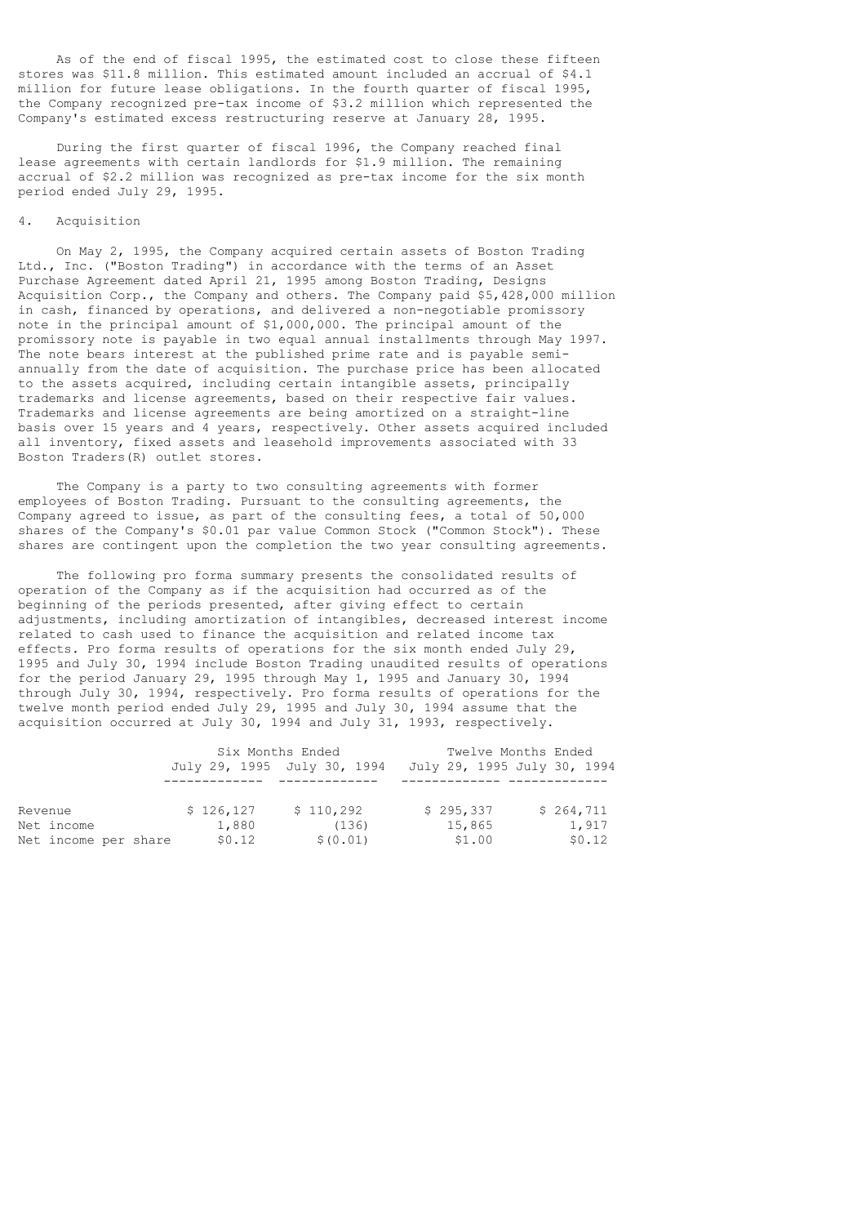As of the end of fiscal 1995, the estimated cost to close these fifteen stores was \$11.8 million. This estimated amount included an accrual of \$4.1 million for future lease obligations. In the fourth quarter of fiscal 1995, the Company recognized pre-tax income of \$3.2 million which represented the Company's estimated excess restructuring reserve at January 28, 1995.

 During the first quarter of fiscal 1996, the Company reached final lease agreements with certain landlords for \$1.9 million. The remaining accrual of \$2.2 million was recognized as pre-tax income for the six month period ended July 29, 1995.

# 4. Acquisition

 On May 2, 1995, the Company acquired certain assets of Boston Trading Ltd., Inc. ("Boston Trading") in accordance with the terms of an Asset Purchase Agreement dated April 21, 1995 among Boston Trading, Designs Acquisition Corp., the Company and others. The Company paid \$5,428,000 million in cash, financed by operations, and delivered a non-negotiable promissory note in the principal amount of \$1,000,000. The principal amount of the promissory note is payable in two equal annual installments through May 1997. The note bears interest at the published prime rate and is payable semiannually from the date of acquisition. The purchase price has been allocated to the assets acquired, including certain intangible assets, principally trademarks and license agreements, based on their respective fair values. Trademarks and license agreements are being amortized on a straight-line basis over 15 years and 4 years, respectively. Other assets acquired included all inventory, fixed assets and leasehold improvements associated with 33 Boston Traders(R) outlet stores.

 The Company is a party to two consulting agreements with former employees of Boston Trading. Pursuant to the consulting agreements, the Company agreed to issue, as part of the consulting fees, a total of 50,000 shares of the Company's \$0.01 par value Common Stock ("Common Stock"). These shares are contingent upon the completion the two year consulting agreements.

 The following pro forma summary presents the consolidated results of operation of the Company as if the acquisition had occurred as of the beginning of the periods presented, after giving effect to certain adjustments, including amortization of intangibles, decreased interest income related to cash used to finance the acquisition and related income tax effects. Pro forma results of operations for the six month ended July 29, 1995 and July 30, 1994 include Boston Trading unaudited results of operations for the period January 29, 1995 through May 1, 1995 and January 30, 1994 through July 30, 1994, respectively. Pro forma results of operations for the twelve month period ended July 29, 1995 and July 30, 1994 assume that the acquisition occurred at July 30, 1994 and July 31, 1993, respectively.

|                      |           | Six Months Ended            | Twelve Months Ended         |           |
|----------------------|-----------|-----------------------------|-----------------------------|-----------|
|                      |           | July 29, 1995 July 30, 1994 | July 29, 1995 July 30, 1994 |           |
|                      |           |                             |                             |           |
| Revenue              | \$126.127 | \$110,292                   | \$295,337                   | \$264,711 |
| Net income           | 1,880     | (136)                       | 15,865                      | 1,917     |
| Net income per share | \$0.12    | \$ (0.01)                   | \$1.00                      | \$0.12    |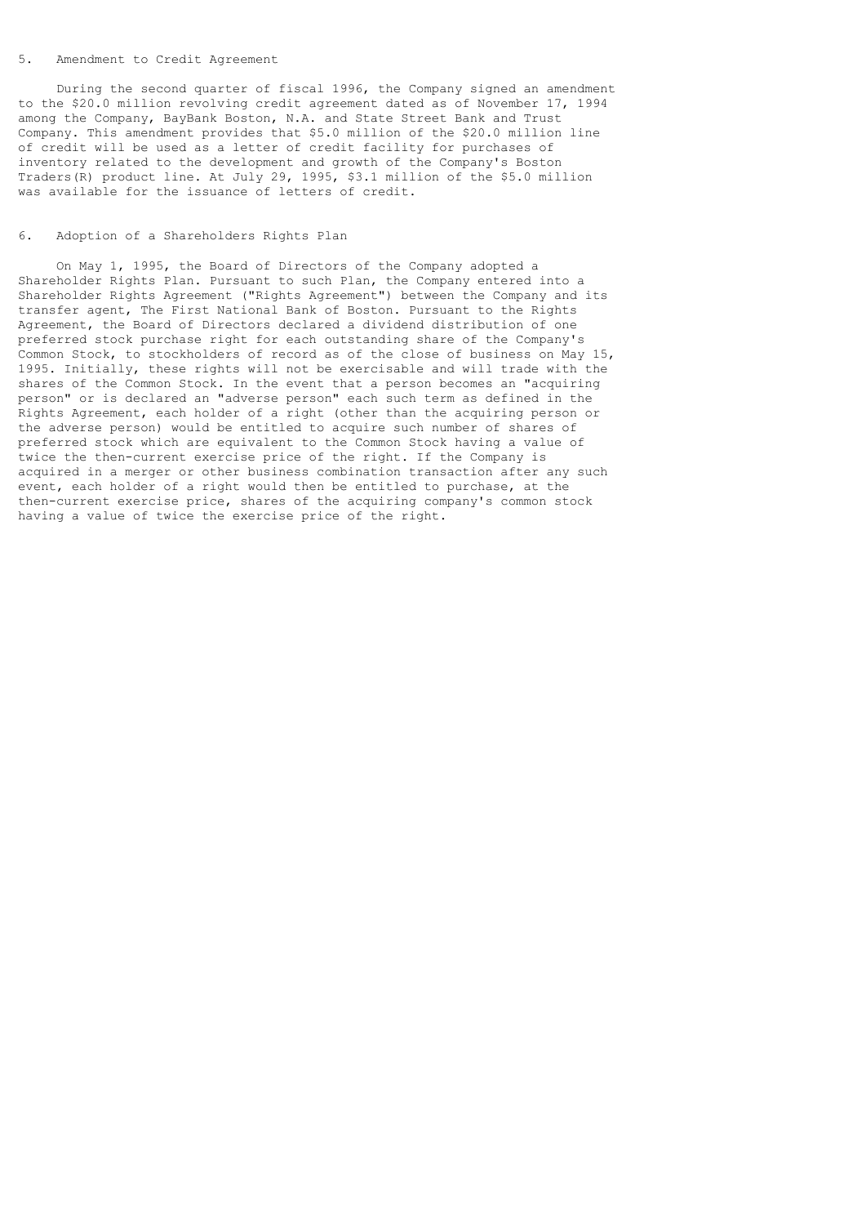#### 5. Amendment to Credit Agreement

 During the second quarter of fiscal 1996, the Company signed an amendment to the \$20.0 million revolving credit agreement dated as of November 17, 1994 among the Company, BayBank Boston, N.A. and State Street Bank and Trust Company. This amendment provides that \$5.0 million of the \$20.0 million line of credit will be used as a letter of credit facility for purchases of inventory related to the development and growth of the Company's Boston Traders(R) product line. At July 29, 1995, \$3.1 million of the \$5.0 million was available for the issuance of letters of credit.

## 6. Adoption of a Shareholders Rights Plan

 On May 1, 1995, the Board of Directors of the Company adopted a Shareholder Rights Plan. Pursuant to such Plan, the Company entered into a Shareholder Rights Agreement ("Rights Agreement") between the Company and its transfer agent, The First National Bank of Boston. Pursuant to the Rights Agreement, the Board of Directors declared a dividend distribution of one preferred stock purchase right for each outstanding share of the Company's Common Stock, to stockholders of record as of the close of business on May 15, 1995. Initially, these rights will not be exercisable and will trade with the shares of the Common Stock. In the event that a person becomes an "acquiring person" or is declared an "adverse person" each such term as defined in the Rights Agreement, each holder of a right (other than the acquiring person or the adverse person) would be entitled to acquire such number of shares of preferred stock which are equivalent to the Common Stock having a value of twice the then-current exercise price of the right. If the Company is acquired in a merger or other business combination transaction after any such event, each holder of a right would then be entitled to purchase, at the then-current exercise price, shares of the acquiring company's common stock having a value of twice the exercise price of the right.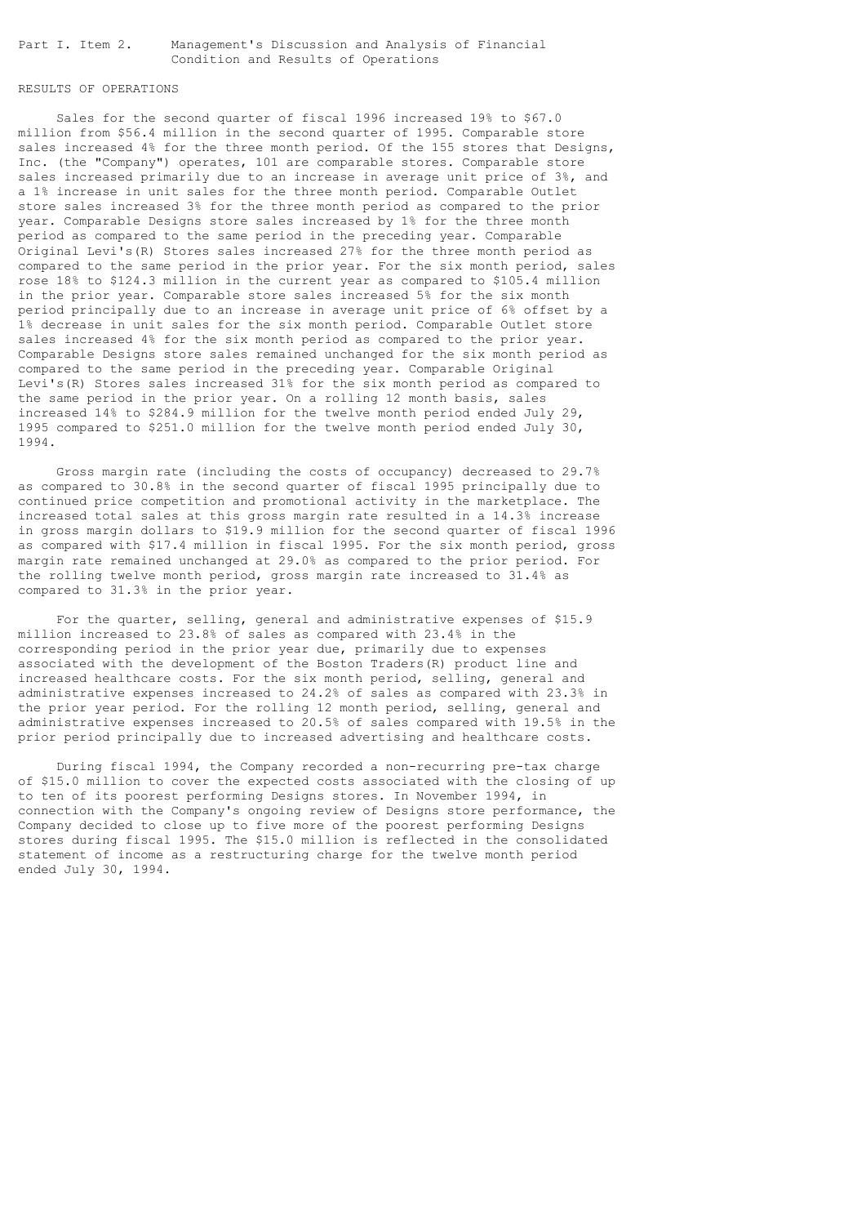Part I. Item 2. Management's Discussion and Analysis of Financial Condition and Results of Operations

# RESULTS OF OPERATIONS

 Sales for the second quarter of fiscal 1996 increased 19% to \$67.0 million from \$56.4 million in the second quarter of 1995. Comparable store sales increased 4% for the three month period. Of the 155 stores that Designs, Inc. (the "Company") operates, 101 are comparable stores. Comparable store sales increased primarily due to an increase in average unit price of 3%, and a 1% increase in unit sales for the three month period. Comparable Outlet store sales increased 3% for the three month period as compared to the prior year. Comparable Designs store sales increased by 1% for the three month period as compared to the same period in the preceding year. Comparable Original Levi's(R) Stores sales increased 27% for the three month period as compared to the same period in the prior year. For the six month period, sales rose 18% to \$124.3 million in the current year as compared to \$105.4 million in the prior year. Comparable store sales increased 5% for the six month period principally due to an increase in average unit price of 6% offset by a 1% decrease in unit sales for the six month period. Comparable Outlet store sales increased 4% for the six month period as compared to the prior year. Comparable Designs store sales remained unchanged for the six month period as compared to the same period in the preceding year. Comparable Original Levi's(R) Stores sales increased 31% for the six month period as compared to the same period in the prior year. On a rolling 12 month basis, sales increased 14% to \$284.9 million for the twelve month period ended July 29, 1995 compared to \$251.0 million for the twelve month period ended July 30, 1994.

 Gross margin rate (including the costs of occupancy) decreased to 29.7% as compared to 30.8% in the second quarter of fiscal 1995 principally due to continued price competition and promotional activity in the marketplace. The increased total sales at this gross margin rate resulted in a 14.3% increase in gross margin dollars to \$19.9 million for the second quarter of fiscal 1996 as compared with \$17.4 million in fiscal 1995. For the six month period, gross margin rate remained unchanged at 29.0% as compared to the prior period. For the rolling twelve month period, gross margin rate increased to 31.4% as compared to 31.3% in the prior year.

 For the quarter, selling, general and administrative expenses of \$15.9 million increased to 23.8% of sales as compared with 23.4% in the corresponding period in the prior year due, primarily due to expenses associated with the development of the Boston Traders(R) product line and increased healthcare costs. For the six month period, selling, general and administrative expenses increased to 24.2% of sales as compared with 23.3% in the prior year period. For the rolling 12 month period, selling, general and administrative expenses increased to 20.5% of sales compared with 19.5% in the prior period principally due to increased advertising and healthcare costs.

 During fiscal 1994, the Company recorded a non-recurring pre-tax charge of \$15.0 million to cover the expected costs associated with the closing of up to ten of its poorest performing Designs stores. In November 1994, in connection with the Company's ongoing review of Designs store performance, the Company decided to close up to five more of the poorest performing Designs stores during fiscal 1995. The \$15.0 million is reflected in the consolidated statement of income as a restructuring charge for the twelve month period ended July 30, 1994.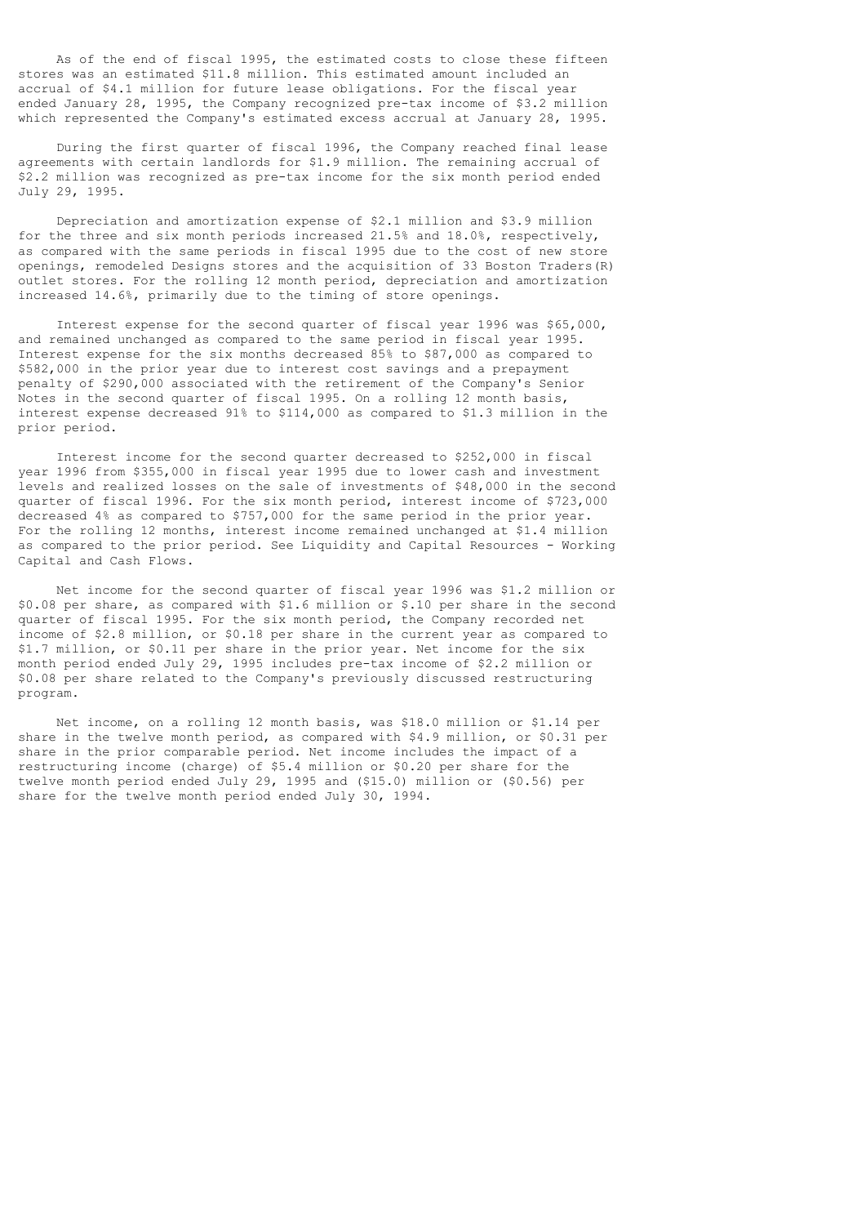As of the end of fiscal 1995, the estimated costs to close these fifteen stores was an estimated \$11.8 million. This estimated amount included an accrual of \$4.1 million for future lease obligations. For the fiscal year ended January 28, 1995, the Company recognized pre-tax income of \$3.2 million which represented the Company's estimated excess accrual at January 28, 1995.

 During the first quarter of fiscal 1996, the Company reached final lease agreements with certain landlords for \$1.9 million. The remaining accrual of \$2.2 million was recognized as pre-tax income for the six month period ended July 29, 1995.

 Depreciation and amortization expense of \$2.1 million and \$3.9 million for the three and six month periods increased 21.5% and 18.0%, respectively, as compared with the same periods in fiscal 1995 due to the cost of new store openings, remodeled Designs stores and the acquisition of 33 Boston Traders(R) outlet stores. For the rolling 12 month period, depreciation and amortization increased 14.6%, primarily due to the timing of store openings.

 Interest expense for the second quarter of fiscal year 1996 was \$65,000, and remained unchanged as compared to the same period in fiscal year 1995. Interest expense for the six months decreased 85% to \$87,000 as compared to \$582,000 in the prior year due to interest cost savings and a prepayment penalty of \$290,000 associated with the retirement of the Company's Senior Notes in the second quarter of fiscal 1995. On a rolling 12 month basis, interest expense decreased 91% to \$114,000 as compared to \$1.3 million in the prior period.

 Interest income for the second quarter decreased to \$252,000 in fiscal year 1996 from \$355,000 in fiscal year 1995 due to lower cash and investment levels and realized losses on the sale of investments of \$48,000 in the second quarter of fiscal 1996. For the six month period, interest income of \$723,000 decreased 4% as compared to \$757,000 for the same period in the prior year. For the rolling 12 months, interest income remained unchanged at \$1.4 million as compared to the prior period. See Liquidity and Capital Resources - Working Capital and Cash Flows.

 Net income for the second quarter of fiscal year 1996 was \$1.2 million or \$0.08 per share, as compared with \$1.6 million or \$.10 per share in the second quarter of fiscal 1995. For the six month period, the Company recorded net income of \$2.8 million, or \$0.18 per share in the current year as compared to \$1.7 million, or \$0.11 per share in the prior year. Net income for the six month period ended July 29, 1995 includes pre-tax income of \$2.2 million or \$0.08 per share related to the Company's previously discussed restructuring program.

 Net income, on a rolling 12 month basis, was \$18.0 million or \$1.14 per share in the twelve month period, as compared with \$4.9 million, or \$0.31 per share in the prior comparable period. Net income includes the impact of a restructuring income (charge) of \$5.4 million or \$0.20 per share for the twelve month period ended July 29, 1995 and (\$15.0) million or (\$0.56) per share for the twelve month period ended July 30, 1994.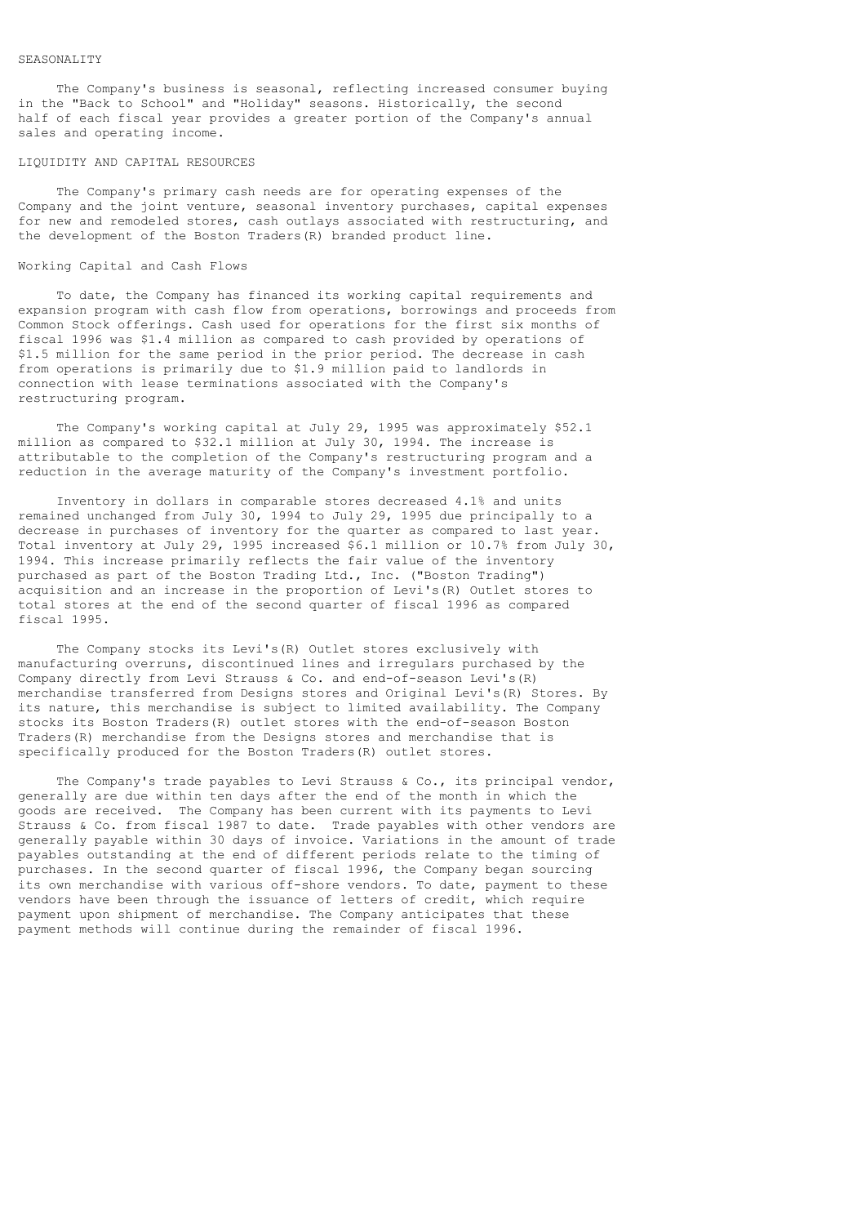The Company's business is seasonal, reflecting increased consumer buying in the "Back to School" and "Holiday" seasons. Historically, the second half of each fiscal year provides a greater portion of the Company's annual sales and operating income.

#### LIQUIDITY AND CAPITAL RESOURCES

 The Company's primary cash needs are for operating expenses of the Company and the joint venture, seasonal inventory purchases, capital expenses for new and remodeled stores, cash outlays associated with restructuring, and the development of the Boston Traders(R) branded product line.

# Working Capital and Cash Flows

 To date, the Company has financed its working capital requirements and expansion program with cash flow from operations, borrowings and proceeds from Common Stock offerings. Cash used for operations for the first six months of fiscal 1996 was \$1.4 million as compared to cash provided by operations of \$1.5 million for the same period in the prior period. The decrease in cash from operations is primarily due to \$1.9 million paid to landlords in connection with lease terminations associated with the Company's restructuring program.

 The Company's working capital at July 29, 1995 was approximately \$52.1 million as compared to \$32.1 million at July 30, 1994. The increase is attributable to the completion of the Company's restructuring program and a reduction in the average maturity of the Company's investment portfolio.

 Inventory in dollars in comparable stores decreased 4.1% and units remained unchanged from July 30, 1994 to July 29, 1995 due principally to a decrease in purchases of inventory for the quarter as compared to last year. Total inventory at July 29, 1995 increased \$6.1 million or 10.7% from July 30, 1994. This increase primarily reflects the fair value of the inventory purchased as part of the Boston Trading Ltd., Inc. ("Boston Trading") acquisition and an increase in the proportion of Levi's(R) Outlet stores to total stores at the end of the second quarter of fiscal 1996 as compared fiscal 1995.

 The Company stocks its Levi's(R) Outlet stores exclusively with manufacturing overruns, discontinued lines and irregulars purchased by the Company directly from Levi Strauss & Co. and end-of-season Levi's(R) merchandise transferred from Designs stores and Original Levi's(R) Stores. By its nature, this merchandise is subject to limited availability. The Company stocks its Boston Traders(R) outlet stores with the end-of-season Boston Traders(R) merchandise from the Designs stores and merchandise that is specifically produced for the Boston Traders(R) outlet stores.

The Company's trade payables to Levi Strauss & Co., its principal vendor, generally are due within ten days after the end of the month in which the goods are received. The Company has been current with its payments to Levi Strauss & Co. from fiscal 1987 to date. Trade payables with other vendors are generally payable within 30 days of invoice. Variations in the amount of trade payables outstanding at the end of different periods relate to the timing of purchases. In the second quarter of fiscal 1996, the Company began sourcing its own merchandise with various off-shore vendors. To date, payment to these vendors have been through the issuance of letters of credit, which require payment upon shipment of merchandise. The Company anticipates that these payment methods will continue during the remainder of fiscal 1996.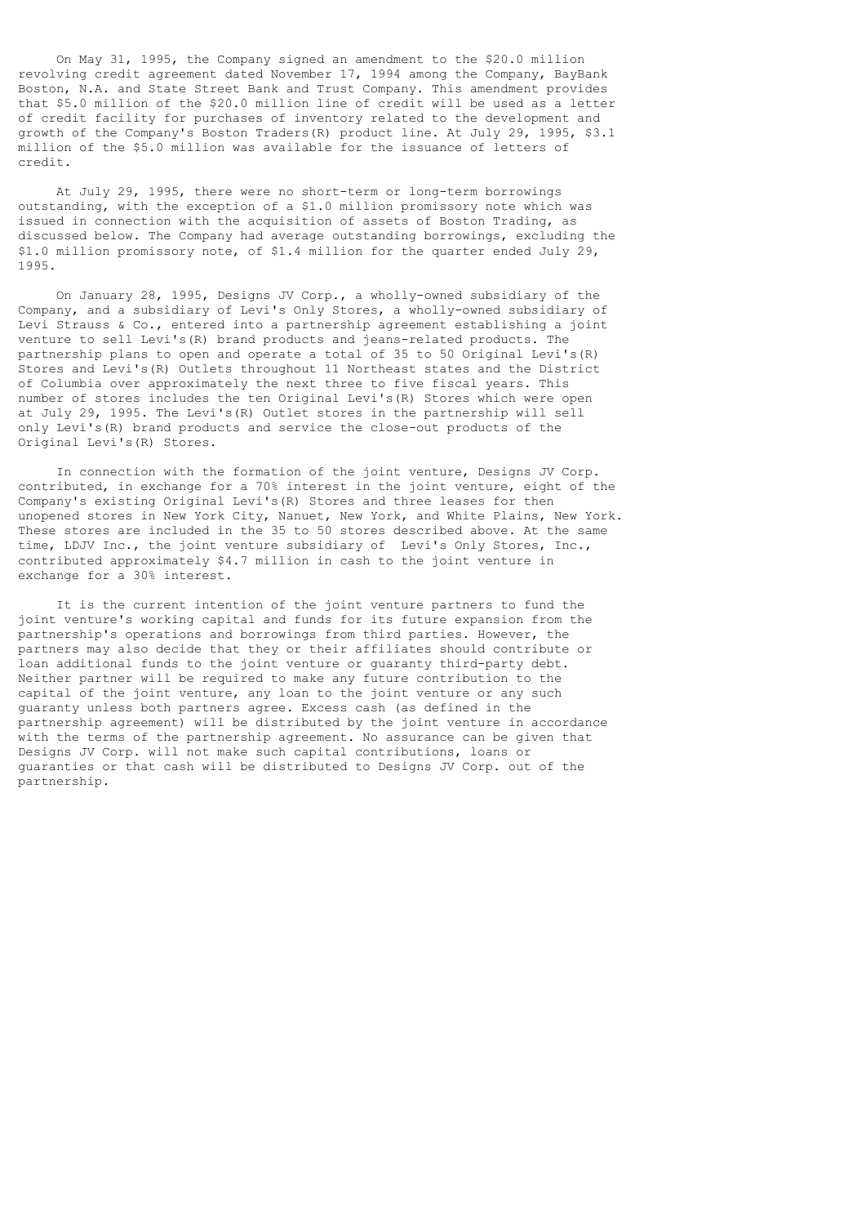On May 31, 1995, the Company signed an amendment to the \$20.0 million revolving credit agreement dated November 17, 1994 among the Company, BayBank Boston, N.A. and State Street Bank and Trust Company. This amendment provides that \$5.0 million of the \$20.0 million line of credit will be used as a letter of credit facility for purchases of inventory related to the development and growth of the Company's Boston Traders(R) product line. At July 29, 1995, \$3.1 million of the \$5.0 million was available for the issuance of letters of credit.

 At July 29, 1995, there were no short-term or long-term borrowings outstanding, with the exception of a \$1.0 million promissory note which was issued in connection with the acquisition of assets of Boston Trading, as discussed below. The Company had average outstanding borrowings, excluding the \$1.0 million promissory note, of \$1.4 million for the quarter ended July 29, 1995.

 On January 28, 1995, Designs JV Corp., a wholly-owned subsidiary of the Company, and a subsidiary of Levi's Only Stores, a wholly-owned subsidiary of Levi Strauss & Co., entered into a partnership agreement establishing a joint venture to sell Levi's(R) brand products and jeans-related products. The partnership plans to open and operate a total of 35 to 50 Original Levi's(R) Stores and Levi's(R) Outlets throughout 11 Northeast states and the District of Columbia over approximately the next three to five fiscal years. This number of stores includes the ten Original Levi's(R) Stores which were open at July 29, 1995. The Levi's(R) Outlet stores in the partnership will sell only Levi's(R) brand products and service the close-out products of the Original Levi's(R) Stores.

 In connection with the formation of the joint venture, Designs JV Corp. contributed, in exchange for a 70% interest in the joint venture, eight of the Company's existing Original Levi's(R) Stores and three leases for then unopened stores in New York City, Nanuet, New York, and White Plains, New York. These stores are included in the 35 to 50 stores described above. At the same time, LDJV Inc., the joint venture subsidiary of Levi's Only Stores, Inc., contributed approximately \$4.7 million in cash to the joint venture in exchange for a 30% interest.

 It is the current intention of the joint venture partners to fund the joint venture's working capital and funds for its future expansion from the partnership's operations and borrowings from third parties. However, the partners may also decide that they or their affiliates should contribute or loan additional funds to the joint venture or guaranty third-party debt. Neither partner will be required to make any future contribution to the capital of the joint venture, any loan to the joint venture or any such guaranty unless both partners agree. Excess cash (as defined in the partnership agreement) will be distributed by the joint venture in accordance with the terms of the partnership agreement. No assurance can be given that Designs JV Corp. will not make such capital contributions, loans or guaranties or that cash will be distributed to Designs JV Corp. out of the partnership.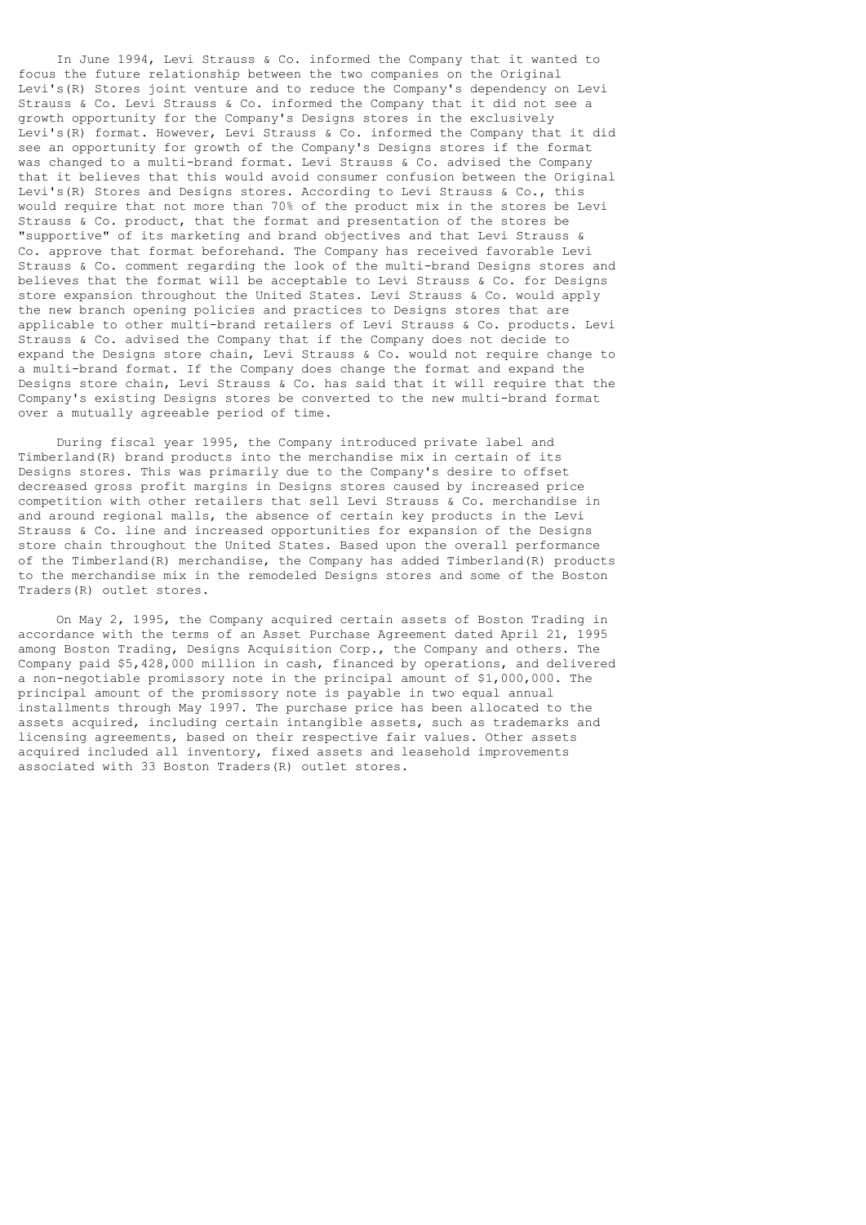In June 1994, Levi Strauss & Co. informed the Company that it wanted to focus the future relationship between the two companies on the Original Levi's(R) Stores joint venture and to reduce the Company's dependency on Levi Strauss & Co. Levi Strauss & Co. informed the Company that it did not see a growth opportunity for the Company's Designs stores in the exclusively Levi's(R) format. However, Levi Strauss & Co. informed the Company that it did see an opportunity for growth of the Company's Designs stores if the format was changed to a multi-brand format. Levi Strauss & Co. advised the Company that it believes that this would avoid consumer confusion between the Original Levi's(R) Stores and Designs stores. According to Levi Strauss & Co., this would require that not more than 70% of the product mix in the stores be Levi Strauss & Co. product, that the format and presentation of the stores be "supportive" of its marketing and brand objectives and that Levi Strauss & Co. approve that format beforehand. The Company has received favorable Levi Strauss & Co. comment regarding the look of the multi-brand Designs stores and believes that the format will be acceptable to Levi Strauss & Co. for Designs store expansion throughout the United States. Levi Strauss & Co. would apply the new branch opening policies and practices to Designs stores that are applicable to other multi-brand retailers of Levi Strauss & Co. products. Levi Strauss & Co. advised the Company that if the Company does not decide to expand the Designs store chain, Levi Strauss & Co. would not require change to a multi-brand format. If the Company does change the format and expand the Designs store chain, Levi Strauss & Co. has said that it will require that the Company's existing Designs stores be converted to the new multi-brand format over a mutually agreeable period of time.

 During fiscal year 1995, the Company introduced private label and Timberland(R) brand products into the merchandise mix in certain of its Designs stores. This was primarily due to the Company's desire to offset decreased gross profit margins in Designs stores caused by increased price competition with other retailers that sell Levi Strauss & Co. merchandise in and around regional malls, the absence of certain key products in the Levi Strauss & Co. line and increased opportunities for expansion of the Designs store chain throughout the United States. Based upon the overall performance of the Timberland(R) merchandise, the Company has added Timberland(R) products to the merchandise mix in the remodeled Designs stores and some of the Boston Traders(R) outlet stores.

 On May 2, 1995, the Company acquired certain assets of Boston Trading in accordance with the terms of an Asset Purchase Agreement dated April 21, 1995 among Boston Trading, Designs Acquisition Corp., the Company and others. The Company paid \$5,428,000 million in cash, financed by operations, and delivered a non-negotiable promissory note in the principal amount of \$1,000,000. The principal amount of the promissory note is payable in two equal annual installments through May 1997. The purchase price has been allocated to the assets acquired, including certain intangible assets, such as trademarks and licensing agreements, based on their respective fair values. Other assets acquired included all inventory, fixed assets and leasehold improvements associated with 33 Boston Traders(R) outlet stores.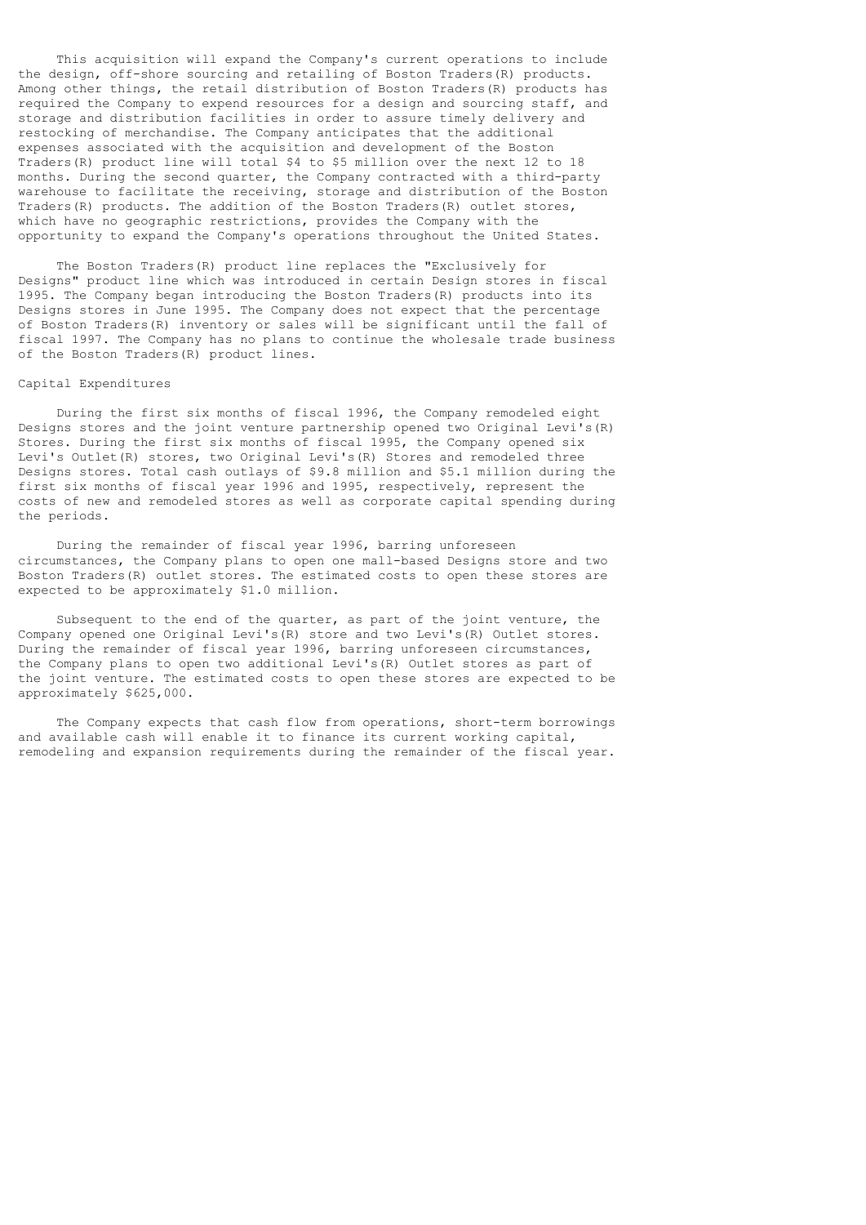This acquisition will expand the Company's current operations to include the design, off-shore sourcing and retailing of Boston Traders(R) products. Among other things, the retail distribution of Boston Traders(R) products has required the Company to expend resources for a design and sourcing staff, and storage and distribution facilities in order to assure timely delivery and restocking of merchandise. The Company anticipates that the additional expenses associated with the acquisition and development of the Boston Traders(R) product line will total \$4 to \$5 million over the next 12 to 18 months. During the second quarter, the Company contracted with a third-party warehouse to facilitate the receiving, storage and distribution of the Boston Traders(R) products. The addition of the Boston Traders(R) outlet stores, which have no geographic restrictions, provides the Company with the opportunity to expand the Company's operations throughout the United States.

 The Boston Traders(R) product line replaces the "Exclusively for Designs" product line which was introduced in certain Design stores in fiscal 1995. The Company began introducing the Boston Traders(R) products into its Designs stores in June 1995. The Company does not expect that the percentage of Boston Traders(R) inventory or sales will be significant until the fall of fiscal 1997. The Company has no plans to continue the wholesale trade business of the Boston Traders(R) product lines.

#### Capital Expenditures

 During the first six months of fiscal 1996, the Company remodeled eight Designs stores and the joint venture partnership opened two Original Levi's(R) Stores. During the first six months of fiscal 1995, the Company opened six Levi's Outlet(R) stores, two Original Levi's(R) Stores and remodeled three Designs stores. Total cash outlays of \$9.8 million and \$5.1 million during the first six months of fiscal year 1996 and 1995, respectively, represent the costs of new and remodeled stores as well as corporate capital spending during the periods.

 During the remainder of fiscal year 1996, barring unforeseen circumstances, the Company plans to open one mall-based Designs store and two Boston Traders(R) outlet stores. The estimated costs to open these stores are expected to be approximately \$1.0 million.

 Subsequent to the end of the quarter, as part of the joint venture, the Company opened one Original Levi's(R) store and two Levi's(R) Outlet stores. During the remainder of fiscal year 1996, barring unforeseen circumstances, the Company plans to open two additional Levi's(R) Outlet stores as part of the joint venture. The estimated costs to open these stores are expected to be approximately \$625,000.

 The Company expects that cash flow from operations, short-term borrowings and available cash will enable it to finance its current working capital, remodeling and expansion requirements during the remainder of the fiscal year.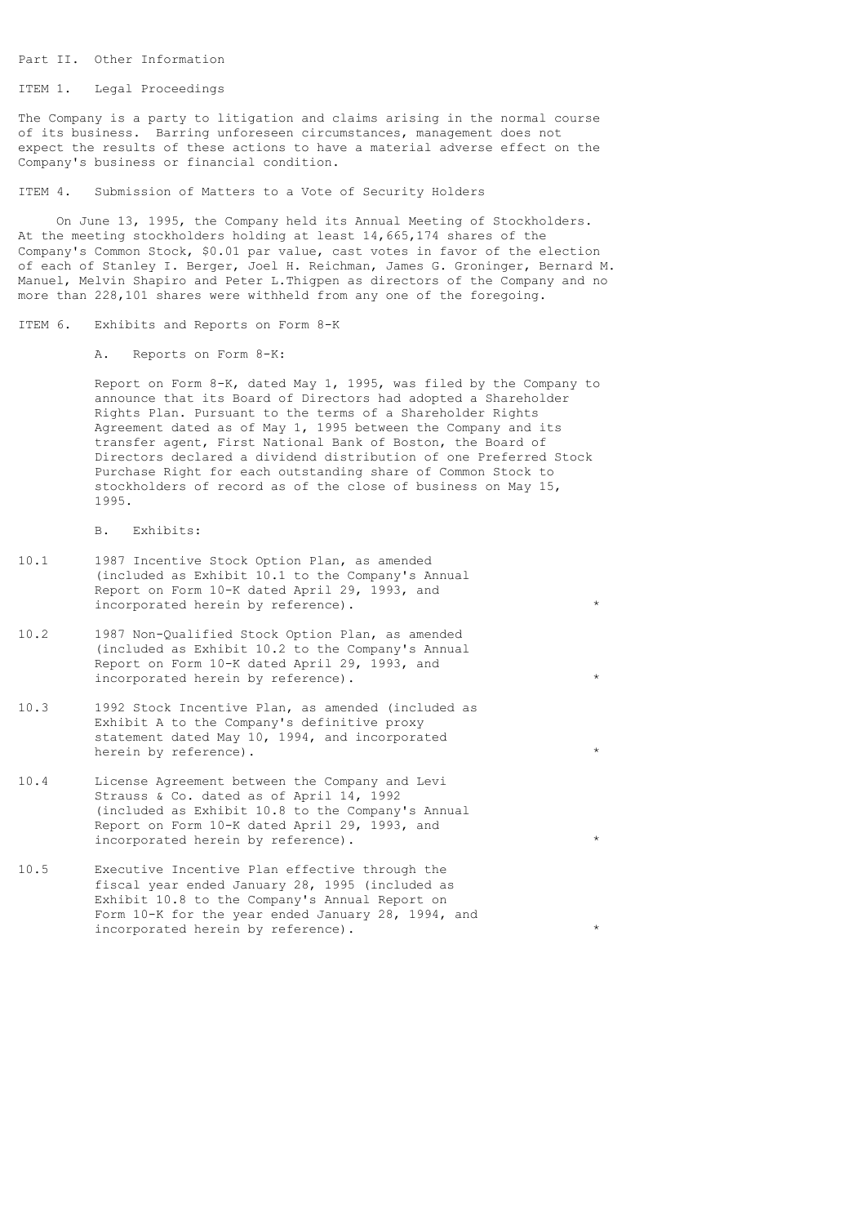Part II. Other Information

ITEM 1. Legal Proceedings

The Company is a party to litigation and claims arising in the normal course of its business. Barring unforeseen circumstances, management does not expect the results of these actions to have a material adverse effect on the Company's business or financial condition.

ITEM 4. Submission of Matters to a Vote of Security Holders

 On June 13, 1995, the Company held its Annual Meeting of Stockholders. At the meeting stockholders holding at least 14,665,174 shares of the Company's Common Stock, \$0.01 par value, cast votes in favor of the election of each of Stanley I. Berger, Joel H. Reichman, James G. Groninger, Bernard M. Manuel, Melvin Shapiro and Peter L.Thigpen as directors of the Company and no more than 228,101 shares were withheld from any one of the foregoing.

ITEM 6. Exhibits and Reports on Form 8-K

A. Reports on Form 8-K:

 Report on Form 8-K, dated May 1, 1995, was filed by the Company to announce that its Board of Directors had adopted a Shareholder Rights Plan. Pursuant to the terms of a Shareholder Rights Agreement dated as of May 1, 1995 between the Company and its transfer agent, First National Bank of Boston, the Board of Directors declared a dividend distribution of one Preferred Stock Purchase Right for each outstanding share of Common Stock to stockholders of record as of the close of business on May 15, 1995.

B. Exhibits:

- 10.1 1987 Incentive Stock Option Plan, as amended (included as Exhibit 10.1 to the Company's Annual Report on Form 10-K dated April 29, 1993, and incorporated herein by reference).  $*$
- 10.2 1987 Non-Qualified Stock Option Plan, as amended (included as Exhibit 10.2 to the Company's Annual Report on Form 10-K dated April 29, 1993, and incorporated herein by reference).
- 10.3 1992 Stock Incentive Plan, as amended (included as Exhibit A to the Company's definitive proxy statement dated May 10, 1994, and incorporated herein by reference).
- 10.4 License Agreement between the Company and Levi Strauss & Co. dated as of April 14, 1992 (included as Exhibit 10.8 to the Company's Annual Report on Form 10-K dated April 29, 1993, and incorporated herein by reference).
- 10.5 Executive Incentive Plan effective through the fiscal year ended January 28, 1995 (included as Exhibit 10.8 to the Company's Annual Report on Form 10-K for the year ended January 28, 1994, and incorporated herein by reference).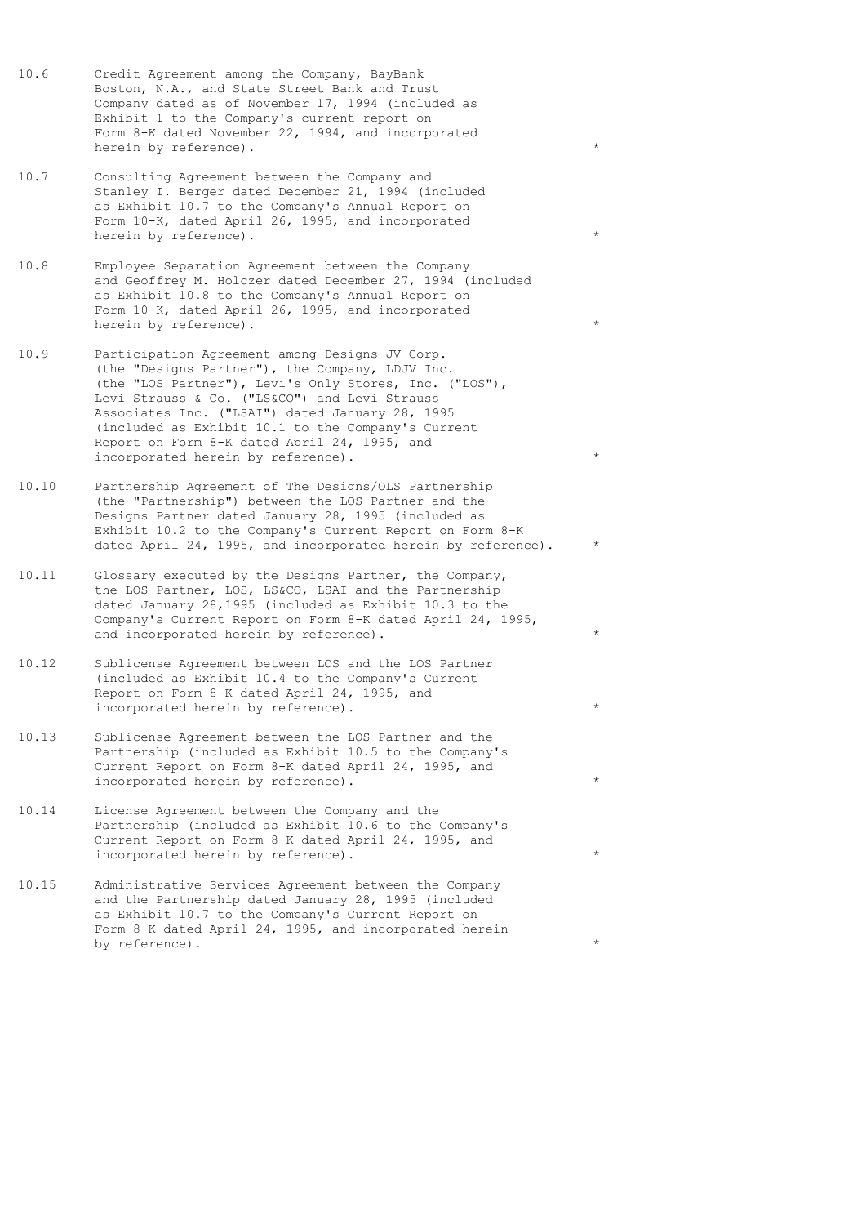- 10.6 Credit Agreement among the Company, BayBank Boston, N.A., and State Street Bank and Trust Company dated as of November 17, 1994 (included as Exhibit 1 to the Company's current report on Form 8-K dated November 22, 1994, and incorporated herein by reference).
- 10.7 Consulting Agreement between the Company and Stanley I. Berger dated December 21, 1994 (included as Exhibit 10.7 to the Company's Annual Report on Form 10-K, dated April 26, 1995, and incorporated herein by reference).
- 10.8 Employee Separation Agreement between the Company and Geoffrey M. Holczer dated December 27, 1994 (included as Exhibit 10.8 to the Company's Annual Report on Form 10-K, dated April 26, 1995, and incorporated herein by reference).
- 10.9 Participation Agreement among Designs JV Corp. (the "Designs Partner"), the Company, LDJV Inc. (the "LOS Partner"), Levi's Only Stores, Inc. ("LOS"), Levi Strauss & Co. ("LS&CO") and Levi Strauss Associates Inc. ("LSAI") dated January 28, 1995 (included as Exhibit 10.1 to the Company's Current Report on Form 8-K dated April 24, 1995, and incorporated herein by reference).
- 10.10 Partnership Agreement of The Designs/OLS Partnership (the "Partnership") between the LOS Partner and the Designs Partner dated January 28, 1995 (included as Exhibit 10.2 to the Company's Current Report on Form 8-K dated April 24, 1995, and incorporated herein by reference).
- 10.11 Glossary executed by the Designs Partner, the Company, the LOS Partner, LOS, LS&CO, LSAI and the Partnership dated January 28,1995 (included as Exhibit 10.3 to the Company's Current Report on Form 8-K dated April 24, 1995, and incorporated herein by reference).
- 10.12 Sublicense Agreement between LOS and the LOS Partner (included as Exhibit 10.4 to the Company's Current Report on Form 8-K dated April 24, 1995, and incorporated herein by reference).
- 10.13 Sublicense Agreement between the LOS Partner and the Partnership (included as Exhibit 10.5 to the Company's Current Report on Form 8-K dated April 24, 1995, and incorporated herein by reference).
- 10.14 License Agreement between the Company and the Partnership (included as Exhibit 10.6 to the Company's Current Report on Form 8-K dated April 24, 1995, and incorporated herein by reference).
- 10.15 Administrative Services Agreement between the Company and the Partnership dated January 28, 1995 (included as Exhibit 10.7 to the Company's Current Report on Form 8-K dated April 24, 1995, and incorporated herein by reference).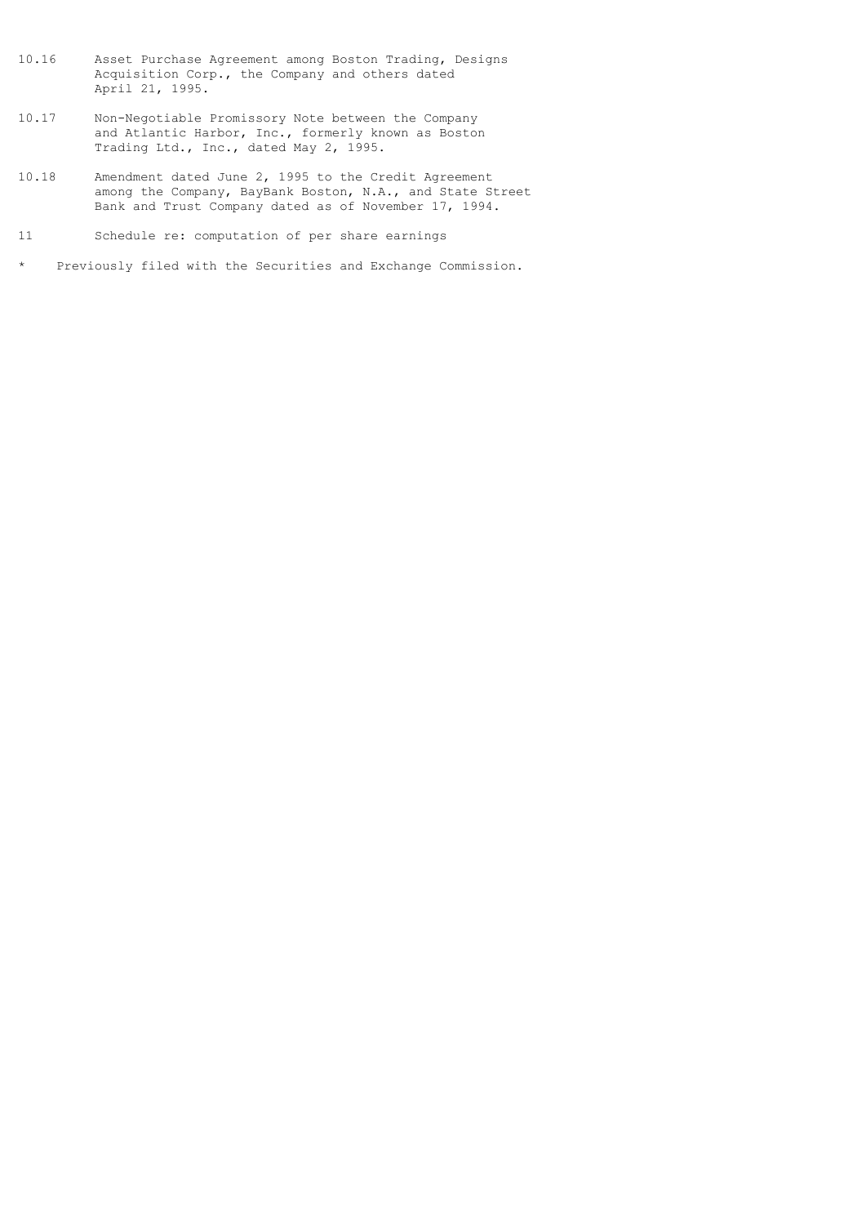- 10.16 Asset Purchase Agreement among Boston Trading, Designs Acquisition Corp., the Company and others dated April 21, 1995.
- 10.17 Non-Negotiable Promissory Note between the Company and Atlantic Harbor, Inc., formerly known as Boston Trading Ltd., Inc., dated May 2, 1995.
- 10.18 Amendment dated June 2, 1995 to the Credit Agreement among the Company, BayBank Boston, N.A., and State Street Bank and Trust Company dated as of November 17, 1994.
- 11 Schedule re: computation of per share earnings
- \* Previously filed with the Securities and Exchange Commission.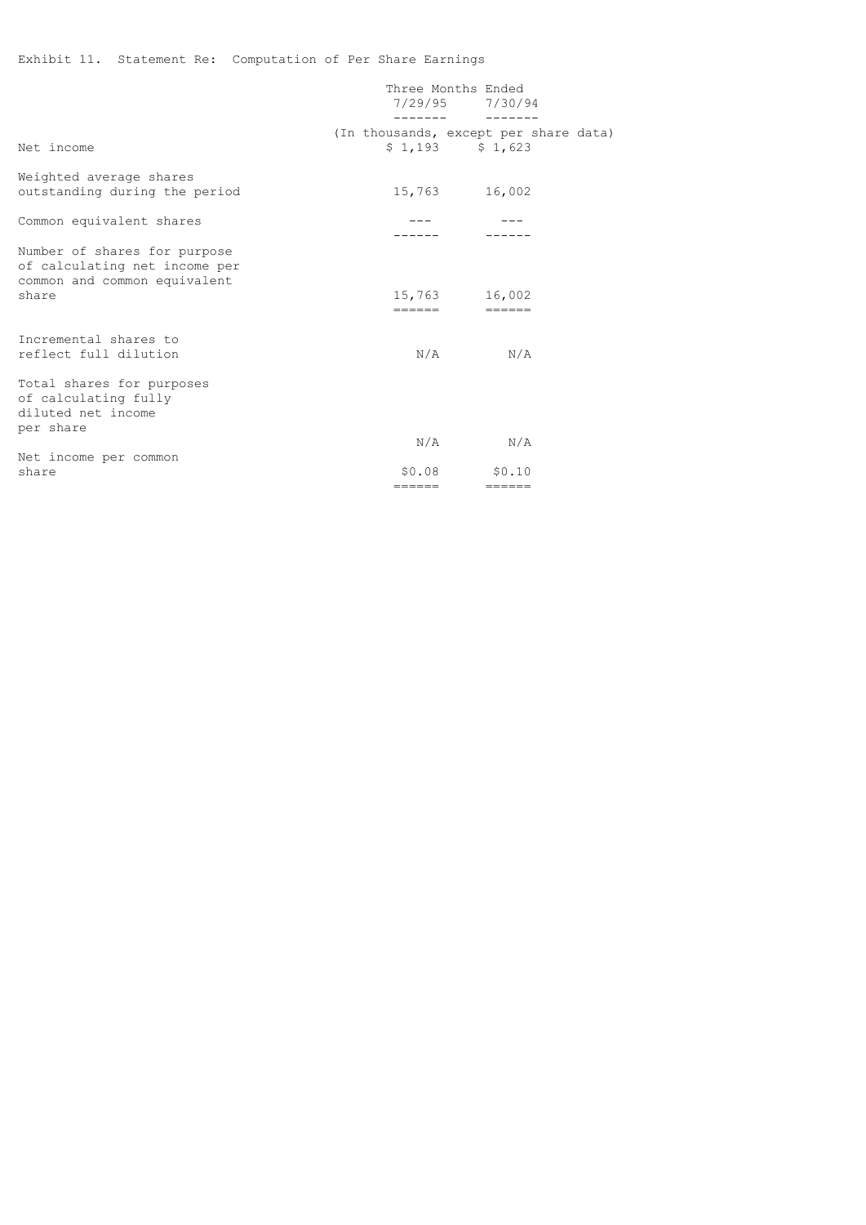# Exhibit 11. Statement Re: Computation of Per Share Earnings

|                                                                                                        | Three Months Ended<br>$7/29/95$ $7/30/94$ |                   |  |
|--------------------------------------------------------------------------------------------------------|-------------------------------------------|-------------------|--|
| Net income                                                                                             | (In thousands, except per share data)     | $$1,193$ $$1,623$ |  |
| Weighted average shares<br>outstanding during the period                                               |                                           | 15,763 16,002     |  |
| Common equivalent shares                                                                               |                                           |                   |  |
| Number of shares for purpose<br>of calculating net income per<br>common and common equivalent<br>share | ======                                    | 15,763 16,002     |  |
| Incremental shares to<br>reflect full dilution                                                         | N/A                                       | N/A               |  |
| Total shares for purposes<br>of calculating fully<br>diluted net income<br>per share                   |                                           |                   |  |
|                                                                                                        |                                           | $N/A$ $N/A$       |  |
| Net income per common<br>share                                                                         | \$0.08                                    | \$0.10            |  |
|                                                                                                        | ======                                    | ======            |  |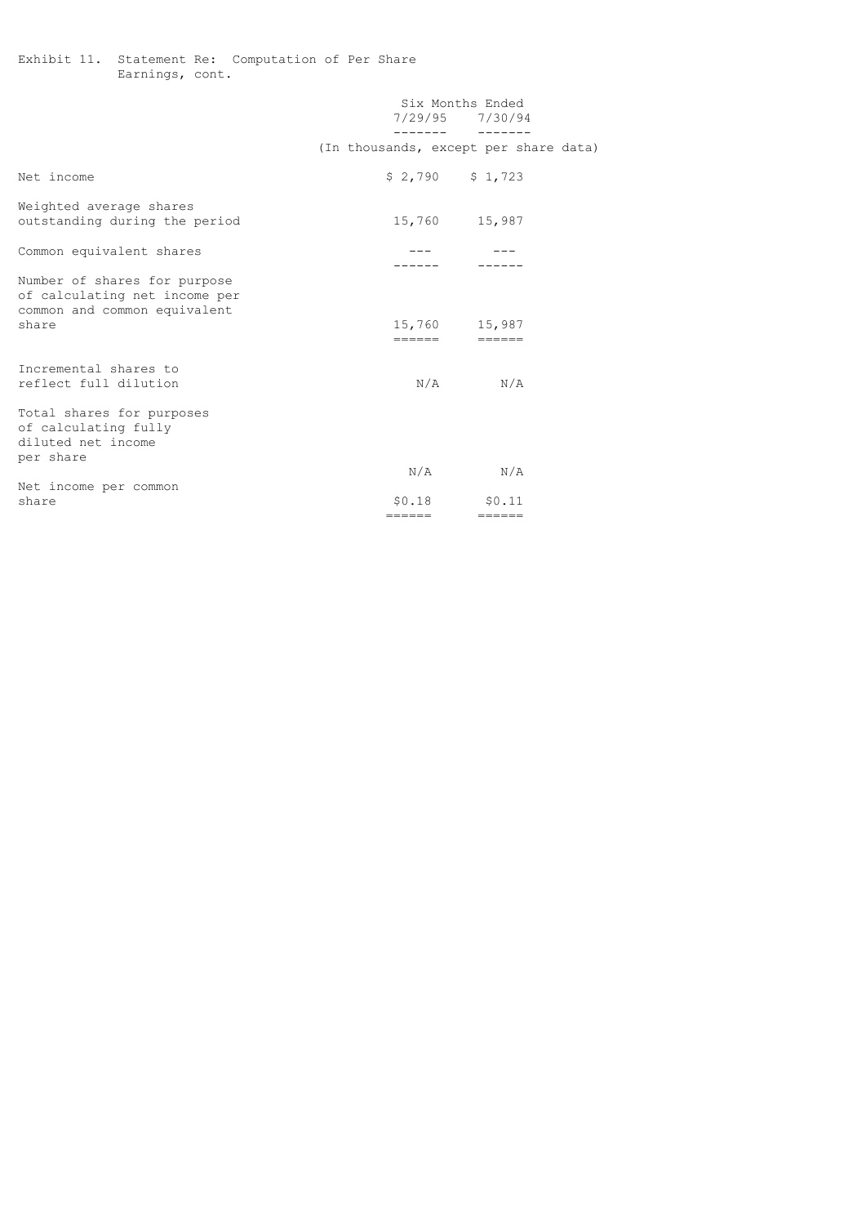Exhibit 11. Statement Re: Computation of Per Share Earnings, cont.

|                                                                                               |                                       | Six Months Ended<br>7/29/95 7/30/94 |  |
|-----------------------------------------------------------------------------------------------|---------------------------------------|-------------------------------------|--|
|                                                                                               | (In thousands, except per share data) |                                     |  |
| Net income                                                                                    |                                       | $$2,790$ $$1,723$                   |  |
| Weighted average shares<br>outstanding during the period                                      |                                       | 15,760 15,987                       |  |
| Common equivalent shares                                                                      |                                       |                                     |  |
| Number of shares for purpose<br>of calculating net income per<br>common and common equivalent |                                       |                                     |  |
| share                                                                                         | ======                                | 15,760 15,987                       |  |
| Incremental shares to<br>reflect full dilution                                                |                                       | $N/A$ $N/A$                         |  |
| Total shares for purposes<br>of calculating fully<br>diluted net income<br>per share          |                                       |                                     |  |
|                                                                                               |                                       | $N/A$ $N/A$                         |  |
| Net income per common<br>share                                                                |                                       | $$0.18$ $$0.11$                     |  |
|                                                                                               | ======                                | ======                              |  |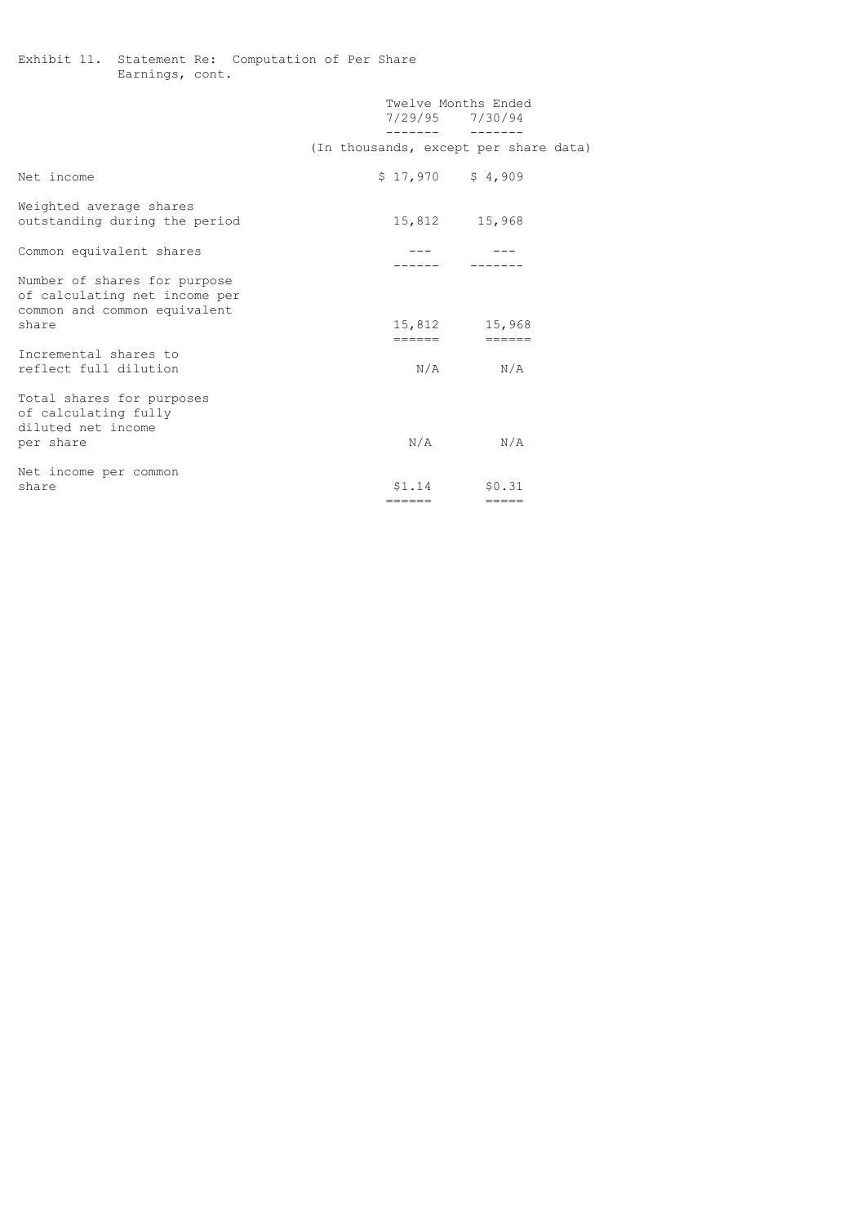Exhibit 11. Statement Re: Computation of Per Share Earnings, cont.

|                                                                                                        |                                       | Twelve Months Ended<br>7/29/95 7/30/94<br>------           ------ |
|--------------------------------------------------------------------------------------------------------|---------------------------------------|-------------------------------------------------------------------|
|                                                                                                        | (In thousands, except per share data) |                                                                   |
| Net income                                                                                             | $$17,970$ $$4,909$                    |                                                                   |
| Weighted average shares<br>outstanding during the period                                               |                                       | 15,812 15,968                                                     |
| Common equivalent shares                                                                               |                                       |                                                                   |
| Number of shares for purpose<br>of calculating net income per<br>common and common equivalent<br>share |                                       | 15,812 15,968                                                     |
| Incremental shares to<br>reflect full dilution                                                         |                                       | ======                  ======<br>$N/A$ $N/A$                     |
| Total shares for purposes<br>of calculating fully<br>diluted net income<br>per share                   |                                       | $N/A$ $N/A$                                                       |
| Net income per common<br>share                                                                         | ======                                | $$1.14$ $$0.31$<br>$=$ $=$ $=$ $=$                                |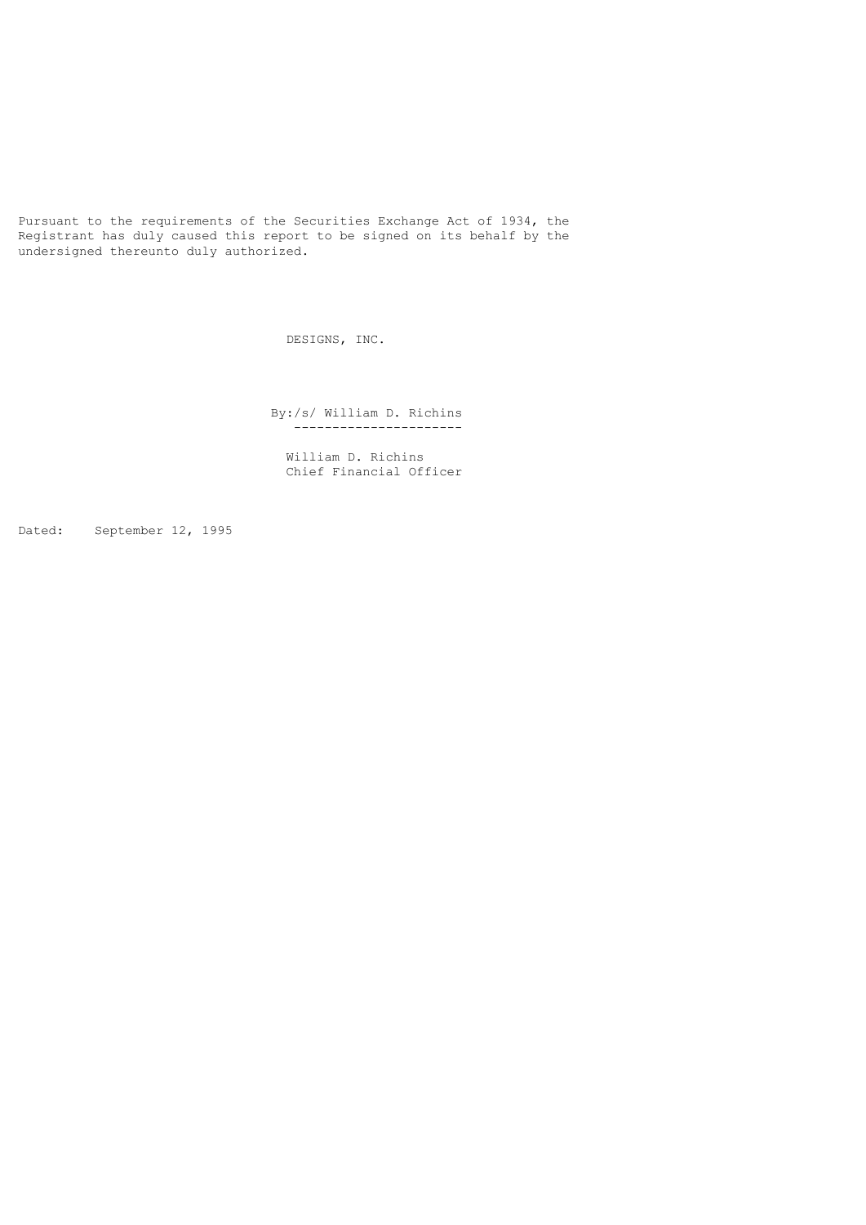Pursuant to the requirements of the Securities Exchange Act of 1934, the Registrant has duly caused this report to be signed on its behalf by the undersigned thereunto duly authorized.

DESIGNS, INC.

 By:/s/ William D. Richins ----------------------

 William D. Richins Chief Financial Officer

Dated: September 12, 1995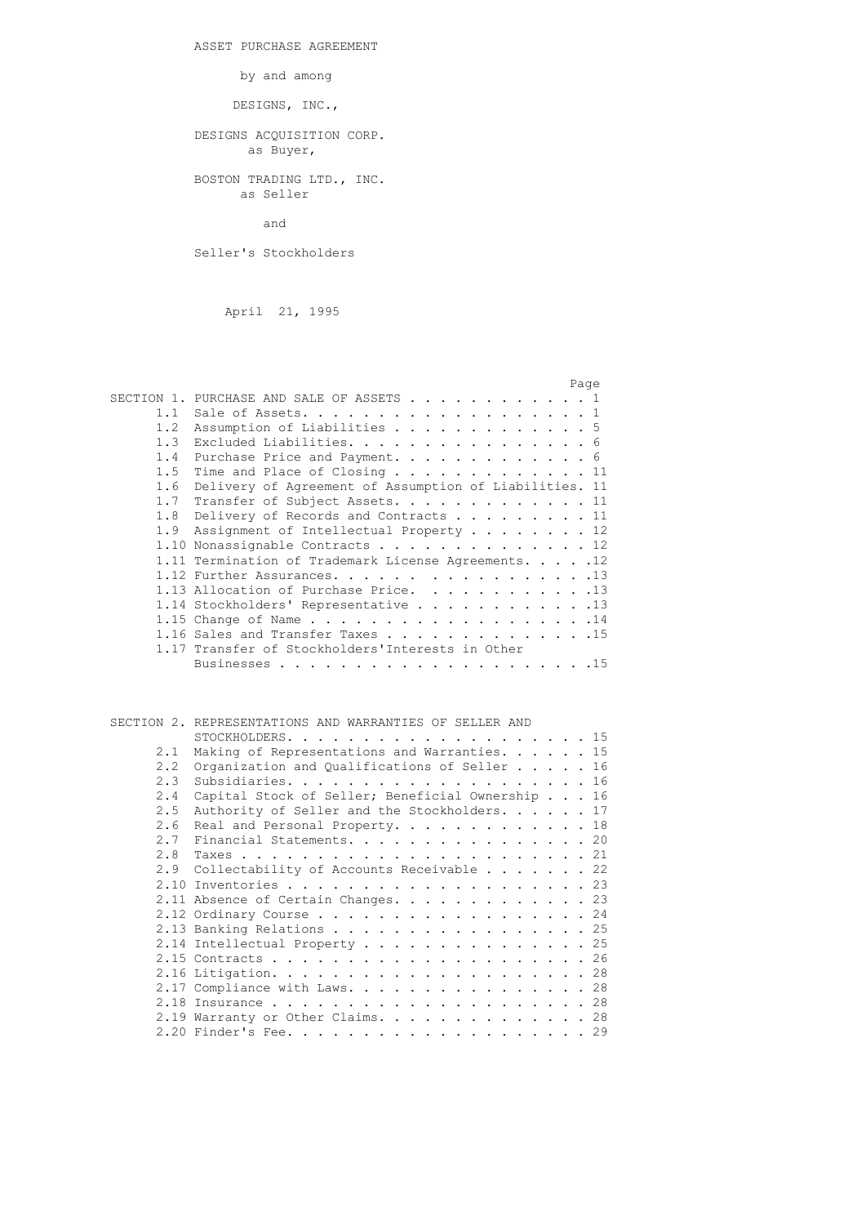ASSET PURCHASE AGREEMENT

by and among

DESIGNS, INC.,

# DESIGNS ACQUISITION CORP. as Buyer,

 BOSTON TRADING LTD., INC. as Seller

and

Seller's Stockholders

April 21, 1995

|     | Page                                                   |
|-----|--------------------------------------------------------|
|     | SECTION 1. PURCHASE AND SALE OF ASSETS 1               |
| 1.1 | Sale of Assets. 1                                      |
| 1.2 | Assumption of Liabilities 5                            |
| 1.3 | Excluded Liabilities. 6                                |
| 1.4 | Purchase Price and Payment. 6                          |
| 1.5 | Time and Place of Closing 11                           |
| 1.6 | Delivery of Agreement of Assumption of Liabilities. 11 |
| 1.7 | Transfer of Subject Assets. 11                         |
| 1.8 | Delivery of Records and Contracts 11                   |
| 1.9 | Assignment of Intellectual Property 12                 |
|     | 1.10 Nonassignable Contracts 12                        |
|     | 1.11 Termination of Trademark License Agreements. 12   |
|     | 1.12 Further Assurances. 13                            |
|     | 1.13 Allocation of Purchase Price. 13                  |
|     | 1.14 Stockholders' Representative 13                   |
|     | 1.15 Change of Name 14                                 |
|     | 1.16 Sales and Transfer Taxes 15                       |
|     | 1.17 Transfer of Stockholders'Interests in Other       |
|     |                                                        |

 SECTION 2. REPRESENTATIONS AND WARRANTIES OF SELLER AND STOCKHOLDERS. . . . . . . . . . . . . . . . . . . . 15 2.1 Making of Representations and Warranties. . . . . . 15 2.2 Organization and Qualifications of Seller . . . . . 16 2.3 Subsidiaries. . . . . . . . . . . . . . . . . . . . 16 2.4 Capital Stock of Seller; Beneficial Ownership . . . 16 2.5 Authority of Seller and the Stockholders. . . . . 17 2.6 Real and Personal Property. . . . . . . . . . . . 18 2.7 Financial Statements. . . . . . . . . . . . . . . . 20 2.8 Taxes . . . . . . . . . . . . . . . . . . . . . . . 21 2.9 Collectability of Accounts Receivable . . . . . . 22 2.10 Inventories . . . . . . . . . . . . . . . . . . . . 23 2.11 Absence of Certain Changes. . . . . . . . . . . . 23 2.12 Ordinary Course . . . . . . . . . . . . . . . . . . 24<br>2.13 Banking Relations . . . . . . . . . . . . . . . . 25 2.13 Banking Relations . . . . . . . . . . . . . 2.14 Intellectual Property . . . . . . . . . . . . . . 25 2.15 Contracts . . . . . . . . . . . . . . . . . . . . . 26 2.16 Litigation. . . . . . . . . . . . . . . . . . . . . 28  $2.17$  Compliance with Laws. . . . . . . . . . . . . . . 28 2.18 Insurance . . . . . . . . . . . . . . . . . . . . . 28 2.19 Warranty or Other Claims. . . . . . . . . . . . . . 28 2.20 Finder's Fee. . . . . . . . . . . . . . . . . . . . 29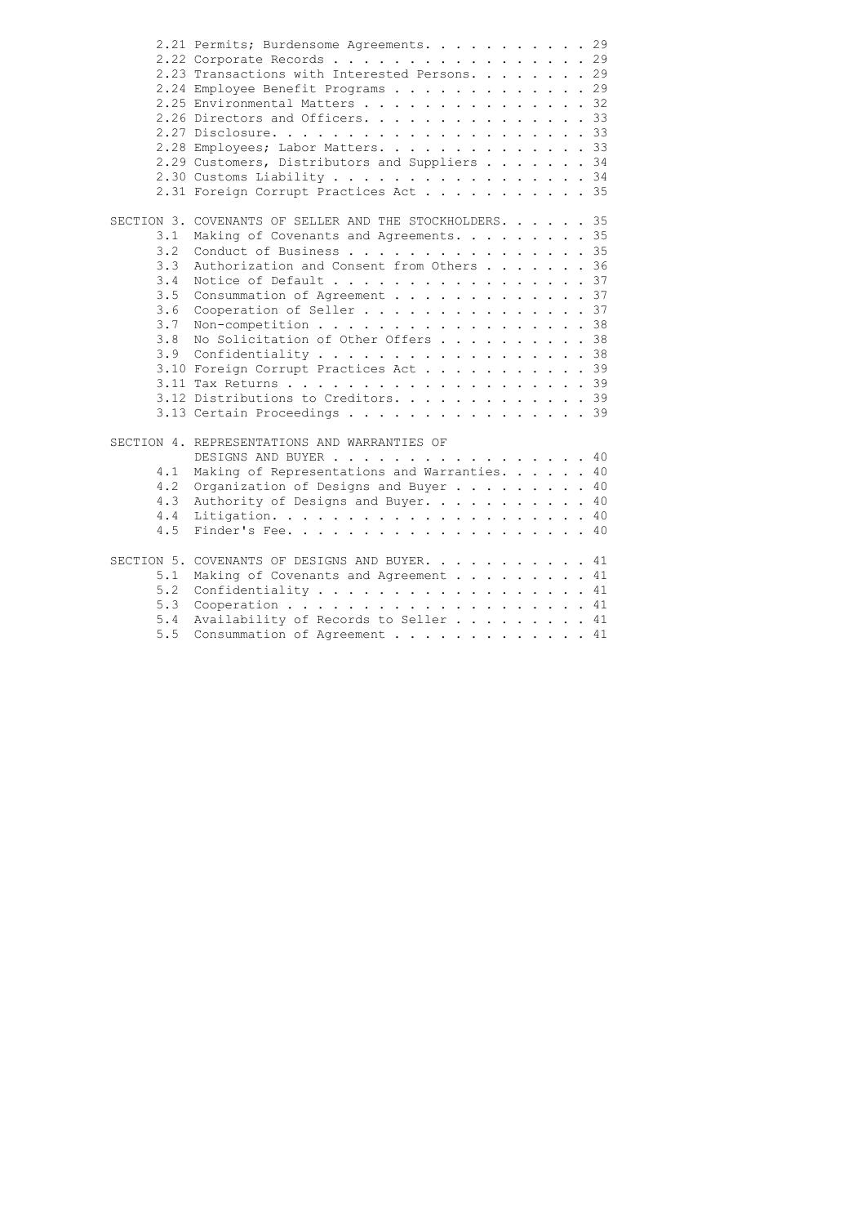|     | 2.21 Permits; Burdensome Agreements. 29                 |
|-----|---------------------------------------------------------|
|     | 2.22 Corporate Records 29                               |
|     | 2.23 Transactions with Interested Persons. 29           |
|     | 2.24 Employee Benefit Programs 29                       |
|     | 2.25 Environmental Matters 32                           |
|     | 2.26 Directors and Officers. 33                         |
|     |                                                         |
|     | 2.28 Employees; Labor Matters. 33                       |
|     | 2.29 Customers, Distributors and Suppliers 34           |
|     | 2.30 Customs Liability 34                               |
|     | 2.31 Foreign Corrupt Practices Act 35                   |
|     | SECTION 3. COVENANTS OF SELLER AND THE STOCKHOLDERS. 35 |
| 3.1 | Making of Covenants and Agreements. 35                  |
| 3.2 | Conduct of Business 35                                  |
| 3.3 | Authorization and Consent from Others 36                |
| 3.4 | Notice of Default 37                                    |
| 3.5 | Consummation of Agreement 37                            |
| 3.6 | Cooperation of Seller 37                                |
| 3.7 | Non-competition 38                                      |
| 3.8 | No Solicitation of Other Offers 38                      |
| 3.9 | Confidentiality 38                                      |
|     | 3.10 Foreign Corrupt Practices Act 39                   |
|     |                                                         |
|     | 3.12 Distributions to Creditors. 39                     |
|     | $3.13$ Certain Proceedings 39                           |
|     | SECTION 4. REPRESENTATIONS AND WARRANTIES OF            |
|     | DESIGNS AND BUYER 40                                    |
| 4.1 | Making of Representations and Warranties. 40            |
| 4.2 | Organization of Designs and Buyer 40                    |
| 4.3 | Authority of Designs and Buyer. 40                      |
| 4.4 |                                                         |
| 4.5 |                                                         |
|     | SECTION 5. COVENANTS OF DESIGNS AND BUYER. 41           |
| 5.1 | Making of Covenants and Agreement 41                    |
| 5.2 | Confidentiality 41                                      |
| 5.3 | Cooperation 41                                          |
| 5.4 | Availability of Records to Seller 41                    |
| 5.5 | Consummation of Agreement 41                            |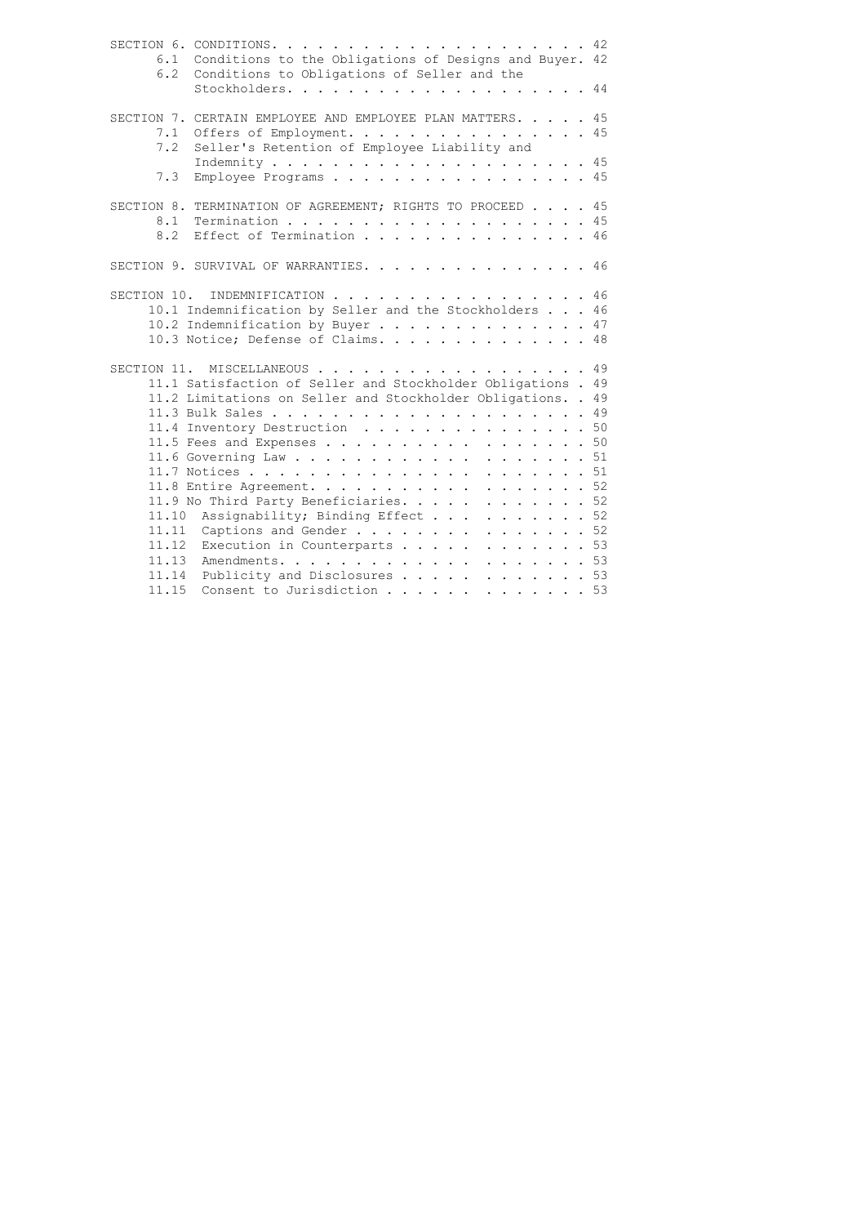|     | 6.1 Conditions to the Obligations of Designs and Buyer. 42   |
|-----|--------------------------------------------------------------|
|     | 6.2 Conditions to Obligations of Seller and the              |
|     | Stockholders. 44                                             |
|     |                                                              |
|     | SECTION 7. CERTAIN EMPLOYEE AND EMPLOYEE PLAN MATTERS. 45    |
|     | 7.1 Offers of Employment. 45                                 |
| 7.2 | Seller's Retention of Employee Liability and                 |
|     |                                                              |
| 7.3 | Employee Programs 45                                         |
|     |                                                              |
|     | SECTION 8. TERMINATION OF AGREEMENT; RIGHTS TO PROCEED 45    |
|     | 8.1 Termination 45                                           |
| 8.2 | Effect of Termination 46                                     |
|     |                                                              |
|     | SECTION 9. SURVIVAL OF WARRANTIES. 46                        |
|     |                                                              |
|     | SECTION 10. INDEMNIFICATION 46                               |
|     | 10.1 Indemnification by Seller and the Stockholders 46       |
|     | 10.2 Indemnification by Buyer 47                             |
|     | 10.3 Notice; Defense of Claims. 48                           |
|     |                                                              |
|     | SECTION 11. MISCELLANEOUS 49                                 |
|     | 11.1 Satisfaction of Seller and Stockholder Obligations . 49 |
|     | 11.2 Limitations on Seller and Stockholder Obligations. . 49 |
|     |                                                              |
|     | 11.4 Inventory Destruction 50                                |
|     | 11.5 Fees and Expenses 50                                    |
|     | 11.6 Governing Law 51                                        |
|     |                                                              |
|     | 11.8 Entire Agreement. 52                                    |
|     | 11.9 No Third Party Beneficiaries. 52                        |
|     | 11.10 Assignability; Binding Effect 52                       |
|     | 11.11 Captions and Gender 52                                 |
|     | 11.12 Execution in Counterparts 53                           |
|     |                                                              |
|     | 11.14 Publicity and Disclosures 53                           |
|     | 11.15 Consent to Jurisdiction 53                             |
|     |                                                              |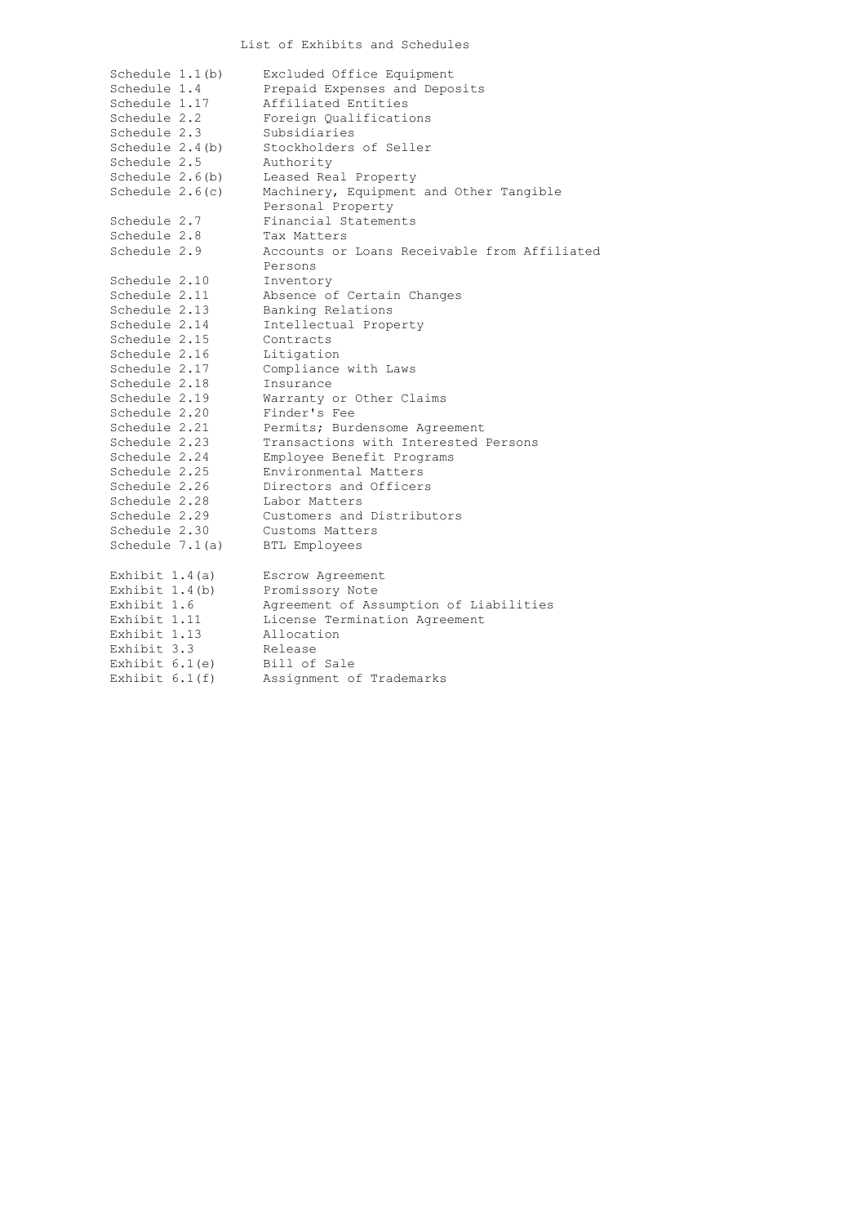# List of Exhibits and Schedules

| Schedule $1.1(b)$ | Excluded Office Equipment                    |
|-------------------|----------------------------------------------|
| Schedule 1.4      | Prepaid Expenses and Deposits                |
| Schedule 1.17     | Affiliated Entities                          |
| Schedule 2.2      | Foreign Qualifications                       |
| Schedule 2.3      | Subsidiaries                                 |
| Schedule $2.4(b)$ | Stockholders of Seller                       |
| Schedule 2.5      | Authority                                    |
| Schedule $2.6(b)$ | Leased Real Property                         |
| Schedule $2.6(c)$ | Machinery, Equipment and Other Tangible      |
|                   | Personal Property                            |
| Schedule 2.7      | Financial Statements                         |
| Schedule 2.8      | Tax Matters                                  |
| Schedule 2.9      | Accounts or Loans Receivable from Affiliated |
|                   | Persons                                      |
| Schedule 2.10     | Inventory                                    |
| Schedule 2.11     | Absence of Certain Changes                   |
| Schedule 2.13     | Banking Relations                            |
| Schedule 2.14     | Intellectual Property                        |
| Schedule 2.15     | Contracts                                    |
| Schedule 2.16     | Litigation                                   |
| Schedule 2.17     | Compliance with Laws                         |
| Schedule 2.18     | Insurance                                    |
| Schedule 2.19     | Warranty or Other Claims                     |
| Schedule 2.20     | Finder's Fee                                 |
| Schedule 2.21     | Permits; Burdensome Agreement                |
| Schedule 2.23     | Transactions with Interested Persons         |
| Schedule 2.24     | Employee Benefit Programs                    |
| Schedule 2.25     | Environmental Matters                        |
| Schedule 2.26     | Directors and Officers                       |
| Schedule 2.28     | Labor Matters                                |
| Schedule 2.29     | Customers and Distributors                   |
| Schedule 2.30     | Customs Matters                              |
| Schedule $7.1(a)$ | <b>BTL Employees</b>                         |
| Exhibit $1.4(a)$  | Escrow Agreement                             |
| Exhibit $1.4(b)$  | Promissory Note                              |
| Exhibit 1.6       | Agreement of Assumption of Liabilities       |
| Exhibit 1.11      | License Termination Agreement                |
| Exhibit 1.13      | Allocation                                   |
| Exhibit 3.3       | Release                                      |
| Exhibit $6.1(e)$  | Bill of Sale                                 |
| Exhibit $6.1(f)$  | Assignment of Trademarks                     |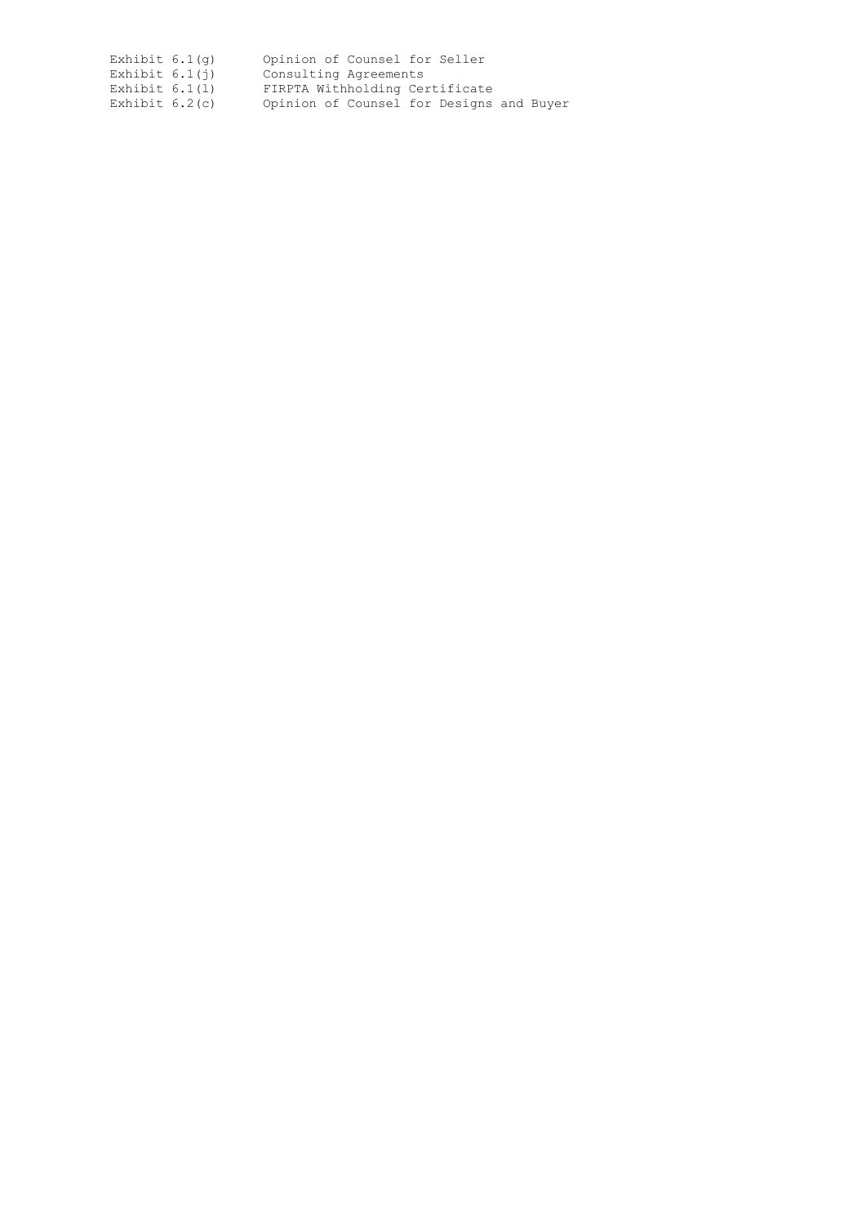| Exhibit $6.1(q)$ | Opinion of Counsel for Seller            |  |  |  |
|------------------|------------------------------------------|--|--|--|
| Exhibit $6.1(i)$ | Consulting Agreements                    |  |  |  |
| Exhibit $6.1(1)$ | FIRPTA Withholding Certificate           |  |  |  |
| Exhibit $6.2(c)$ | Opinion of Counsel for Designs and Buyer |  |  |  |
|                  |                                          |  |  |  |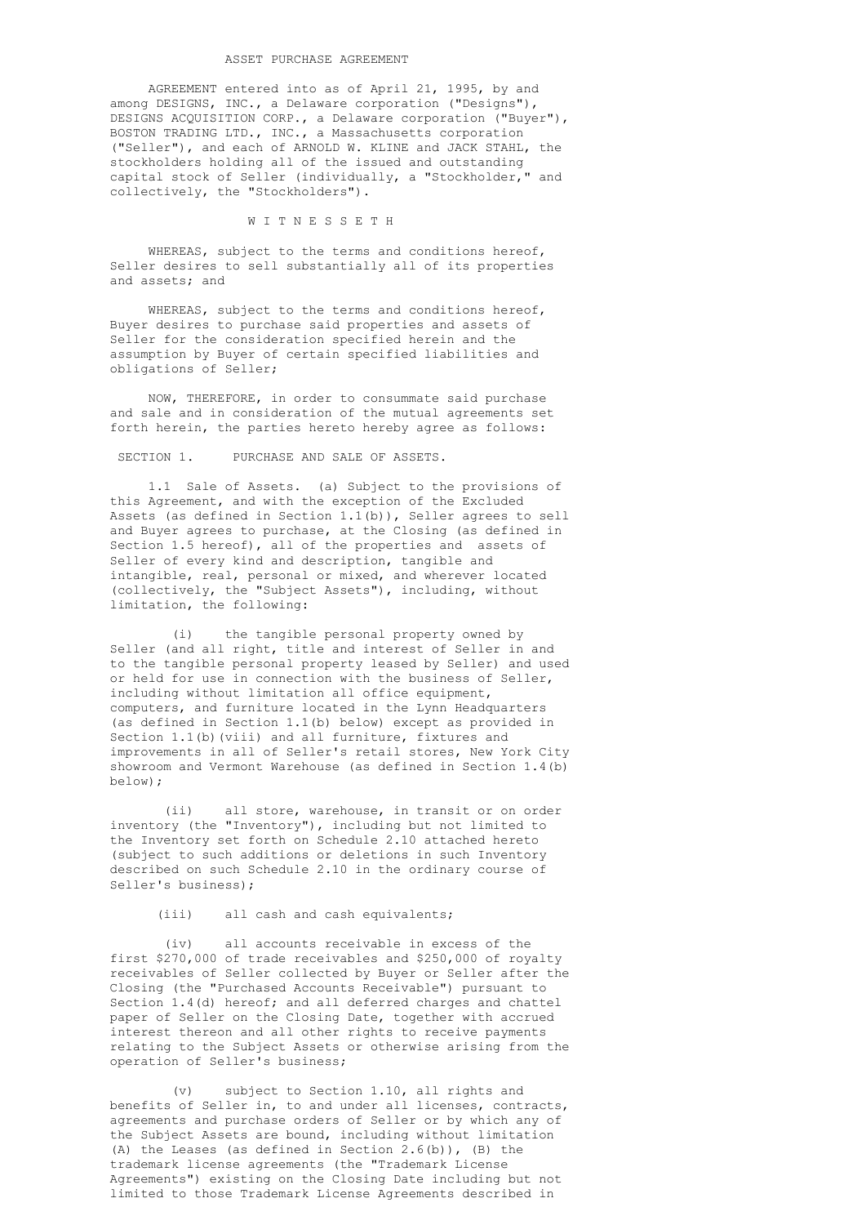# ASSET PURCHASE AGREEMENT

 AGREEMENT entered into as of April 21, 1995, by and among DESIGNS, INC., a Delaware corporation ("Designs"), DESIGNS ACQUISITION CORP., a Delaware corporation ("Buyer"), BOSTON TRADING LTD., INC., a Massachusetts corporation ("Seller"), and each of ARNOLD W. KLINE and JACK STAHL, the stockholders holding all of the issued and outstanding capital stock of Seller (individually, a "Stockholder," and collectively, the "Stockholders").

### W I T N E S S E T H

 WHEREAS, subject to the terms and conditions hereof, Seller desires to sell substantially all of its properties and assets; and

 WHEREAS, subject to the terms and conditions hereof, Buyer desires to purchase said properties and assets of Seller for the consideration specified herein and the assumption by Buyer of certain specified liabilities and obligations of Seller;

 NOW, THEREFORE, in order to consummate said purchase and sale and in consideration of the mutual agreements set forth herein, the parties hereto hereby agree as follows:

# SECTION 1. PURCHASE AND SALE OF ASSETS.

 1.1 Sale of Assets. (a) Subject to the provisions of this Agreement, and with the exception of the Excluded Assets (as defined in Section 1.1(b)), Seller agrees to sell and Buyer agrees to purchase, at the Closing (as defined in Section 1.5 hereof), all of the properties and assets of Seller of every kind and description, tangible and intangible, real, personal or mixed, and wherever located (collectively, the "Subject Assets"), including, without limitation, the following:

 (i) the tangible personal property owned by Seller (and all right, title and interest of Seller in and to the tangible personal property leased by Seller) and used or held for use in connection with the business of Seller, including without limitation all office equipment, computers, and furniture located in the Lynn Headquarters (as defined in Section 1.1(b) below) except as provided in Section 1.1(b)(viii) and all furniture, fixtures and improvements in all of Seller's retail stores, New York City showroom and Vermont Warehouse (as defined in Section 1.4(b) below);

 (ii) all store, warehouse, in transit or on order inventory (the "Inventory"), including but not limited to the Inventory set forth on Schedule 2.10 attached hereto (subject to such additions or deletions in such Inventory described on such Schedule 2.10 in the ordinary course of Seller's business);

# (iii) all cash and cash equivalents;

 (iv) all accounts receivable in excess of the first \$270,000 of trade receivables and \$250,000 of royalty receivables of Seller collected by Buyer or Seller after the Closing (the "Purchased Accounts Receivable") pursuant to Section 1.4(d) hereof; and all deferred charges and chattel paper of Seller on the Closing Date, together with accrued interest thereon and all other rights to receive payments relating to the Subject Assets or otherwise arising from the operation of Seller's business;

 (v) subject to Section 1.10, all rights and benefits of Seller in, to and under all licenses, contracts, agreements and purchase orders of Seller or by which any of the Subject Assets are bound, including without limitation (A) the Leases (as defined in Section 2.6(b)), (B) the trademark license agreements (the "Trademark License Agreements") existing on the Closing Date including but not limited to those Trademark License Agreements described in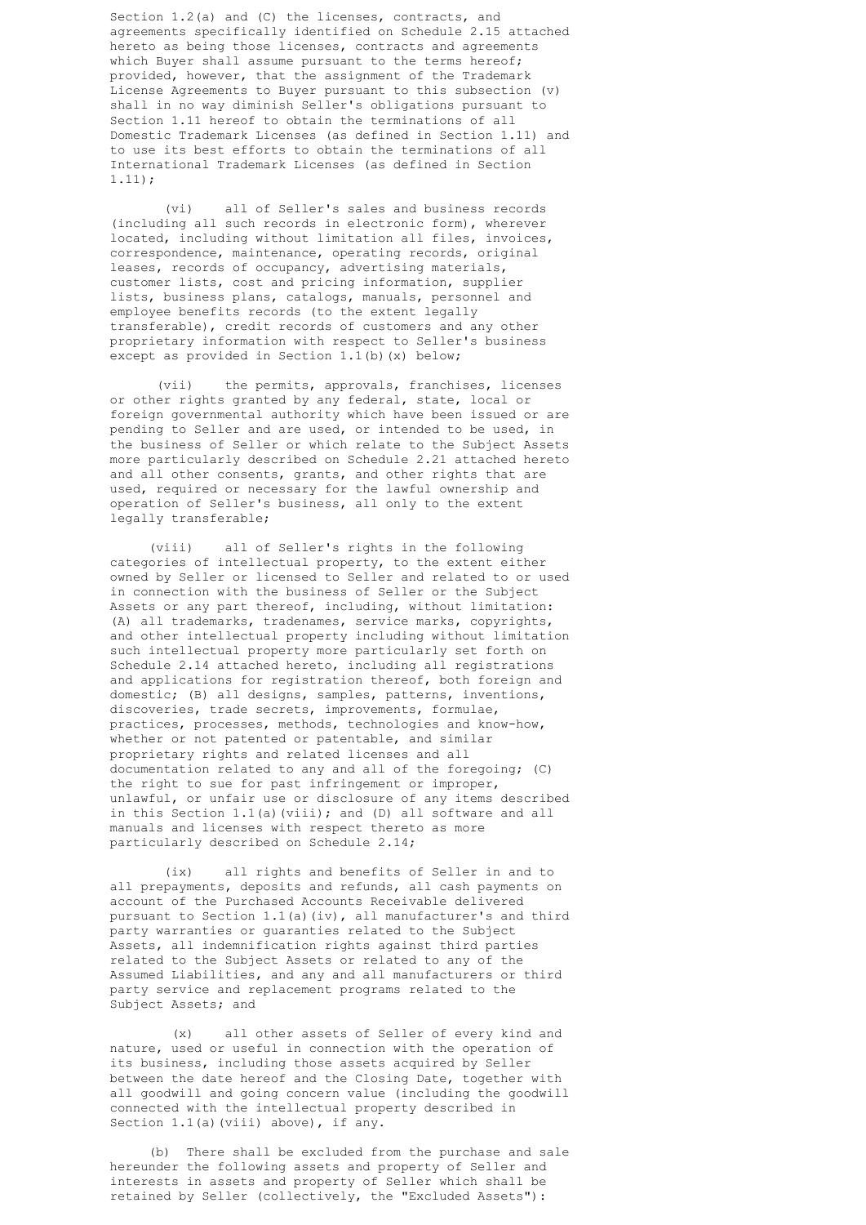Section 1.2(a) and (C) the licenses, contracts, and agreements specifically identified on Schedule 2.15 attached hereto as being those licenses, contracts and agreements which Buyer shall assume pursuant to the terms hereof; provided, however, that the assignment of the Trademark License Agreements to Buyer pursuant to this subsection (v) shall in no way diminish Seller's obligations pursuant to Section 1.11 hereof to obtain the terminations of all Domestic Trademark Licenses (as defined in Section 1.11) and to use its best efforts to obtain the terminations of all International Trademark Licenses (as defined in Section 1.11);

 (vi) all of Seller's sales and business records (including all such records in electronic form), wherever located, including without limitation all files, invoices, correspondence, maintenance, operating records, original leases, records of occupancy, advertising materials, customer lists, cost and pricing information, supplier lists, business plans, catalogs, manuals, personnel and employee benefits records (to the extent legally transferable), credit records of customers and any other proprietary information with respect to Seller's business except as provided in Section 1.1(b)(x) below;

 (vii) the permits, approvals, franchises, licenses or other rights granted by any federal, state, local or foreign governmental authority which have been issued or are pending to Seller and are used, or intended to be used, in the business of Seller or which relate to the Subject Assets more particularly described on Schedule 2.21 attached hereto and all other consents, grants, and other rights that are used, required or necessary for the lawful ownership and operation of Seller's business, all only to the extent legally transferable;

> (viii) all of Seller's rights in the following categories of intellectual property, to the extent either owned by Seller or licensed to Seller and related to or used in connection with the business of Seller or the Subject Assets or any part thereof, including, without limitation: (A) all trademarks, tradenames, service marks, copyrights, and other intellectual property including without limitation such intellectual property more particularly set forth on Schedule 2.14 attached hereto, including all registrations and applications for registration thereof, both foreign and domestic; (B) all designs, samples, patterns, inventions, discoveries, trade secrets, improvements, formulae, practices, processes, methods, technologies and know-how, whether or not patented or patentable, and similar proprietary rights and related licenses and all documentation related to any and all of the foregoing; (C) the right to sue for past infringement or improper, unlawful, or unfair use or disclosure of any items described in this Section 1.1(a)(viii); and (D) all software and all manuals and licenses with respect thereto as more particularly described on Schedule 2.14;

> (ix) all rights and benefits of Seller in and to all prepayments, deposits and refunds, all cash payments on account of the Purchased Accounts Receivable delivered pursuant to Section 1.1(a)(iv), all manufacturer's and third party warranties or guaranties related to the Subject Assets, all indemnification rights against third parties related to the Subject Assets or related to any of the Assumed Liabilities, and any and all manufacturers or third party service and replacement programs related to the Subject Assets; and

> (x) all other assets of Seller of every kind and nature, used or useful in connection with the operation of its business, including those assets acquired by Seller between the date hereof and the Closing Date, together with all goodwill and going concern value (including the goodwill connected with the intellectual property described in Section 1.1(a)(viii) above), if any.

> (b) There shall be excluded from the purchase and sale hereunder the following assets and property of Seller and interests in assets and property of Seller which shall be retained by Seller (collectively, the "Excluded Assets"):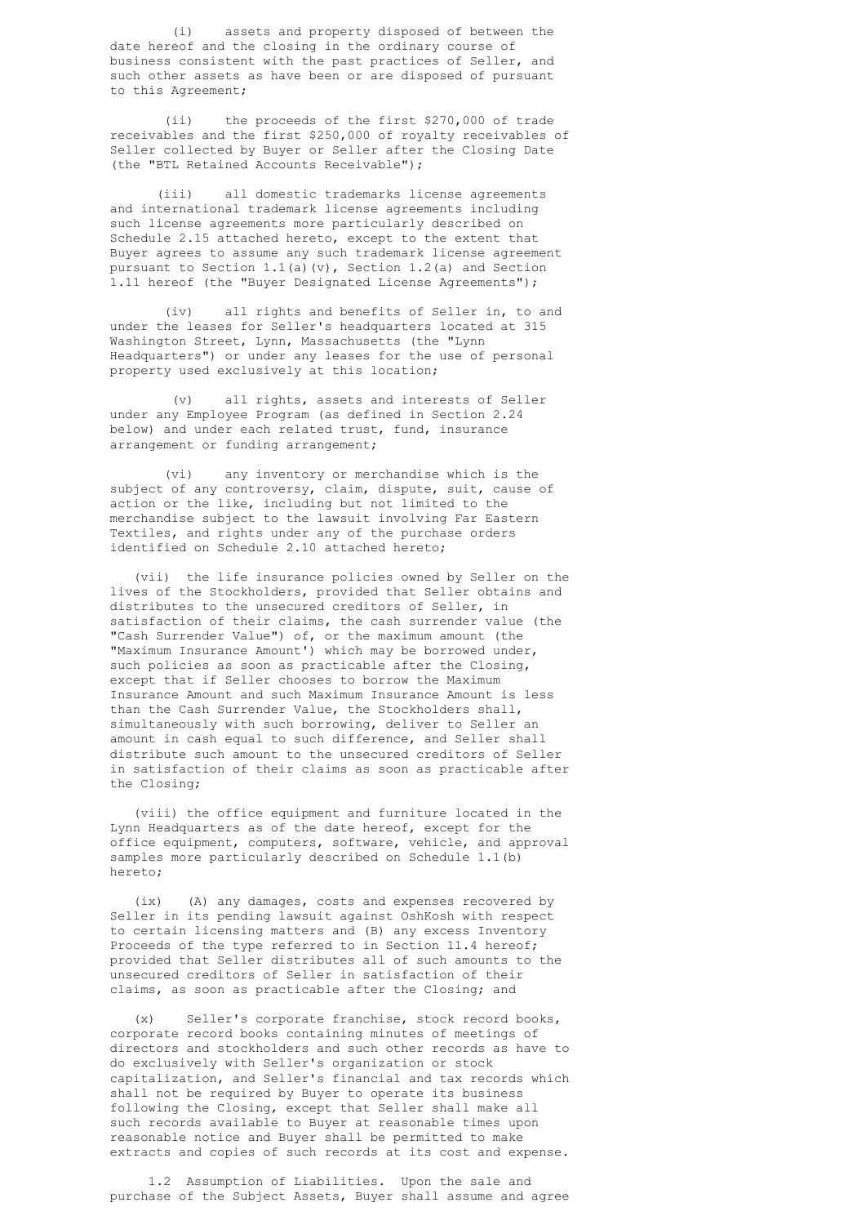(i) assets and property disposed of between the date hereof and the closing in the ordinary course of business consistent with the past practices of Seller, and such other assets as have been or are disposed of pursuant to this Agreement;

 (ii) the proceeds of the first \$270,000 of trade receivables and the first \$250,000 of royalty receivables of Seller collected by Buyer or Seller after the Closing Date (the "BTL Retained Accounts Receivable");

 (iii) all domestic trademarks license agreements and international trademark license agreements including such license agreements more particularly described on Schedule 2.15 attached hereto, except to the extent that Buyer agrees to assume any such trademark license agreement pursuant to Section 1.1(a)(v), Section 1.2(a) and Section 1.11 hereof (the "Buyer Designated License Agreements");

 (iv) all rights and benefits of Seller in, to and under the leases for Seller's headquarters located at 315 Washington Street, Lynn, Massachusetts (the "Lynn Headquarters") or under any leases for the use of personal property used exclusively at this location;

 (v) all rights, assets and interests of Seller under any Employee Program (as defined in Section 2.24 below) and under each related trust, fund, insurance arrangement or funding arrangement;

 (vi) any inventory or merchandise which is the subject of any controversy, claim, dispute, suit, cause of action or the like, including but not limited to the merchandise subject to the lawsuit involving Far Eastern Textiles, and rights under any of the purchase orders identified on Schedule 2.10 attached hereto;

 (vii) the life insurance policies owned by Seller on the lives of the Stockholders, provided that Seller obtains and distributes to the unsecured creditors of Seller, in satisfaction of their claims, the cash surrender value (the "Cash Surrender Value") of, or the maximum amount (the "Maximum Insurance Amount') which may be borrowed under, such policies as soon as practicable after the Closing, except that if Seller chooses to borrow the Maximum Insurance Amount and such Maximum Insurance Amount is less than the Cash Surrender Value, the Stockholders shall, simultaneously with such borrowing, deliver to Seller an amount in cash equal to such difference, and Seller shall distribute such amount to the unsecured creditors of Seller in satisfaction of their claims as soon as practicable after the Closing;

> (viii) the office equipment and furniture located in the Lynn Headquarters as of the date hereof, except for the office equipment, computers, software, vehicle, and approval samples more particularly described on Schedule 1.1(b) hereto;

 (ix) (A) any damages, costs and expenses recovered by Seller in its pending lawsuit against OshKosh with respect to certain licensing matters and (B) any excess Inventory Proceeds of the type referred to in Section 11.4 hereof; provided that Seller distributes all of such amounts to the unsecured creditors of Seller in satisfaction of their claims, as soon as practicable after the Closing; and

 (x) Seller's corporate franchise, stock record books, corporate record books containing minutes of meetings of directors and stockholders and such other records as have to do exclusively with Seller's organization or stock capitalization, and Seller's financial and tax records which shall not be required by Buyer to operate its business following the Closing, except that Seller shall make all such records available to Buyer at reasonable times upon reasonable notice and Buyer shall be permitted to make extracts and copies of such records at its cost and expense.

 1.2 Assumption of Liabilities. Upon the sale and purchase of the Subject Assets, Buyer shall assume and agree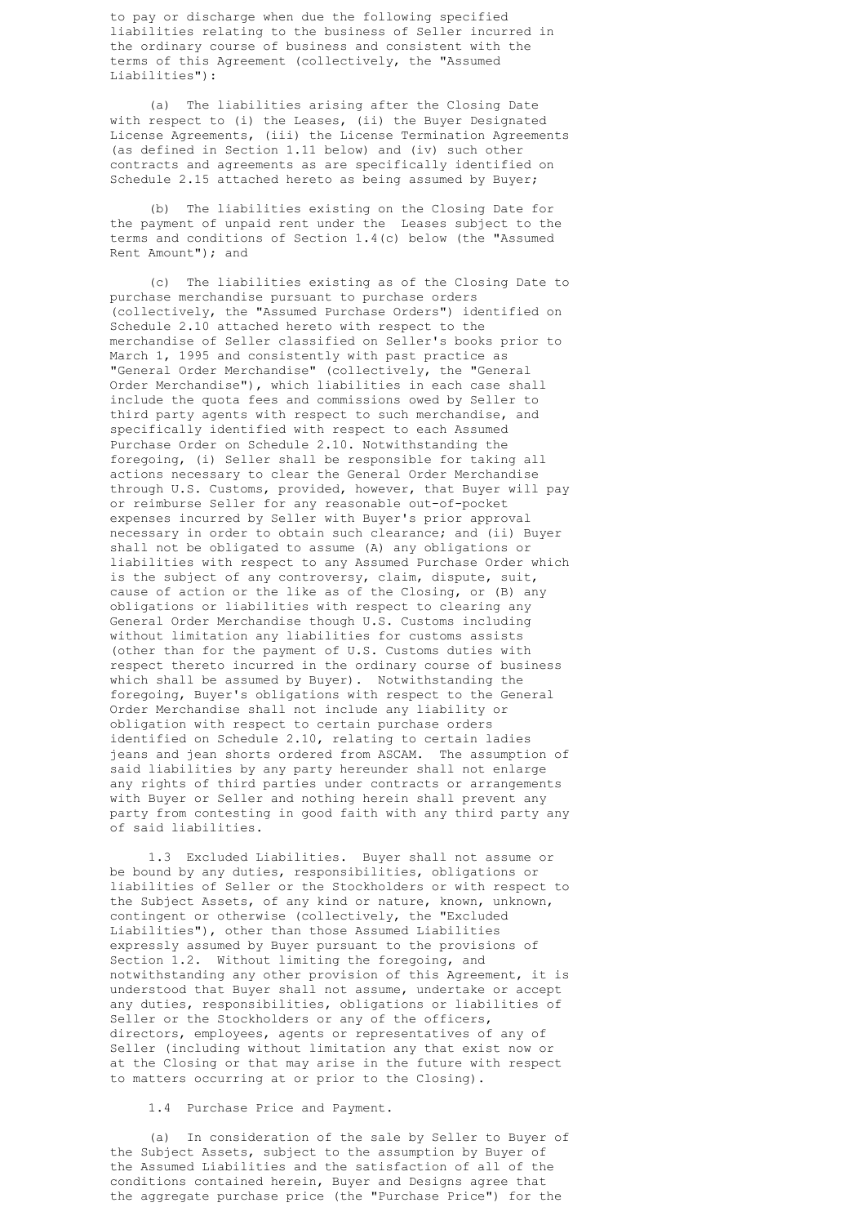to pay or discharge when due the following specified liabilities relating to the business of Seller incurred in the ordinary course of business and consistent with the terms of this Agreement (collectively, the "Assumed Liabilities"):

 (a) The liabilities arising after the Closing Date with respect to (i) the Leases, (ii) the Buyer Designated License Agreements, (iii) the License Termination Agreements (as defined in Section 1.11 below) and (iv) such other contracts and agreements as are specifically identified on Schedule 2.15 attached hereto as being assumed by Buyer;

 (b) The liabilities existing on the Closing Date for the payment of unpaid rent under the Leases subject to the terms and conditions of Section 1.4(c) below (the "Assumed Rent Amount"); and

 (c) The liabilities existing as of the Closing Date to purchase merchandise pursuant to purchase orders (collectively, the "Assumed Purchase Orders") identified on Schedule 2.10 attached hereto with respect to the merchandise of Seller classified on Seller's books prior to March 1, 1995 and consistently with past practice as "General Order Merchandise" (collectively, the "General Order Merchandise"), which liabilities in each case shall include the quota fees and commissions owed by Seller to third party agents with respect to such merchandise, and specifically identified with respect to each Assumed Purchase Order on Schedule 2.10. Notwithstanding the foregoing, (i) Seller shall be responsible for taking all actions necessary to clear the General Order Merchandise through U.S. Customs, provided, however, that Buyer will pay or reimburse Seller for any reasonable out-of-pocket expenses incurred by Seller with Buyer's prior approval necessary in order to obtain such clearance; and (ii) Buyer shall not be obligated to assume (A) any obligations or liabilities with respect to any Assumed Purchase Order which is the subject of any controversy, claim, dispute, suit, cause of action or the like as of the Closing, or (B) any obligations or liabilities with respect to clearing any General Order Merchandise though U.S. Customs including without limitation any liabilities for customs assists (other than for the payment of U.S. Customs duties with respect thereto incurred in the ordinary course of business which shall be assumed by Buyer). Notwithstanding the foregoing, Buyer's obligations with respect to the General Order Merchandise shall not include any liability or obligation with respect to certain purchase orders identified on Schedule 2.10, relating to certain ladies jeans and jean shorts ordered from ASCAM. The assumption of said liabilities by any party hereunder shall not enlarge any rights of third parties under contracts or arrangements with Buyer or Seller and nothing herein shall prevent any party from contesting in good faith with any third party any of said liabilities.

 1.3 Excluded Liabilities. Buyer shall not assume or be bound by any duties, responsibilities, obligations or liabilities of Seller or the Stockholders or with respect to the Subject Assets, of any kind or nature, known, unknown, contingent or otherwise (collectively, the "Excluded Liabilities"), other than those Assumed Liabilities expressly assumed by Buyer pursuant to the provisions of Section 1.2. Without limiting the foregoing, and notwithstanding any other provision of this Agreement, it is understood that Buyer shall not assume, undertake or accept any duties, responsibilities, obligations or liabilities of Seller or the Stockholders or any of the officers, directors, employees, agents or representatives of any of Seller (including without limitation any that exist now or at the Closing or that may arise in the future with respect to matters occurring at or prior to the Closing).

#### 1.4 Purchase Price and Payment.

 (a) In consideration of the sale by Seller to Buyer of the Subject Assets, subject to the assumption by Buyer of the Assumed Liabilities and the satisfaction of all of the conditions contained herein, Buyer and Designs agree that the aggregate purchase price (the "Purchase Price") for the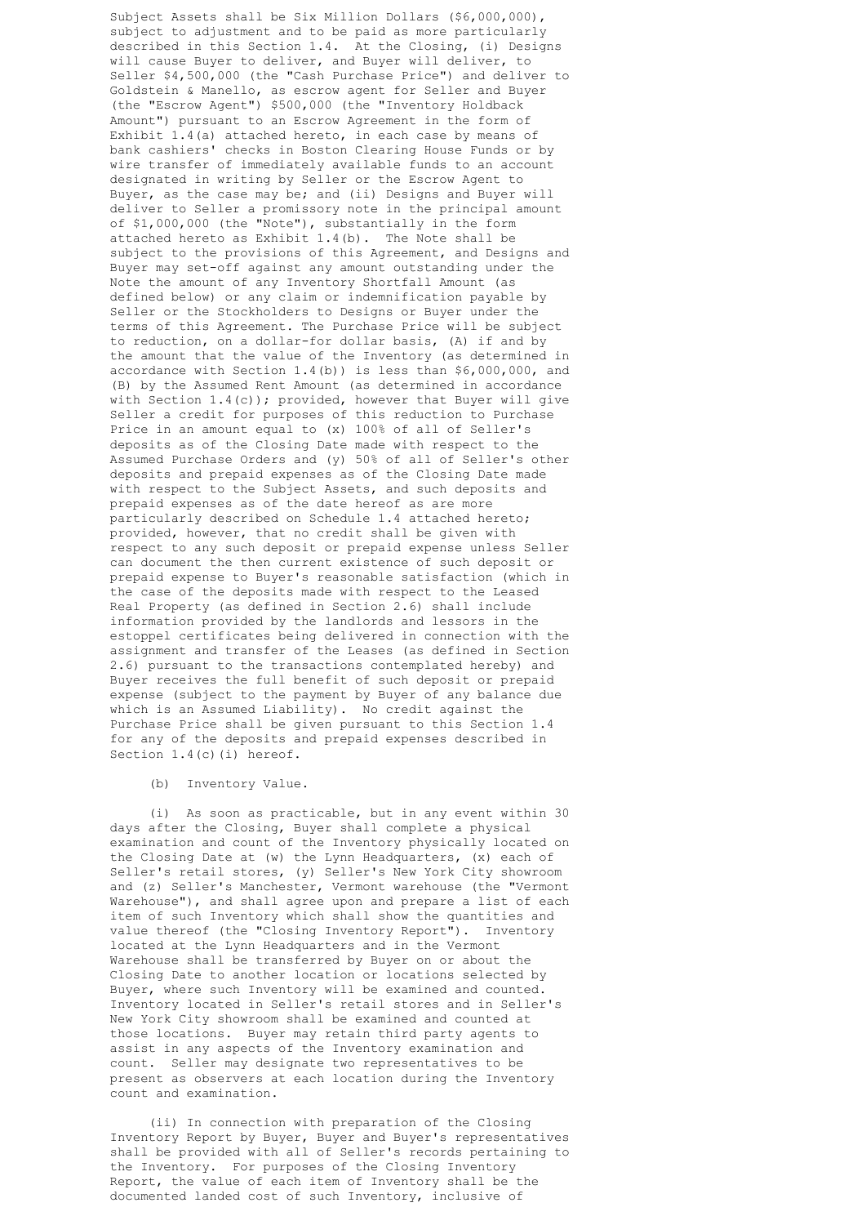Subject Assets shall be Six Million Dollars (\$6,000,000), subject to adjustment and to be paid as more particularly described in this Section 1.4. At the Closing, (i) Designs will cause Buyer to deliver, and Buyer will deliver, to Seller \$4,500,000 (the "Cash Purchase Price") and deliver to Goldstein & Manello, as escrow agent for Seller and Buyer (the "Escrow Agent") \$500,000 (the "Inventory Holdback Amount") pursuant to an Escrow Agreement in the form of Exhibit 1.4(a) attached hereto, in each case by means of bank cashiers' checks in Boston Clearing House Funds or by wire transfer of immediately available funds to an account designated in writing by Seller or the Escrow Agent to Buyer, as the case may be; and (ii) Designs and Buyer will deliver to Seller a promissory note in the principal amount of \$1,000,000 (the "Note"), substantially in the form attached hereto as Exhibit 1.4(b). The Note shall be subject to the provisions of this Agreement, and Designs and Buyer may set-off against any amount outstanding under the Note the amount of any Inventory Shortfall Amount (as defined below) or any claim or indemnification payable by Seller or the Stockholders to Designs or Buyer under the terms of this Agreement. The Purchase Price will be subject to reduction, on a dollar-for dollar basis, (A) if and by the amount that the value of the Inventory (as determined in accordance with Section 1.4(b)) is less than \$6,000,000, and (B) by the Assumed Rent Amount (as determined in accordance with Section 1.4(c)); provided, however that Buyer will give Seller a credit for purposes of this reduction to Purchase Price in an amount equal to (x) 100% of all of Seller's deposits as of the Closing Date made with respect to the Assumed Purchase Orders and (y) 50% of all of Seller's other deposits and prepaid expenses as of the Closing Date made with respect to the Subject Assets, and such deposits and prepaid expenses as of the date hereof as are more particularly described on Schedule 1.4 attached hereto; provided, however, that no credit shall be given with respect to any such deposit or prepaid expense unless Seller can document the then current existence of such deposit or prepaid expense to Buyer's reasonable satisfaction (which in the case of the deposits made with respect to the Leased Real Property (as defined in Section 2.6) shall include information provided by the landlords and lessors in the estoppel certificates being delivered in connection with the assignment and transfer of the Leases (as defined in Section 2.6) pursuant to the transactions contemplated hereby) and Buyer receives the full benefit of such deposit or prepaid expense (subject to the payment by Buyer of any balance due which is an Assumed Liability). No credit against the Purchase Price shall be given pursuant to this Section 1.4 for any of the deposits and prepaid expenses described in Section 1.4(c)(i) hereof.

# (b) Inventory Value.

 (i) As soon as practicable, but in any event within 30 days after the Closing, Buyer shall complete a physical examination and count of the Inventory physically located on the Closing Date at (w) the Lynn Headquarters, (x) each of Seller's retail stores, (y) Seller's New York City showroom and (z) Seller's Manchester, Vermont warehouse (the "Vermont Warehouse"), and shall agree upon and prepare a list of each item of such Inventory which shall show the quantities and value thereof (the "Closing Inventory Report"). Inventory located at the Lynn Headquarters and in the Vermont Warehouse shall be transferred by Buyer on or about the Closing Date to another location or locations selected by Buyer, where such Inventory will be examined and counted. Inventory located in Seller's retail stores and in Seller's New York City showroom shall be examined and counted at those locations. Buyer may retain third party agents to assist in any aspects of the Inventory examination and count. Seller may designate two representatives to be present as observers at each location during the Inventory count and examination.

> (ii) In connection with preparation of the Closing Inventory Report by Buyer, Buyer and Buyer's representatives shall be provided with all of Seller's records pertaining to the Inventory. For purposes of the Closing Inventory Report, the value of each item of Inventory shall be the documented landed cost of such Inventory, inclusive of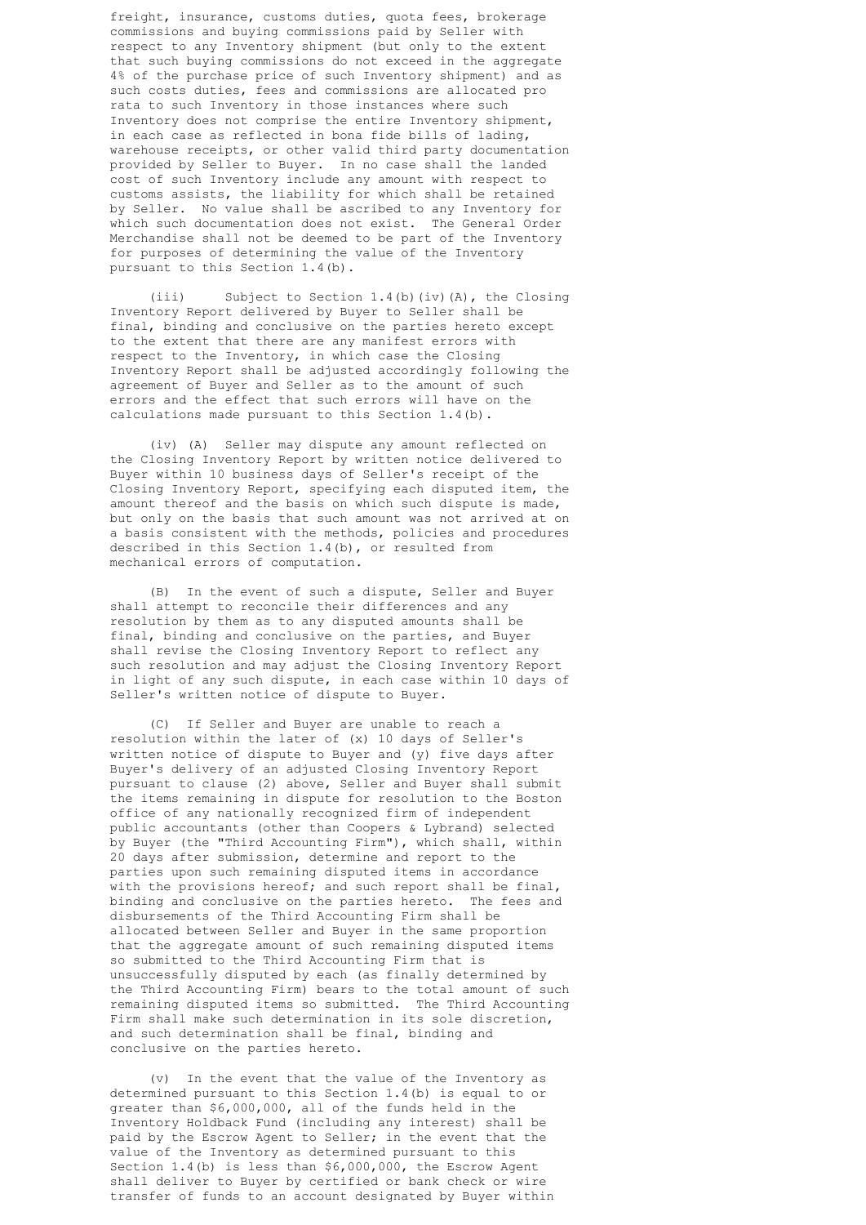freight, insurance, customs duties, quota fees, brokerage commissions and buying commissions paid by Seller with respect to any Inventory shipment (but only to the extent that such buying commissions do not exceed in the aggregate 4% of the purchase price of such Inventory shipment) and as such costs duties, fees and commissions are allocated pro rata to such Inventory in those instances where such Inventory does not comprise the entire Inventory shipment, in each case as reflected in bona fide bills of lading, warehouse receipts, or other valid third party documentation provided by Seller to Buyer. In no case shall the landed cost of such Inventory include any amount with respect to customs assists, the liability for which shall be retained by Seller. No value shall be ascribed to any Inventory for which such documentation does not exist. The General Order Merchandise shall not be deemed to be part of the Inventory for purposes of determining the value of the Inventory pursuant to this Section 1.4(b).

 (iii) Subject to Section 1.4(b)(iv)(A), the Closing Inventory Report delivered by Buyer to Seller shall be final, binding and conclusive on the parties hereto except to the extent that there are any manifest errors with respect to the Inventory, in which case the Closing Inventory Report shall be adjusted accordingly following the agreement of Buyer and Seller as to the amount of such errors and the effect that such errors will have on the calculations made pursuant to this Section 1.4(b).

 (iv) (A) Seller may dispute any amount reflected on the Closing Inventory Report by written notice delivered to Buyer within 10 business days of Seller's receipt of the Closing Inventory Report, specifying each disputed item, the amount thereof and the basis on which such dispute is made, but only on the basis that such amount was not arrived at on a basis consistent with the methods, policies and procedures described in this Section 1.4(b), or resulted from mechanical errors of computation.

 (B) In the event of such a dispute, Seller and Buyer shall attempt to reconcile their differences and any resolution by them as to any disputed amounts shall be final, binding and conclusive on the parties, and Buyer shall revise the Closing Inventory Report to reflect any such resolution and may adjust the Closing Inventory Report in light of any such dispute, in each case within 10 days of Seller's written notice of dispute to Buyer.

 (C) If Seller and Buyer are unable to reach a resolution within the later of (x) 10 days of Seller's written notice of dispute to Buyer and (y) five days after Buyer's delivery of an adjusted Closing Inventory Report pursuant to clause (2) above, Seller and Buyer shall submit the items remaining in dispute for resolution to the Boston office of any nationally recognized firm of independent public accountants (other than Coopers & Lybrand) selected by Buyer (the "Third Accounting Firm"), which shall, within 20 days after submission, determine and report to the parties upon such remaining disputed items in accordance with the provisions hereof; and such report shall be final, binding and conclusive on the parties hereto. The fees and disbursements of the Third Accounting Firm shall be allocated between Seller and Buyer in the same proportion that the aggregate amount of such remaining disputed items so submitted to the Third Accounting Firm that is unsuccessfully disputed by each (as finally determined by the Third Accounting Firm) bears to the total amount of such remaining disputed items so submitted. The Third Accounting Firm shall make such determination in its sole discretion, and such determination shall be final, binding and conclusive on the parties hereto.

 (v) In the event that the value of the Inventory as determined pursuant to this Section 1.4(b) is equal to or greater than \$6,000,000, all of the funds held in the Inventory Holdback Fund (including any interest) shall be paid by the Escrow Agent to Seller; in the event that the value of the Inventory as determined pursuant to this Section 1.4(b) is less than \$6,000,000, the Escrow Agent shall deliver to Buyer by certified or bank check or wire transfer of funds to an account designated by Buyer within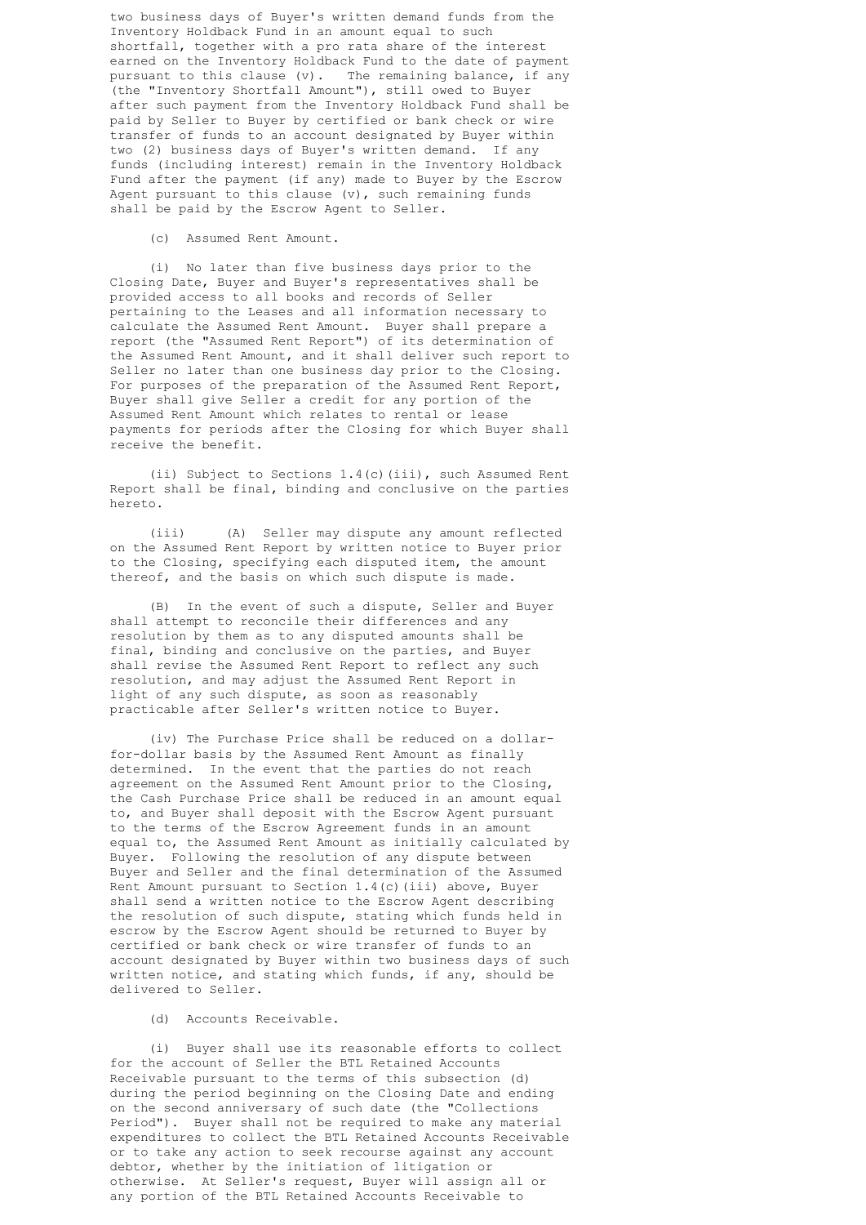two business days of Buyer's written demand funds from the Inventory Holdback Fund in an amount equal to such shortfall, together with a pro rata share of the interest earned on the Inventory Holdback Fund to the date of payment pursuant to this clause (v). The remaining balance, if any (the "Inventory Shortfall Amount"), still owed to Buyer after such payment from the Inventory Holdback Fund shall be paid by Seller to Buyer by certified or bank check or wire transfer of funds to an account designated by Buyer within two (2) business days of Buyer's written demand. If any funds (including interest) remain in the Inventory Holdback Fund after the payment (if any) made to Buyer by the Escrow Agent pursuant to this clause  $(v)$ , such remaining funds shall be paid by the Escrow Agent to Seller.

(c) Assumed Rent Amount.

 (i) No later than five business days prior to the Closing Date, Buyer and Buyer's representatives shall be provided access to all books and records of Seller pertaining to the Leases and all information necessary to calculate the Assumed Rent Amount. Buyer shall prepare a report (the "Assumed Rent Report") of its determination of the Assumed Rent Amount, and it shall deliver such report to Seller no later than one business day prior to the Closing. For purposes of the preparation of the Assumed Rent Report, Buyer shall give Seller a credit for any portion of the Assumed Rent Amount which relates to rental or lease payments for periods after the Closing for which Buyer shall receive the benefit.

 (ii) Subject to Sections 1.4(c)(iii), such Assumed Rent Report shall be final, binding and conclusive on the parties hereto.

 (iii) (A) Seller may dispute any amount reflected on the Assumed Rent Report by written notice to Buyer prior to the Closing, specifying each disputed item, the amount thereof, and the basis on which such dispute is made.

 (B) In the event of such a dispute, Seller and Buyer shall attempt to reconcile their differences and any resolution by them as to any disputed amounts shall be final, binding and conclusive on the parties, and Buyer shall revise the Assumed Rent Report to reflect any such resolution, and may adjust the Assumed Rent Report in light of any such dispute, as soon as reasonably practicable after Seller's written notice to Buyer.

 (iv) The Purchase Price shall be reduced on a dollar for-dollar basis by the Assumed Rent Amount as finally determined. In the event that the parties do not reach agreement on the Assumed Rent Amount prior to the Closing, the Cash Purchase Price shall be reduced in an amount equal to, and Buyer shall deposit with the Escrow Agent pursuant to the terms of the Escrow Agreement funds in an amount equal to, the Assumed Rent Amount as initially calculated by Buyer. Following the resolution of any dispute between Buyer and Seller and the final determination of the Assumed Rent Amount pursuant to Section 1.4(c)(iii) above, Buyer shall send a written notice to the Escrow Agent describing the resolution of such dispute, stating which funds held in escrow by the Escrow Agent should be returned to Buyer by certified or bank check or wire transfer of funds to an account designated by Buyer within two business days of such written notice, and stating which funds, if any, should be delivered to Seller.

(d) Accounts Receivable.

 (i) Buyer shall use its reasonable efforts to collect for the account of Seller the BTL Retained Accounts Receivable pursuant to the terms of this subsection (d) during the period beginning on the Closing Date and ending on the second anniversary of such date (the "Collections Period"). Buyer shall not be required to make any material expenditures to collect the BTL Retained Accounts Receivable or to take any action to seek recourse against any account debtor, whether by the initiation of litigation or otherwise. At Seller's request, Buyer will assign all or any portion of the BTL Retained Accounts Receivable to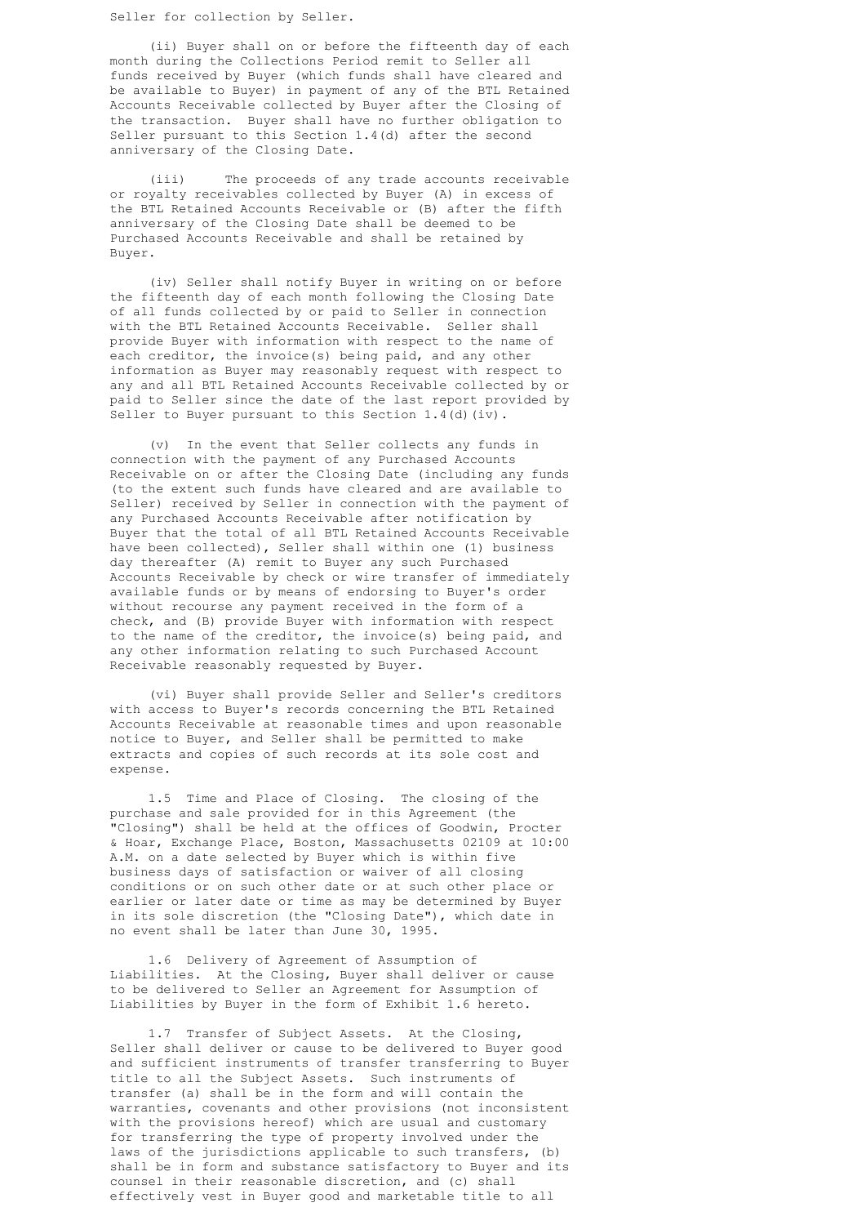Seller for collection by Seller.

 (ii) Buyer shall on or before the fifteenth day of each month during the Collections Period remit to Seller all funds received by Buyer (which funds shall have cleared and be available to Buyer) in payment of any of the BTL Retained Accounts Receivable collected by Buyer after the Closing of the transaction. Buyer shall have no further obligation to Seller pursuant to this Section 1.4(d) after the second anniversary of the Closing Date.

 (iii) The proceeds of any trade accounts receivable or royalty receivables collected by Buyer (A) in excess of the BTL Retained Accounts Receivable or (B) after the fifth anniversary of the Closing Date shall be deemed to be Purchased Accounts Receivable and shall be retained by Buyer.

 (iv) Seller shall notify Buyer in writing on or before the fifteenth day of each month following the Closing Date of all funds collected by or paid to Seller in connection with the BTL Retained Accounts Receivable. Seller shall provide Buyer with information with respect to the name of each creditor, the invoice(s) being paid, and any other information as Buyer may reasonably request with respect to any and all BTL Retained Accounts Receivable collected by or paid to Seller since the date of the last report provided by Seller to Buyer pursuant to this Section 1.4(d)(iv).

 (v) In the event that Seller collects any funds in connection with the payment of any Purchased Accounts Receivable on or after the Closing Date (including any funds (to the extent such funds have cleared and are available to Seller) received by Seller in connection with the payment of any Purchased Accounts Receivable after notification by Buyer that the total of all BTL Retained Accounts Receivable have been collected), Seller shall within one (1) business day thereafter (A) remit to Buyer any such Purchased Accounts Receivable by check or wire transfer of immediately available funds or by means of endorsing to Buyer's order without recourse any payment received in the form of a check, and (B) provide Buyer with information with respect to the name of the creditor, the invoice(s) being paid, and any other information relating to such Purchased Account Receivable reasonably requested by Buyer.

 (vi) Buyer shall provide Seller and Seller's creditors with access to Buyer's records concerning the BTL Retained Accounts Receivable at reasonable times and upon reasonable notice to Buyer, and Seller shall be permitted to make extracts and copies of such records at its sole cost and expense.

 1.5 Time and Place of Closing. The closing of the purchase and sale provided for in this Agreement (the "Closing") shall be held at the offices of Goodwin, Procter & Hoar, Exchange Place, Boston, Massachusetts 02109 at 10:00 A.M. on a date selected by Buyer which is within five business days of satisfaction or waiver of all closing conditions or on such other date or at such other place or earlier or later date or time as may be determined by Buyer in its sole discretion (the "Closing Date"), which date in no event shall be later than June 30, 1995.

 1.6 Delivery of Agreement of Assumption of Liabilities. At the Closing, Buyer shall deliver or cause to be delivered to Seller an Agreement for Assumption of Liabilities by Buyer in the form of Exhibit 1.6 hereto.

 1.7 Transfer of Subject Assets. At the Closing, Seller shall deliver or cause to be delivered to Buyer good and sufficient instruments of transfer transferring to Buyer title to all the Subject Assets. Such instruments of transfer (a) shall be in the form and will contain the warranties, covenants and other provisions (not inconsistent with the provisions hereof) which are usual and customary for transferring the type of property involved under the laws of the jurisdictions applicable to such transfers, (b) shall be in form and substance satisfactory to Buyer and its counsel in their reasonable discretion, and (c) shall effectively vest in Buyer good and marketable title to all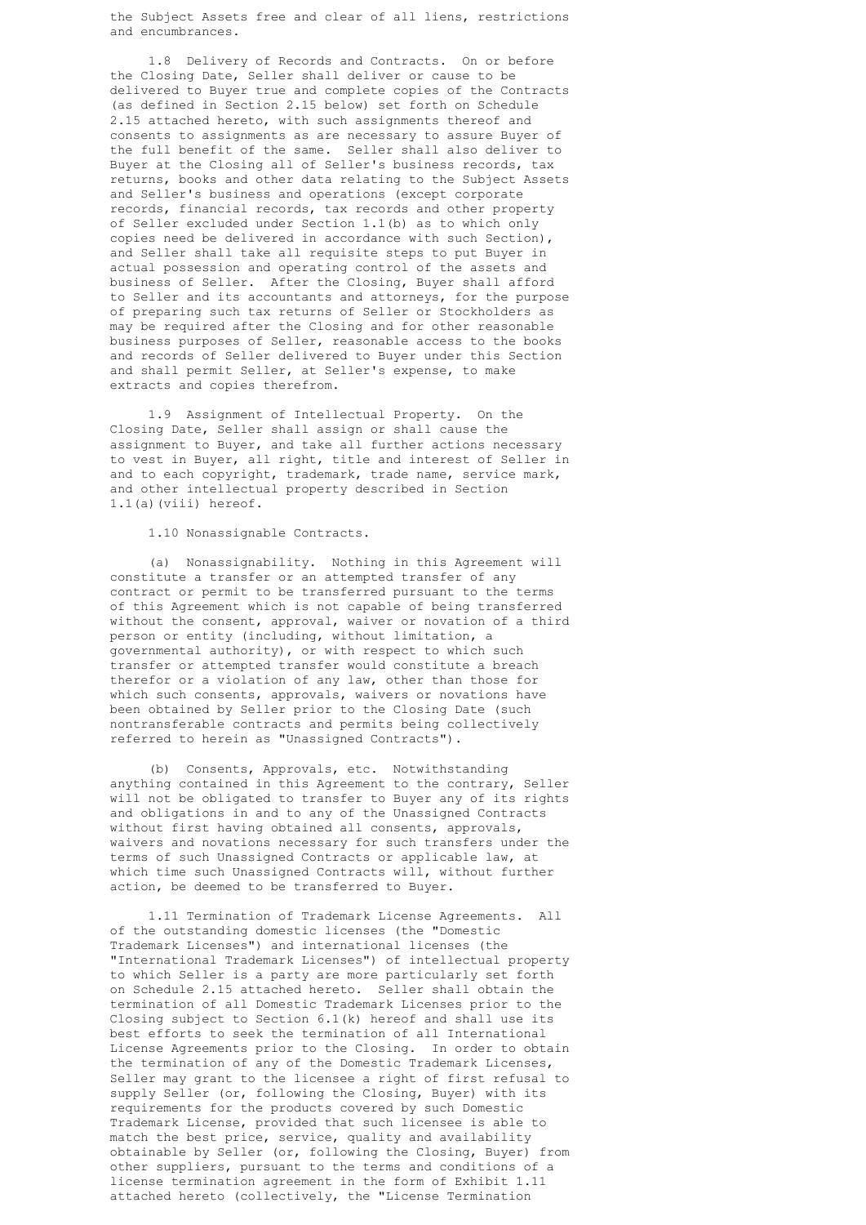the Subject Assets free and clear of all liens, restrictions and encumbrances.

 1.8 Delivery of Records and Contracts. On or before the Closing Date, Seller shall deliver or cause to be delivered to Buyer true and complete copies of the Contracts (as defined in Section 2.15 below) set forth on Schedule 2.15 attached hereto, with such assignments thereof and consents to assignments as are necessary to assure Buyer of the full benefit of the same. Seller shall also deliver to Buyer at the Closing all of Seller's business records, tax returns, books and other data relating to the Subject Assets and Seller's business and operations (except corporate records, financial records, tax records and other property of Seller excluded under Section 1.1(b) as to which only copies need be delivered in accordance with such Section), and Seller shall take all requisite steps to put Buyer in actual possession and operating control of the assets and business of Seller. After the Closing, Buyer shall afford to Seller and its accountants and attorneys, for the purpose of preparing such tax returns of Seller or Stockholders as may be required after the Closing and for other reasonable business purposes of Seller, reasonable access to the books and records of Seller delivered to Buyer under this Section and shall permit Seller, at Seller's expense, to make extracts and copies therefrom.

 1.9 Assignment of Intellectual Property. On the Closing Date, Seller shall assign or shall cause the assignment to Buyer, and take all further actions necessary to vest in Buyer, all right, title and interest of Seller in and to each copyright, trademark, trade name, service mark, and other intellectual property described in Section 1.1(a)(viii) hereof.

1.10 Nonassignable Contracts.

 (a) Nonassignability. Nothing in this Agreement will constitute a transfer or an attempted transfer of any contract or permit to be transferred pursuant to the terms of this Agreement which is not capable of being transferred without the consent, approval, waiver or novation of a third person or entity (including, without limitation, a governmental authority), or with respect to which such transfer or attempted transfer would constitute a breach therefor or a violation of any law, other than those for which such consents, approvals, waivers or novations have been obtained by Seller prior to the Closing Date (such nontransferable contracts and permits being collectively referred to herein as "Unassigned Contracts").

 (b) Consents, Approvals, etc. Notwithstanding anything contained in this Agreement to the contrary, Seller will not be obligated to transfer to Buyer any of its rights and obligations in and to any of the Unassigned Contracts without first having obtained all consents, approvals, waivers and novations necessary for such transfers under the terms of such Unassigned Contracts or applicable law, at which time such Unassigned Contracts will, without further action, be deemed to be transferred to Buyer.

 1.11 Termination of Trademark License Agreements. All of the outstanding domestic licenses (the "Domestic Trademark Licenses") and international licenses (the "International Trademark Licenses") of intellectual property to which Seller is a party are more particularly set forth on Schedule 2.15 attached hereto. Seller shall obtain the termination of all Domestic Trademark Licenses prior to the Closing subject to Section 6.1(k) hereof and shall use its best efforts to seek the termination of all International License Agreements prior to the Closing. In order to obtain the termination of any of the Domestic Trademark Licenses, Seller may grant to the licensee a right of first refusal to supply Seller (or, following the Closing, Buyer) with its requirements for the products covered by such Domestic Trademark License, provided that such licensee is able to match the best price, service, quality and availability obtainable by Seller (or, following the Closing, Buyer) from other suppliers, pursuant to the terms and conditions of a license termination agreement in the form of Exhibit 1.11 attached hereto (collectively, the "License Termination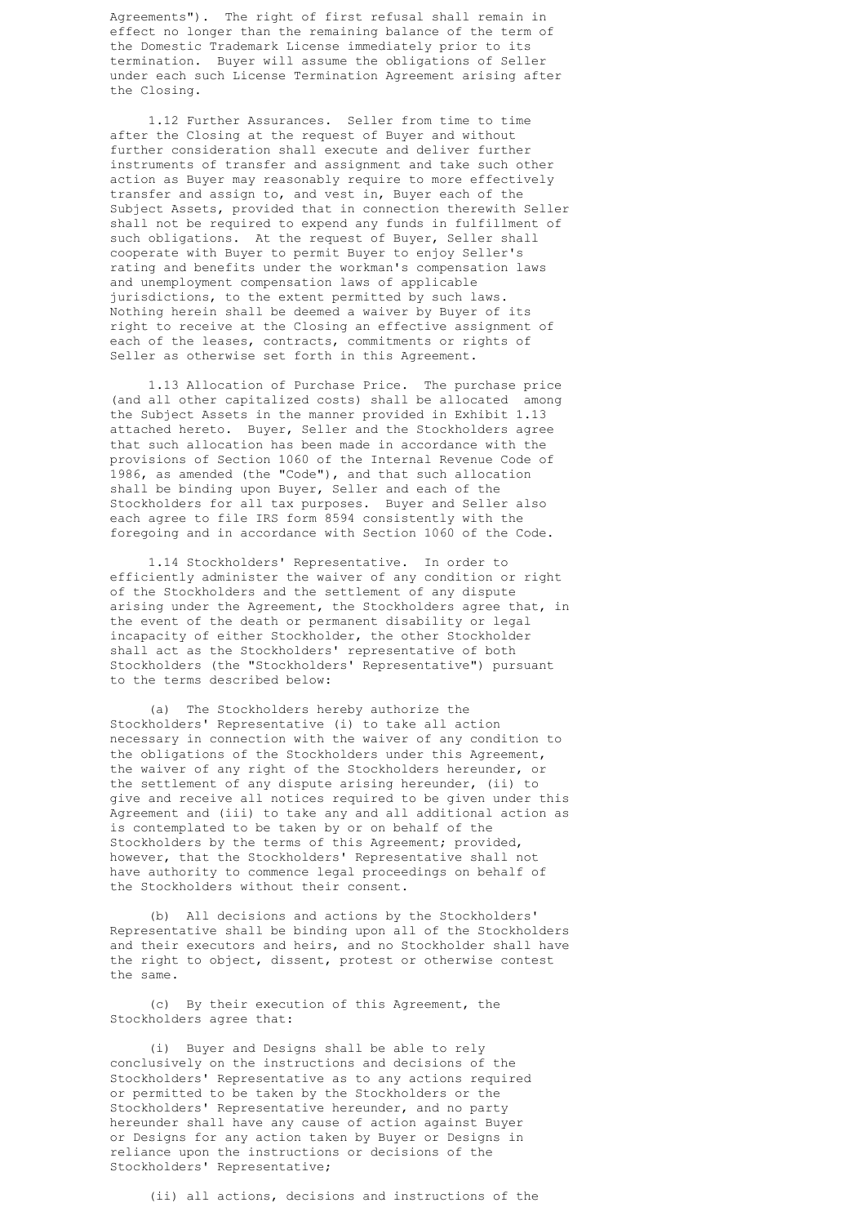Agreements"). The right of first refusal shall remain in effect no longer than the remaining balance of the term of the Domestic Trademark License immediately prior to its termination. Buyer will assume the obligations of Seller under each such License Termination Agreement arising after the Closing.

 1.12 Further Assurances. Seller from time to time after the Closing at the request of Buyer and without further consideration shall execute and deliver further instruments of transfer and assignment and take such other action as Buyer may reasonably require to more effectively transfer and assign to, and vest in, Buyer each of the Subject Assets, provided that in connection therewith Seller shall not be required to expend any funds in fulfillment of such obligations. At the request of Buyer, Seller shall cooperate with Buyer to permit Buyer to enjoy Seller's rating and benefits under the workman's compensation laws and unemployment compensation laws of applicable jurisdictions, to the extent permitted by such laws. Nothing herein shall be deemed a waiver by Buyer of its right to receive at the Closing an effective assignment of each of the leases, contracts, commitments or rights of Seller as otherwise set forth in this Agreement.

 1.13 Allocation of Purchase Price. The purchase price (and all other capitalized costs) shall be allocated among the Subject Assets in the manner provided in Exhibit 1.13 attached hereto. Buyer, Seller and the Stockholders agree that such allocation has been made in accordance with the provisions of Section 1060 of the Internal Revenue Code of 1986, as amended (the "Code"), and that such allocation shall be binding upon Buyer, Seller and each of the Stockholders for all tax purposes. Buyer and Seller also each agree to file IRS form 8594 consistently with the foregoing and in accordance with Section 1060 of the Code.

 1.14 Stockholders' Representative. In order to efficiently administer the waiver of any condition or right of the Stockholders and the settlement of any dispute arising under the Agreement, the Stockholders agree that, in the event of the death or permanent disability or legal incapacity of either Stockholder, the other Stockholder shall act as the Stockholders' representative of both Stockholders (the "Stockholders' Representative") pursuant to the terms described below:

 (a) The Stockholders hereby authorize the Stockholders' Representative (i) to take all action necessary in connection with the waiver of any condition to the obligations of the Stockholders under this Agreement, the waiver of any right of the Stockholders hereunder, or the settlement of any dispute arising hereunder, (ii) to give and receive all notices required to be given under this Agreement and (iii) to take any and all additional action as is contemplated to be taken by or on behalf of the Stockholders by the terms of this Agreement; provided, however, that the Stockholders' Representative shall not have authority to commence legal proceedings on behalf of the Stockholders without their consent.

 (b) All decisions and actions by the Stockholders' Representative shall be binding upon all of the Stockholders and their executors and heirs, and no Stockholder shall have the right to object, dissent, protest or otherwise contest the same.

 (c) By their execution of this Agreement, the Stockholders agree that:

 (i) Buyer and Designs shall be able to rely conclusively on the instructions and decisions of the Stockholders' Representative as to any actions required or permitted to be taken by the Stockholders or the Stockholders' Representative hereunder, and no party hereunder shall have any cause of action against Buyer or Designs for any action taken by Buyer or Designs in reliance upon the instructions or decisions of the Stockholders' Representative;

(ii) all actions, decisions and instructions of the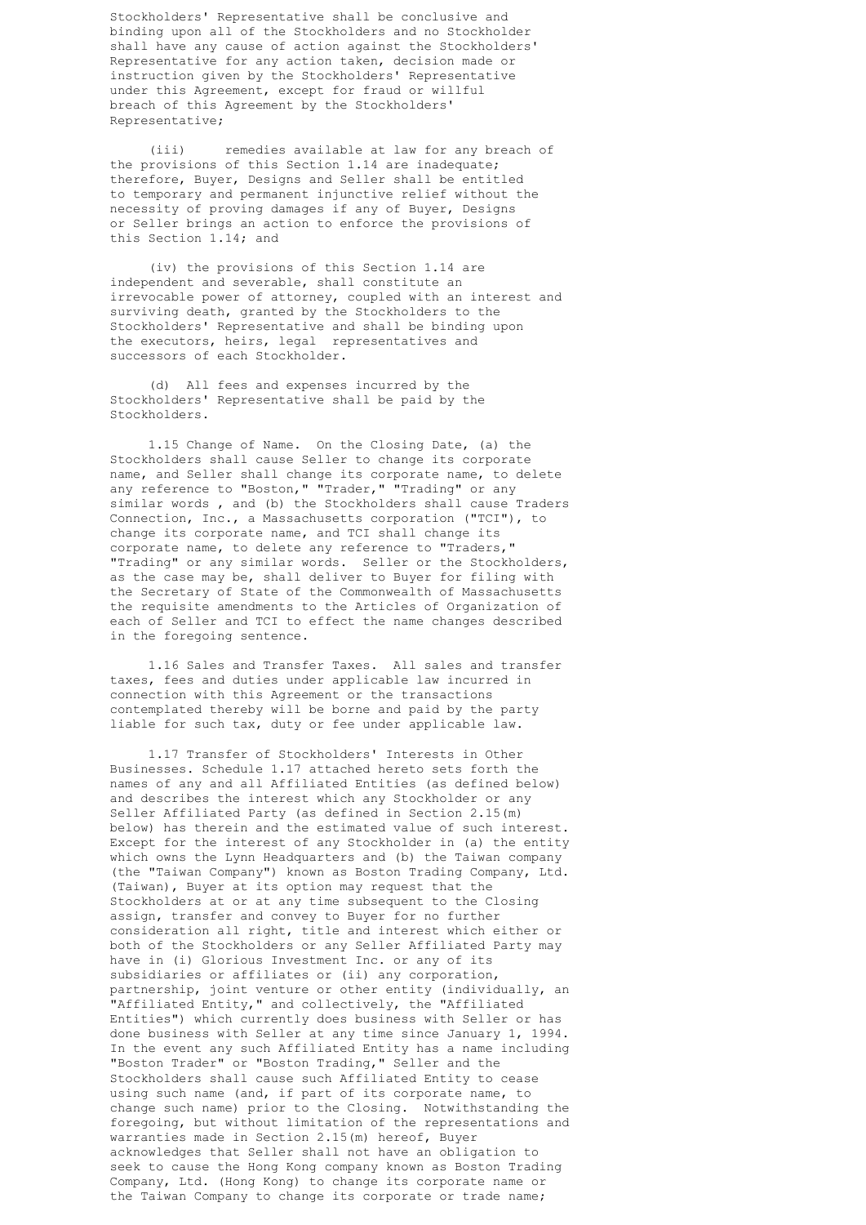Stockholders' Representative shall be conclusive and binding upon all of the Stockholders and no Stockholder shall have any cause of action against the Stockholders' Representative for any action taken, decision made or instruction given by the Stockholders' Representative under this Agreement, except for fraud or willful breach of this Agreement by the Stockholders' Representative;

 (iii) remedies available at law for any breach of the provisions of this Section 1.14 are inadequate; therefore, Buyer, Designs and Seller shall be entitled to temporary and permanent injunctive relief without the necessity of proving damages if any of Buyer, Designs or Seller brings an action to enforce the provisions of this Section 1.14; and

 (iv) the provisions of this Section 1.14 are independent and severable, shall constitute an irrevocable power of attorney, coupled with an interest and surviving death, granted by the Stockholders to the Stockholders' Representative and shall be binding upon the executors, heirs, legal representatives and successors of each Stockholder.

 (d) All fees and expenses incurred by the Stockholders' Representative shall be paid by the Stockholders.

 1.15 Change of Name. On the Closing Date, (a) the Stockholders shall cause Seller to change its corporate name, and Seller shall change its corporate name, to delete any reference to "Boston," "Trader," "Trading" or any similar words , and (b) the Stockholders shall cause Traders Connection, Inc., a Massachusetts corporation ("TCI"), to change its corporate name, and TCI shall change its corporate name, to delete any reference to "Traders," "Trading" or any similar words. Seller or the Stockholders, as the case may be, shall deliver to Buyer for filing with the Secretary of State of the Commonwealth of Massachusetts the requisite amendments to the Articles of Organization of each of Seller and TCI to effect the name changes described in the foregoing sentence.

 1.16 Sales and Transfer Taxes. All sales and transfer taxes, fees and duties under applicable law incurred in connection with this Agreement or the transactions contemplated thereby will be borne and paid by the party liable for such tax, duty or fee under applicable law.

 1.17 Transfer of Stockholders' Interests in Other Businesses. Schedule 1.17 attached hereto sets forth the names of any and all Affiliated Entities (as defined below) and describes the interest which any Stockholder or any Seller Affiliated Party (as defined in Section 2.15(m) below) has therein and the estimated value of such interest. Except for the interest of any Stockholder in (a) the entity which owns the Lynn Headquarters and (b) the Taiwan company (the "Taiwan Company") known as Boston Trading Company, Ltd. (Taiwan), Buyer at its option may request that the Stockholders at or at any time subsequent to the Closing assign, transfer and convey to Buyer for no further consideration all right, title and interest which either or both of the Stockholders or any Seller Affiliated Party may have in (i) Glorious Investment Inc. or any of its subsidiaries or affiliates or (ii) any corporation, partnership, joint venture or other entity (individually, an "Affiliated Entity," and collectively, the "Affiliated Entities") which currently does business with Seller or has done business with Seller at any time since January 1, 1994. In the event any such Affiliated Entity has a name including "Boston Trader" or "Boston Trading," Seller and the Stockholders shall cause such Affiliated Entity to cease using such name (and, if part of its corporate name, to change such name) prior to the Closing. Notwithstanding the foregoing, but without limitation of the representations and warranties made in Section 2.15(m) hereof, Buyer acknowledges that Seller shall not have an obligation to seek to cause the Hong Kong company known as Boston Trading Company, Ltd. (Hong Kong) to change its corporate name or the Taiwan Company to change its corporate or trade name;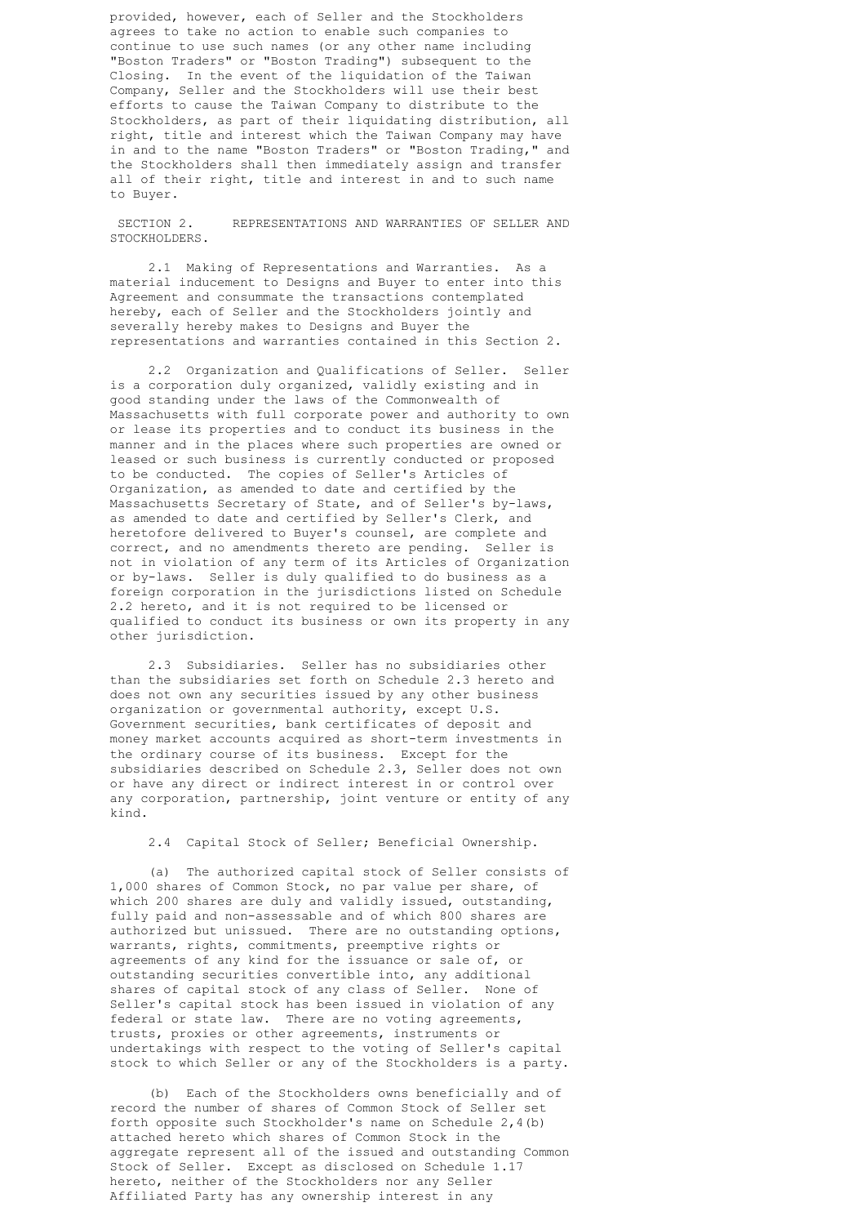provided, however, each of Seller and the Stockholders agrees to take no action to enable such companies to continue to use such names (or any other name including "Boston Traders" or "Boston Trading") subsequent to the Closing. In the event of the liquidation of the Taiwan Company, Seller and the Stockholders will use their best efforts to cause the Taiwan Company to distribute to the Stockholders, as part of their liquidating distribution, all right, title and interest which the Taiwan Company may have in and to the name "Boston Traders" or "Boston Trading," and the Stockholders shall then immediately assign and transfer all of their right, title and interest in and to such name to Buyer.

 SECTION 2. REPRESENTATIONS AND WARRANTIES OF SELLER AND STOCKHOLDERS.

 2.1 Making of Representations and Warranties. As a material inducement to Designs and Buyer to enter into this Agreement and consummate the transactions contemplated hereby, each of Seller and the Stockholders jointly and severally hereby makes to Designs and Buyer the representations and warranties contained in this Section 2.

 2.2 Organization and Qualifications of Seller. Seller is a corporation duly organized, validly existing and in good standing under the laws of the Commonwealth of Massachusetts with full corporate power and authority to own or lease its properties and to conduct its business in the manner and in the places where such properties are owned or leased or such business is currently conducted or proposed to be conducted. The copies of Seller's Articles of Organization, as amended to date and certified by the Massachusetts Secretary of State, and of Seller's by-laws, as amended to date and certified by Seller's Clerk, and heretofore delivered to Buyer's counsel, are complete and correct, and no amendments thereto are pending. Seller is not in violation of any term of its Articles of Organization or by-laws. Seller is duly qualified to do business as a foreign corporation in the jurisdictions listed on Schedule 2.2 hereto, and it is not required to be licensed or qualified to conduct its business or own its property in any other jurisdiction.

 2.3 Subsidiaries. Seller has no subsidiaries other than the subsidiaries set forth on Schedule 2.3 hereto and does not own any securities issued by any other business organization or governmental authority, except U.S. Government securities, bank certificates of deposit and money market accounts acquired as short-term investments in the ordinary course of its business. Except for the subsidiaries described on Schedule 2.3, Seller does not own or have any direct or indirect interest in or control over any corporation, partnership, joint venture or entity of any kind.

2.4 Capital Stock of Seller; Beneficial Ownership.

 (a) The authorized capital stock of Seller consists of 1,000 shares of Common Stock, no par value per share, of which 200 shares are duly and validly issued, outstanding, fully paid and non-assessable and of which 800 shares are authorized but unissued. There are no outstanding options, warrants, rights, commitments, preemptive rights or agreements of any kind for the issuance or sale of, or outstanding securities convertible into, any additional shares of capital stock of any class of Seller. None of Seller's capital stock has been issued in violation of any federal or state law. There are no voting agreements, trusts, proxies or other agreements, instruments or undertakings with respect to the voting of Seller's capital stock to which Seller or any of the Stockholders is a party.

 (b) Each of the Stockholders owns beneficially and of record the number of shares of Common Stock of Seller set forth opposite such Stockholder's name on Schedule 2,4(b) attached hereto which shares of Common Stock in the aggregate represent all of the issued and outstanding Common Stock of Seller. Except as disclosed on Schedule 1.17 hereto, neither of the Stockholders nor any Seller Affiliated Party has any ownership interest in any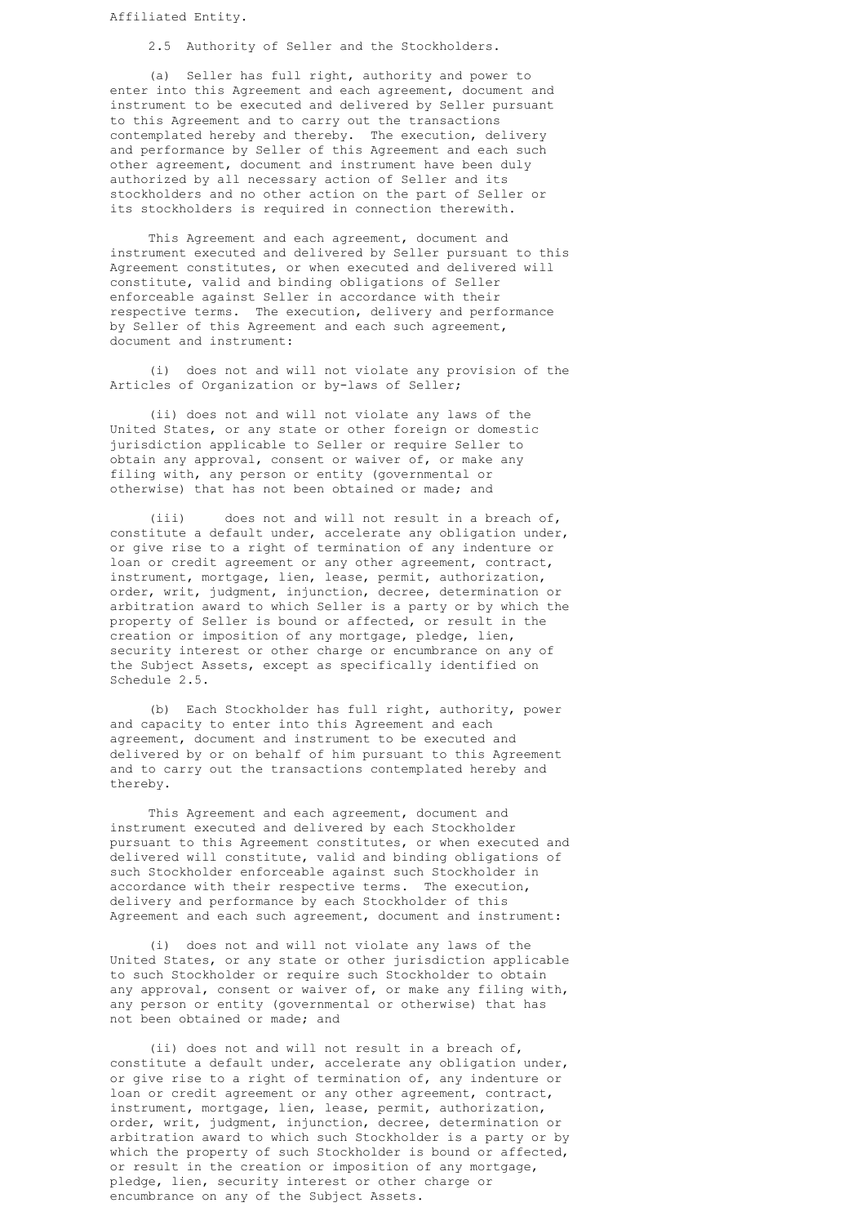Affiliated Entity.

2.5 Authority of Seller and the Stockholders.

 (a) Seller has full right, authority and power to enter into this Agreement and each agreement, document and instrument to be executed and delivered by Seller pursuant to this Agreement and to carry out the transactions contemplated hereby and thereby. The execution, delivery and performance by Seller of this Agreement and each such other agreement, document and instrument have been duly authorized by all necessary action of Seller and its stockholders and no other action on the part of Seller or its stockholders is required in connection therewith.

 This Agreement and each agreement, document and instrument executed and delivered by Seller pursuant to this Agreement constitutes, or when executed and delivered will constitute, valid and binding obligations of Seller enforceable against Seller in accordance with their respective terms. The execution, delivery and performance by Seller of this Agreement and each such agreement, document and instrument:

 (i) does not and will not violate any provision of the Articles of Organization or by-laws of Seller;

 (ii) does not and will not violate any laws of the United States, or any state or other foreign or domestic jurisdiction applicable to Seller or require Seller to obtain any approval, consent or waiver of, or make any filing with, any person or entity (governmental or otherwise) that has not been obtained or made; and

 (iii) does not and will not result in a breach of, constitute a default under, accelerate any obligation under, or give rise to a right of termination of any indenture or loan or credit agreement or any other agreement, contract, instrument, mortgage, lien, lease, permit, authorization, order, writ, judgment, injunction, decree, determination or arbitration award to which Seller is a party or by which the property of Seller is bound or affected, or result in the creation or imposition of any mortgage, pledge, lien, security interest or other charge or encumbrance on any of the Subject Assets, except as specifically identified on Schedule 2.5.

 (b) Each Stockholder has full right, authority, power and capacity to enter into this Agreement and each agreement, document and instrument to be executed and delivered by or on behalf of him pursuant to this Agreement and to carry out the transactions contemplated hereby and thereby.

 This Agreement and each agreement, document and instrument executed and delivered by each Stockholder pursuant to this Agreement constitutes, or when executed and delivered will constitute, valid and binding obligations of such Stockholder enforceable against such Stockholder in accordance with their respective terms. The execution, delivery and performance by each Stockholder of this Agreement and each such agreement, document and instrument:

 (i) does not and will not violate any laws of the United States, or any state or other jurisdiction applicable to such Stockholder or require such Stockholder to obtain any approval, consent or waiver of, or make any filing with, any person or entity (governmental or otherwise) that has not been obtained or made; and

 (ii) does not and will not result in a breach of, constitute a default under, accelerate any obligation under, or give rise to a right of termination of, any indenture or loan or credit agreement or any other agreement, contract, instrument, mortgage, lien, lease, permit, authorization, order, writ, judgment, injunction, decree, determination or arbitration award to which such Stockholder is a party or by which the property of such Stockholder is bound or affected, or result in the creation or imposition of any mortgage, pledge, lien, security interest or other charge or encumbrance on any of the Subject Assets.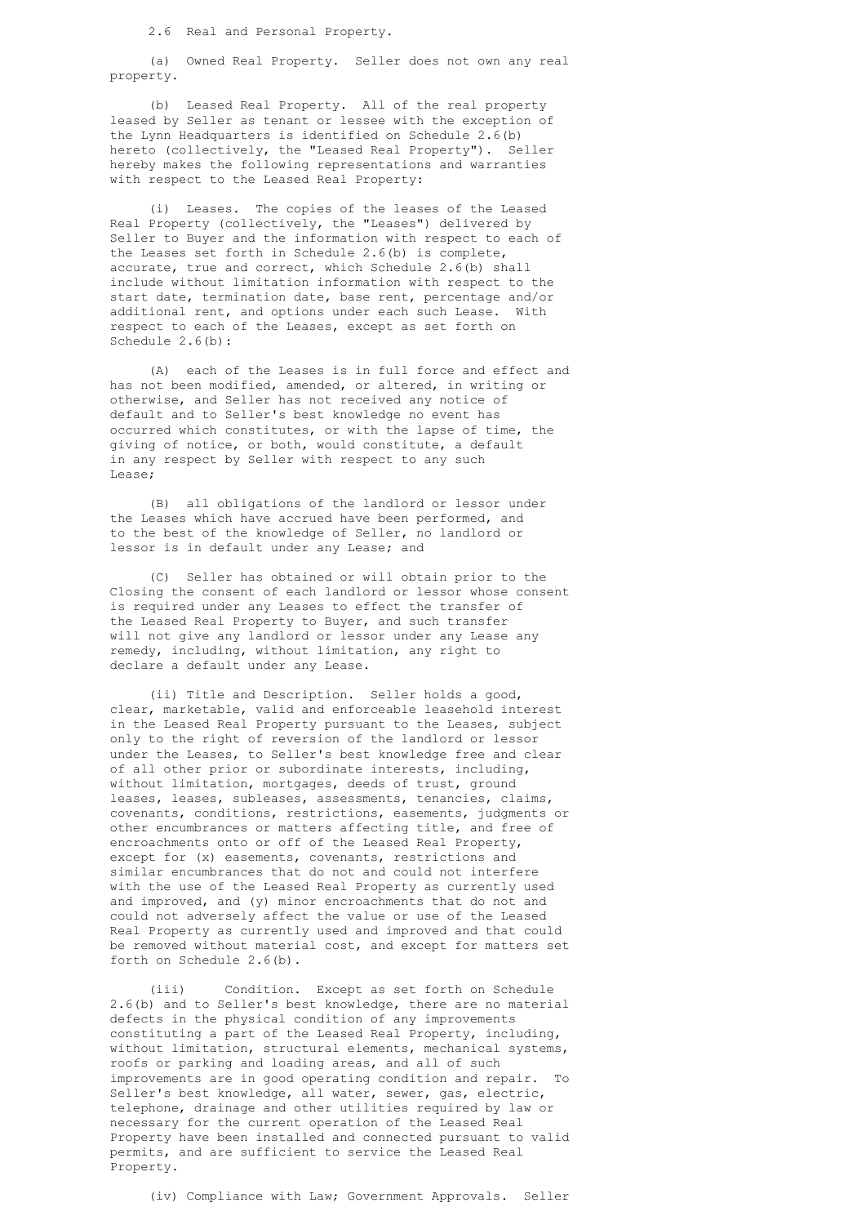2.6 Real and Personal Property.

 (a) Owned Real Property. Seller does not own any real property.

 (b) Leased Real Property. All of the real property leased by Seller as tenant or lessee with the exception of the Lynn Headquarters is identified on Schedule 2.6(b) hereto (collectively, the "Leased Real Property"). Seller hereby makes the following representations and warranties with respect to the Leased Real Property:

 (i) Leases. The copies of the leases of the Leased Real Property (collectively, the "Leases") delivered by Seller to Buyer and the information with respect to each of the Leases set forth in Schedule 2.6(b) is complete, accurate, true and correct, which Schedule 2.6(b) shall include without limitation information with respect to the start date, termination date, base rent, percentage and/or additional rent, and options under each such Lease. With respect to each of the Leases, except as set forth on Schedule 2.6(b):

 (A) each of the Leases is in full force and effect and has not been modified, amended, or altered, in writing or otherwise, and Seller has not received any notice of default and to Seller's best knowledge no event has occurred which constitutes, or with the lapse of time, the giving of notice, or both, would constitute, a default in any respect by Seller with respect to any such Lease;

 (B) all obligations of the landlord or lessor under the Leases which have accrued have been performed, and to the best of the knowledge of Seller, no landlord or lessor is in default under any Lease; and

 (C) Seller has obtained or will obtain prior to the Closing the consent of each landlord or lessor whose consent is required under any Leases to effect the transfer of the Leased Real Property to Buyer, and such transfer will not give any landlord or lessor under any Lease any remedy, including, without limitation, any right to declare a default under any Lease.

 (ii) Title and Description. Seller holds a good, clear, marketable, valid and enforceable leasehold interest in the Leased Real Property pursuant to the Leases, subject only to the right of reversion of the landlord or lessor under the Leases, to Seller's best knowledge free and clear of all other prior or subordinate interests, including, without limitation, mortgages, deeds of trust, ground leases, leases, subleases, assessments, tenancies, claims, covenants, conditions, restrictions, easements, judgments or other encumbrances or matters affecting title, and free of encroachments onto or off of the Leased Real Property, except for (x) easements, covenants, restrictions and similar encumbrances that do not and could not interfere with the use of the Leased Real Property as currently used and improved, and (y) minor encroachments that do not and could not adversely affect the value or use of the Leased Real Property as currently used and improved and that could be removed without material cost, and except for matters set forth on Schedule 2.6(b).

 (iii) Condition. Except as set forth on Schedule 2.6(b) and to Seller's best knowledge, there are no material defects in the physical condition of any improvements constituting a part of the Leased Real Property, including, without limitation, structural elements, mechanical systems, roofs or parking and loading areas, and all of such improvements are in good operating condition and repair. To Seller's best knowledge, all water, sewer, gas, electric, telephone, drainage and other utilities required by law or necessary for the current operation of the Leased Real Property have been installed and connected pursuant to valid permits, and are sufficient to service the Leased Real Property.

(iv) Compliance with Law; Government Approvals. Seller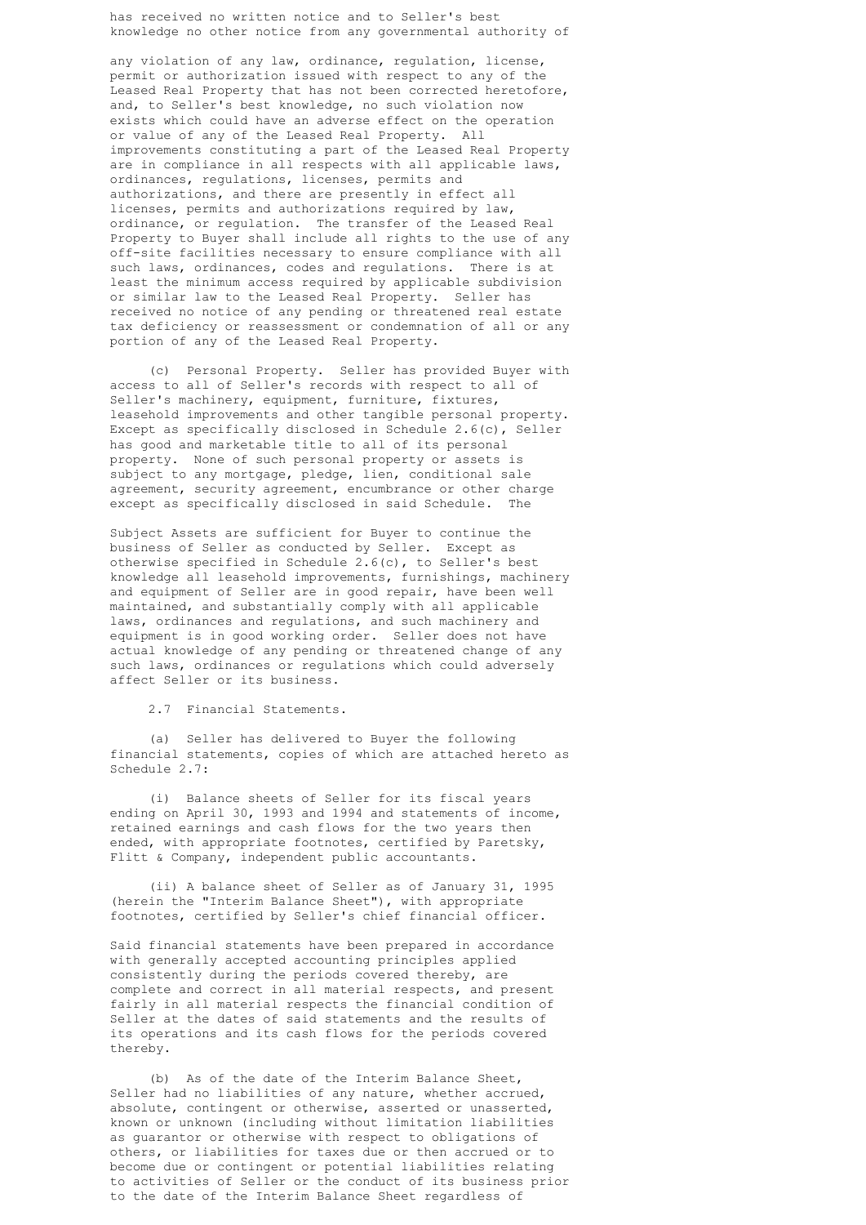has received no written notice and to Seller's best knowledge no other notice from any governmental authority of

 any violation of any law, ordinance, regulation, license, permit or authorization issued with respect to any of the Leased Real Property that has not been corrected heretofore, and, to Seller's best knowledge, no such violation now exists which could have an adverse effect on the operation or value of any of the Leased Real Property. All improvements constituting a part of the Leased Real Property are in compliance in all respects with all applicable laws, ordinances, regulations, licenses, permits and authorizations, and there are presently in effect all licenses, permits and authorizations required by law, ordinance, or regulation. The transfer of the Leased Real Property to Buyer shall include all rights to the use of any off-site facilities necessary to ensure compliance with all such laws, ordinances, codes and regulations. There is at least the minimum access required by applicable subdivision or similar law to the Leased Real Property. Seller has received no notice of any pending or threatened real estate tax deficiency or reassessment or condemnation of all or any portion of any of the Leased Real Property.

 (c) Personal Property. Seller has provided Buyer with access to all of Seller's records with respect to all of Seller's machinery, equipment, furniture, fixtures, leasehold improvements and other tangible personal property. Except as specifically disclosed in Schedule 2.6(c), Seller has good and marketable title to all of its personal property. None of such personal property or assets is subject to any mortgage, pledge, lien, conditional sale agreement, security agreement, encumbrance or other charge except as specifically disclosed in said Schedule. The

 Subject Assets are sufficient for Buyer to continue the business of Seller as conducted by Seller. Except as otherwise specified in Schedule 2.6(c), to Seller's best knowledge all leasehold improvements, furnishings, machinery and equipment of Seller are in good repair, have been well maintained, and substantially comply with all applicable laws, ordinances and regulations, and such machinery and equipment is in good working order. Seller does not have actual knowledge of any pending or threatened change of any such laws, ordinances or regulations which could adversely affect Seller or its business.

2.7 Financial Statements.

 (a) Seller has delivered to Buyer the following financial statements, copies of which are attached hereto as Schedule 2.7:

 (i) Balance sheets of Seller for its fiscal years ending on April 30, 1993 and 1994 and statements of income, retained earnings and cash flows for the two years then ended, with appropriate footnotes, certified by Paretsky, Flitt & Company, independent public accountants.

 (ii) A balance sheet of Seller as of January 31, 1995 (herein the "Interim Balance Sheet"), with appropriate footnotes, certified by Seller's chief financial officer.

 Said financial statements have been prepared in accordance with generally accepted accounting principles applied consistently during the periods covered thereby, are complete and correct in all material respects, and present fairly in all material respects the financial condition of Seller at the dates of said statements and the results of its operations and its cash flows for the periods covered thereby.

 (b) As of the date of the Interim Balance Sheet, Seller had no liabilities of any nature, whether accrued, absolute, contingent or otherwise, asserted or unasserted, known or unknown (including without limitation liabilities as guarantor or otherwise with respect to obligations of others, or liabilities for taxes due or then accrued or to become due or contingent or potential liabilities relating to activities of Seller or the conduct of its business prior to the date of the Interim Balance Sheet regardless of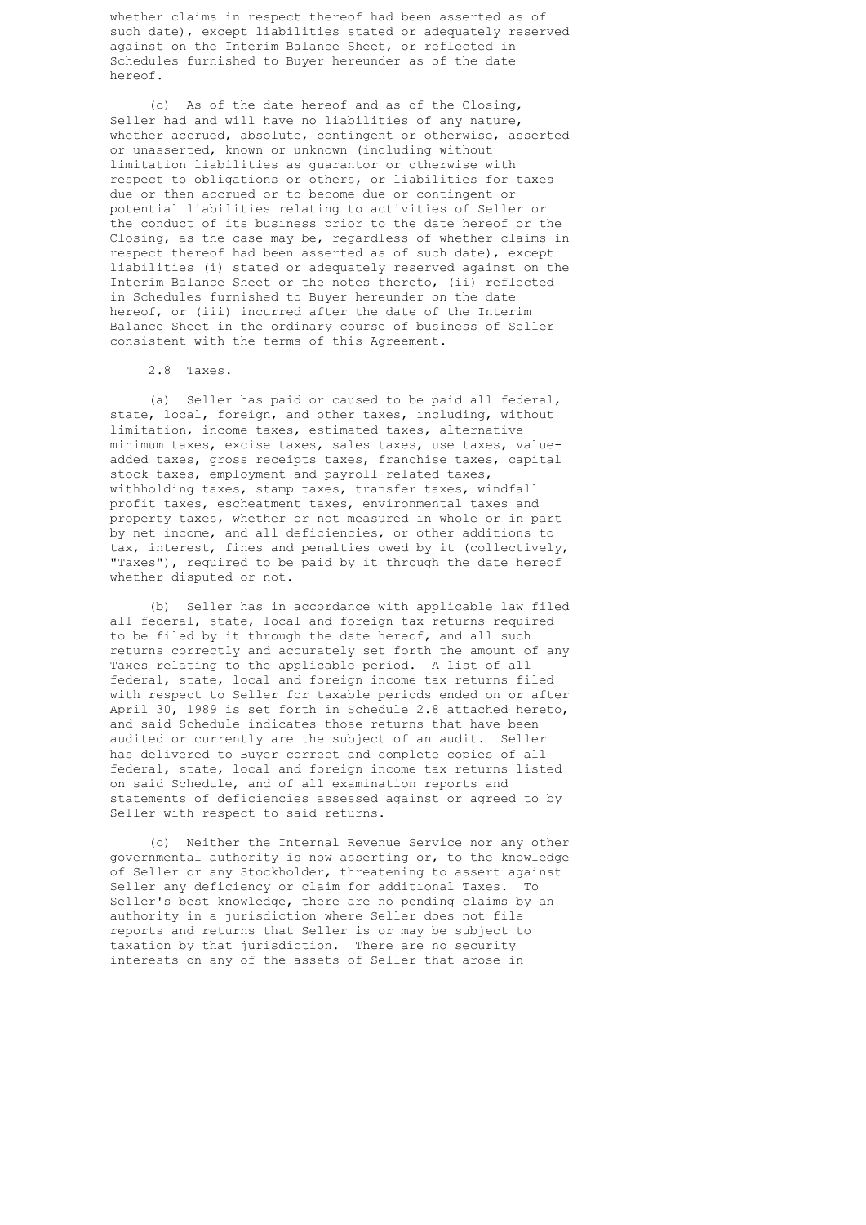whether claims in respect thereof had been asserted as of such date), except liabilities stated or adequately reserved against on the Interim Balance Sheet, or reflected in Schedules furnished to Buyer hereunder as of the date hereof.

 (c) As of the date hereof and as of the Closing, Seller had and will have no liabilities of any nature, whether accrued, absolute, contingent or otherwise, asserted or unasserted, known or unknown (including without limitation liabilities as guarantor or otherwise with respect to obligations or others, or liabilities for taxes due or then accrued or to become due or contingent or potential liabilities relating to activities of Seller or the conduct of its business prior to the date hereof or the Closing, as the case may be, regardless of whether claims in respect thereof had been asserted as of such date), except liabilities (i) stated or adequately reserved against on the Interim Balance Sheet or the notes thereto, (ii) reflected in Schedules furnished to Buyer hereunder on the date hereof, or (iii) incurred after the date of the Interim Balance Sheet in the ordinary course of business of Seller consistent with the terms of this Agreement.

2.8 Taxes.

 (a) Seller has paid or caused to be paid all federal, state, local, foreign, and other taxes, including, without limitation, income taxes, estimated taxes, alternative minimum taxes, excise taxes, sales taxes, use taxes, value added taxes, gross receipts taxes, franchise taxes, capital stock taxes, employment and payroll-related taxes, withholding taxes, stamp taxes, transfer taxes, windfall profit taxes, escheatment taxes, environmental taxes and property taxes, whether or not measured in whole or in part by net income, and all deficiencies, or other additions to tax, interest, fines and penalties owed by it (collectively, "Taxes"), required to be paid by it through the date hereof whether disputed or not.

 (b) Seller has in accordance with applicable law filed all federal, state, local and foreign tax returns required to be filed by it through the date hereof, and all such returns correctly and accurately set forth the amount of any Taxes relating to the applicable period. A list of all federal, state, local and foreign income tax returns filed with respect to Seller for taxable periods ended on or after April 30, 1989 is set forth in Schedule 2.8 attached hereto, and said Schedule indicates those returns that have been audited or currently are the subject of an audit. Seller has delivered to Buyer correct and complete copies of all federal, state, local and foreign income tax returns listed on said Schedule, and of all examination reports and statements of deficiencies assessed against or agreed to by Seller with respect to said returns.

 (c) Neither the Internal Revenue Service nor any other governmental authority is now asserting or, to the knowledge of Seller or any Stockholder, threatening to assert against Seller any deficiency or claim for additional Taxes. To Seller's best knowledge, there are no pending claims by an authority in a jurisdiction where Seller does not file reports and returns that Seller is or may be subject to taxation by that jurisdiction. There are no security interests on any of the assets of Seller that arose in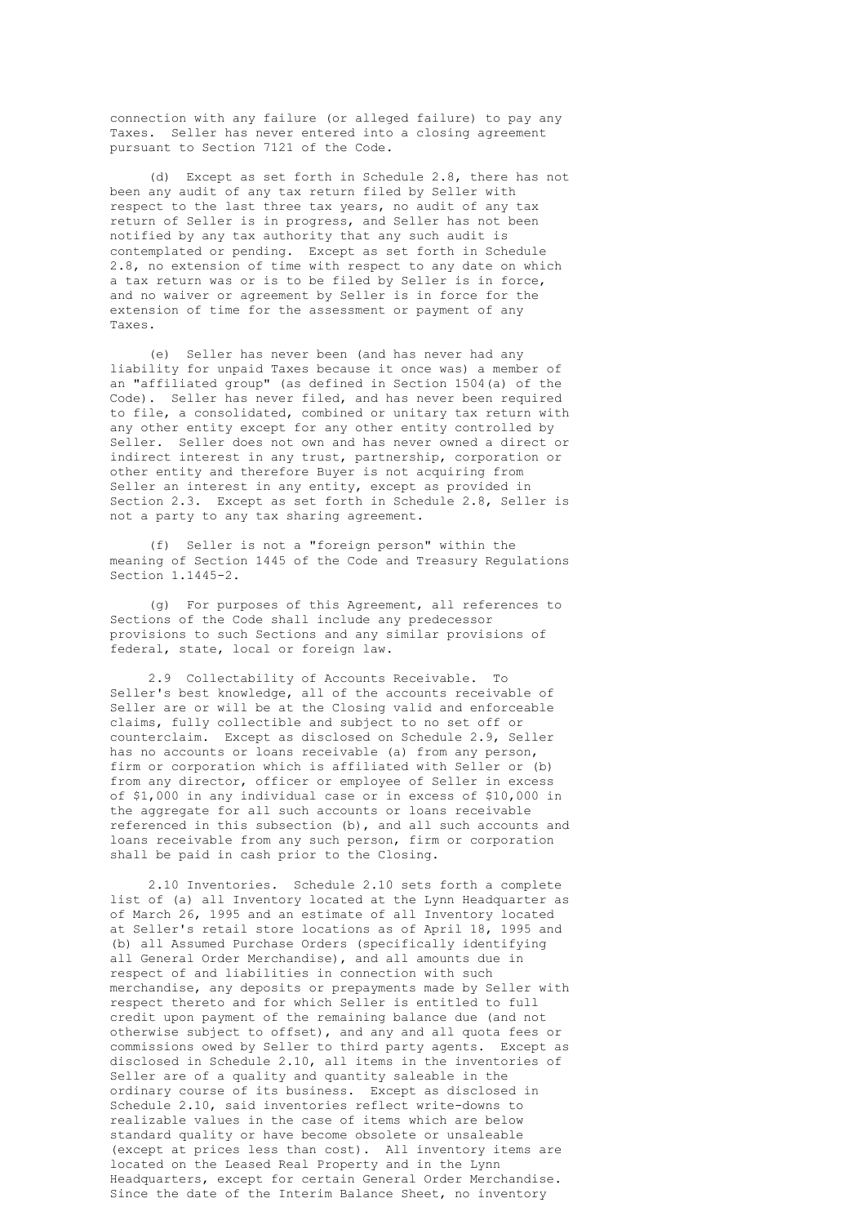connection with any failure (or alleged failure) to pay any Taxes. Seller has never entered into a closing agreement pursuant to Section 7121 of the Code.

 (d) Except as set forth in Schedule 2.8, there has not been any audit of any tax return filed by Seller with respect to the last three tax years, no audit of any tax return of Seller is in progress, and Seller has not been notified by any tax authority that any such audit is contemplated or pending. Except as set forth in Schedule 2.8, no extension of time with respect to any date on which a tax return was or is to be filed by Seller is in force, and no waiver or agreement by Seller is in force for the extension of time for the assessment or payment of any Taxes.

 (e) Seller has never been (and has never had any liability for unpaid Taxes because it once was) a member of an "affiliated group" (as defined in Section 1504(a) of the Code). Seller has never filed, and has never been required to file, a consolidated, combined or unitary tax return with any other entity except for any other entity controlled by Seller. Seller does not own and has never owned a direct or indirect interest in any trust, partnership, corporation or other entity and therefore Buyer is not acquiring from Seller an interest in any entity, except as provided in Section 2.3. Except as set forth in Schedule 2.8, Seller is not a party to any tax sharing agreement.

 (f) Seller is not a "foreign person" within the meaning of Section 1445 of the Code and Treasury Regulations Section 1.1445-2.

 (g) For purposes of this Agreement, all references to Sections of the Code shall include any predecessor provisions to such Sections and any similar provisions of federal, state, local or foreign law.

 2.9 Collectability of Accounts Receivable. To Seller's best knowledge, all of the accounts receivable of Seller are or will be at the Closing valid and enforceable claims, fully collectible and subject to no set off or counterclaim. Except as disclosed on Schedule 2.9, Seller has no accounts or loans receivable (a) from any person, firm or corporation which is affiliated with Seller or (b) from any director, officer or employee of Seller in excess of \$1,000 in any individual case or in excess of \$10,000 in the aggregate for all such accounts or loans receivable referenced in this subsection (b), and all such accounts and loans receivable from any such person, firm or corporation shall be paid in cash prior to the Closing.

 2.10 Inventories. Schedule 2.10 sets forth a complete list of (a) all Inventory located at the Lynn Headquarter as of March 26, 1995 and an estimate of all Inventory located at Seller's retail store locations as of April 18, 1995 and (b) all Assumed Purchase Orders (specifically identifying all General Order Merchandise), and all amounts due in respect of and liabilities in connection with such merchandise, any deposits or prepayments made by Seller with respect thereto and for which Seller is entitled to full credit upon payment of the remaining balance due (and not otherwise subject to offset), and any and all quota fees or commissions owed by Seller to third party agents. Except as disclosed in Schedule 2.10, all items in the inventories of Seller are of a quality and quantity saleable in the ordinary course of its business. Except as disclosed in Schedule 2.10, said inventories reflect write-downs to realizable values in the case of items which are below standard quality or have become obsolete or unsaleable (except at prices less than cost). All inventory items are located on the Leased Real Property and in the Lynn Headquarters, except for certain General Order Merchandise. Since the date of the Interim Balance Sheet, no inventory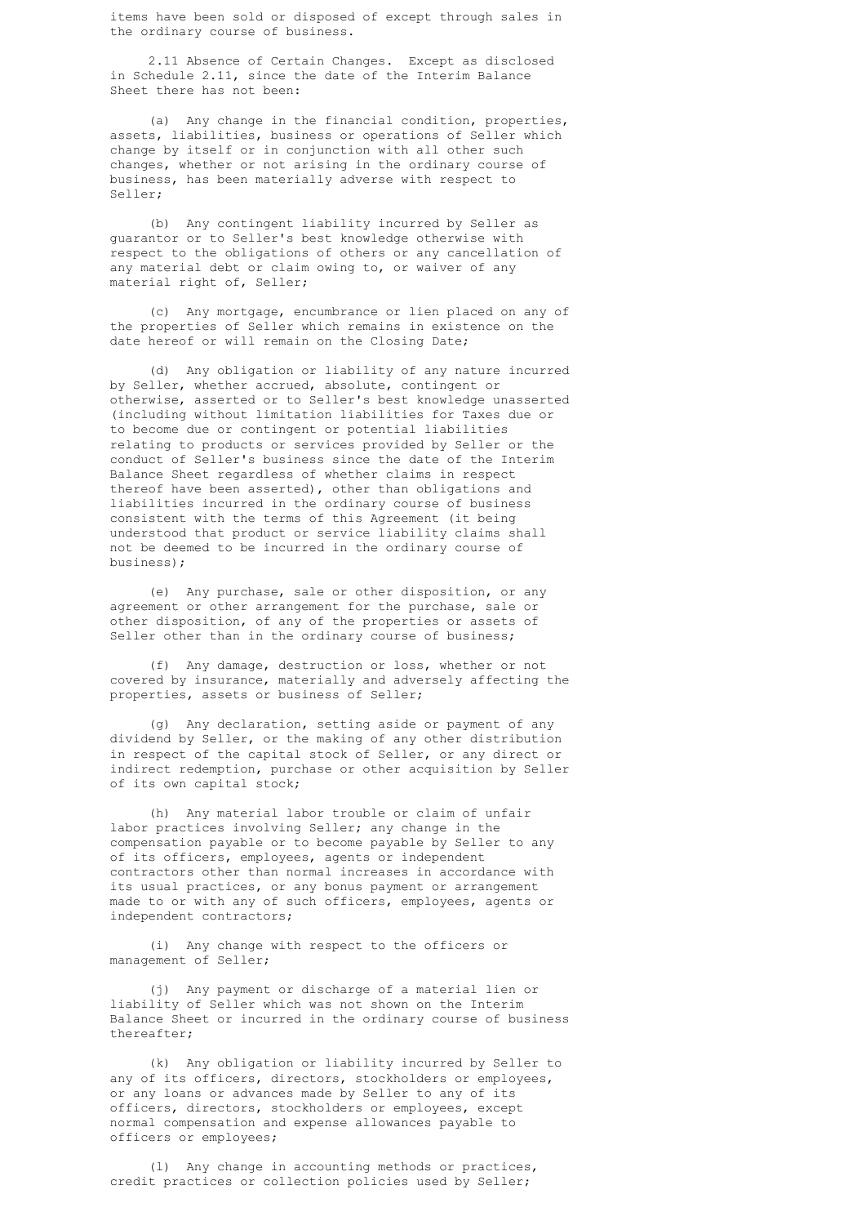items have been sold or disposed of except through sales in the ordinary course of business.

 2.11 Absence of Certain Changes. Except as disclosed in Schedule 2.11, since the date of the Interim Balance Sheet there has not been:

 (a) Any change in the financial condition, properties, assets, liabilities, business or operations of Seller which change by itself or in conjunction with all other such changes, whether or not arising in the ordinary course of business, has been materially adverse with respect to Seller;

 (b) Any contingent liability incurred by Seller as guarantor or to Seller's best knowledge otherwise with respect to the obligations of others or any cancellation of any material debt or claim owing to, or waiver of any material right of, Seller;

 (c) Any mortgage, encumbrance or lien placed on any of the properties of Seller which remains in existence on the date hereof or will remain on the Closing Date;

 (d) Any obligation or liability of any nature incurred by Seller, whether accrued, absolute, contingent or otherwise, asserted or to Seller's best knowledge unasserted (including without limitation liabilities for Taxes due or to become due or contingent or potential liabilities relating to products or services provided by Seller or the conduct of Seller's business since the date of the Interim Balance Sheet regardless of whether claims in respect thereof have been asserted), other than obligations and liabilities incurred in the ordinary course of business consistent with the terms of this Agreement (it being understood that product or service liability claims shall not be deemed to be incurred in the ordinary course of business);

 (e) Any purchase, sale or other disposition, or any agreement or other arrangement for the purchase, sale or other disposition, of any of the properties or assets of Seller other than in the ordinary course of business;

 (f) Any damage, destruction or loss, whether or not covered by insurance, materially and adversely affecting the properties, assets or business of Seller;

 (g) Any declaration, setting aside or payment of any dividend by Seller, or the making of any other distribution in respect of the capital stock of Seller, or any direct or indirect redemption, purchase or other acquisition by Seller of its own capital stock;

 (h) Any material labor trouble or claim of unfair labor practices involving Seller; any change in the compensation payable or to become payable by Seller to any of its officers, employees, agents or independent contractors other than normal increases in accordance with its usual practices, or any bonus payment or arrangement made to or with any of such officers, employees, agents or independent contractors;

 (i) Any change with respect to the officers or management of Seller;

 (j) Any payment or discharge of a material lien or liability of Seller which was not shown on the Interim Balance Sheet or incurred in the ordinary course of business thereafter;

 (k) Any obligation or liability incurred by Seller to any of its officers, directors, stockholders or employees, or any loans or advances made by Seller to any of its officers, directors, stockholders or employees, except normal compensation and expense allowances payable to officers or employees;

 (l) Any change in accounting methods or practices, credit practices or collection policies used by Seller;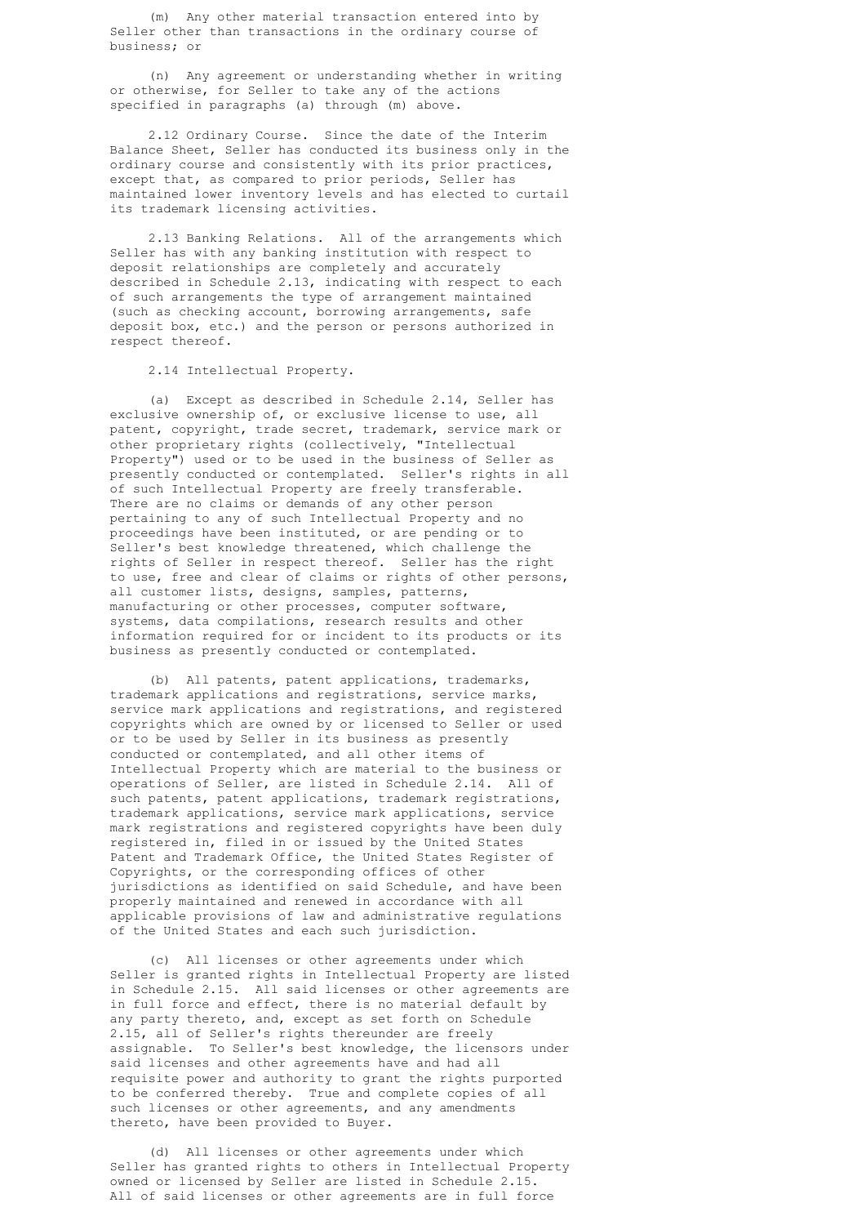(m) Any other material transaction entered into by Seller other than transactions in the ordinary course of business; or

 (n) Any agreement or understanding whether in writing or otherwise, for Seller to take any of the actions specified in paragraphs (a) through (m) above.

 2.12 Ordinary Course. Since the date of the Interim Balance Sheet, Seller has conducted its business only in the ordinary course and consistently with its prior practices, except that, as compared to prior periods, Seller has maintained lower inventory levels and has elected to curtail its trademark licensing activities.

 2.13 Banking Relations. All of the arrangements which Seller has with any banking institution with respect to deposit relationships are completely and accurately described in Schedule 2.13, indicating with respect to each of such arrangements the type of arrangement maintained (such as checking account, borrowing arrangements, safe deposit box, etc.) and the person or persons authorized in respect thereof.

2.14 Intellectual Property.

 (a) Except as described in Schedule 2.14, Seller has exclusive ownership of, or exclusive license to use, all patent, copyright, trade secret, trademark, service mark or other proprietary rights (collectively, "Intellectual Property") used or to be used in the business of Seller as presently conducted or contemplated. Seller's rights in all of such Intellectual Property are freely transferable. There are no claims or demands of any other person pertaining to any of such Intellectual Property and no proceedings have been instituted, or are pending or to Seller's best knowledge threatened, which challenge the rights of Seller in respect thereof. Seller has the right to use, free and clear of claims or rights of other persons, all customer lists, designs, samples, patterns, manufacturing or other processes, computer software, systems, data compilations, research results and other information required for or incident to its products or its business as presently conducted or contemplated.

 (b) All patents, patent applications, trademarks, trademark applications and registrations, service marks, service mark applications and registrations, and registered copyrights which are owned by or licensed to Seller or used or to be used by Seller in its business as presently conducted or contemplated, and all other items of Intellectual Property which are material to the business or operations of Seller, are listed in Schedule 2.14. All of such patents, patent applications, trademark registrations, trademark applications, service mark applications, service mark registrations and registered copyrights have been duly registered in, filed in or issued by the United States Patent and Trademark Office, the United States Register of Copyrights, or the corresponding offices of other jurisdictions as identified on said Schedule, and have been properly maintained and renewed in accordance with all applicable provisions of law and administrative regulations of the United States and each such jurisdiction.

 (c) All licenses or other agreements under which Seller is granted rights in Intellectual Property are listed in Schedule 2.15. All said licenses or other agreements are in full force and effect, there is no material default by any party thereto, and, except as set forth on Schedule 2.15, all of Seller's rights thereunder are freely assignable. To Seller's best knowledge, the licensors under said licenses and other agreements have and had all requisite power and authority to grant the rights purported to be conferred thereby. True and complete copies of all such licenses or other agreements, and any amendments thereto, have been provided to Buyer.

 (d) All licenses or other agreements under which Seller has granted rights to others in Intellectual Property owned or licensed by Seller are listed in Schedule 2.15. All of said licenses or other agreements are in full force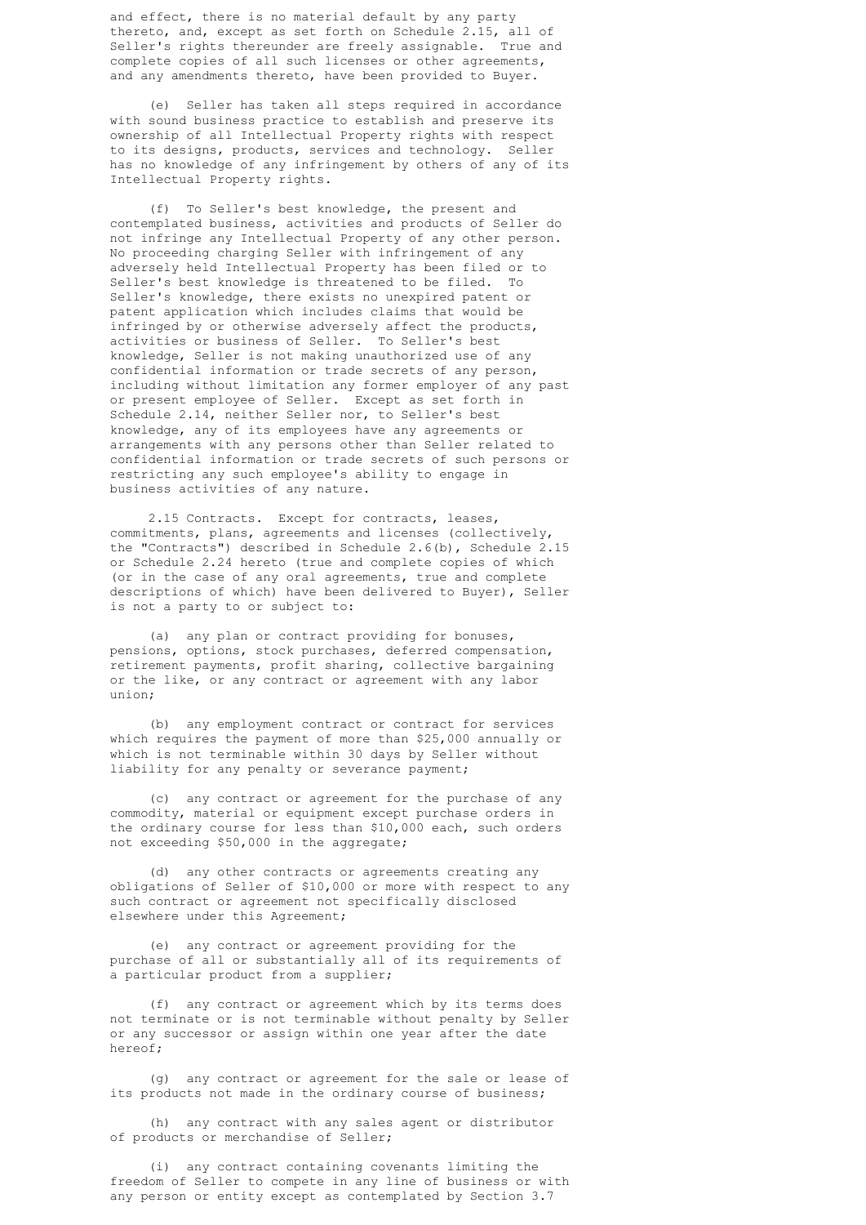and effect, there is no material default by any party thereto, and, except as set forth on Schedule 2.15, all of Seller's rights thereunder are freely assignable. True and complete copies of all such licenses or other agreements, and any amendments thereto, have been provided to Buyer.

 (e) Seller has taken all steps required in accordance with sound business practice to establish and preserve its ownership of all Intellectual Property rights with respect to its designs, products, services and technology. Seller has no knowledge of any infringement by others of any of its Intellectual Property rights.

 (f) To Seller's best knowledge, the present and contemplated business, activities and products of Seller do not infringe any Intellectual Property of any other person. No proceeding charging Seller with infringement of any adversely held Intellectual Property has been filed or to Seller's best knowledge is threatened to be filed. To Seller's knowledge, there exists no unexpired patent or patent application which includes claims that would be infringed by or otherwise adversely affect the products, activities or business of Seller. To Seller's best knowledge, Seller is not making unauthorized use of any confidential information or trade secrets of any person, including without limitation any former employer of any past or present employee of Seller. Except as set forth in Schedule 2.14, neither Seller nor, to Seller's best knowledge, any of its employees have any agreements or arrangements with any persons other than Seller related to confidential information or trade secrets of such persons or restricting any such employee's ability to engage in business activities of any nature.

> 2.15 Contracts. Except for contracts, leases, commitments, plans, agreements and licenses (collectively, the "Contracts") described in Schedule 2.6(b), Schedule 2.15 or Schedule 2.24 hereto (true and complete copies of which (or in the case of any oral agreements, true and complete descriptions of which) have been delivered to Buyer), Seller is not a party to or subject to:

 (a) any plan or contract providing for bonuses, pensions, options, stock purchases, deferred compensation, retirement payments, profit sharing, collective bargaining or the like, or any contract or agreement with any labor union;

 (b) any employment contract or contract for services which requires the payment of more than \$25,000 annually or which is not terminable within 30 days by Seller without liability for any penalty or severance payment;

 (c) any contract or agreement for the purchase of any commodity, material or equipment except purchase orders in the ordinary course for less than \$10,000 each, such orders not exceeding \$50,000 in the aggregate;

 (d) any other contracts or agreements creating any obligations of Seller of \$10,000 or more with respect to any such contract or agreement not specifically disclosed elsewhere under this Agreement;

 (e) any contract or agreement providing for the purchase of all or substantially all of its requirements of a particular product from a supplier;

 (f) any contract or agreement which by its terms does not terminate or is not terminable without penalty by Seller or any successor or assign within one year after the date hereof;

 (g) any contract or agreement for the sale or lease of its products not made in the ordinary course of business;

 (h) any contract with any sales agent or distributor of products or merchandise of Seller;

 (i) any contract containing covenants limiting the freedom of Seller to compete in any line of business or with any person or entity except as contemplated by Section 3.7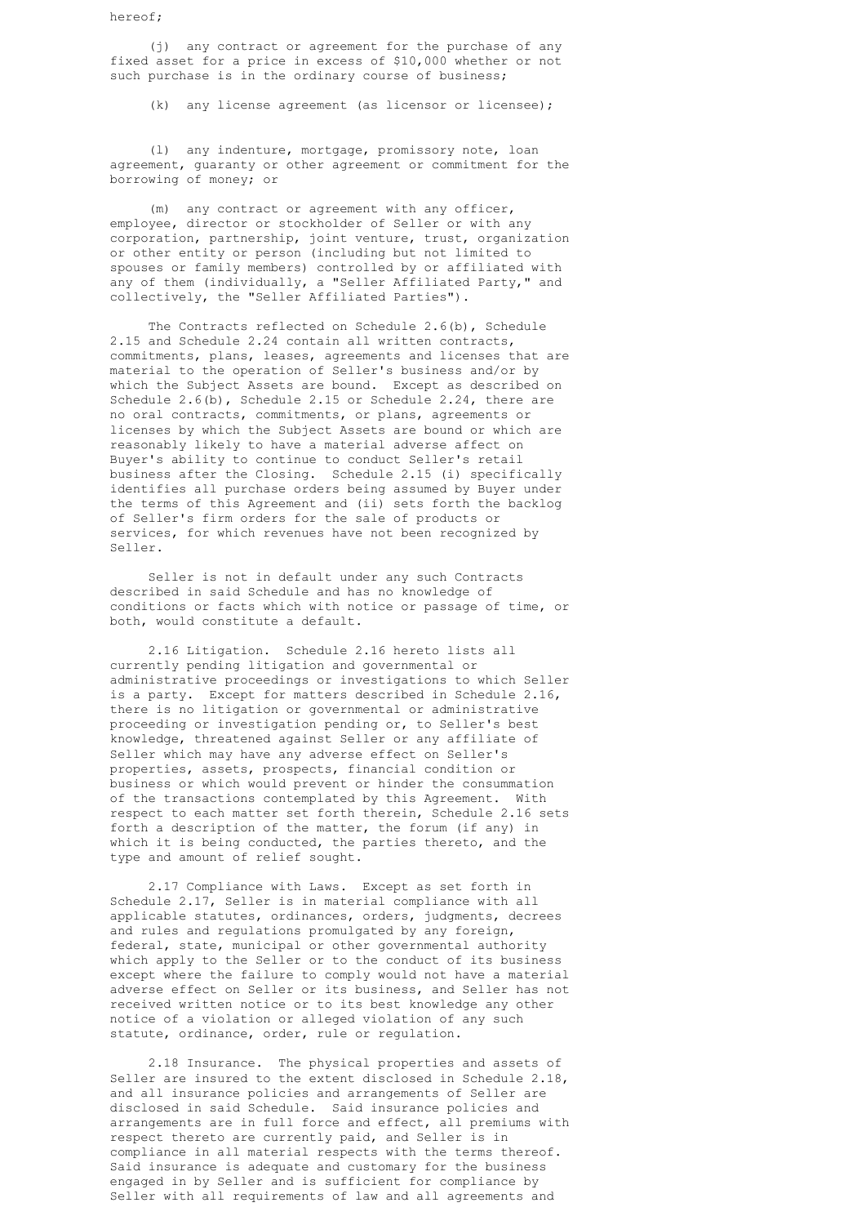hereof;

 (j) any contract or agreement for the purchase of any fixed asset for a price in excess of \$10,000 whether or not such purchase is in the ordinary course of business;

(k) any license agreement (as licensor or licensee);

 (l) any indenture, mortgage, promissory note, loan agreement, guaranty or other agreement or commitment for the borrowing of money; or

 (m) any contract or agreement with any officer, employee, director or stockholder of Seller or with any corporation, partnership, joint venture, trust, organization or other entity or person (including but not limited to spouses or family members) controlled by or affiliated with any of them (individually, a "Seller Affiliated Party," and collectively, the "Seller Affiliated Parties").

> The Contracts reflected on Schedule 2.6(b), Schedule 2.15 and Schedule 2.24 contain all written contracts, commitments, plans, leases, agreements and licenses that are material to the operation of Seller's business and/or by which the Subject Assets are bound. Except as described on Schedule 2.6(b), Schedule 2.15 or Schedule 2.24, there are no oral contracts, commitments, or plans, agreements or licenses by which the Subject Assets are bound or which are reasonably likely to have a material adverse affect on Buyer's ability to continue to conduct Seller's retail business after the Closing. Schedule 2.15 (i) specifically identifies all purchase orders being assumed by Buyer under the terms of this Agreement and (ii) sets forth the backlog of Seller's firm orders for the sale of products or services, for which revenues have not been recognized by Seller.

> Seller is not in default under any such Contracts described in said Schedule and has no knowledge of conditions or facts which with notice or passage of time, or both, would constitute a default.

> 2.16 Litigation. Schedule 2.16 hereto lists all currently pending litigation and governmental or administrative proceedings or investigations to which Seller is a party. Except for matters described in Schedule 2.16, there is no litigation or governmental or administrative proceeding or investigation pending or, to Seller's best knowledge, threatened against Seller or any affiliate of Seller which may have any adverse effect on Seller's properties, assets, prospects, financial condition or business or which would prevent or hinder the consummation of the transactions contemplated by this Agreement. With respect to each matter set forth therein, Schedule 2.16 sets forth a description of the matter, the forum (if any) in which it is being conducted, the parties thereto, and the type and amount of relief sought.

> 2.17 Compliance with Laws. Except as set forth in Schedule 2.17, Seller is in material compliance with all applicable statutes, ordinances, orders, judgments, decrees and rules and regulations promulgated by any foreign, federal, state, municipal or other governmental authority which apply to the Seller or to the conduct of its business except where the failure to comply would not have a material adverse effect on Seller or its business, and Seller has not received written notice or to its best knowledge any other notice of a violation or alleged violation of any such statute, ordinance, order, rule or regulation.

> 2.18 Insurance. The physical properties and assets of Seller are insured to the extent disclosed in Schedule 2.18, and all insurance policies and arrangements of Seller are disclosed in said Schedule. Said insurance policies and arrangements are in full force and effect, all premiums with respect thereto are currently paid, and Seller is in compliance in all material respects with the terms thereof. Said insurance is adequate and customary for the business engaged in by Seller and is sufficient for compliance by Seller with all requirements of law and all agreements and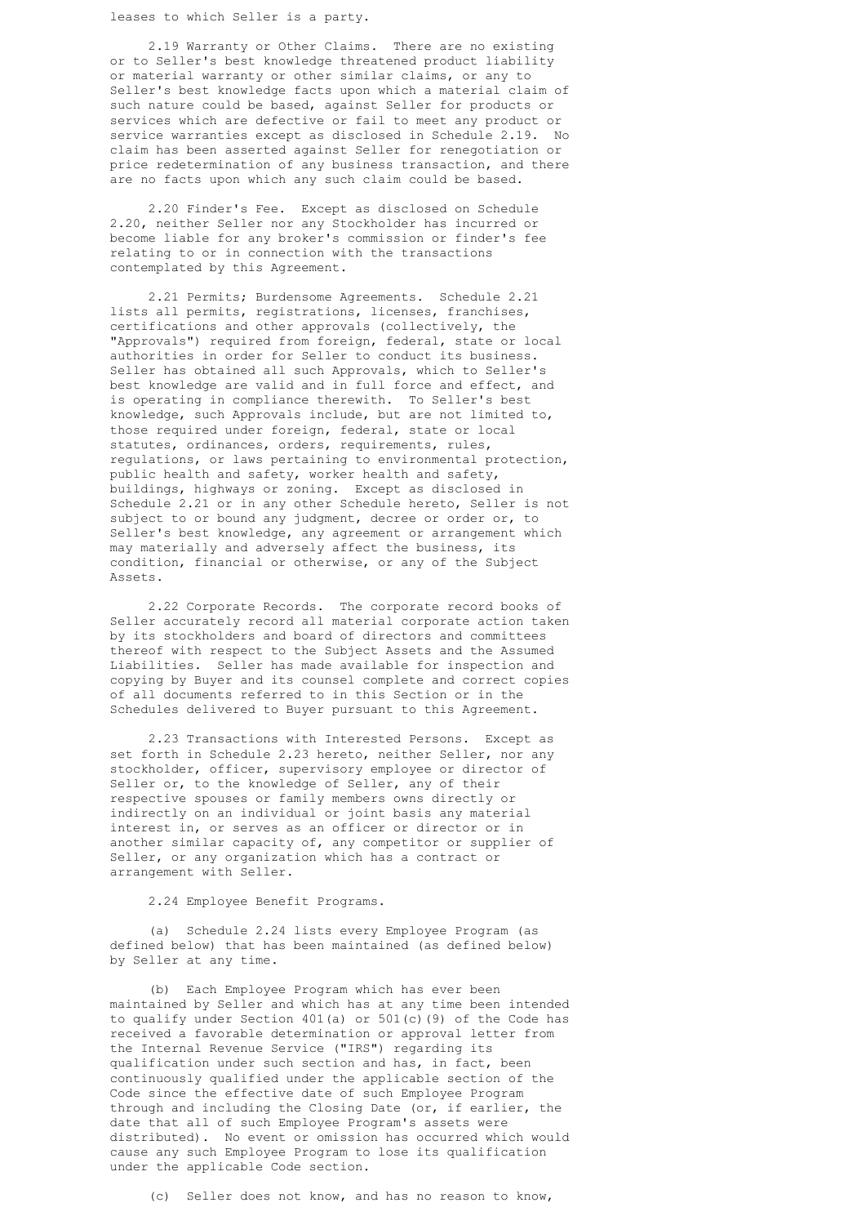leases to which Seller is a party.

 2.19 Warranty or Other Claims. There are no existing or to Seller's best knowledge threatened product liability or material warranty or other similar claims, or any to Seller's best knowledge facts upon which a material claim of such nature could be based, against Seller for products or services which are defective or fail to meet any product or service warranties except as disclosed in Schedule 2.19. No claim has been asserted against Seller for renegotiation or price redetermination of any business transaction, and there are no facts upon which any such claim could be based.

 2.20 Finder's Fee. Except as disclosed on Schedule 2.20, neither Seller nor any Stockholder has incurred or become liable for any broker's commission or finder's fee relating to or in connection with the transactions contemplated by this Agreement.

 2.21 Permits; Burdensome Agreements. Schedule 2.21 lists all permits, registrations, licenses, franchises, certifications and other approvals (collectively, the "Approvals") required from foreign, federal, state or local authorities in order for Seller to conduct its business. Seller has obtained all such Approvals, which to Seller's best knowledge are valid and in full force and effect, and is operating in compliance therewith. To Seller's best knowledge, such Approvals include, but are not limited to, those required under foreign, federal, state or local statutes, ordinances, orders, requirements, rules, regulations, or laws pertaining to environmental protection, public health and safety, worker health and safety, buildings, highways or zoning. Except as disclosed in Schedule 2.21 or in any other Schedule hereto, Seller is not subject to or bound any judgment, decree or order or, to Seller's best knowledge, any agreement or arrangement which may materially and adversely affect the business, its condition, financial or otherwise, or any of the Subject Assets.

> 2.22 Corporate Records. The corporate record books of Seller accurately record all material corporate action taken by its stockholders and board of directors and committees thereof with respect to the Subject Assets and the Assumed Liabilities. Seller has made available for inspection and copying by Buyer and its counsel complete and correct copies of all documents referred to in this Section or in the Schedules delivered to Buyer pursuant to this Agreement.

 2.23 Transactions with Interested Persons. Except as set forth in Schedule 2.23 hereto, neither Seller, nor any stockholder, officer, supervisory employee or director of Seller or, to the knowledge of Seller, any of their respective spouses or family members owns directly or indirectly on an individual or joint basis any material interest in, or serves as an officer or director or in another similar capacity of, any competitor or supplier of Seller, or any organization which has a contract or arrangement with Seller.

2.24 Employee Benefit Programs.

 (a) Schedule 2.24 lists every Employee Program (as defined below) that has been maintained (as defined below) by Seller at any time.

 (b) Each Employee Program which has ever been maintained by Seller and which has at any time been intended to qualify under Section 401(a) or 501(c)(9) of the Code has received a favorable determination or approval letter from the Internal Revenue Service ("IRS") regarding its qualification under such section and has, in fact, been continuously qualified under the applicable section of the Code since the effective date of such Employee Program through and including the Closing Date (or, if earlier, the date that all of such Employee Program's assets were distributed). No event or omission has occurred which would cause any such Employee Program to lose its qualification under the applicable Code section.

(c) Seller does not know, and has no reason to know,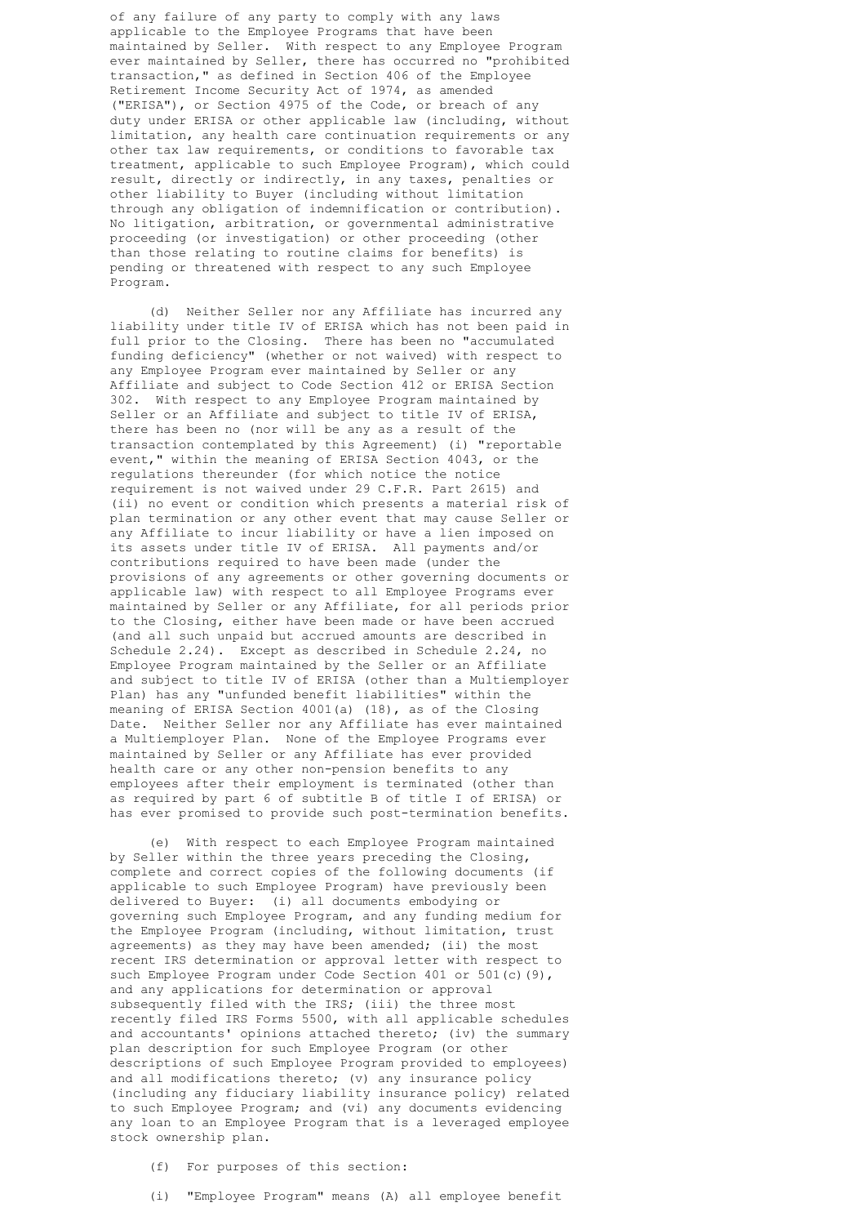of any failure of any party to comply with any laws applicable to the Employee Programs that have been maintained by Seller. With respect to any Employee Program ever maintained by Seller, there has occurred no "prohibited transaction," as defined in Section 406 of the Employee Retirement Income Security Act of 1974, as amended ("ERISA"), or Section 4975 of the Code, or breach of any duty under ERISA or other applicable law (including, without limitation, any health care continuation requirements or any other tax law requirements, or conditions to favorable tax treatment, applicable to such Employee Program), which could result, directly or indirectly, in any taxes, penalties or other liability to Buyer (including without limitation through any obligation of indemnification or contribution). No litigation, arbitration, or governmental administrative proceeding (or investigation) or other proceeding (other than those relating to routine claims for benefits) is pending or threatened with respect to any such Employee Program.

 (d) Neither Seller nor any Affiliate has incurred any liability under title IV of ERISA which has not been paid in full prior to the Closing. There has been no "accumulated funding deficiency" (whether or not waived) with respect to any Employee Program ever maintained by Seller or any Affiliate and subject to Code Section 412 or ERISA Section 302. With respect to any Employee Program maintained by Seller or an Affiliate and subject to title IV of ERISA, there has been no (nor will be any as a result of the transaction contemplated by this Agreement) (i) "reportable event," within the meaning of ERISA Section 4043, or the regulations thereunder (for which notice the notice requirement is not waived under 29 C.F.R. Part 2615) and (ii) no event or condition which presents a material risk of plan termination or any other event that may cause Seller or any Affiliate to incur liability or have a lien imposed on its assets under title IV of ERISA. All payments and/or contributions required to have been made (under the provisions of any agreements or other governing documents or applicable law) with respect to all Employee Programs ever maintained by Seller or any Affiliate, for all periods prior to the Closing, either have been made or have been accrued (and all such unpaid but accrued amounts are described in Schedule 2.24). Except as described in Schedule 2.24, no Employee Program maintained by the Seller or an Affiliate and subject to title IV of ERISA (other than a Multiemployer Plan) has any "unfunded benefit liabilities" within the meaning of ERISA Section 4001(a) (18), as of the Closing Date. Neither Seller nor any Affiliate has ever maintained a Multiemployer Plan. None of the Employee Programs ever maintained by Seller or any Affiliate has ever provided health care or any other non-pension benefits to any employees after their employment is terminated (other than as required by part 6 of subtitle B of title I of ERISA) or has ever promised to provide such post-termination benefits.

 (e) With respect to each Employee Program maintained by Seller within the three years preceding the Closing, complete and correct copies of the following documents (if applicable to such Employee Program) have previously been delivered to Buyer: (i) all documents embodying or governing such Employee Program, and any funding medium for the Employee Program (including, without limitation, trust agreements) as they may have been amended; (ii) the most recent IRS determination or approval letter with respect to such Employee Program under Code Section 401 or 501(c)(9), and any applications for determination or approval subsequently filed with the IRS; (iii) the three most recently filed IRS Forms 5500, with all applicable schedules and accountants' opinions attached thereto; (iv) the summary plan description for such Employee Program (or other descriptions of such Employee Program provided to employees) and all modifications thereto; (v) any insurance policy (including any fiduciary liability insurance policy) related to such Employee Program; and (vi) any documents evidencing any loan to an Employee Program that is a leveraged employee stock ownership plan.

- (f) For purposes of this section:
- (i) "Employee Program" means (A) all employee benefit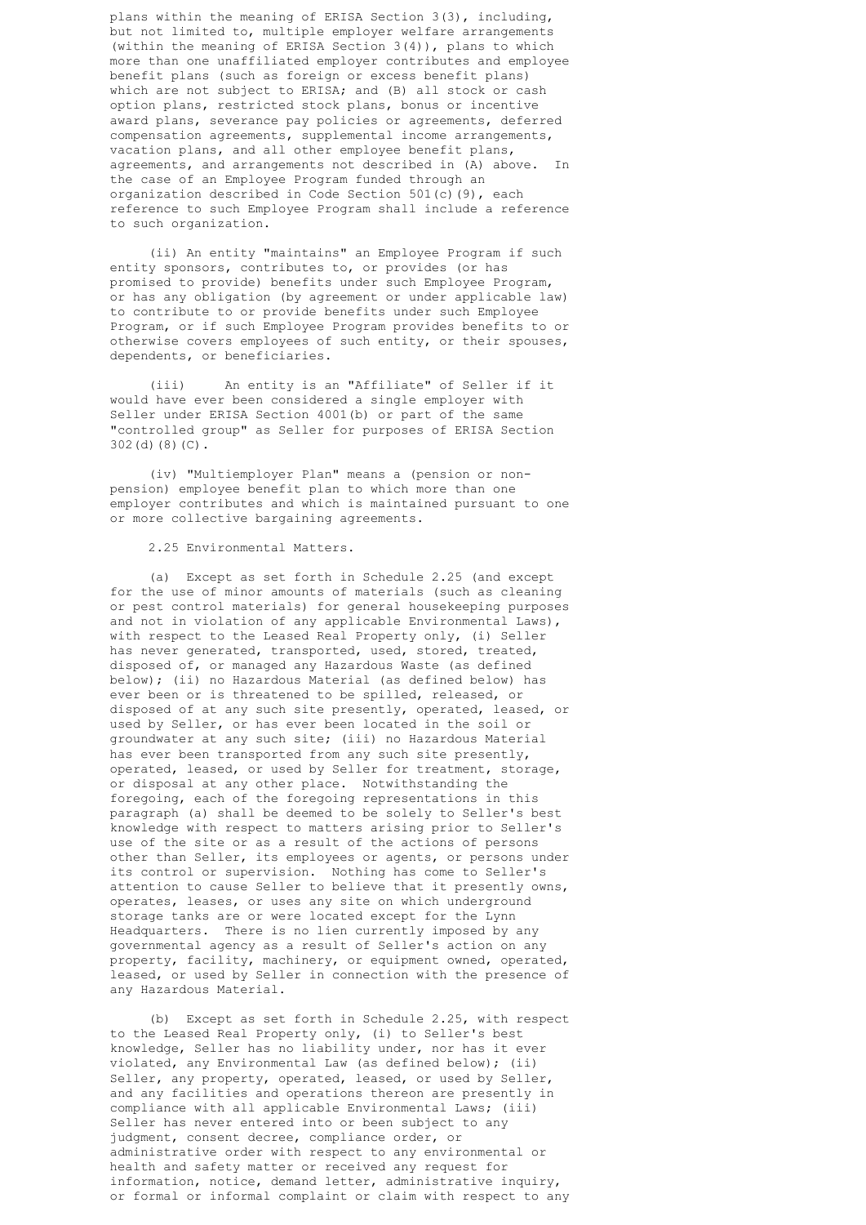plans within the meaning of ERISA Section 3(3), including, but not limited to, multiple employer welfare arrangements (within the meaning of ERISA Section 3(4)), plans to which more than one unaffiliated employer contributes and employee benefit plans (such as foreign or excess benefit plans) which are not subject to ERISA; and (B) all stock or cash option plans, restricted stock plans, bonus or incentive award plans, severance pay policies or agreements, deferred compensation agreements, supplemental income arrangements, vacation plans, and all other employee benefit plans, agreements, and arrangements not described in (A) above. In the case of an Employee Program funded through an organization described in Code Section 501(c)(9), each reference to such Employee Program shall include a reference to such organization.

 (ii) An entity "maintains" an Employee Program if such entity sponsors, contributes to, or provides (or has promised to provide) benefits under such Employee Program, or has any obligation (by agreement or under applicable law) to contribute to or provide benefits under such Employee Program, or if such Employee Program provides benefits to or otherwise covers employees of such entity, or their spouses, dependents, or beneficiaries.

 (iii) An entity is an "Affiliate" of Seller if it would have ever been considered a single employer with Seller under ERISA Section 4001(b) or part of the same "controlled group" as Seller for purposes of ERISA Section 302(d)(8)(C).

 (iv) "Multiemployer Plan" means a (pension or non pension) employee benefit plan to which more than one employer contributes and which is maintained pursuant to one or more collective bargaining agreements.

## 2.25 Environmental Matters.

 (a) Except as set forth in Schedule 2.25 (and except for the use of minor amounts of materials (such as cleaning or pest control materials) for general housekeeping purposes and not in violation of any applicable Environmental Laws), with respect to the Leased Real Property only, (i) Seller has never generated, transported, used, stored, treated, disposed of, or managed any Hazardous Waste (as defined below); (ii) no Hazardous Material (as defined below) has ever been or is threatened to be spilled, released, or disposed of at any such site presently, operated, leased, or used by Seller, or has ever been located in the soil or groundwater at any such site; (iii) no Hazardous Material has ever been transported from any such site presently, operated, leased, or used by Seller for treatment, storage, or disposal at any other place. Notwithstanding the foregoing, each of the foregoing representations in this paragraph (a) shall be deemed to be solely to Seller's best knowledge with respect to matters arising prior to Seller's use of the site or as a result of the actions of persons other than Seller, its employees or agents, or persons under its control or supervision. Nothing has come to Seller's attention to cause Seller to believe that it presently owns, operates, leases, or uses any site on which underground storage tanks are or were located except for the Lynn Headquarters. There is no lien currently imposed by any governmental agency as a result of Seller's action on any property, facility, machinery, or equipment owned, operated, leased, or used by Seller in connection with the presence of any Hazardous Material.

 (b) Except as set forth in Schedule 2.25, with respect to the Leased Real Property only, (i) to Seller's best knowledge, Seller has no liability under, nor has it ever violated, any Environmental Law (as defined below); (ii) Seller, any property, operated, leased, or used by Seller, and any facilities and operations thereon are presently in compliance with all applicable Environmental Laws; (iii) Seller has never entered into or been subject to any judgment, consent decree, compliance order, or administrative order with respect to any environmental or health and safety matter or received any request for information, notice, demand letter, administrative inquiry, or formal or informal complaint or claim with respect to any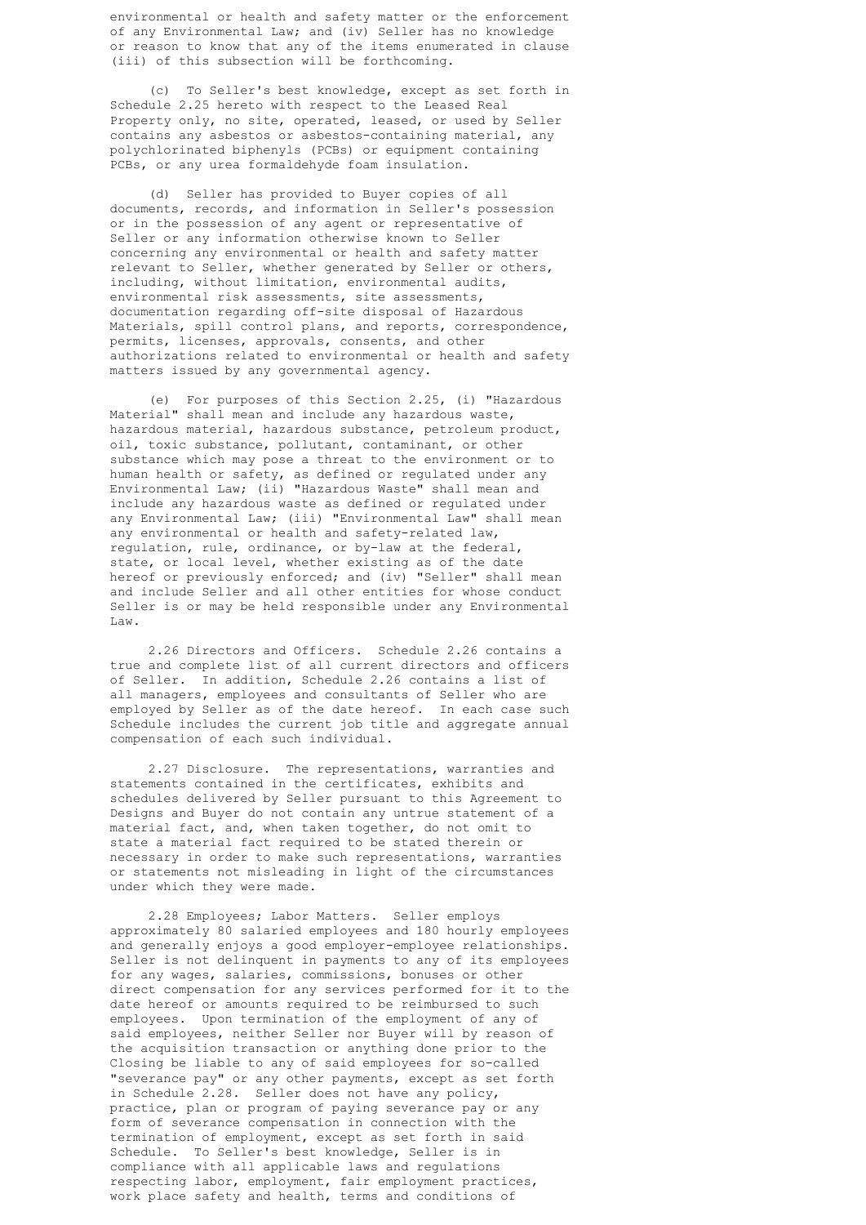environmental or health and safety matter or the enforcement of any Environmental Law; and (iv) Seller has no knowledge or reason to know that any of the items enumerated in clause (iii) of this subsection will be forthcoming.

 (c) To Seller's best knowledge, except as set forth in Schedule 2.25 hereto with respect to the Leased Real Property only, no site, operated, leased, or used by Seller contains any asbestos or asbestos-containing material, any polychlorinated biphenyls (PCBs) or equipment containing PCBs, or any urea formaldehyde foam insulation.

 (d) Seller has provided to Buyer copies of all documents, records, and information in Seller's possession or in the possession of any agent or representative of Seller or any information otherwise known to Seller concerning any environmental or health and safety matter relevant to Seller, whether generated by Seller or others, including, without limitation, environmental audits, environmental risk assessments, site assessments, documentation regarding off-site disposal of Hazardous Materials, spill control plans, and reports, correspondence, permits, licenses, approvals, consents, and other authorizations related to environmental or health and safety matters issued by any governmental agency.

 (e) For purposes of this Section 2.25, (i) "Hazardous Material" shall mean and include any hazardous waste, hazardous material, hazardous substance, petroleum product, oil, toxic substance, pollutant, contaminant, or other substance which may pose a threat to the environment or to human health or safety, as defined or regulated under any Environmental Law; (ii) "Hazardous Waste" shall mean and include any hazardous waste as defined or regulated under any Environmental Law; (iii) "Environmental Law" shall mean any environmental or health and safety-related law, regulation, rule, ordinance, or by-law at the federal, state, or local level, whether existing as of the date hereof or previously enforced; and (iv) "Seller" shall mean and include Seller and all other entities for whose conduct Seller is or may be held responsible under any Environmental Law.

> 2.26 Directors and Officers. Schedule 2.26 contains a true and complete list of all current directors and officers of Seller. In addition, Schedule 2.26 contains a list of all managers, employees and consultants of Seller who are employed by Seller as of the date hereof. In each case such Schedule includes the current job title and aggregate annual compensation of each such individual.

 2.27 Disclosure. The representations, warranties and statements contained in the certificates, exhibits and schedules delivered by Seller pursuant to this Agreement to Designs and Buyer do not contain any untrue statement of a material fact, and, when taken together, do not omit to state a material fact required to be stated therein or necessary in order to make such representations, warranties or statements not misleading in light of the circumstances under which they were made.

 2.28 Employees; Labor Matters. Seller employs approximately 80 salaried employees and 180 hourly employees and generally enjoys a good employer-employee relationships. Seller is not delinquent in payments to any of its employees for any wages, salaries, commissions, bonuses or other direct compensation for any services performed for it to the date hereof or amounts required to be reimbursed to such employees. Upon termination of the employment of any of said employees, neither Seller nor Buyer will by reason of the acquisition transaction or anything done prior to the Closing be liable to any of said employees for so-called "severance pay" or any other payments, except as set forth in Schedule 2.28. Seller does not have any policy, practice, plan or program of paying severance pay or any form of severance compensation in connection with the termination of employment, except as set forth in said Schedule. To Seller's best knowledge, Seller is in compliance with all applicable laws and regulations respecting labor, employment, fair employment practices, work place safety and health, terms and conditions of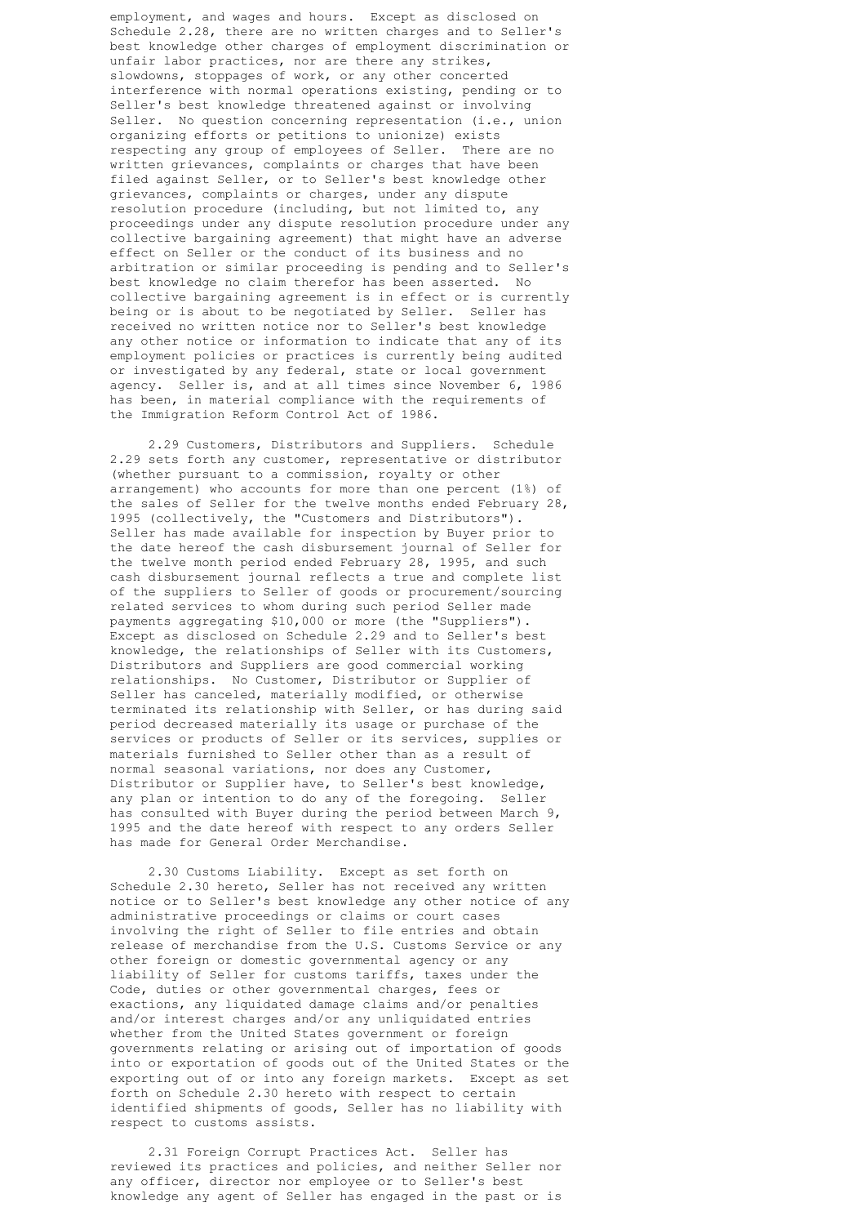employment, and wages and hours. Except as disclosed on Schedule 2.28, there are no written charges and to Seller's best knowledge other charges of employment discrimination or unfair labor practices, nor are there any strikes, slowdowns, stoppages of work, or any other concerted interference with normal operations existing, pending or to Seller's best knowledge threatened against or involving Seller. No question concerning representation (i.e., union organizing efforts or petitions to unionize) exists respecting any group of employees of Seller. There are no written grievances, complaints or charges that have been filed against Seller, or to Seller's best knowledge other grievances, complaints or charges, under any dispute resolution procedure (including, but not limited to, any proceedings under any dispute resolution procedure under any collective bargaining agreement) that might have an adverse effect on Seller or the conduct of its business and no arbitration or similar proceeding is pending and to Seller's best knowledge no claim therefor has been asserted. No collective bargaining agreement is in effect or is currently being or is about to be negotiated by Seller. Seller has received no written notice nor to Seller's best knowledge any other notice or information to indicate that any of its employment policies or practices is currently being audited or investigated by any federal, state or local government agency. Seller is, and at all times since November 6, 1986 has been, in material compliance with the requirements of the Immigration Reform Control Act of 1986.

 2.29 Customers, Distributors and Suppliers. Schedule 2.29 sets forth any customer, representative or distributor (whether pursuant to a commission, royalty or other arrangement) who accounts for more than one percent (1%) of the sales of Seller for the twelve months ended February 28, 1995 (collectively, the "Customers and Distributors"). Seller has made available for inspection by Buyer prior to the date hereof the cash disbursement journal of Seller for the twelve month period ended February 28, 1995, and such cash disbursement journal reflects a true and complete list of the suppliers to Seller of goods or procurement/sourcing related services to whom during such period Seller made payments aggregating \$10,000 or more (the "Suppliers"). Except as disclosed on Schedule 2.29 and to Seller's best knowledge, the relationships of Seller with its Customers, Distributors and Suppliers are good commercial working relationships. No Customer, Distributor or Supplier of Seller has canceled, materially modified, or otherwise terminated its relationship with Seller, or has during said period decreased materially its usage or purchase of the services or products of Seller or its services, supplies or materials furnished to Seller other than as a result of normal seasonal variations, nor does any Customer, Distributor or Supplier have, to Seller's best knowledge, any plan or intention to do any of the foregoing. Seller has consulted with Buyer during the period between March 9, 1995 and the date hereof with respect to any orders Seller has made for General Order Merchandise.

 2.30 Customs Liability. Except as set forth on Schedule 2.30 hereto, Seller has not received any written notice or to Seller's best knowledge any other notice of any administrative proceedings or claims or court cases involving the right of Seller to file entries and obtain release of merchandise from the U.S. Customs Service or any other foreign or domestic governmental agency or any liability of Seller for customs tariffs, taxes under the Code, duties or other governmental charges, fees or exactions, any liquidated damage claims and/or penalties and/or interest charges and/or any unliquidated entries whether from the United States government or foreign governments relating or arising out of importation of goods into or exportation of goods out of the United States or the exporting out of or into any foreign markets. Except as set forth on Schedule 2.30 hereto with respect to certain identified shipments of goods, Seller has no liability with respect to customs assists.

 2.31 Foreign Corrupt Practices Act. Seller has reviewed its practices and policies, and neither Seller nor any officer, director nor employee or to Seller's best knowledge any agent of Seller has engaged in the past or is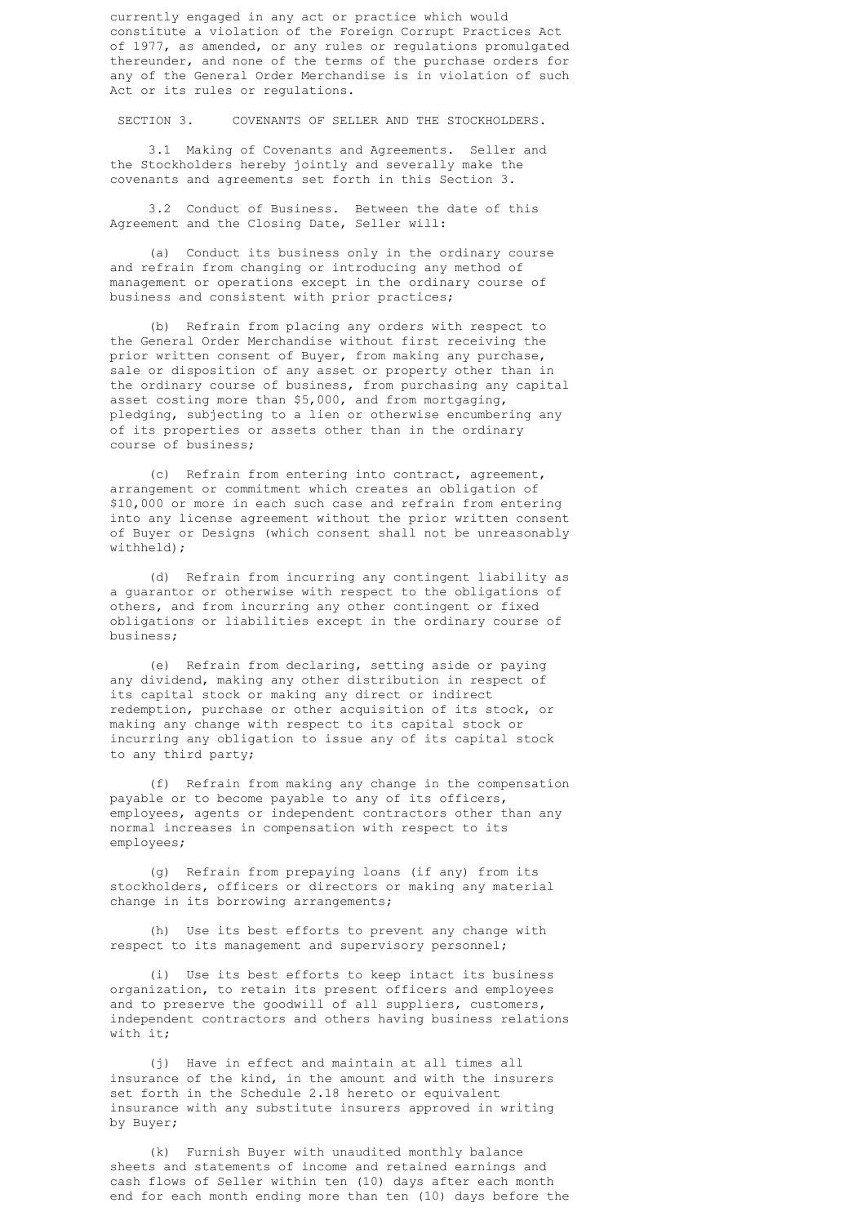currently engaged in any act or practice which would constitute a violation of the Foreign Corrupt Practices Act of 1977, as amended, or any rules or regulations promulgated thereunder, and none of the terms of the purchase orders for any of the General Order Merchandise is in violation of such Act or its rules or regulations.

SECTION 3. COVENANTS OF SELLER AND THE STOCKHOLDERS.

 3.1 Making of Covenants and Agreements. Seller and the Stockholders hereby jointly and severally make the covenants and agreements set forth in this Section 3.

 3.2 Conduct of Business. Between the date of this Agreement and the Closing Date, Seller will:

 (a) Conduct its business only in the ordinary course and refrain from changing or introducing any method of management or operations except in the ordinary course of business and consistent with prior practices;

 (b) Refrain from placing any orders with respect to the General Order Merchandise without first receiving the prior written consent of Buyer, from making any purchase, sale or disposition of any asset or property other than in the ordinary course of business, from purchasing any capital asset costing more than \$5,000, and from mortgaging, pledging, subjecting to a lien or otherwise encumbering any of its properties or assets other than in the ordinary course of business;

 (c) Refrain from entering into contract, agreement, arrangement or commitment which creates an obligation of \$10,000 or more in each such case and refrain from entering into any license agreement without the prior written consent of Buyer or Designs (which consent shall not be unreasonably withheld);

 (d) Refrain from incurring any contingent liability as a guarantor or otherwise with respect to the obligations of others, and from incurring any other contingent or fixed obligations or liabilities except in the ordinary course of business;

 (e) Refrain from declaring, setting aside or paying any dividend, making any other distribution in respect of its capital stock or making any direct or indirect redemption, purchase or other acquisition of its stock, or making any change with respect to its capital stock or incurring any obligation to issue any of its capital stock to any third party;

 (f) Refrain from making any change in the compensation payable or to become payable to any of its officers, employees, agents or independent contractors other than any normal increases in compensation with respect to its employees;

 (g) Refrain from prepaying loans (if any) from its stockholders, officers or directors or making any material change in its borrowing arrangements;

 (h) Use its best efforts to prevent any change with respect to its management and supervisory personnel;

 (i) Use its best efforts to keep intact its business organization, to retain its present officers and employees and to preserve the goodwill of all suppliers, customers, independent contractors and others having business relations with it;

 (j) Have in effect and maintain at all times all insurance of the kind, in the amount and with the insurers set forth in the Schedule 2.18 hereto or equivalent insurance with any substitute insurers approved in writing by Buyer;

 (k) Furnish Buyer with unaudited monthly balance sheets and statements of income and retained earnings and cash flows of Seller within ten (10) days after each month end for each month ending more than ten (10) days before the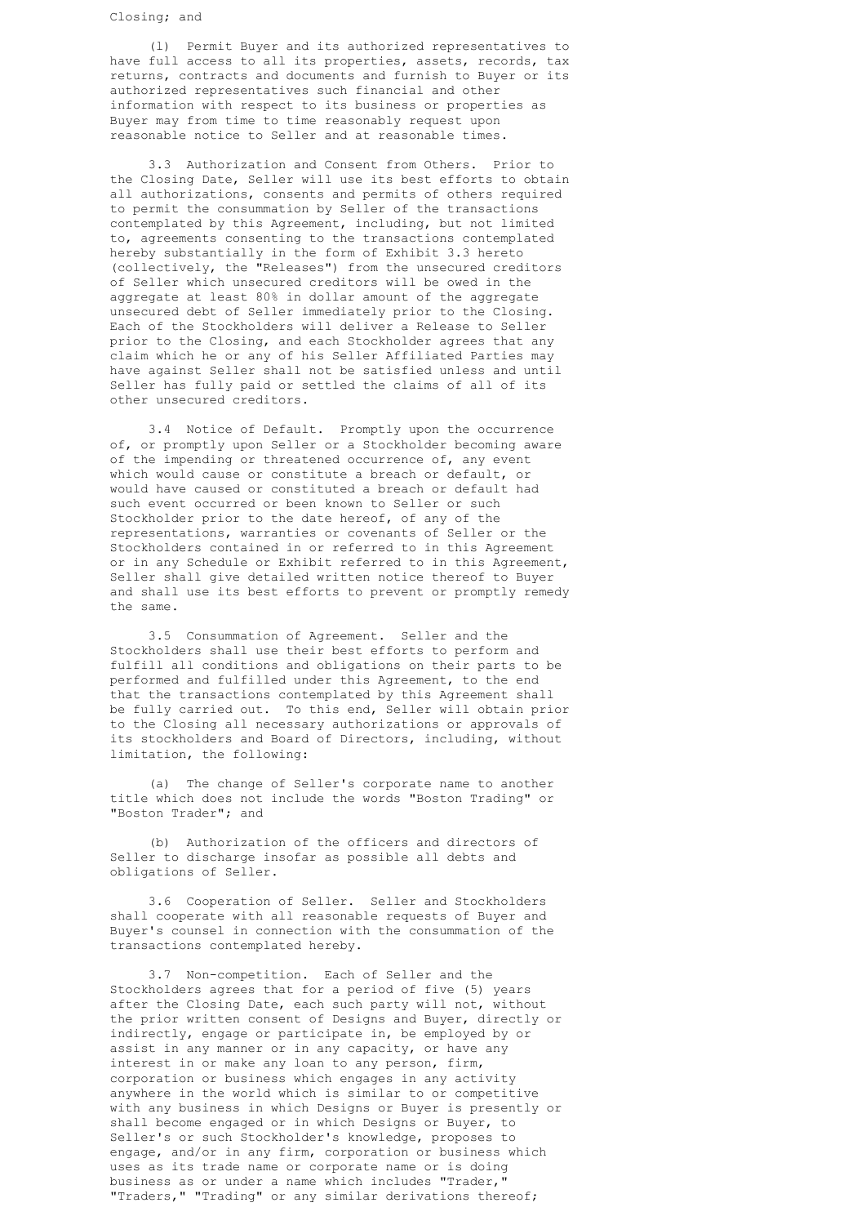(l) Permit Buyer and its authorized representatives to have full access to all its properties, assets, records, tax returns, contracts and documents and furnish to Buyer or its authorized representatives such financial and other information with respect to its business or properties as Buyer may from time to time reasonably request upon reasonable notice to Seller and at reasonable times.

 3.3 Authorization and Consent from Others. Prior to the Closing Date, Seller will use its best efforts to obtain all authorizations, consents and permits of others required to permit the consummation by Seller of the transactions contemplated by this Agreement, including, but not limited to, agreements consenting to the transactions contemplated hereby substantially in the form of Exhibit 3.3 hereto (collectively, the "Releases") from the unsecured creditors of Seller which unsecured creditors will be owed in the aggregate at least 80% in dollar amount of the aggregate unsecured debt of Seller immediately prior to the Closing. Each of the Stockholders will deliver a Release to Seller prior to the Closing, and each Stockholder agrees that any claim which he or any of his Seller Affiliated Parties may have against Seller shall not be satisfied unless and until Seller has fully paid or settled the claims of all of its other unsecured creditors.

 3.4 Notice of Default. Promptly upon the occurrence of, or promptly upon Seller or a Stockholder becoming aware of the impending or threatened occurrence of, any event which would cause or constitute a breach or default, or would have caused or constituted a breach or default had such event occurred or been known to Seller or such Stockholder prior to the date hereof, of any of the representations, warranties or covenants of Seller or the Stockholders contained in or referred to in this Agreement or in any Schedule or Exhibit referred to in this Agreement, Seller shall give detailed written notice thereof to Buyer and shall use its best efforts to prevent or promptly remedy the same.

 3.5 Consummation of Agreement. Seller and the Stockholders shall use their best efforts to perform and fulfill all conditions and obligations on their parts to be performed and fulfilled under this Agreement, to the end that the transactions contemplated by this Agreement shall be fully carried out. To this end, Seller will obtain prior to the Closing all necessary authorizations or approvals of its stockholders and Board of Directors, including, without limitation, the following:

 (a) The change of Seller's corporate name to another title which does not include the words "Boston Trading" or "Boston Trader"; and

 (b) Authorization of the officers and directors of Seller to discharge insofar as possible all debts and obligations of Seller.

 3.6 Cooperation of Seller. Seller and Stockholders shall cooperate with all reasonable requests of Buyer and Buyer's counsel in connection with the consummation of the transactions contemplated hereby.

 3.7 Non-competition. Each of Seller and the Stockholders agrees that for a period of five (5) years after the Closing Date, each such party will not, without the prior written consent of Designs and Buyer, directly or indirectly, engage or participate in, be employed by or assist in any manner or in any capacity, or have any interest in or make any loan to any person, firm, corporation or business which engages in any activity anywhere in the world which is similar to or competitive with any business in which Designs or Buyer is presently or shall become engaged or in which Designs or Buyer, to Seller's or such Stockholder's knowledge, proposes to engage, and/or in any firm, corporation or business which uses as its trade name or corporate name or is doing business as or under a name which includes "Trader," "Traders," "Trading" or any similar derivations thereof;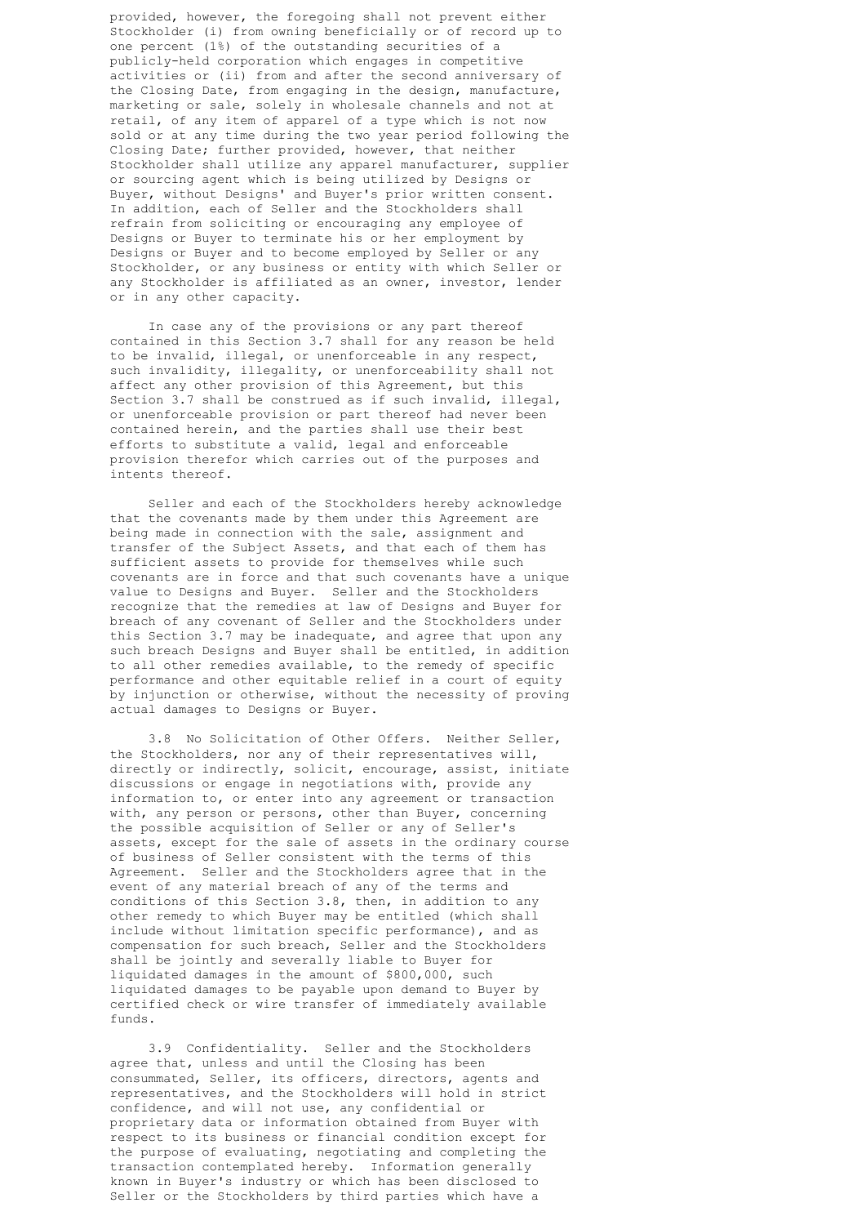provided, however, the foregoing shall not prevent either Stockholder (i) from owning beneficially or of record up to one percent (1%) of the outstanding securities of a publicly-held corporation which engages in competitive activities or (ii) from and after the second anniversary of the Closing Date, from engaging in the design, manufacture, marketing or sale, solely in wholesale channels and not at retail, of any item of apparel of a type which is not now sold or at any time during the two year period following the Closing Date; further provided, however, that neither Stockholder shall utilize any apparel manufacturer, supplier or sourcing agent which is being utilized by Designs or Buyer, without Designs' and Buyer's prior written consent. In addition, each of Seller and the Stockholders shall refrain from soliciting or encouraging any employee of Designs or Buyer to terminate his or her employment by Designs or Buyer and to become employed by Seller or any Stockholder, or any business or entity with which Seller or any Stockholder is affiliated as an owner, investor, lender or in any other capacity.

 In case any of the provisions or any part thereof contained in this Section 3.7 shall for any reason be held to be invalid, illegal, or unenforceable in any respect, such invalidity, illegality, or unenforceability shall not affect any other provision of this Agreement, but this Section 3.7 shall be construed as if such invalid, illegal, or unenforceable provision or part thereof had never been contained herein, and the parties shall use their best efforts to substitute a valid, legal and enforceable provision therefor which carries out of the purposes and intents thereof.

 Seller and each of the Stockholders hereby acknowledge that the covenants made by them under this Agreement are being made in connection with the sale, assignment and transfer of the Subject Assets, and that each of them has sufficient assets to provide for themselves while such covenants are in force and that such covenants have a unique value to Designs and Buyer. Seller and the Stockholders recognize that the remedies at law of Designs and Buyer for breach of any covenant of Seller and the Stockholders under this Section 3.7 may be inadequate, and agree that upon any such breach Designs and Buyer shall be entitled, in addition to all other remedies available, to the remedy of specific performance and other equitable relief in a court of equity by injunction or otherwise, without the necessity of proving actual damages to Designs or Buyer.

 3.8 No Solicitation of Other Offers. Neither Seller, the Stockholders, nor any of their representatives will, directly or indirectly, solicit, encourage, assist, initiate discussions or engage in negotiations with, provide any information to, or enter into any agreement or transaction with, any person or persons, other than Buyer, concerning the possible acquisition of Seller or any of Seller's assets, except for the sale of assets in the ordinary course of business of Seller consistent with the terms of this Agreement. Seller and the Stockholders agree that in the event of any material breach of any of the terms and conditions of this Section 3.8, then, in addition to any other remedy to which Buyer may be entitled (which shall include without limitation specific performance), and as compensation for such breach, Seller and the Stockholders shall be jointly and severally liable to Buyer for liquidated damages in the amount of \$800,000, such liquidated damages to be payable upon demand to Buyer by certified check or wire transfer of immediately available funds.

 3.9 Confidentiality. Seller and the Stockholders agree that, unless and until the Closing has been consummated, Seller, its officers, directors, agents and representatives, and the Stockholders will hold in strict confidence, and will not use, any confidential or proprietary data or information obtained from Buyer with respect to its business or financial condition except for the purpose of evaluating, negotiating and completing the transaction contemplated hereby. Information generally known in Buyer's industry or which has been disclosed to Seller or the Stockholders by third parties which have a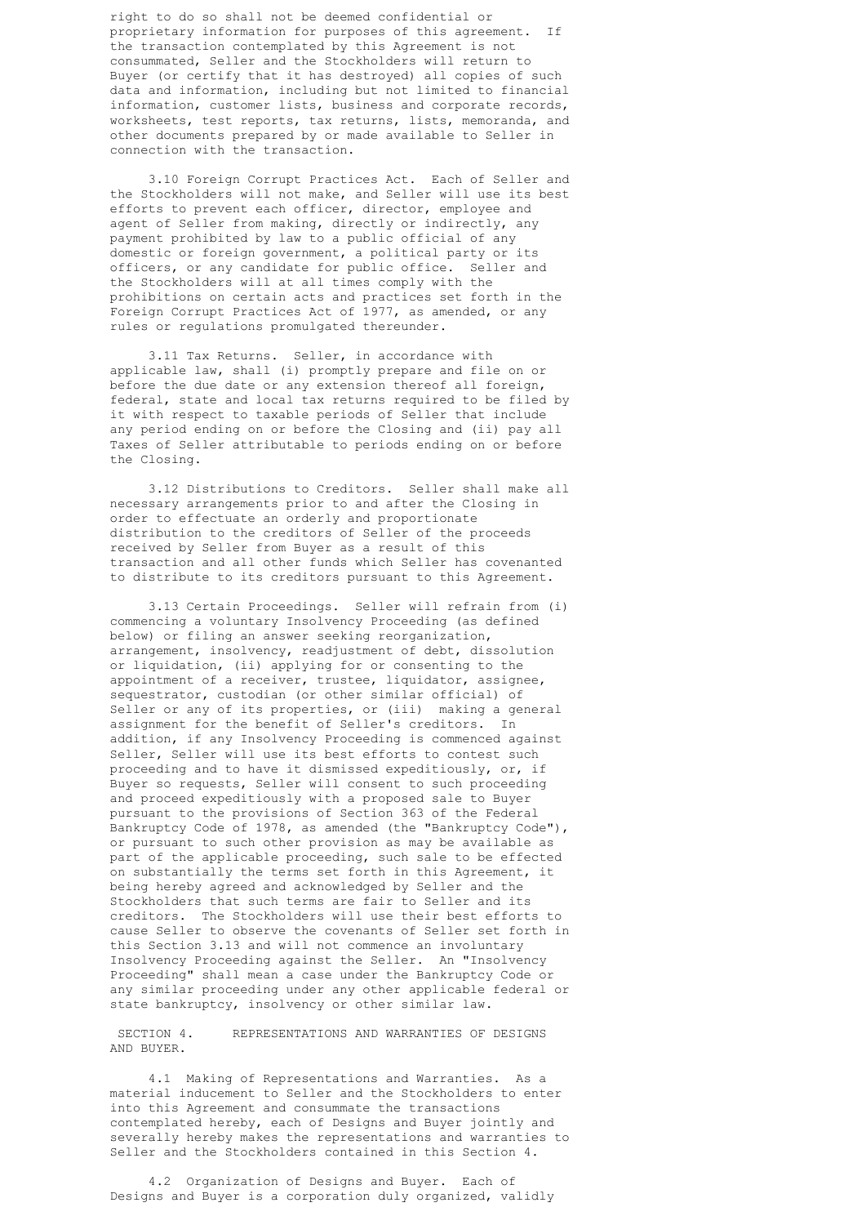right to do so shall not be deemed confidential or proprietary information for purposes of this agreement. If the transaction contemplated by this Agreement is not consummated, Seller and the Stockholders will return to Buyer (or certify that it has destroyed) all copies of such data and information, including but not limited to financial information, customer lists, business and corporate records, worksheets, test reports, tax returns, lists, memoranda, and other documents prepared by or made available to Seller in connection with the transaction.

 3.10 Foreign Corrupt Practices Act. Each of Seller and the Stockholders will not make, and Seller will use its best efforts to prevent each officer, director, employee and agent of Seller from making, directly or indirectly, any payment prohibited by law to a public official of any domestic or foreign government, a political party or its officers, or any candidate for public office. Seller and the Stockholders will at all times comply with the prohibitions on certain acts and practices set forth in the Foreign Corrupt Practices Act of 1977, as amended, or any rules or regulations promulgated thereunder.

 3.11 Tax Returns. Seller, in accordance with applicable law, shall (i) promptly prepare and file on or before the due date or any extension thereof all foreign, federal, state and local tax returns required to be filed by it with respect to taxable periods of Seller that include any period ending on or before the Closing and (ii) pay all Taxes of Seller attributable to periods ending on or before the Closing.

 3.12 Distributions to Creditors. Seller shall make all necessary arrangements prior to and after the Closing in order to effectuate an orderly and proportionate distribution to the creditors of Seller of the proceeds received by Seller from Buyer as a result of this transaction and all other funds which Seller has covenanted to distribute to its creditors pursuant to this Agreement.

 3.13 Certain Proceedings. Seller will refrain from (i) commencing a voluntary Insolvency Proceeding (as defined below) or filing an answer seeking reorganization, arrangement, insolvency, readjustment of debt, dissolution or liquidation, (ii) applying for or consenting to the appointment of a receiver, trustee, liquidator, assignee, sequestrator, custodian (or other similar official) of Seller or any of its properties, or (iii) making a general assignment for the benefit of Seller's creditors. In addition, if any Insolvency Proceeding is commenced against Seller, Seller will use its best efforts to contest such proceeding and to have it dismissed expeditiously, or, if Buyer so requests, Seller will consent to such proceeding and proceed expeditiously with a proposed sale to Buyer pursuant to the provisions of Section 363 of the Federal Bankruptcy Code of 1978, as amended (the "Bankruptcy Code"), or pursuant to such other provision as may be available as part of the applicable proceeding, such sale to be effected on substantially the terms set forth in this Agreement, it being hereby agreed and acknowledged by Seller and the Stockholders that such terms are fair to Seller and its creditors. The Stockholders will use their best efforts to cause Seller to observe the covenants of Seller set forth in this Section 3.13 and will not commence an involuntary Insolvency Proceeding against the Seller. An "Insolvency Proceeding" shall mean a case under the Bankruptcy Code or any similar proceeding under any other applicable federal or state bankruptcy, insolvency or other similar law.

 SECTION 4. REPRESENTATIONS AND WARRANTIES OF DESIGNS AND BUYER.

 4.1 Making of Representations and Warranties. As a material inducement to Seller and the Stockholders to enter into this Agreement and consummate the transactions contemplated hereby, each of Designs and Buyer jointly and severally hereby makes the representations and warranties to Seller and the Stockholders contained in this Section 4.

 4.2 Organization of Designs and Buyer. Each of Designs and Buyer is a corporation duly organized, validly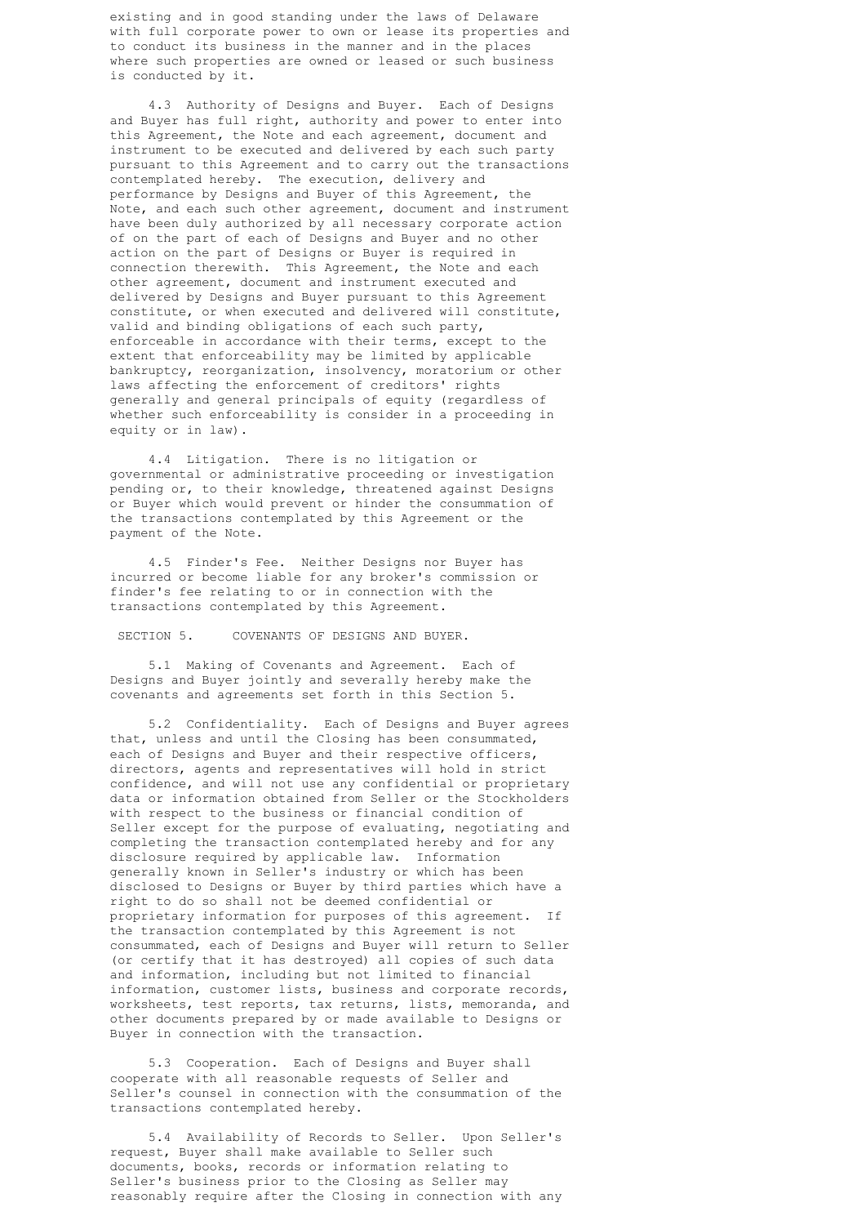existing and in good standing under the laws of Delaware with full corporate power to own or lease its properties and to conduct its business in the manner and in the places where such properties are owned or leased or such business is conducted by it.

 4.3 Authority of Designs and Buyer. Each of Designs and Buyer has full right, authority and power to enter into this Agreement, the Note and each agreement, document and instrument to be executed and delivered by each such party pursuant to this Agreement and to carry out the transactions contemplated hereby. The execution, delivery and performance by Designs and Buyer of this Agreement, the Note, and each such other agreement, document and instrument have been duly authorized by all necessary corporate action of on the part of each of Designs and Buyer and no other action on the part of Designs or Buyer is required in connection therewith. This Agreement, the Note and each other agreement, document and instrument executed and delivered by Designs and Buyer pursuant to this Agreement constitute, or when executed and delivered will constitute, valid and binding obligations of each such party, enforceable in accordance with their terms, except to the extent that enforceability may be limited by applicable bankruptcy, reorganization, insolvency, moratorium or other laws affecting the enforcement of creditors' rights generally and general principals of equity (regardless of whether such enforceability is consider in a proceeding in equity or in law).

 4.4 Litigation. There is no litigation or governmental or administrative proceeding or investigation pending or, to their knowledge, threatened against Designs or Buyer which would prevent or hinder the consummation of the transactions contemplated by this Agreement or the payment of the Note.

 4.5 Finder's Fee. Neither Designs nor Buyer has incurred or become liable for any broker's commission or finder's fee relating to or in connection with the transactions contemplated by this Agreement.

SECTION 5. COVENANTS OF DESIGNS AND BUYER.

 5.1 Making of Covenants and Agreement. Each of Designs and Buyer jointly and severally hereby make the covenants and agreements set forth in this Section 5.

 5.2 Confidentiality. Each of Designs and Buyer agrees that, unless and until the Closing has been consummated, each of Designs and Buyer and their respective officers, directors, agents and representatives will hold in strict confidence, and will not use any confidential or proprietary data or information obtained from Seller or the Stockholders with respect to the business or financial condition of Seller except for the purpose of evaluating, negotiating and completing the transaction contemplated hereby and for any disclosure required by applicable law. Information generally known in Seller's industry or which has been disclosed to Designs or Buyer by third parties which have a right to do so shall not be deemed confidential or proprietary information for purposes of this agreement. If the transaction contemplated by this Agreement is not consummated, each of Designs and Buyer will return to Seller (or certify that it has destroyed) all copies of such data and information, including but not limited to financial information, customer lists, business and corporate records, worksheets, test reports, tax returns, lists, memoranda, and other documents prepared by or made available to Designs or Buyer in connection with the transaction.

 5.3 Cooperation. Each of Designs and Buyer shall cooperate with all reasonable requests of Seller and Seller's counsel in connection with the consummation of the transactions contemplated hereby.

 5.4 Availability of Records to Seller. Upon Seller's request, Buyer shall make available to Seller such documents, books, records or information relating to Seller's business prior to the Closing as Seller may reasonably require after the Closing in connection with any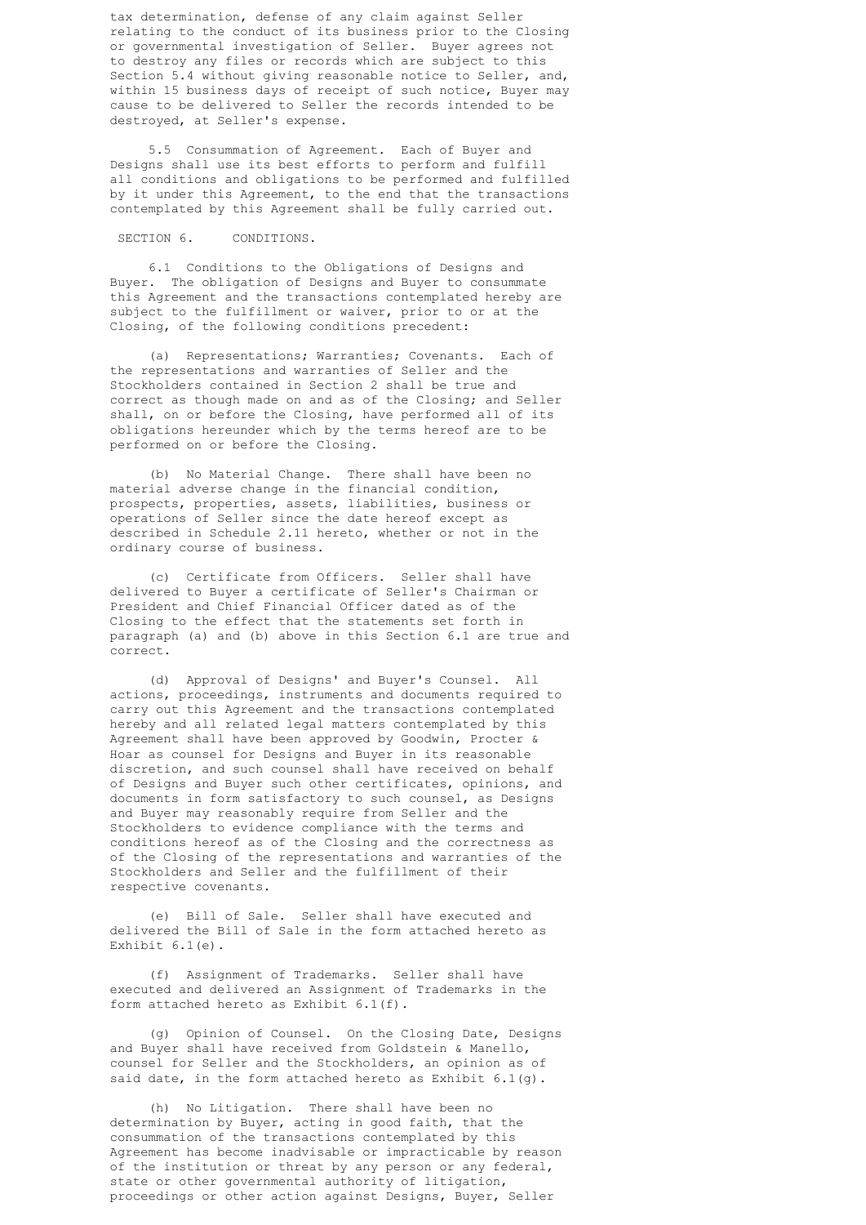tax determination, defense of any claim against Seller relating to the conduct of its business prior to the Closing or governmental investigation of Seller. Buyer agrees not to destroy any files or records which are subject to this Section 5.4 without giving reasonable notice to Seller, and, within 15 business days of receipt of such notice, Buyer may cause to be delivered to Seller the records intended to be destroyed, at Seller's expense.

 5.5 Consummation of Agreement. Each of Buyer and Designs shall use its best efforts to perform and fulfill all conditions and obligations to be performed and fulfilled by it under this Agreement, to the end that the transactions contemplated by this Agreement shall be fully carried out.

## SECTION 6. CONDITIONS.

 6.1 Conditions to the Obligations of Designs and Buyer. The obligation of Designs and Buyer to consummate this Agreement and the transactions contemplated hereby are subject to the fulfillment or waiver, prior to or at the Closing, of the following conditions precedent:

 (a) Representations; Warranties; Covenants. Each of the representations and warranties of Seller and the Stockholders contained in Section 2 shall be true and correct as though made on and as of the Closing; and Seller shall, on or before the Closing, have performed all of its obligations hereunder which by the terms hereof are to be performed on or before the Closing.

 (b) No Material Change. There shall have been no material adverse change in the financial condition, prospects, properties, assets, liabilities, business or operations of Seller since the date hereof except as described in Schedule 2.11 hereto, whether or not in the ordinary course of business.

 (c) Certificate from Officers. Seller shall have delivered to Buyer a certificate of Seller's Chairman or President and Chief Financial Officer dated as of the Closing to the effect that the statements set forth in paragraph (a) and (b) above in this Section 6.1 are true and correct.

 (d) Approval of Designs' and Buyer's Counsel. All actions, proceedings, instruments and documents required to carry out this Agreement and the transactions contemplated hereby and all related legal matters contemplated by this Agreement shall have been approved by Goodwin, Procter & Hoar as counsel for Designs and Buyer in its reasonable discretion, and such counsel shall have received on behalf of Designs and Buyer such other certificates, opinions, and documents in form satisfactory to such counsel, as Designs and Buyer may reasonably require from Seller and the Stockholders to evidence compliance with the terms and conditions hereof as of the Closing and the correctness as of the Closing of the representations and warranties of the Stockholders and Seller and the fulfillment of their respective covenants.

 (e) Bill of Sale. Seller shall have executed and delivered the Bill of Sale in the form attached hereto as Exhibit 6.1(e).

 (f) Assignment of Trademarks. Seller shall have executed and delivered an Assignment of Trademarks in the form attached hereto as Exhibit 6.1(f).

 (g) Opinion of Counsel. On the Closing Date, Designs and Buyer shall have received from Goldstein & Manello, counsel for Seller and the Stockholders, an opinion as of said date, in the form attached hereto as Exhibit 6.1(g).

 (h) No Litigation. There shall have been no determination by Buyer, acting in good faith, that the consummation of the transactions contemplated by this Agreement has become inadvisable or impracticable by reason of the institution or threat by any person or any federal, state or other governmental authority of litigation, proceedings or other action against Designs, Buyer, Seller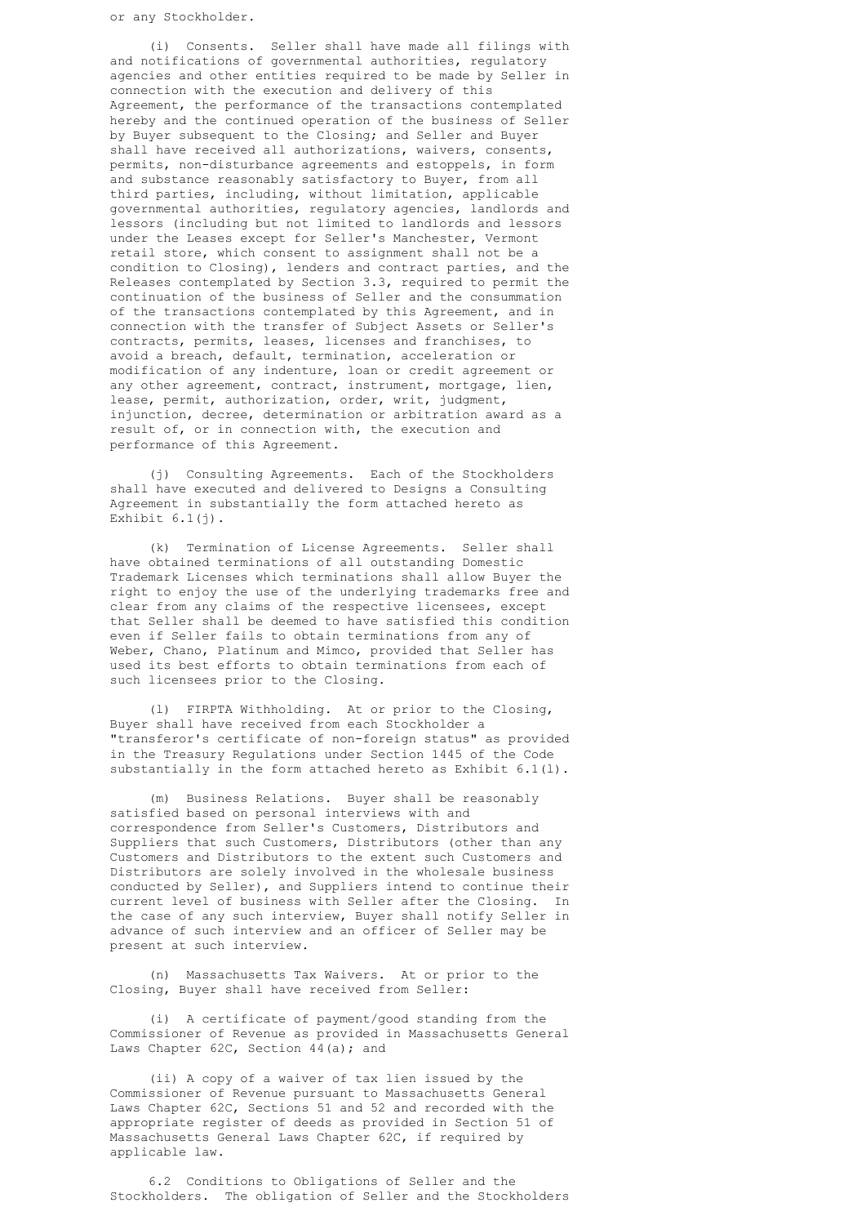(i) Consents. Seller shall have made all filings with and notifications of governmental authorities, regulatory agencies and other entities required to be made by Seller in connection with the execution and delivery of this Agreement, the performance of the transactions contemplated hereby and the continued operation of the business of Seller by Buyer subsequent to the Closing; and Seller and Buyer shall have received all authorizations, waivers, consents, permits, non-disturbance agreements and estoppels, in form and substance reasonably satisfactory to Buyer, from all third parties, including, without limitation, applicable governmental authorities, regulatory agencies, landlords and lessors (including but not limited to landlords and lessors under the Leases except for Seller's Manchester, Vermont retail store, which consent to assignment shall not be a condition to Closing), lenders and contract parties, and the Releases contemplated by Section 3.3, required to permit the continuation of the business of Seller and the consummation of the transactions contemplated by this Agreement, and in connection with the transfer of Subject Assets or Seller's contracts, permits, leases, licenses and franchises, to avoid a breach, default, termination, acceleration or modification of any indenture, loan or credit agreement or any other agreement, contract, instrument, mortgage, lien, lease, permit, authorization, order, writ, judgment, injunction, decree, determination or arbitration award as a result of, or in connection with, the execution and performance of this Agreement.

 (j) Consulting Agreements. Each of the Stockholders shall have executed and delivered to Designs a Consulting Agreement in substantially the form attached hereto as Exhibit  $6.1(j)$ .

 (k) Termination of License Agreements. Seller shall have obtained terminations of all outstanding Domestic Trademark Licenses which terminations shall allow Buyer the right to enjoy the use of the underlying trademarks free and clear from any claims of the respective licensees, except that Seller shall be deemed to have satisfied this condition even if Seller fails to obtain terminations from any of Weber, Chano, Platinum and Mimco, provided that Seller has used its best efforts to obtain terminations from each of such licensees prior to the Closing.

 (l) FIRPTA Withholding. At or prior to the Closing, Buyer shall have received from each Stockholder a "transferor's certificate of non-foreign status" as provided in the Treasury Regulations under Section 1445 of the Code substantially in the form attached hereto as Exhibit 6.1(l).

 (m) Business Relations. Buyer shall be reasonably satisfied based on personal interviews with and correspondence from Seller's Customers, Distributors and Suppliers that such Customers, Distributors (other than any Customers and Distributors to the extent such Customers and Distributors are solely involved in the wholesale business conducted by Seller), and Suppliers intend to continue their current level of business with Seller after the Closing. In the case of any such interview, Buyer shall notify Seller in advance of such interview and an officer of Seller may be present at such interview.

> (n) Massachusetts Tax Waivers. At or prior to the Closing, Buyer shall have received from Seller:

 (i) A certificate of payment/good standing from the Commissioner of Revenue as provided in Massachusetts General Laws Chapter 62C, Section 44(a); and

 (ii) A copy of a waiver of tax lien issued by the Commissioner of Revenue pursuant to Massachusetts General Laws Chapter 62C, Sections 51 and 52 and recorded with the appropriate register of deeds as provided in Section 51 of Massachusetts General Laws Chapter 62C, if required by applicable law.

 6.2 Conditions to Obligations of Seller and the Stockholders. The obligation of Seller and the Stockholders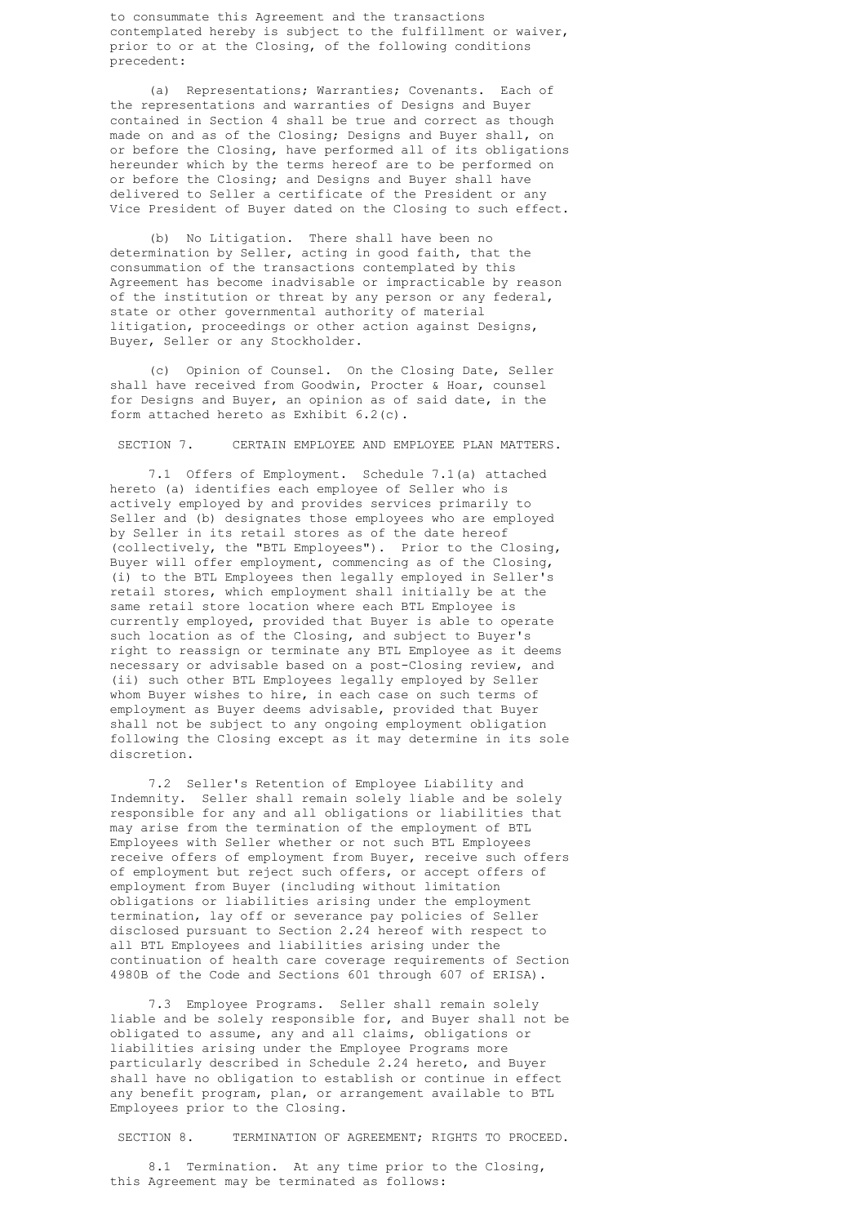to consummate this Agreement and the transactions contemplated hereby is subject to the fulfillment or waiver, prior to or at the Closing, of the following conditions precedent:

 (a) Representations; Warranties; Covenants. Each of the representations and warranties of Designs and Buyer contained in Section 4 shall be true and correct as though made on and as of the Closing; Designs and Buyer shall, on or before the Closing, have performed all of its obligations hereunder which by the terms hereof are to be performed on or before the Closing; and Designs and Buyer shall have delivered to Seller a certificate of the President or any Vice President of Buyer dated on the Closing to such effect.

 (b) No Litigation. There shall have been no determination by Seller, acting in good faith, that the consummation of the transactions contemplated by this Agreement has become inadvisable or impracticable by reason of the institution or threat by any person or any federal, state or other governmental authority of material litigation, proceedings or other action against Designs, Buyer, Seller or any Stockholder.

> (c) Opinion of Counsel. On the Closing Date, Seller shall have received from Goodwin, Procter & Hoar, counsel for Designs and Buyer, an opinion as of said date, in the form attached hereto as Exhibit 6.2(c).

SECTION 7. CERTAIN EMPLOYEE AND EMPLOYEE PLAN MATTERS.

 7.1 Offers of Employment. Schedule 7.1(a) attached hereto (a) identifies each employee of Seller who is actively employed by and provides services primarily to Seller and (b) designates those employees who are employed by Seller in its retail stores as of the date hereof (collectively, the "BTL Employees"). Prior to the Closing, Buyer will offer employment, commencing as of the Closing, (i) to the BTL Employees then legally employed in Seller's retail stores, which employment shall initially be at the same retail store location where each BTL Employee is currently employed, provided that Buyer is able to operate such location as of the Closing, and subject to Buyer's right to reassign or terminate any BTL Employee as it deems necessary or advisable based on a post-Closing review, and (ii) such other BTL Employees legally employed by Seller whom Buyer wishes to hire, in each case on such terms of employment as Buyer deems advisable, provided that Buyer shall not be subject to any ongoing employment obligation following the Closing except as it may determine in its sole discretion.

 7.2 Seller's Retention of Employee Liability and Indemnity. Seller shall remain solely liable and be solely responsible for any and all obligations or liabilities that may arise from the termination of the employment of BTL Employees with Seller whether or not such BTL Employees receive offers of employment from Buyer, receive such offers of employment but reject such offers, or accept offers of employment from Buyer (including without limitation obligations or liabilities arising under the employment termination, lay off or severance pay policies of Seller disclosed pursuant to Section 2.24 hereof with respect to all BTL Employees and liabilities arising under the continuation of health care coverage requirements of Section 4980B of the Code and Sections 601 through 607 of ERISA).

 7.3 Employee Programs. Seller shall remain solely liable and be solely responsible for, and Buyer shall not be obligated to assume, any and all claims, obligations or liabilities arising under the Employee Programs more particularly described in Schedule 2.24 hereto, and Buyer shall have no obligation to establish or continue in effect any benefit program, plan, or arrangement available to BTL Employees prior to the Closing.

SECTION 8. TERMINATION OF AGREEMENT; RIGHTS TO PROCEED.

 8.1 Termination. At any time prior to the Closing, this Agreement may be terminated as follows: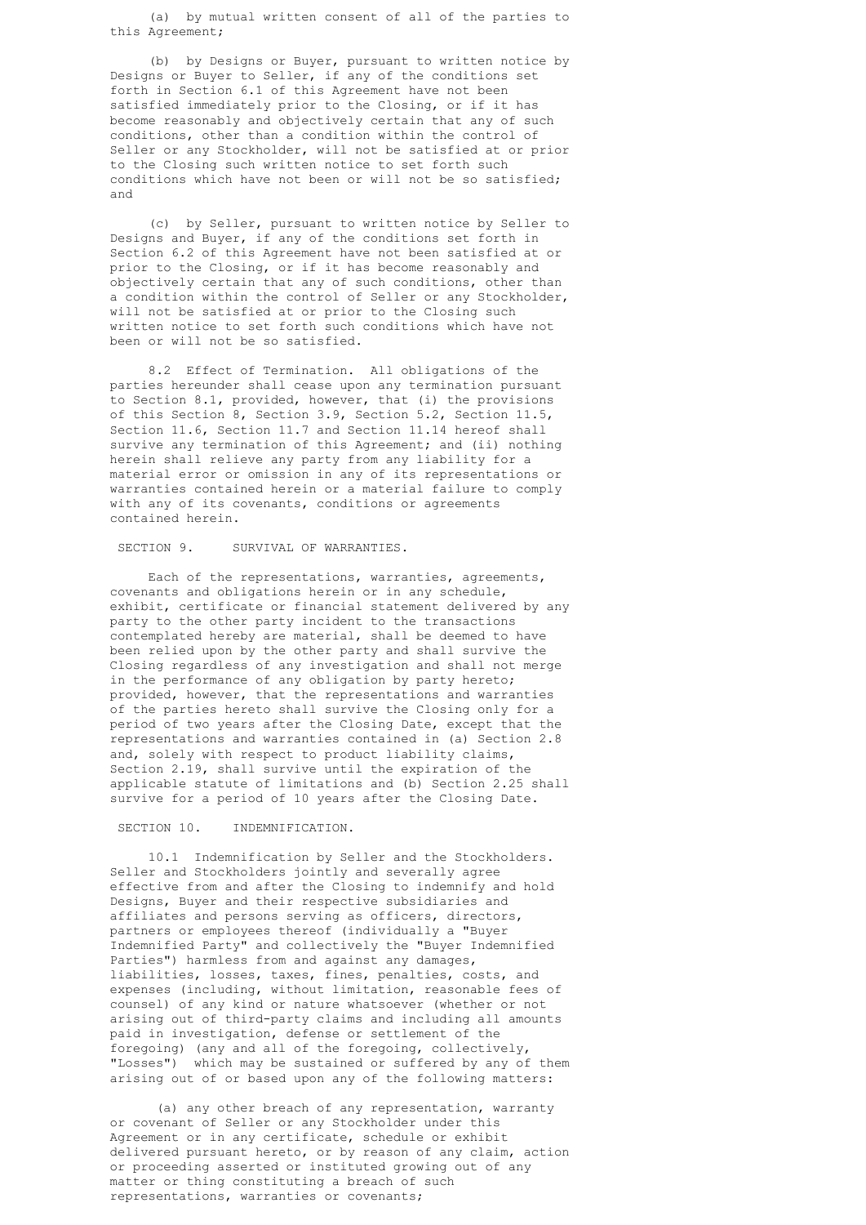(a) by mutual written consent of all of the parties to this Agreement;

 (b) by Designs or Buyer, pursuant to written notice by Designs or Buyer to Seller, if any of the conditions set forth in Section 6.1 of this Agreement have not been satisfied immediately prior to the Closing, or if it has become reasonably and objectively certain that any of such conditions, other than a condition within the control of Seller or any Stockholder, will not be satisfied at or prior to the Closing such written notice to set forth such conditions which have not been or will not be so satisfied; and

 (c) by Seller, pursuant to written notice by Seller to Designs and Buyer, if any of the conditions set forth in Section 6.2 of this Agreement have not been satisfied at or prior to the Closing, or if it has become reasonably and objectively certain that any of such conditions, other than a condition within the control of Seller or any Stockholder, will not be satisfied at or prior to the Closing such written notice to set forth such conditions which have not been or will not be so satisfied.

 8.2 Effect of Termination. All obligations of the parties hereunder shall cease upon any termination pursuant to Section 8.1, provided, however, that (i) the provisions of this Section 8, Section 3.9, Section 5.2, Section 11.5, Section 11.6, Section 11.7 and Section 11.14 hereof shall survive any termination of this Agreement; and (ii) nothing herein shall relieve any party from any liability for a material error or omission in any of its representations or warranties contained herein or a material failure to comply with any of its covenants, conditions or agreements contained herein.

SECTION 9. SURVIVAL OF WARRANTIES.

 Each of the representations, warranties, agreements, covenants and obligations herein or in any schedule, exhibit, certificate or financial statement delivered by any party to the other party incident to the transactions contemplated hereby are material, shall be deemed to have been relied upon by the other party and shall survive the Closing regardless of any investigation and shall not merge in the performance of any obligation by party hereto; provided, however, that the representations and warranties of the parties hereto shall survive the Closing only for a period of two years after the Closing Date, except that the representations and warranties contained in (a) Section 2.8 and, solely with respect to product liability claims, Section 2.19, shall survive until the expiration of the applicable statute of limitations and (b) Section 2.25 shall survive for a period of 10 years after the Closing Date.

SECTION 10. INDEMNIFICATION.

 10.1 Indemnification by Seller and the Stockholders. Seller and Stockholders jointly and severally agree effective from and after the Closing to indemnify and hold Designs, Buyer and their respective subsidiaries and affiliates and persons serving as officers, directors, partners or employees thereof (individually a "Buyer Indemnified Party" and collectively the "Buyer Indemnified Parties") harmless from and against any damages, liabilities, losses, taxes, fines, penalties, costs, and expenses (including, without limitation, reasonable fees of counsel) of any kind or nature whatsoever (whether or not arising out of third-party claims and including all amounts paid in investigation, defense or settlement of the foregoing) (any and all of the foregoing, collectively, "Losses") which may be sustained or suffered by any of them arising out of or based upon any of the following matters:

 (a) any other breach of any representation, warranty or covenant of Seller or any Stockholder under this Agreement or in any certificate, schedule or exhibit delivered pursuant hereto, or by reason of any claim, action or proceeding asserted or instituted growing out of any matter or thing constituting a breach of such representations, warranties or covenants;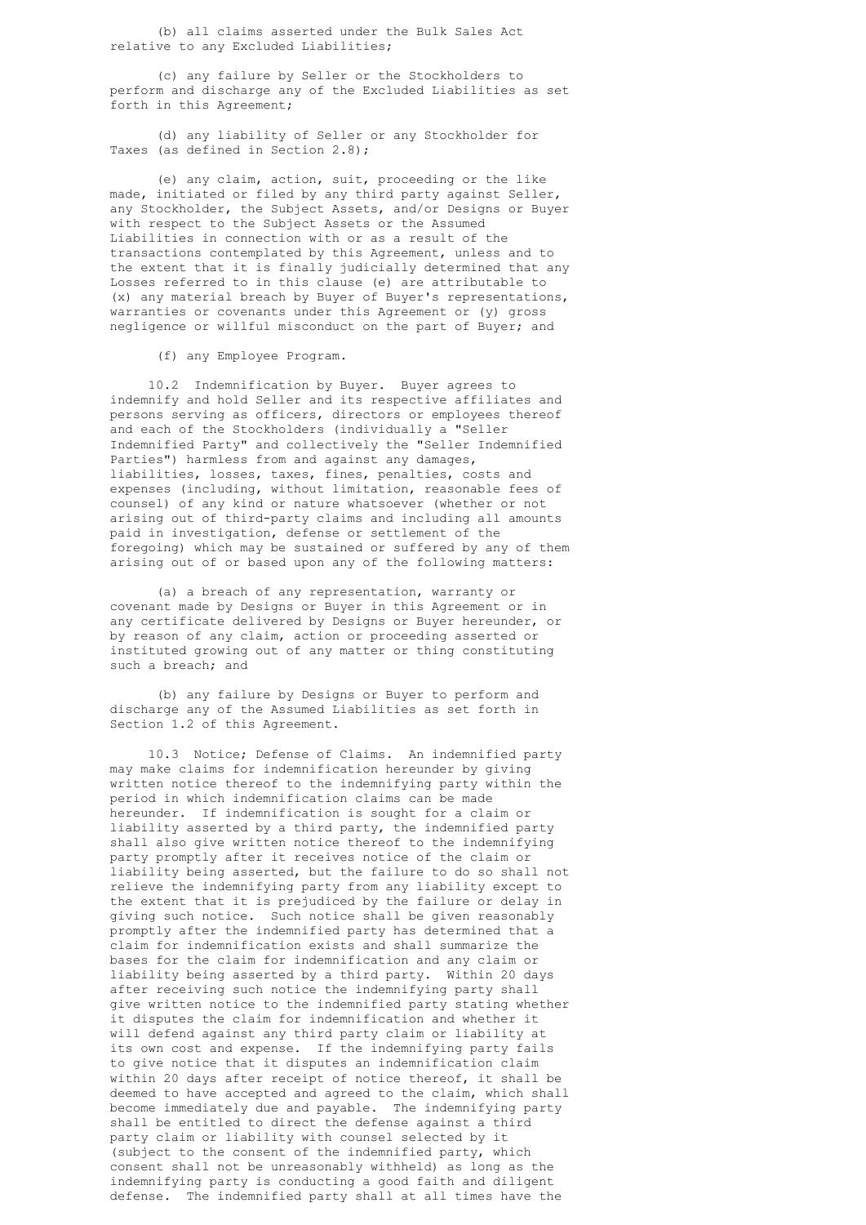(b) all claims asserted under the Bulk Sales Act relative to any Excluded Liabilities;

 (c) any failure by Seller or the Stockholders to perform and discharge any of the Excluded Liabilities as set forth in this Agreement;

 (d) any liability of Seller or any Stockholder for Taxes (as defined in Section 2.8);

 (e) any claim, action, suit, proceeding or the like made, initiated or filed by any third party against Seller, any Stockholder, the Subject Assets, and/or Designs or Buyer with respect to the Subject Assets or the Assumed Liabilities in connection with or as a result of the transactions contemplated by this Agreement, unless and to the extent that it is finally judicially determined that any Losses referred to in this clause (e) are attributable to (x) any material breach by Buyer of Buyer's representations, warranties or covenants under this Agreement or (y) gross negligence or willful misconduct on the part of Buyer; and

(f) any Employee Program.

 10.2 Indemnification by Buyer. Buyer agrees to indemnify and hold Seller and its respective affiliates and persons serving as officers, directors or employees thereof and each of the Stockholders (individually a "Seller Indemnified Party" and collectively the "Seller Indemnified Parties") harmless from and against any damages, liabilities, losses, taxes, fines, penalties, costs and expenses (including, without limitation, reasonable fees of counsel) of any kind or nature whatsoever (whether or not arising out of third-party claims and including all amounts paid in investigation, defense or settlement of the foregoing) which may be sustained or suffered by any of them arising out of or based upon any of the following matters:

 (a) a breach of any representation, warranty or covenant made by Designs or Buyer in this Agreement or in any certificate delivered by Designs or Buyer hereunder, or by reason of any claim, action or proceeding asserted or instituted growing out of any matter or thing constituting such a breach; and

 (b) any failure by Designs or Buyer to perform and discharge any of the Assumed Liabilities as set forth in Section 1.2 of this Agreement.

 10.3 Notice; Defense of Claims. An indemnified party may make claims for indemnification hereunder by giving written notice thereof to the indemnifying party within the period in which indemnification claims can be made hereunder. If indemnification is sought for a claim or liability asserted by a third party, the indemnified party shall also give written notice thereof to the indemnifying party promptly after it receives notice of the claim or liability being asserted, but the failure to do so shall not relieve the indemnifying party from any liability except to the extent that it is prejudiced by the failure or delay in giving such notice. Such notice shall be given reasonably promptly after the indemnified party has determined that a claim for indemnification exists and shall summarize the bases for the claim for indemnification and any claim or liability being asserted by a third party. Within 20 days after receiving such notice the indemnifying party shall give written notice to the indemnified party stating whether it disputes the claim for indemnification and whether it will defend against any third party claim or liability at its own cost and expense. If the indemnifying party fails to give notice that it disputes an indemnification claim within 20 days after receipt of notice thereof, it shall be deemed to have accepted and agreed to the claim, which shall become immediately due and payable. The indemnifying party shall be entitled to direct the defense against a third party claim or liability with counsel selected by it (subject to the consent of the indemnified party, which consent shall not be unreasonably withheld) as long as the indemnifying party is conducting a good faith and diligent defense. The indemnified party shall at all times have the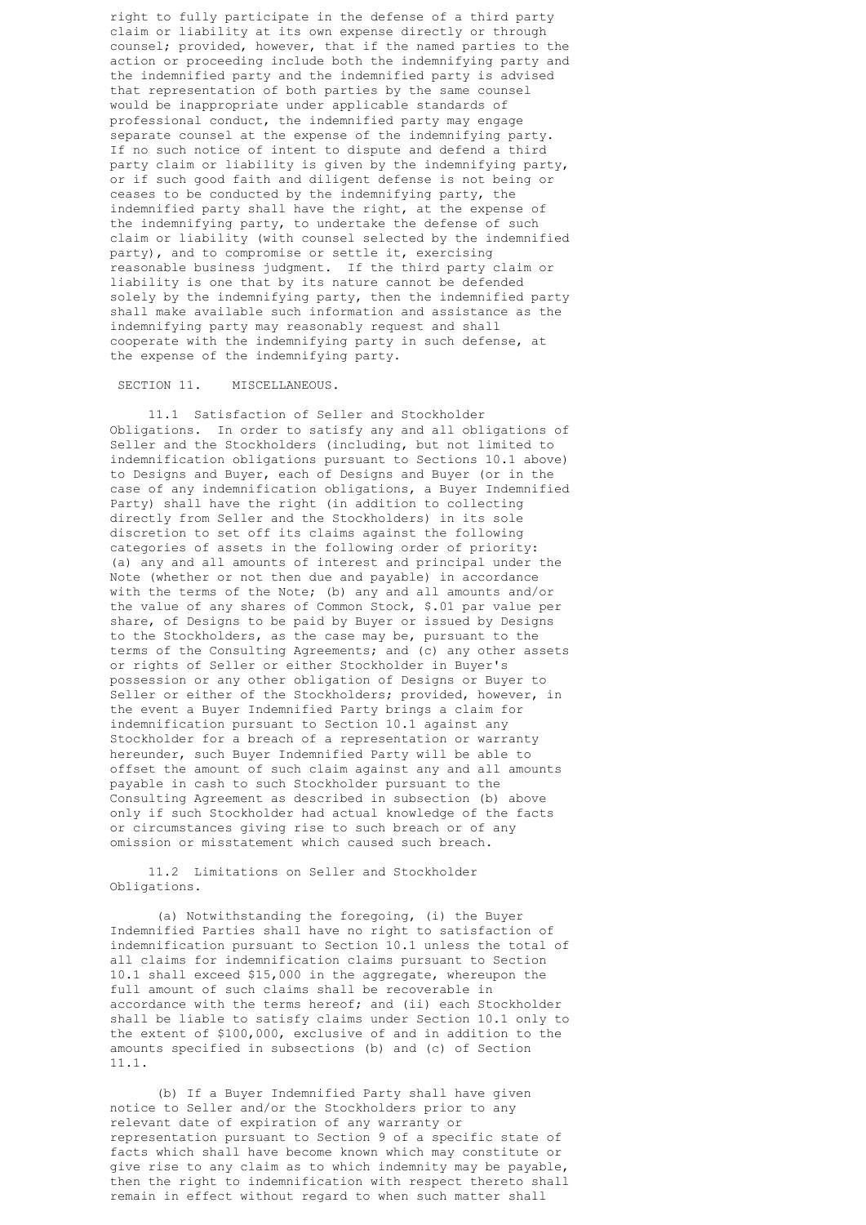right to fully participate in the defense of a third party claim or liability at its own expense directly or through counsel; provided, however, that if the named parties to the action or proceeding include both the indemnifying party and the indemnified party and the indemnified party is advised that representation of both parties by the same counsel would be inappropriate under applicable standards of professional conduct, the indemnified party may engage separate counsel at the expense of the indemnifying party. If no such notice of intent to dispute and defend a third party claim or liability is given by the indemnifying party, or if such good faith and diligent defense is not being or ceases to be conducted by the indemnifying party, the indemnified party shall have the right, at the expense of the indemnifying party, to undertake the defense of such claim or liability (with counsel selected by the indemnified party), and to compromise or settle it, exercising reasonable business judgment. If the third party claim or liability is one that by its nature cannot be defended solely by the indemnifying party, then the indemnified party shall make available such information and assistance as the indemnifying party may reasonably request and shall cooperate with the indemnifying party in such defense, at the expense of the indemnifying party.

## SECTION 11. MISCELLANEOUS.

 11.1 Satisfaction of Seller and Stockholder Obligations. In order to satisfy any and all obligations of Seller and the Stockholders (including, but not limited to indemnification obligations pursuant to Sections 10.1 above) to Designs and Buyer, each of Designs and Buyer (or in the case of any indemnification obligations, a Buyer Indemnified Party) shall have the right (in addition to collecting directly from Seller and the Stockholders) in its sole discretion to set off its claims against the following categories of assets in the following order of priority: (a) any and all amounts of interest and principal under the Note (whether or not then due and payable) in accordance with the terms of the Note; (b) any and all amounts and/or the value of any shares of Common Stock, \$.01 par value per share, of Designs to be paid by Buyer or issued by Designs to the Stockholders, as the case may be, pursuant to the terms of the Consulting Agreements; and (c) any other assets or rights of Seller or either Stockholder in Buyer's possession or any other obligation of Designs or Buyer to Seller or either of the Stockholders; provided, however, in the event a Buyer Indemnified Party brings a claim for indemnification pursuant to Section 10.1 against any Stockholder for a breach of a representation or warranty hereunder, such Buyer Indemnified Party will be able to offset the amount of such claim against any and all amounts payable in cash to such Stockholder pursuant to the Consulting Agreement as described in subsection (b) above only if such Stockholder had actual knowledge of the facts or circumstances giving rise to such breach or of any omission or misstatement which caused such breach.

 11.2 Limitations on Seller and Stockholder Obligations.

 (a) Notwithstanding the foregoing, (i) the Buyer Indemnified Parties shall have no right to satisfaction of indemnification pursuant to Section 10.1 unless the total of all claims for indemnification claims pursuant to Section 10.1 shall exceed \$15,000 in the aggregate, whereupon the full amount of such claims shall be recoverable in accordance with the terms hereof; and (ii) each Stockholder shall be liable to satisfy claims under Section 10.1 only to the extent of \$100,000, exclusive of and in addition to the amounts specified in subsections (b) and (c) of Section 11.1.

 (b) If a Buyer Indemnified Party shall have given notice to Seller and/or the Stockholders prior to any relevant date of expiration of any warranty or representation pursuant to Section 9 of a specific state of facts which shall have become known which may constitute or give rise to any claim as to which indemnity may be payable, then the right to indemnification with respect thereto shall remain in effect without regard to when such matter shall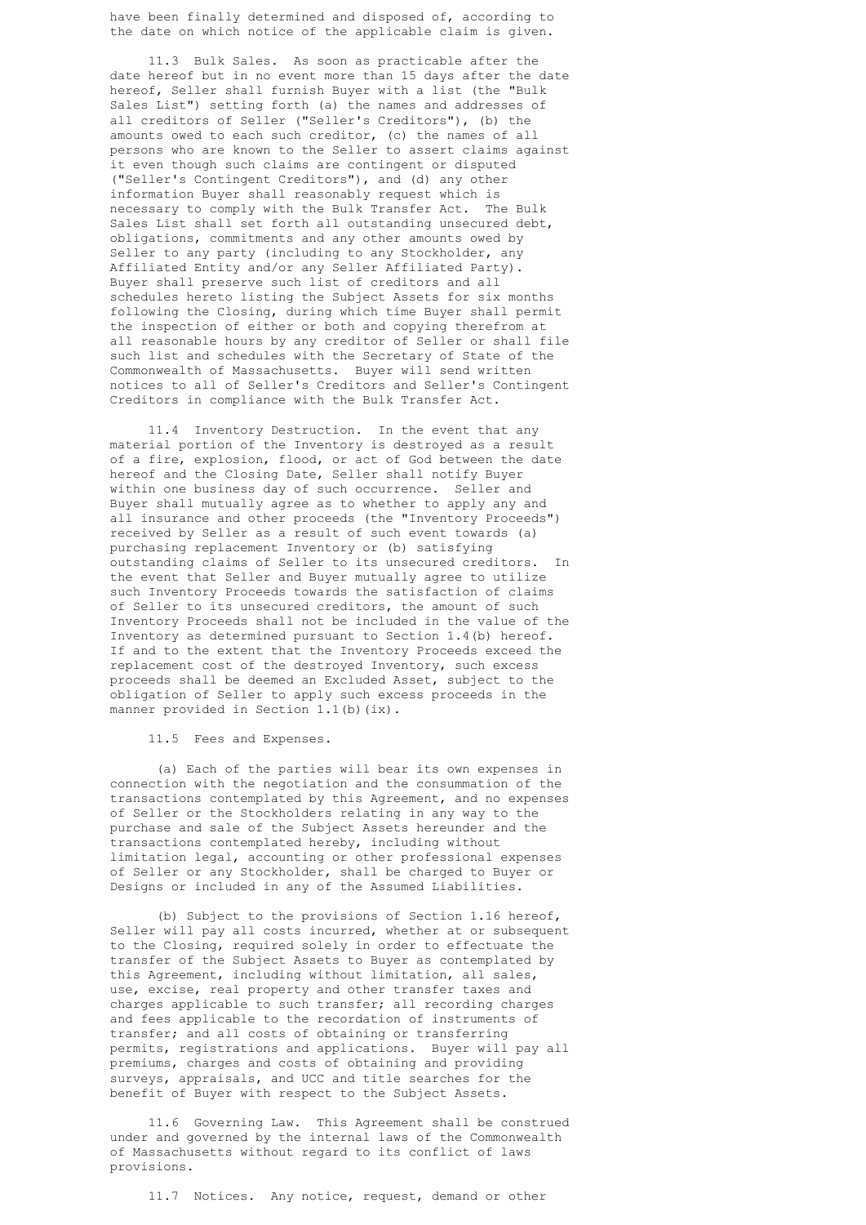have been finally determined and disposed of, according to the date on which notice of the applicable claim is given.

 11.3 Bulk Sales. As soon as practicable after the date hereof but in no event more than 15 days after the date hereof, Seller shall furnish Buyer with a list (the "Bulk Sales List") setting forth (a) the names and addresses of all creditors of Seller ("Seller's Creditors"), (b) the amounts owed to each such creditor, (c) the names of all persons who are known to the Seller to assert claims against it even though such claims are contingent or disputed ("Seller's Contingent Creditors"), and (d) any other information Buyer shall reasonably request which is necessary to comply with the Bulk Transfer Act. The Bulk Sales List shall set forth all outstanding unsecured debt, obligations, commitments and any other amounts owed by Seller to any party (including to any Stockholder, any Affiliated Entity and/or any Seller Affiliated Party). Buyer shall preserve such list of creditors and all schedules hereto listing the Subject Assets for six months following the Closing, during which time Buyer shall permit the inspection of either or both and copying therefrom at all reasonable hours by any creditor of Seller or shall file such list and schedules with the Secretary of State of the Commonwealth of Massachusetts. Buyer will send written notices to all of Seller's Creditors and Seller's Contingent Creditors in compliance with the Bulk Transfer Act.

 11.4 Inventory Destruction. In the event that any material portion of the Inventory is destroyed as a result of a fire, explosion, flood, or act of God between the date hereof and the Closing Date, Seller shall notify Buyer within one business day of such occurrence. Seller and Buyer shall mutually agree as to whether to apply any and all insurance and other proceeds (the "Inventory Proceeds") received by Seller as a result of such event towards (a) purchasing replacement Inventory or (b) satisfying outstanding claims of Seller to its unsecured creditors. In the event that Seller and Buyer mutually agree to utilize such Inventory Proceeds towards the satisfaction of claims of Seller to its unsecured creditors, the amount of such Inventory Proceeds shall not be included in the value of the Inventory as determined pursuant to Section 1.4(b) hereof. If and to the extent that the Inventory Proceeds exceed the replacement cost of the destroyed Inventory, such excess proceeds shall be deemed an Excluded Asset, subject to the obligation of Seller to apply such excess proceeds in the manner provided in Section 1.1(b)(ix).

## 11.5 Fees and Expenses.

 (a) Each of the parties will bear its own expenses in connection with the negotiation and the consummation of the transactions contemplated by this Agreement, and no expenses of Seller or the Stockholders relating in any way to the purchase and sale of the Subject Assets hereunder and the transactions contemplated hereby, including without limitation legal, accounting or other professional expenses of Seller or any Stockholder, shall be charged to Buyer or Designs or included in any of the Assumed Liabilities.

 (b) Subject to the provisions of Section 1.16 hereof, Seller will pay all costs incurred, whether at or subsequent to the Closing, required solely in order to effectuate the transfer of the Subject Assets to Buyer as contemplated by this Agreement, including without limitation, all sales, use, excise, real property and other transfer taxes and charges applicable to such transfer; all recording charges and fees applicable to the recordation of instruments of transfer; and all costs of obtaining or transferring permits, registrations and applications. Buyer will pay all premiums, charges and costs of obtaining and providing surveys, appraisals, and UCC and title searches for the benefit of Buyer with respect to the Subject Assets.

 11.6 Governing Law. This Agreement shall be construed under and governed by the internal laws of the Commonwealth of Massachusetts without regard to its conflict of laws provisions.

11.7 Notices. Any notice, request, demand or other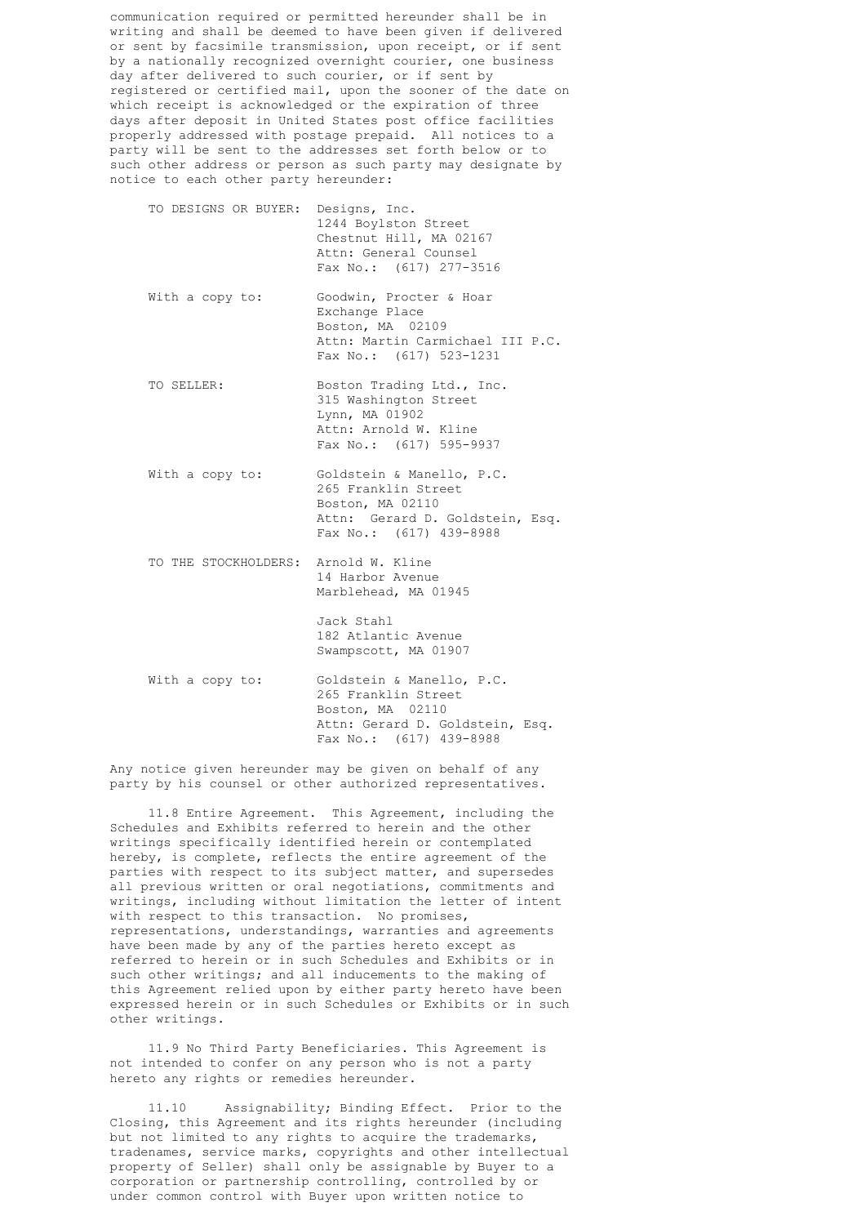communication required or permitted hereunder shall be in writing and shall be deemed to have been given if delivered or sent by facsimile transmission, upon receipt, or if sent by a nationally recognized overnight courier, one business day after delivered to such courier, or if sent by registered or certified mail, upon the sooner of the date on which receipt is acknowledged or the expiration of three days after deposit in United States post office facilities properly addressed with postage prepaid. All notices to a party will be sent to the addresses set forth below or to such other address or person as such party may designate by notice to each other party hereunder:

 TO DESIGNS OR BUYER: Designs, Inc. 1244 Boylston Street Chestnut Hill, MA 02167 Attn: General Counsel Fax No.: (617) 277-3516 With a copy to: Goodwin, Procter & Hoar Exchange Place Boston, MA 02109 Attn: Martin Carmichael III P.C. Fax No.: (617) 523-1231 TO SELLER: Boston Trading Ltd., Inc. 315 Washington Street Lynn, MA 01902 Attn: Arnold W. Kline Fax No.: (617) 595-9937 With a copy to: Goldstein & Manello, P.C. 265 Franklin Street Boston, MA 02110 Attn: Gerard D. Goldstein, Esq. Fax No.: (617) 439-8988 TO THE STOCKHOLDERS: Arnold W. Kline 14 Harbor Avenue Marblehead, MA 01945 Jack Stahl 182 Atlantic Avenue Swampscott, MA 01907 With a copy to: Goldstein & Manello, P.C. 265 Franklin Street Boston, MA 02110 Attn: Gerard D. Goldstein, Esq. Fax No.: (617) 439-8988

 Any notice given hereunder may be given on behalf of any party by his counsel or other authorized representatives.

 11.8 Entire Agreement. This Agreement, including the Schedules and Exhibits referred to herein and the other writings specifically identified herein or contemplated hereby, is complete, reflects the entire agreement of the parties with respect to its subject matter, and supersedes all previous written or oral negotiations, commitments and writings, including without limitation the letter of intent with respect to this transaction. No promises, representations, understandings, warranties and agreements have been made by any of the parties hereto except as referred to herein or in such Schedules and Exhibits or in such other writings; and all inducements to the making of this Agreement relied upon by either party hereto have been expressed herein or in such Schedules or Exhibits or in such other writings.

 11.9 No Third Party Beneficiaries. This Agreement is not intended to confer on any person who is not a party hereto any rights or remedies hereunder.

 11.10 Assignability; Binding Effect. Prior to the Closing, this Agreement and its rights hereunder (including but not limited to any rights to acquire the trademarks, tradenames, service marks, copyrights and other intellectual property of Seller) shall only be assignable by Buyer to a corporation or partnership controlling, controlled by or under common control with Buyer upon written notice to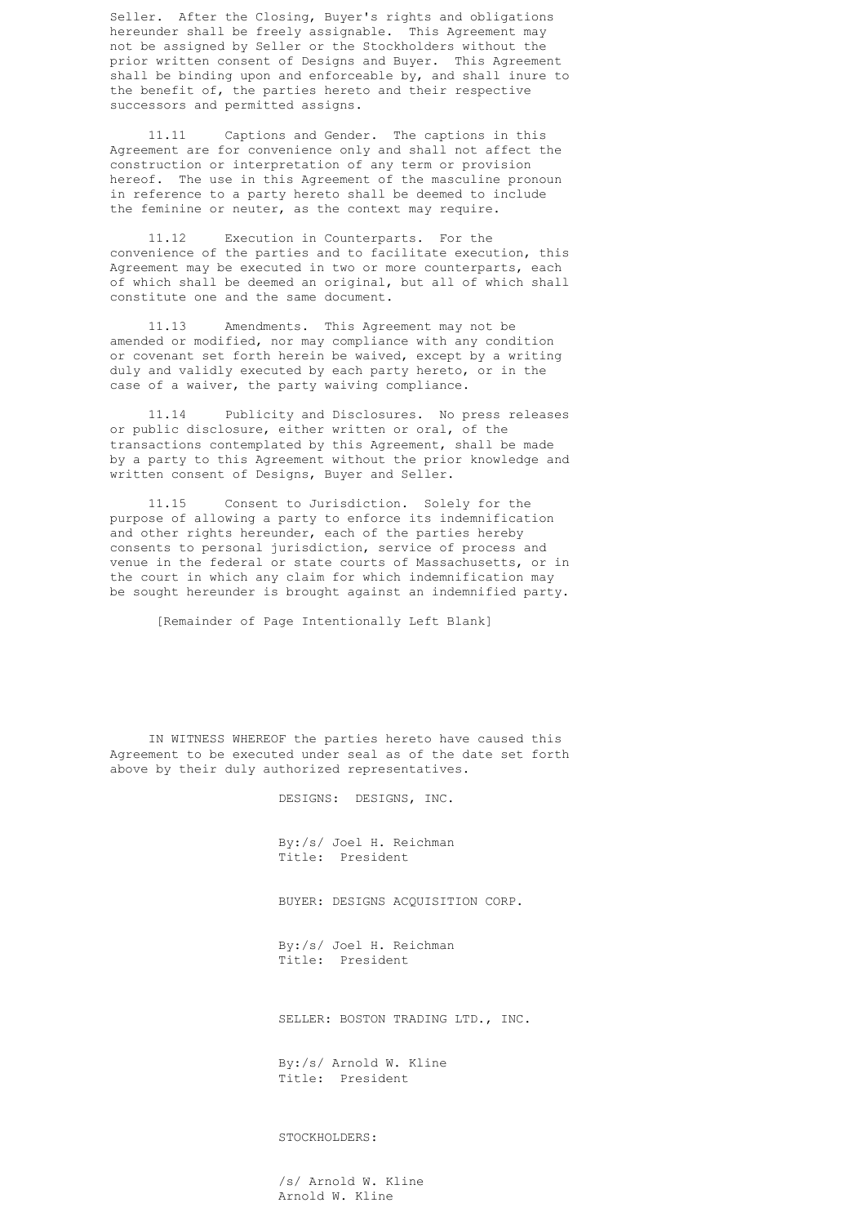Seller. After the Closing, Buyer's rights and obligations hereunder shall be freely assignable. This Agreement may not be assigned by Seller or the Stockholders without the prior written consent of Designs and Buyer. This Agreement shall be binding upon and enforceable by, and shall inure to the benefit of, the parties hereto and their respective successors and permitted assigns.

> 11.11 Captions and Gender. The captions in this Agreement are for convenience only and shall not affect the construction or interpretation of any term or provision hereof. The use in this Agreement of the masculine pronoun in reference to a party hereto shall be deemed to include the feminine or neuter, as the context may require.

 11.12 Execution in Counterparts. For the convenience of the parties and to facilitate execution, this Agreement may be executed in two or more counterparts, each of which shall be deemed an original, but all of which shall constitute one and the same document.

 11.13 Amendments. This Agreement may not be amended or modified, nor may compliance with any condition or covenant set forth herein be waived, except by a writing duly and validly executed by each party hereto, or in the case of a waiver, the party waiving compliance.

 11.14 Publicity and Disclosures. No press releases or public disclosure, either written or oral, of the transactions contemplated by this Agreement, shall be made by a party to this Agreement without the prior knowledge and written consent of Designs, Buyer and Seller.

 11.15 Consent to Jurisdiction. Solely for the purpose of allowing a party to enforce its indemnification and other rights hereunder, each of the parties hereby consents to personal jurisdiction, service of process and venue in the federal or state courts of Massachusetts, or in the court in which any claim for which indemnification may be sought hereunder is brought against an indemnified party.

[Remainder of Page Intentionally Left Blank]

 IN WITNESS WHEREOF the parties hereto have caused this Agreement to be executed under seal as of the date set forth above by their duly authorized representatives.

DESIGNS: DESIGNS, INC.

 By:/s/ Joel H. Reichman Title: President

BUYER: DESIGNS ACQUISITION CORP.

 By:/s/ Joel H. Reichman Title: President

SELLER: BOSTON TRADING LTD., INC.

 By:/s/ Arnold W. Kline Title: President

STOCKHOLDERS:

 /s/ Arnold W. Kline Arnold W. Kline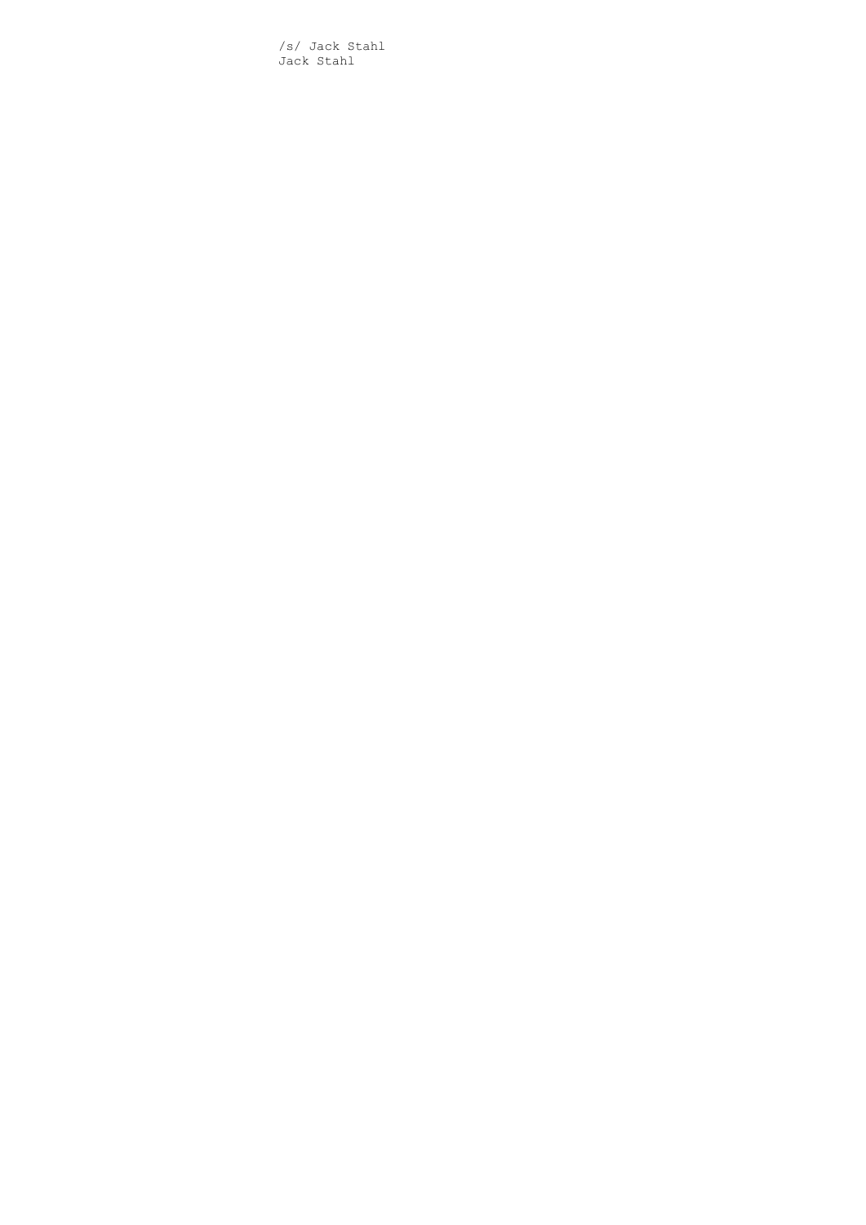/s/ Jack Stahl Jack Stahl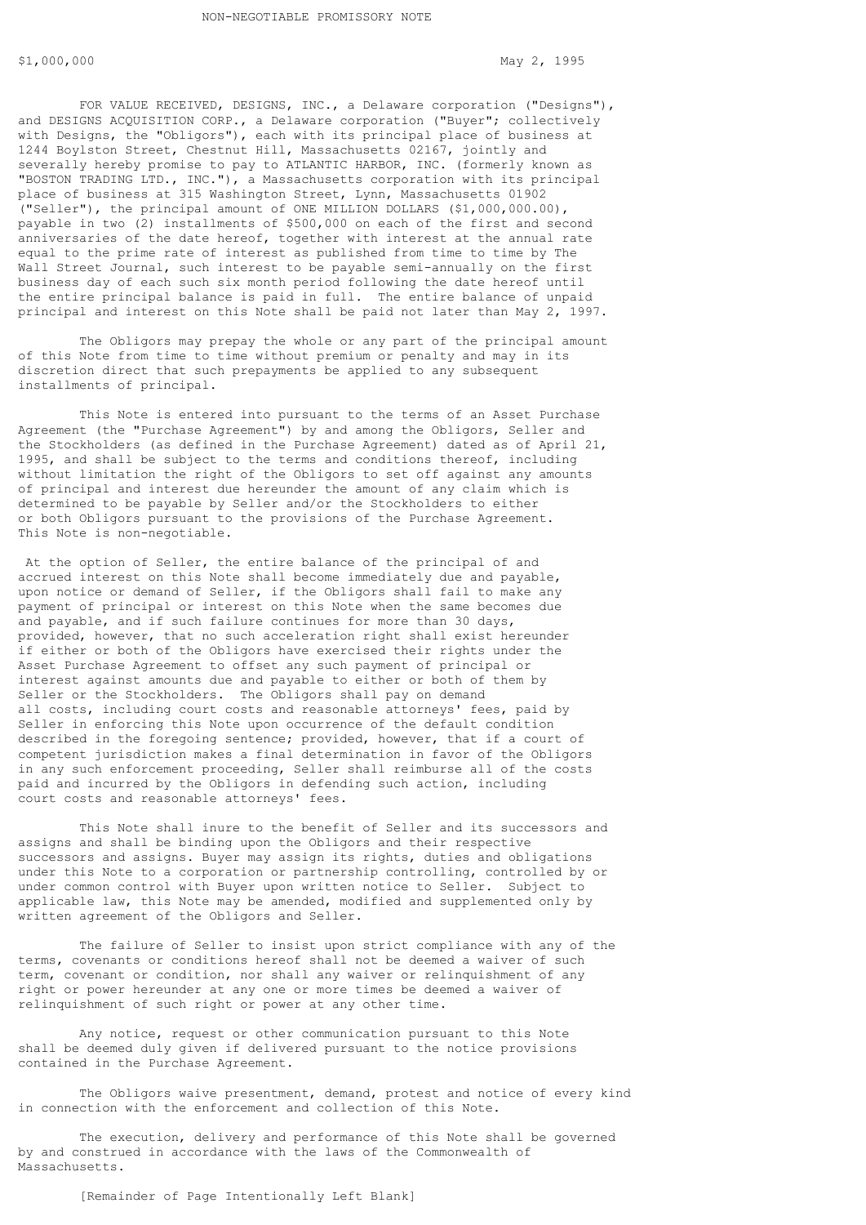FOR VALUE RECEIVED, DESIGNS, INC., a Delaware corporation ("Designs"), and DESIGNS ACQUISITION CORP., a Delaware corporation ("Buyer"; collectively with Designs, the "Obligors"), each with its principal place of business at 1244 Boylston Street, Chestnut Hill, Massachusetts 02167, jointly and severally hereby promise to pay to ATLANTIC HARBOR, INC. (formerly known as "BOSTON TRADING LTD., INC."), a Massachusetts corporation with its principal place of business at 315 Washington Street, Lynn, Massachusetts 01902 ("Seller"), the principal amount of ONE MILLION DOLLARS (\$1,000,000.00), payable in two (2) installments of \$500,000 on each of the first and second anniversaries of the date hereof, together with interest at the annual rate equal to the prime rate of interest as published from time to time by The Wall Street Journal, such interest to be payable semi-annually on the first business day of each such six month period following the date hereof until the entire principal balance is paid in full. The entire balance of unpaid principal and interest on this Note shall be paid not later than May 2, 1997.

The Obligors may prepay the whole or any part of the principal amount of this Note from time to time without premium or penalty and may in its discretion direct that such prepayments be applied to any subsequent installments of principal.

This Note is entered into pursuant to the terms of an Asset Purchase Agreement (the "Purchase Agreement") by and among the Obligors, Seller and the Stockholders (as defined in the Purchase Agreement) dated as of April 21, 1995, and shall be subject to the terms and conditions thereof, including without limitation the right of the Obligors to set off against any amounts of principal and interest due hereunder the amount of any claim which is determined to be payable by Seller and/or the Stockholders to either or both Obligors pursuant to the provisions of the Purchase Agreement. This Note is non-negotiable.

 At the option of Seller, the entire balance of the principal of and accrued interest on this Note shall become immediately due and payable, upon notice or demand of Seller, if the Obligors shall fail to make any payment of principal or interest on this Note when the same becomes due and payable, and if such failure continues for more than 30 days, provided, however, that no such acceleration right shall exist hereunder if either or both of the Obligors have exercised their rights under the Asset Purchase Agreement to offset any such payment of principal or interest against amounts due and payable to either or both of them by Seller or the Stockholders. The Obligors shall pay on demand all costs, including court costs and reasonable attorneys' fees, paid by Seller in enforcing this Note upon occurrence of the default condition described in the foregoing sentence; provided, however, that if a court of competent jurisdiction makes a final determination in favor of the Obligors in any such enforcement proceeding, Seller shall reimburse all of the costs paid and incurred by the Obligors in defending such action, including court costs and reasonable attorneys' fees.

This Note shall inure to the benefit of Seller and its successors and assigns and shall be binding upon the Obligors and their respective successors and assigns. Buyer may assign its rights, duties and obligations under this Note to a corporation or partnership controlling, controlled by or under common control with Buyer upon written notice to Seller. Subject to applicable law, this Note may be amended, modified and supplemented only by written agreement of the Obligors and Seller.

The failure of Seller to insist upon strict compliance with any of the terms, covenants or conditions hereof shall not be deemed a waiver of such term, covenant or condition, nor shall any waiver or relinquishment of any right or power hereunder at any one or more times be deemed a waiver of relinquishment of such right or power at any other time.

Any notice, request or other communication pursuant to this Note shall be deemed duly given if delivered pursuant to the notice provisions contained in the Purchase Agreement.

The Obligors waive presentment, demand, protest and notice of every kind in connection with the enforcement and collection of this Note.

The execution, delivery and performance of this Note shall be governed by and construed in accordance with the laws of the Commonwealth of Massachusetts.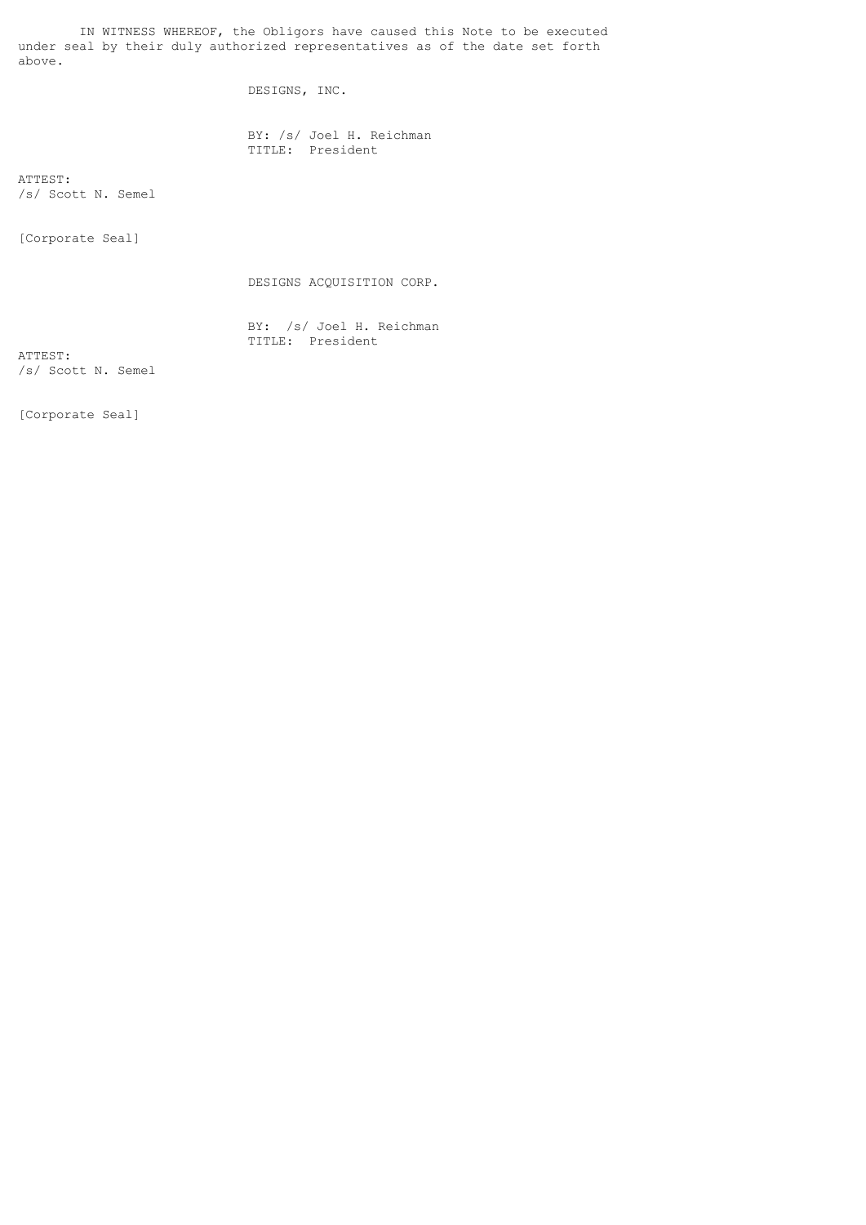IN WITNESS WHEREOF, the Obligors have caused this Note to be executed under seal by their duly authorized representatives as of the date set forth above.

DESIGNS, INC.

 BY: /s/ Joel H. Reichman TITLE: President

ATTEST: /s/ Scott N. Semel

[Corporate Seal]

DESIGNS ACQUISITION CORP.

 BY: /s/ Joel H. Reichman TITLE: President

ATTEST: /s/ Scott N. Semel

[Corporate Seal]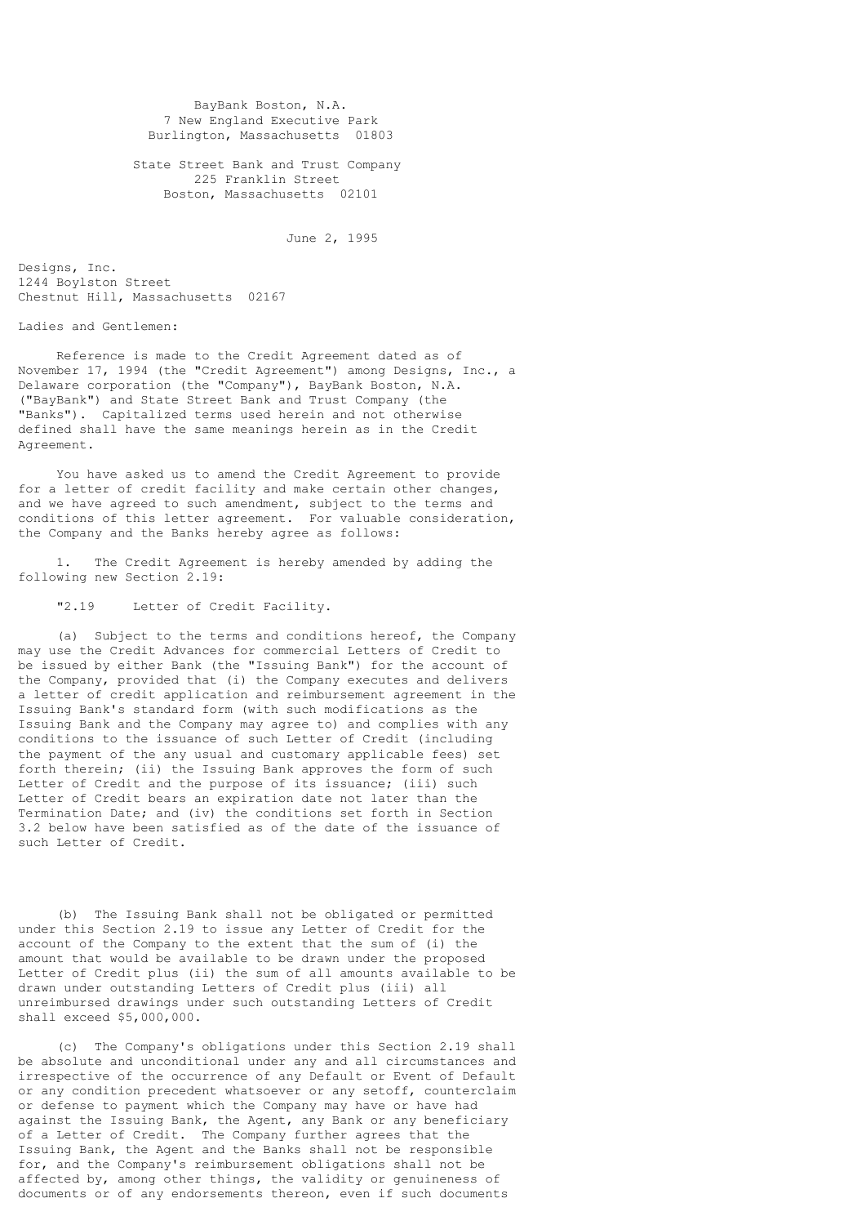BayBank Boston, N.A. 7 New England Executive Park Burlington, Massachusetts 01803

 State Street Bank and Trust Company 225 Franklin Street Boston, Massachusetts 02101

June 2, 1995

Designs, Inc. 1244 Boylston Street Chestnut Hill, Massachusetts 02167

Ladies and Gentlemen:

 Reference is made to the Credit Agreement dated as of November 17, 1994 (the "Credit Agreement") among Designs, Inc., a Delaware corporation (the "Company"), BayBank Boston, N.A. ("BayBank") and State Street Bank and Trust Company (the "Banks"). Capitalized terms used herein and not otherwise defined shall have the same meanings herein as in the Credit Agreement.

 You have asked us to amend the Credit Agreement to provide for a letter of credit facility and make certain other changes, and we have agreed to such amendment, subject to the terms and conditions of this letter agreement. For valuable consideration, the Company and the Banks hereby agree as follows:

 1. The Credit Agreement is hereby amended by adding the following new Section 2.19:

"2.19 Letter of Credit Facility.

 (a) Subject to the terms and conditions hereof, the Company may use the Credit Advances for commercial Letters of Credit to be issued by either Bank (the "Issuing Bank") for the account of the Company, provided that (i) the Company executes and delivers a letter of credit application and reimbursement agreement in the Issuing Bank's standard form (with such modifications as the Issuing Bank and the Company may agree to) and complies with any conditions to the issuance of such Letter of Credit (including the payment of the any usual and customary applicable fees) set forth therein; (ii) the Issuing Bank approves the form of such Letter of Credit and the purpose of its issuance; (iii) such Letter of Credit bears an expiration date not later than the Termination Date; and (iv) the conditions set forth in Section 3.2 below have been satisfied as of the date of the issuance of such Letter of Credit.

 (b) The Issuing Bank shall not be obligated or permitted under this Section 2.19 to issue any Letter of Credit for the account of the Company to the extent that the sum of (i) the amount that would be available to be drawn under the proposed Letter of Credit plus (ii) the sum of all amounts available to be drawn under outstanding Letters of Credit plus (iii) all unreimbursed drawings under such outstanding Letters of Credit shall exceed \$5,000,000.

 (c) The Company's obligations under this Section 2.19 shall be absolute and unconditional under any and all circumstances and irrespective of the occurrence of any Default or Event of Default or any condition precedent whatsoever or any setoff, counterclaim or defense to payment which the Company may have or have had against the Issuing Bank, the Agent, any Bank or any beneficiary of a Letter of Credit. The Company further agrees that the Issuing Bank, the Agent and the Banks shall not be responsible for, and the Company's reimbursement obligations shall not be affected by, among other things, the validity or genuineness of documents or of any endorsements thereon, even if such documents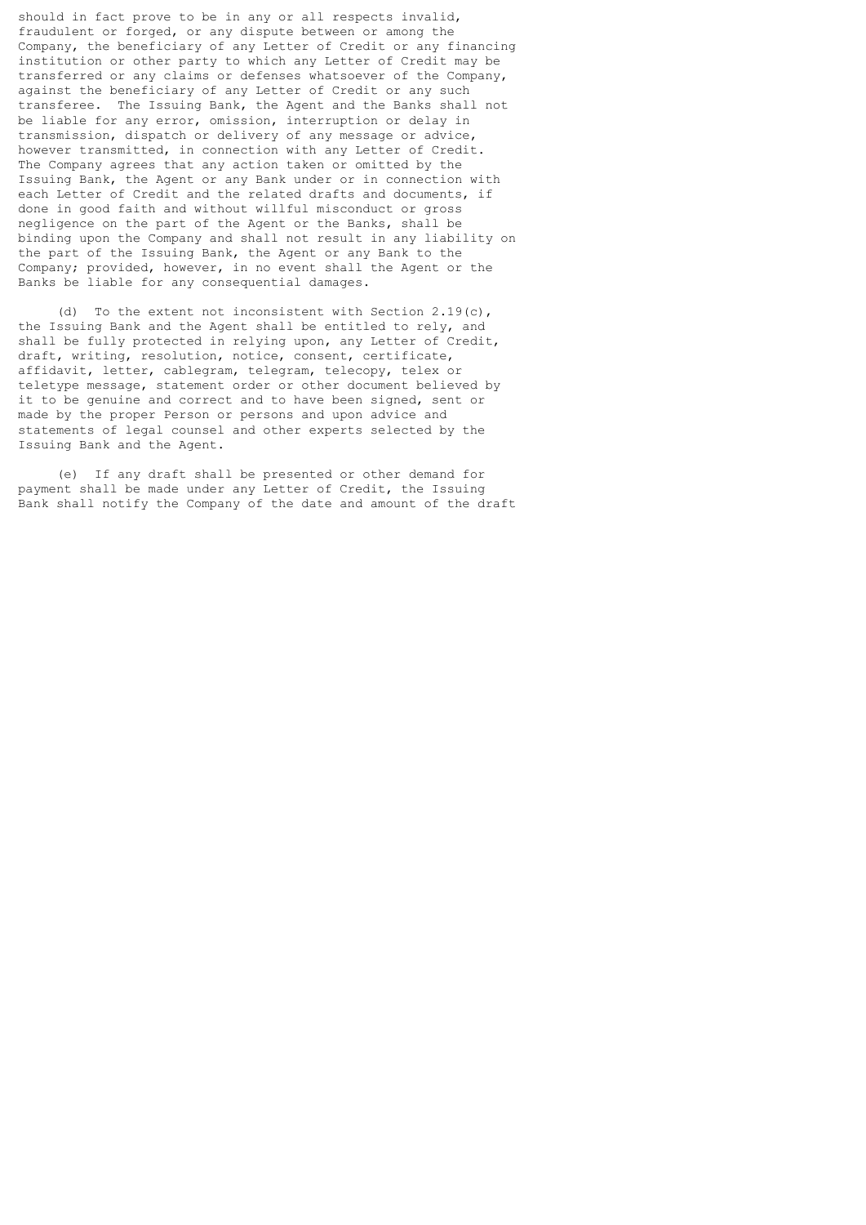should in fact prove to be in any or all respects invalid, fraudulent or forged, or any dispute between or among the Company, the beneficiary of any Letter of Credit or any financing institution or other party to which any Letter of Credit may be transferred or any claims or defenses whatsoever of the Company, against the beneficiary of any Letter of Credit or any such transferee. The Issuing Bank, the Agent and the Banks shall not be liable for any error, omission, interruption or delay in transmission, dispatch or delivery of any message or advice, however transmitted, in connection with any Letter of Credit. The Company agrees that any action taken or omitted by the Issuing Bank, the Agent or any Bank under or in connection with each Letter of Credit and the related drafts and documents, if done in good faith and without willful misconduct or gross negligence on the part of the Agent or the Banks, shall be binding upon the Company and shall not result in any liability on the part of the Issuing Bank, the Agent or any Bank to the Company; provided, however, in no event shall the Agent or the Banks be liable for any consequential damages.

 (d) To the extent not inconsistent with Section 2.19(c), the Issuing Bank and the Agent shall be entitled to rely, and shall be fully protected in relying upon, any Letter of Credit, draft, writing, resolution, notice, consent, certificate, affidavit, letter, cablegram, telegram, telecopy, telex or teletype message, statement order or other document believed by it to be genuine and correct and to have been signed, sent or made by the proper Person or persons and upon advice and statements of legal counsel and other experts selected by the Issuing Bank and the Agent.

 (e) If any draft shall be presented or other demand for payment shall be made under any Letter of Credit, the Issuing Bank shall notify the Company of the date and amount of the draft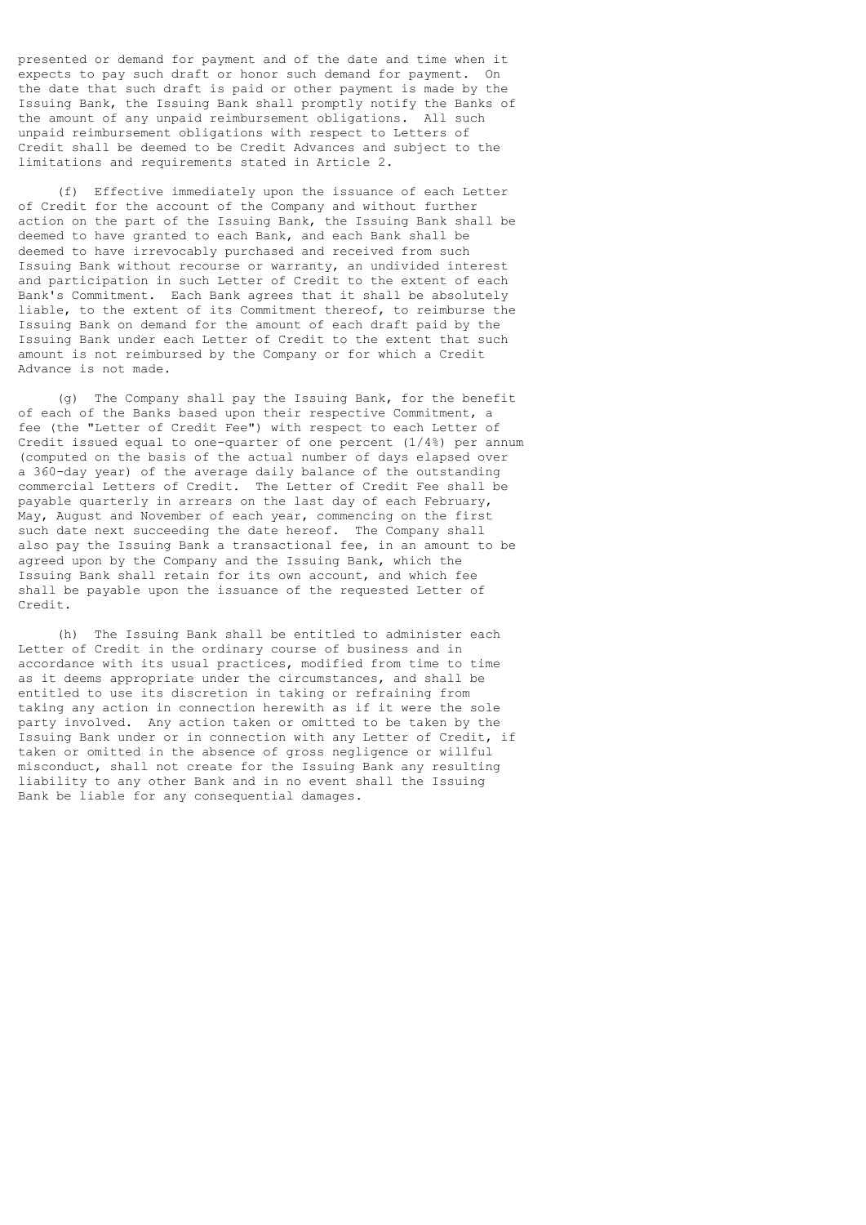presented or demand for payment and of the date and time when it expects to pay such draft or honor such demand for payment. On the date that such draft is paid or other payment is made by the Issuing Bank, the Issuing Bank shall promptly notify the Banks of the amount of any unpaid reimbursement obligations. All such unpaid reimbursement obligations with respect to Letters of Credit shall be deemed to be Credit Advances and subject to the limitations and requirements stated in Article 2.

 (f) Effective immediately upon the issuance of each Letter of Credit for the account of the Company and without further action on the part of the Issuing Bank, the Issuing Bank shall be deemed to have granted to each Bank, and each Bank shall be deemed to have irrevocably purchased and received from such Issuing Bank without recourse or warranty, an undivided interest and participation in such Letter of Credit to the extent of each Bank's Commitment. Each Bank agrees that it shall be absolutely liable, to the extent of its Commitment thereof, to reimburse the Issuing Bank on demand for the amount of each draft paid by the Issuing Bank under each Letter of Credit to the extent that such amount is not reimbursed by the Company or for which a Credit Advance is not made.

 (g) The Company shall pay the Issuing Bank, for the benefit of each of the Banks based upon their respective Commitment, a fee (the "Letter of Credit Fee") with respect to each Letter of Credit issued equal to one-quarter of one percent (1/4%) per annum (computed on the basis of the actual number of days elapsed over a 360-day year) of the average daily balance of the outstanding commercial Letters of Credit. The Letter of Credit Fee shall be payable quarterly in arrears on the last day of each February, May, August and November of each year, commencing on the first such date next succeeding the date hereof. The Company shall also pay the Issuing Bank a transactional fee, in an amount to be agreed upon by the Company and the Issuing Bank, which the Issuing Bank shall retain for its own account, and which fee shall be payable upon the issuance of the requested Letter of Credit.

 (h) The Issuing Bank shall be entitled to administer each Letter of Credit in the ordinary course of business and in accordance with its usual practices, modified from time to time as it deems appropriate under the circumstances, and shall be entitled to use its discretion in taking or refraining from taking any action in connection herewith as if it were the sole party involved. Any action taken or omitted to be taken by the Issuing Bank under or in connection with any Letter of Credit, if taken or omitted in the absence of gross negligence or willful misconduct, shall not create for the Issuing Bank any resulting liability to any other Bank and in no event shall the Issuing Bank be liable for any consequential damages.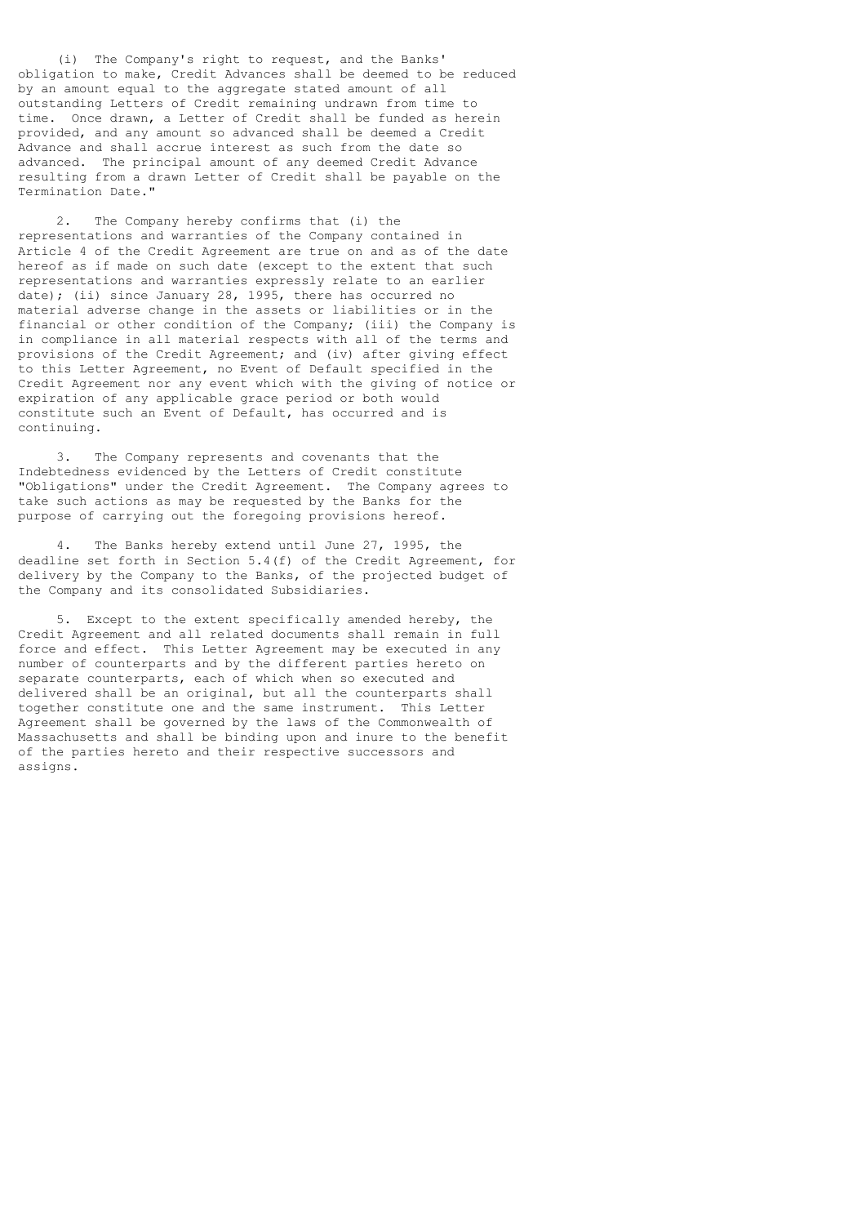(i) The Company's right to request, and the Banks' obligation to make, Credit Advances shall be deemed to be reduced by an amount equal to the aggregate stated amount of all outstanding Letters of Credit remaining undrawn from time to time. Once drawn, a Letter of Credit shall be funded as herein provided, and any amount so advanced shall be deemed a Credit Advance and shall accrue interest as such from the date so advanced. The principal amount of any deemed Credit Advance resulting from a drawn Letter of Credit shall be payable on the Termination Date."

 2. The Company hereby confirms that (i) the representations and warranties of the Company contained in Article 4 of the Credit Agreement are true on and as of the date hereof as if made on such date (except to the extent that such representations and warranties expressly relate to an earlier date); (ii) since January 28, 1995, there has occurred no material adverse change in the assets or liabilities or in the financial or other condition of the Company; (iii) the Company is in compliance in all material respects with all of the terms and provisions of the Credit Agreement; and (iv) after giving effect to this Letter Agreement, no Event of Default specified in the Credit Agreement nor any event which with the giving of notice or expiration of any applicable grace period or both would constitute such an Event of Default, has occurred and is continuing.

 3. The Company represents and covenants that the Indebtedness evidenced by the Letters of Credit constitute "Obligations" under the Credit Agreement. The Company agrees to take such actions as may be requested by the Banks for the purpose of carrying out the foregoing provisions hereof.

 4. The Banks hereby extend until June 27, 1995, the deadline set forth in Section 5.4(f) of the Credit Agreement, for delivery by the Company to the Banks, of the projected budget of the Company and its consolidated Subsidiaries.

 5. Except to the extent specifically amended hereby, the Credit Agreement and all related documents shall remain in full force and effect. This Letter Agreement may be executed in any number of counterparts and by the different parties hereto on separate counterparts, each of which when so executed and delivered shall be an original, but all the counterparts shall together constitute one and the same instrument. This Letter Agreement shall be governed by the laws of the Commonwealth of Massachusetts and shall be binding upon and inure to the benefit of the parties hereto and their respective successors and assigns.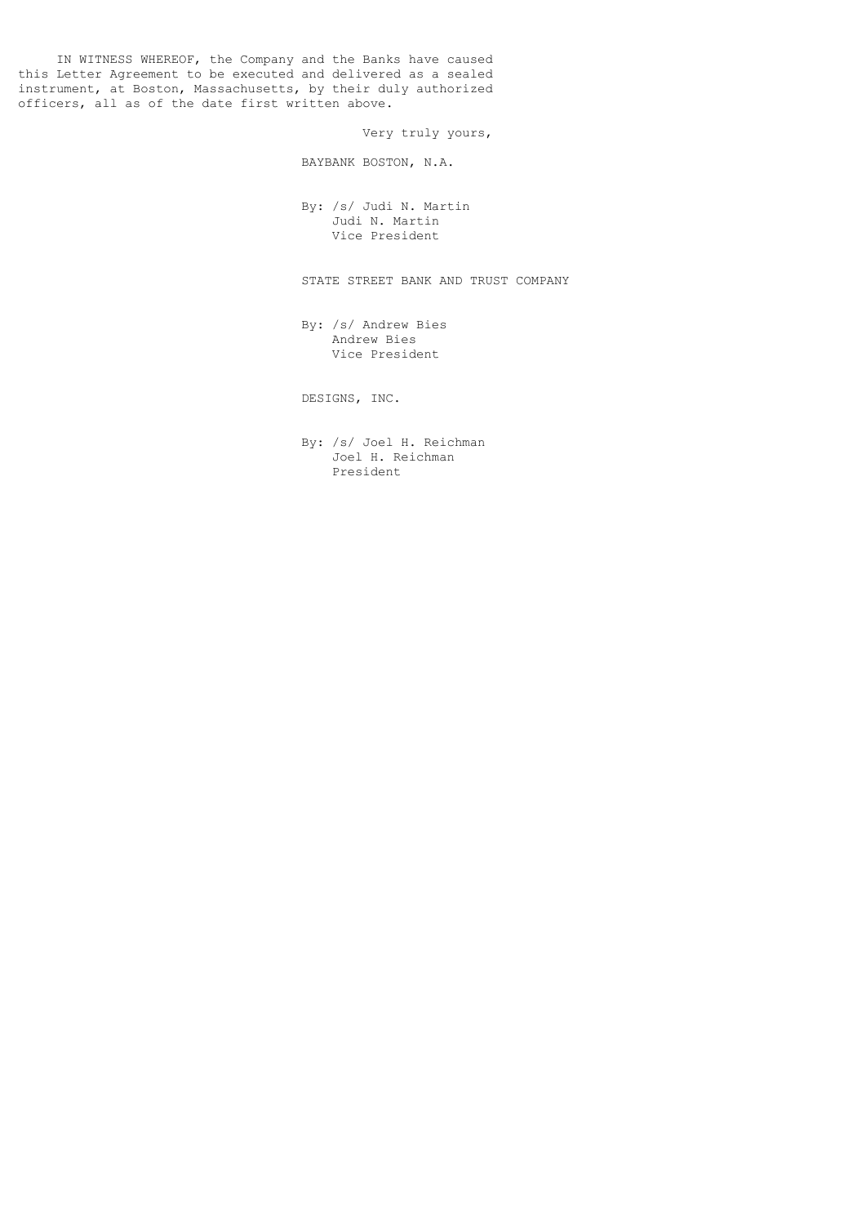IN WITNESS WHEREOF, the Company and the Banks have caused this Letter Agreement to be executed and delivered as a sealed instrument, at Boston, Massachusetts, by their duly authorized officers, all as of the date first written above.

Very truly yours,

BAYBANK BOSTON, N.A.

 By: /s/ Judi N. Martin Judi N. Martin Vice President

STATE STREET BANK AND TRUST COMPANY

 By: /s/ Andrew Bies Andrew Bies Vice President

DESIGNS, INC.

 By: /s/ Joel H. Reichman Joel H. Reichman President